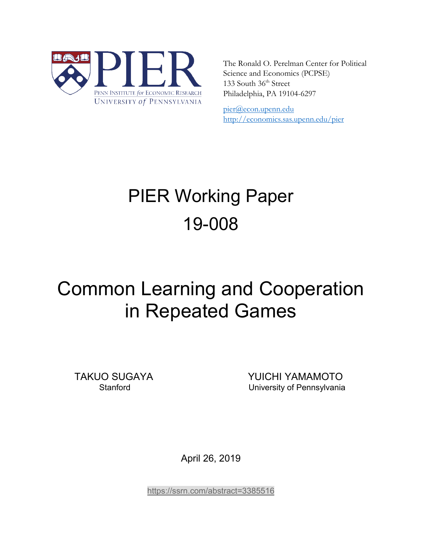

The Ronald O. Perelman Center for Political Science and Economics (PCPSE) 133 South 36<sup>th</sup> Street Philadelphia, PA 19104-6297

pier@econ.upenn.edu <http://economics.sas.upenn.edu/pier>

# PIER Working Paper 19-008

# Common Learning and Cooperation in Repeated Games

TAKUO SUGAYA YUICHI YAMAMOTO Stanford University of Pennsylvania

April 26, 2019

<https://ssrn.com/abstract=3385516>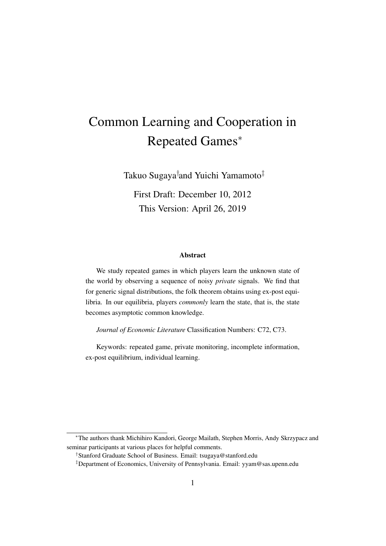# Common Learning and Cooperation in Repeated Games*<sup>∗</sup>*

Takuo Sugaya*†* and Yuichi Yamamoto*‡*

First Draft: December 10, 2012 This Version: April 26, 2019

#### Abstract

We study repeated games in which players learn the unknown state of the world by observing a sequence of noisy *private* signals. We find that for generic signal distributions, the folk theorem obtains using ex-post equilibria. In our equilibria, players *commonly* learn the state, that is, the state becomes asymptotic common knowledge.

*Journal of Economic Literature* Classification Numbers: C72, C73.

Keywords: repeated game, private monitoring, incomplete information, ex-post equilibrium, individual learning.

*<sup>∗</sup>*The authors thank Michihiro Kandori, George Mailath, Stephen Morris, Andy Skrzypacz and seminar participants at various places for helpful comments.

*<sup>†</sup>*Stanford Graduate School of Business. Email: tsugaya@stanford.edu

*<sup>‡</sup>*Department of Economics, University of Pennsylvania. Email: yyam@sas.upenn.edu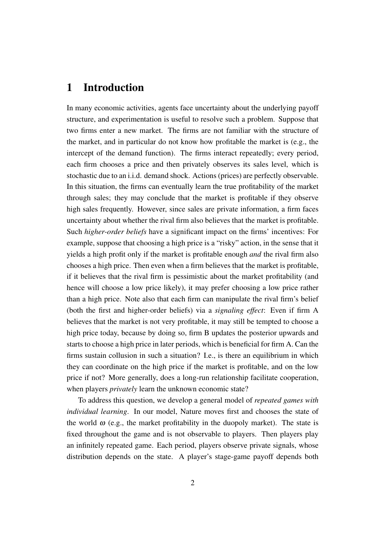## 1 Introduction

In many economic activities, agents face uncertainty about the underlying payoff structure, and experimentation is useful to resolve such a problem. Suppose that two firms enter a new market. The firms are not familiar with the structure of the market, and in particular do not know how profitable the market is (e.g., the intercept of the demand function). The firms interact repeatedly; every period, each firm chooses a price and then privately observes its sales level, which is stochastic due to an i.i.d. demand shock. Actions (prices) are perfectly observable. In this situation, the firms can eventually learn the true profitability of the market through sales; they may conclude that the market is profitable if they observe high sales frequently. However, since sales are private information, a firm faces uncertainty about whether the rival firm also believes that the market is profitable. Such *higher-order beliefs* have a significant impact on the firms' incentives: For example, suppose that choosing a high price is a "risky" action, in the sense that it yields a high profit only if the market is profitable enough *and* the rival firm also chooses a high price. Then even when a firm believes that the market is profitable, if it believes that the rival firm is pessimistic about the market profitability (and hence will choose a low price likely), it may prefer choosing a low price rather than a high price. Note also that each firm can manipulate the rival firm's belief (both the first and higher-order beliefs) via a *signaling effect*: Even if firm A believes that the market is not very profitable, it may still be tempted to choose a high price today, because by doing so, firm B updates the posterior upwards and starts to choose a high price in later periods, which is beneficial for firm A. Can the firms sustain collusion in such a situation? I.e., is there an equilibrium in which they can coordinate on the high price if the market is profitable, and on the low price if not? More generally, does a long-run relationship facilitate cooperation, when players *privately* learn the unknown economic state?

To address this question, we develop a general model of *repeated games with individual learning*. In our model, Nature moves first and chooses the state of the world  $\omega$  (e.g., the market profitability in the duopoly market). The state is fixed throughout the game and is not observable to players. Then players play an infinitely repeated game. Each period, players observe private signals, whose distribution depends on the state. A player's stage-game payoff depends both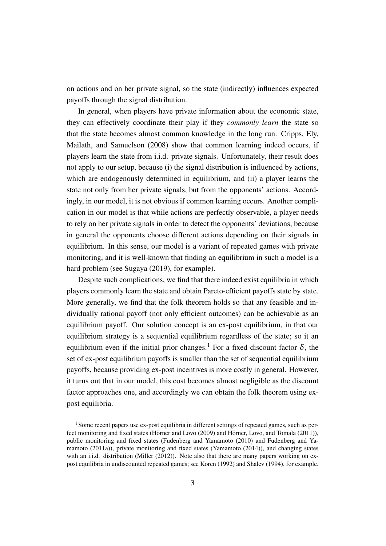on actions and on her private signal, so the state (indirectly) influences expected payoffs through the signal distribution.

In general, when players have private information about the economic state, they can effectively coordinate their play if they *commonly learn* the state so that the state becomes almost common knowledge in the long run. Cripps, Ely, Mailath, and Samuelson (2008) show that common learning indeed occurs, if players learn the state from i.i.d. private signals. Unfortunately, their result does not apply to our setup, because (i) the signal distribution is influenced by actions, which are endogenously determined in equilibrium, and (ii) a player learns the state not only from her private signals, but from the opponents' actions. Accordingly, in our model, it is not obvious if common learning occurs. Another complication in our model is that while actions are perfectly observable, a player needs to rely on her private signals in order to detect the opponents' deviations, because in general the opponents choose different actions depending on their signals in equilibrium. In this sense, our model is a variant of repeated games with private monitoring, and it is well-known that finding an equilibrium in such a model is a hard problem (see Sugaya (2019), for example).

Despite such complications, we find that there indeed exist equilibria in which players commonly learn the state and obtain Pareto-efficient payoffs state by state. More generally, we find that the folk theorem holds so that any feasible and individually rational payoff (not only efficient outcomes) can be achievable as an equilibrium payoff. Our solution concept is an ex-post equilibrium, in that our equilibrium strategy is a sequential equilibrium regardless of the state; so it an equilibrium even if the initial prior changes.<sup>1</sup> For a fixed discount factor  $\delta$ , the set of ex-post equilibrium payoffs is smaller than the set of sequential equilibrium payoffs, because providing ex-post incentives is more costly in general. However, it turns out that in our model, this cost becomes almost negligible as the discount factor approaches one, and accordingly we can obtain the folk theorem using expost equilibria.

<sup>&</sup>lt;sup>1</sup>Some recent papers use ex-post equilibria in different settings of repeated games, such as perfect monitoring and fixed states (Hörner and Lovo  $(2009)$  and Hörner, Lovo, and Tomala  $(2011)$ ), public monitoring and fixed states (Fudenberg and Yamamoto (2010) and Fudenberg and Yamamoto (2011a)), private monitoring and fixed states (Yamamoto (2014)), and changing states with an i.i.d. distribution (Miller (2012)). Note also that there are many papers working on expost equilibria in undiscounted repeated games; see Koren (1992) and Shalev (1994), for example.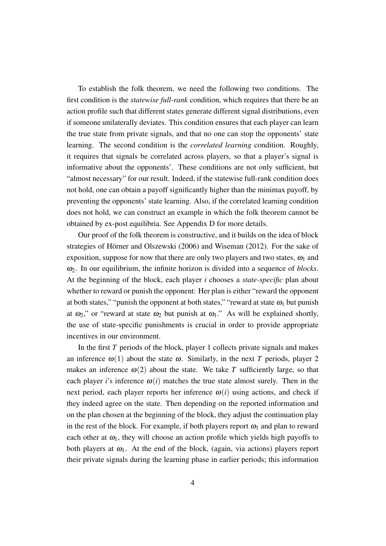To establish the folk theorem, we need the following two conditions. The first condition is the *statewise full-rank* condition, which requires that there be an action profile such that different states generate different signal distributions, even if someone unilaterally deviates. This condition ensures that each player can learn the true state from private signals, and that no one can stop the opponents' state learning. The second condition is the *correlated learning* condition. Roughly, it requires that signals be correlated across players, so that a player's signal is informative about the opponents'. These conditions are not only sufficient, but "almost necessary" for our result. Indeed, if the statewise full-rank condition does not hold, one can obtain a payoff significantly higher than the minimax payoff, by preventing the opponents' state learning. Also, if the correlated learning condition does not hold, we can construct an example in which the folk theorem cannot be obtained by ex-post equilibria. See Appendix D for more details.

Our proof of the folk theorem is constructive, and it builds on the idea of block strategies of Hörner and Olszewski (2006) and Wiseman (2012). For the sake of exposition, suppose for now that there are only two players and two states,  $\omega_1$  and <sup>ω</sup>2. In our equilibrium, the infinite horizon is divided into a sequence of *blocks*. At the beginning of the block, each player *i* chooses a *state-specific* plan about whether to reward or punish the opponent: Her plan is either "reward the opponent at both states," "punish the opponent at both states," "reward at state  $\omega_1$  but punish at  $\omega_2$ ," or "reward at state  $\omega_2$  but punish at  $\omega_1$ ." As will be explained shortly, the use of state-specific punishments is crucial in order to provide appropriate incentives in our environment.

In the first *T* periods of the block, player 1 collects private signals and makes an inference  $\omega(1)$  about the state  $\omega$ . Similarly, in the next *T* periods, player 2 makes an inference  $\omega(2)$  about the state. We take T sufficiently large, so that each player *i*'s inference  $\omega(i)$  matches the true state almost surely. Then in the next period, each player reports her inference  $\omega(i)$  using actions, and check if they indeed agree on the state. Then depending on the reported information and on the plan chosen at the beginning of the block, they adjust the continuation play in the rest of the block. For example, if both players report  $\omega_1$  and plan to reward each other at  $\omega_1$ , they will choose an action profile which yields high payoffs to both players at  $\omega_1$ . At the end of the block, (again, via actions) players report their private signals during the learning phase in earlier periods; this information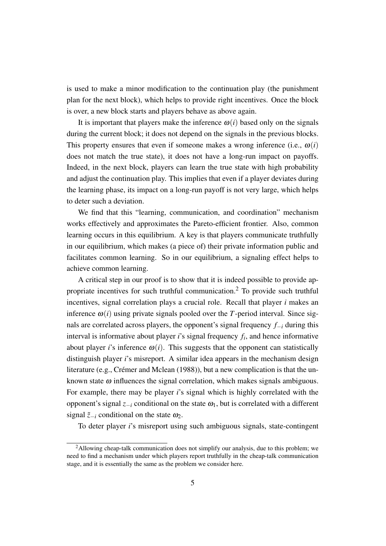is used to make a minor modification to the continuation play (the punishment plan for the next block), which helps to provide right incentives. Once the block is over, a new block starts and players behave as above again.

It is important that players make the inference  $\omega(i)$  based only on the signals during the current block; it does not depend on the signals in the previous blocks. This property ensures that even if someone makes a wrong inference (i.e.,  $\omega(i)$ ) does not match the true state), it does not have a long-run impact on payoffs. Indeed, in the next block, players can learn the true state with high probability and adjust the continuation play. This implies that even if a player deviates during the learning phase, its impact on a long-run payoff is not very large, which helps to deter such a deviation.

We find that this "learning, communication, and coordination" mechanism works effectively and approximates the Pareto-efficient frontier. Also, common learning occurs in this equilibrium. A key is that players communicate truthfully in our equilibrium, which makes (a piece of) their private information public and facilitates common learning. So in our equilibrium, a signaling effect helps to achieve common learning.

A critical step in our proof is to show that it is indeed possible to provide appropriate incentives for such truthful communication.<sup>2</sup> To provide such truthful incentives, signal correlation plays a crucial role. Recall that player *i* makes an inference  $\omega(i)$  using private signals pooled over the *T*-period interval. Since signals are correlated across players, the opponent's signal frequency *f−<sup>i</sup>* during this interval is informative about player *i*'s signal frequency *f<sup>i</sup>* , and hence informative about player *i*'s inference  $\omega(i)$ . This suggests that the opponent can statistically distinguish player *i*'s misreport. A similar idea appears in the mechanism design literature (e.g., Crémer and Mclean (1988)), but a new complication is that the unknown state  $\omega$  influences the signal correlation, which makes signals ambiguous. For example, there may be player *i*'s signal which is highly correlated with the opponent's signal  $z_{-i}$  conditional on the state  $\omega_1$ , but is correlated with a different signal  $\tilde{z}$ <sup>−*i*</sup> conditional on the state  $\omega_2$ .

To deter player *i*'s misreport using such ambiguous signals, state-contingent

<sup>&</sup>lt;sup>2</sup>Allowing cheap-talk communication does not simplify our analysis, due to this problem; we need to find a mechanism under which players report truthfully in the cheap-talk communication stage, and it is essentially the same as the problem we consider here.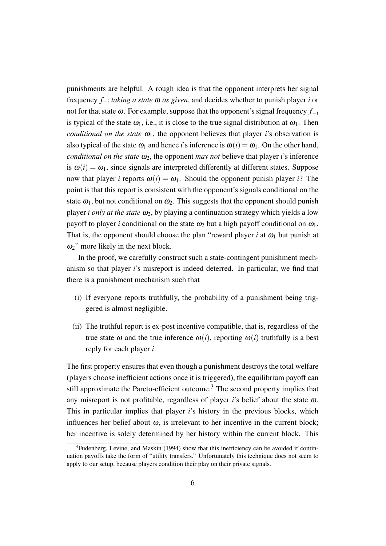punishments are helpful. A rough idea is that the opponent interprets her signal frequency *f−<sup>i</sup> taking a state* <sup>ω</sup> *as given*, and decides whether to punish player *i* or not for that state  $ω$ . For example, suppose that the opponent's signal frequency  $f_{-i}$ is typical of the state  $\omega_1$ , i.e., it is close to the true signal distribution at  $\omega_1$ . Then *conditional on the state*  $\omega_1$ , the opponent believes that player *i*'s observation is also typical of the state  $\omega_1$  and hence *i*'s inference is  $\omega(i) = \omega_1$ . On the other hand, *conditional on the state*  $\omega_2$ , the opponent *may not* believe that player *i*'s inference is  $\omega(i) = \omega_1$ , since signals are interpreted differently at different states. Suppose now that player *i* reports  $\omega(i) = \omega_1$ . Should the opponent punish player *i*? The point is that this report is consistent with the opponent's signals conditional on the state  $\omega_1$ , but not conditional on  $\omega_2$ . This suggests that the opponent should punish player *i only at the state*  $\omega_2$ , by playing a continuation strategy which yields a low payoff to player *i* conditional on the state  $\omega_2$  but a high payoff conditional on  $\omega_1$ . That is, the opponent should choose the plan "reward player *i* at  $\omega_1$  but punish at  $\omega_2$ " more likely in the next block.

In the proof, we carefully construct such a state-contingent punishment mechanism so that player *i*'s misreport is indeed deterred. In particular, we find that there is a punishment mechanism such that

- (i) If everyone reports truthfully, the probability of a punishment being triggered is almost negligible.
- (ii) The truthful report is ex-post incentive compatible, that is, regardless of the true state  $\omega$  and the true inference  $\omega(i)$ , reporting  $\omega(i)$  truthfully is a best reply for each player *i*.

The first property ensures that even though a punishment destroys the total welfare (players choose inefficient actions once it is triggered), the equilibrium payoff can still approximate the Pareto-efficient outcome.<sup>3</sup> The second property implies that any misreport is not profitable, regardless of player *i*'s belief about the state <sup>ω</sup>. This in particular implies that player *i*'s history in the previous blocks, which influences her belief about  $\omega$ , is irrelevant to her incentive in the current block; her incentive is solely determined by her history within the current block. This

 $3$ Fudenberg, Levine, and Maskin (1994) show that this inefficiency can be avoided if continuation payoffs take the form of "utility transfers." Unfortunately this technique does not seem to apply to our setup, because players condition their play on their private signals.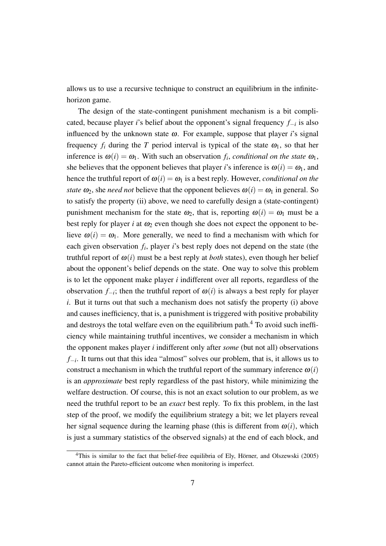allows us to use a recursive technique to construct an equilibrium in the infinitehorizon game.

The design of the state-contingent punishment mechanism is a bit complicated, because player *i*'s belief about the opponent's signal frequency *f−<sup>i</sup>* is also influenced by the unknown state  $\omega$ . For example, suppose that player *i*'s signal frequency  $f_i$  during the  $T$  period interval is typical of the state  $\omega_1$ , so that her inference is  $\omega(i) = \omega_1$ . With such an observation  $f_i$ , *conditional on the state*  $\omega_1$ , she believes that the opponent believes that player *i*'s inference is  $\omega(i) = \omega_1$ , and hence the truthful report of  $\omega(i) = \omega_1$  is a best reply. However, *conditional on the state*  $\omega_2$ , she *need not* believe that the opponent believes  $\omega(i) = \omega_1$  in general. So to satisfy the property (ii) above, we need to carefully design a (state-contingent) punishment mechanism for the state  $\omega_2$ , that is, reporting  $\omega(i) = \omega_1$  must be a best reply for player *i* at  $\omega_2$  even though she does not expect the opponent to believe  $\omega(i) = \omega_1$ . More generally, we need to find a mechanism with which for each given observation  $f_i$ , player *i*'s best reply does not depend on the state (the truthful report of  $\omega(i)$  must be a best reply at *both* states), even though her belief about the opponent's belief depends on the state. One way to solve this problem is to let the opponent make player *i* indifferent over all reports, regardless of the observation *f−<sup>i</sup>* ; then the truthful report of <sup>ω</sup>(*i*) is always a best reply for player *i*. But it turns out that such a mechanism does not satisfy the property (i) above and causes inefficiency, that is, a punishment is triggered with positive probability and destroys the total welfare even on the equilibrium path.<sup>4</sup> To avoid such inefficiency while maintaining truthful incentives, we consider a mechanism in which the opponent makes player *i* indifferent only after *some* (but not all) observations *f−i* . It turns out that this idea "almost" solves our problem, that is, it allows us to construct a mechanism in which the truthful report of the summary inference  $\omega(i)$ is an *approximate* best reply regardless of the past history, while minimizing the welfare destruction. Of course, this is not an exact solution to our problem, as we need the truthful report to be an *exact* best reply. To fix this problem, in the last step of the proof, we modify the equilibrium strategy a bit; we let players reveal her signal sequence during the learning phase (this is different from  $\omega(i)$ , which is just a summary statistics of the observed signals) at the end of each block, and

 $4$ This is similar to the fact that belief-free equilibria of Ely, Hörner, and Olszewski (2005) cannot attain the Pareto-efficient outcome when monitoring is imperfect.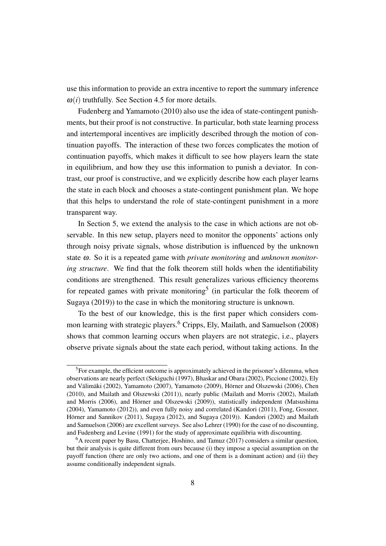use this information to provide an extra incentive to report the summary inference  $\omega(i)$  truthfully. See Section 4.5 for more details.

Fudenberg and Yamamoto (2010) also use the idea of state-contingent punishments, but their proof is not constructive. In particular, both state learning process and intertemporal incentives are implicitly described through the motion of continuation payoffs. The interaction of these two forces complicates the motion of continuation payoffs, which makes it difficult to see how players learn the state in equilibrium, and how they use this information to punish a deviator. In contrast, our proof is constructive, and we explicitly describe how each player learns the state in each block and chooses a state-contingent punishment plan. We hope that this helps to understand the role of state-contingent punishment in a more transparent way.

In Section 5, we extend the analysis to the case in which actions are not observable. In this new setup, players need to monitor the opponents' actions only through noisy private signals, whose distribution is influenced by the unknown state <sup>ω</sup>. So it is a repeated game with *private monitoring* and *unknown monitoring structure*. We find that the folk theorem still holds when the identifiability conditions are strengthened. This result generalizes various efficiency theorems for repeated games with private monitoring<sup>5</sup> (in particular the folk theorem of Sugaya (2019)) to the case in which the monitoring structure is unknown.

To the best of our knowledge, this is the first paper which considers common learning with strategic players.<sup>6</sup> Cripps, Ely, Mailath, and Samuelson (2008) shows that common learning occurs when players are not strategic, i.e., players observe private signals about the state each period, without taking actions. In the

<sup>&</sup>lt;sup>5</sup>For example, the efficient outcome is approximately achieved in the prisoner's dilemma, when observations are nearly perfect (Sekiguchi (1997), Bhaskar and Obara (2002), Piccione (2002), Ely and Välimäki (2002), Yamamoto (2007), Yamamoto (2009), Hörner and Olszewski (2006), Chen (2010), and Mailath and Olszewski (2011)), nearly public (Mailath and Morris (2002), Mailath and Morris (2006), and Hörner and Olszewski (2009)), statistically independent (Matsushima (2004), Yamamoto (2012)), and even fully noisy and correlated (Kandori (2011), Fong, Gossner, Hörner and Sannikov (2011), Sugaya (2012), and Sugaya (2019)). Kandori (2002) and Mailath and Samuelson (2006) are excellent surveys. See also Lehrer (1990) for the case of no discounting, and Fudenberg and Levine (1991) for the study of approximate equilibria with discounting.

<sup>6</sup>A recent paper by Basu, Chatterjee, Hoshino, and Tamuz (2017) considers a similar question, but their analysis is quite different from ours because (i) they impose a special assumption on the payoff function (there are only two actions, and one of them is a dominant action) and (ii) they assume conditionally independent signals.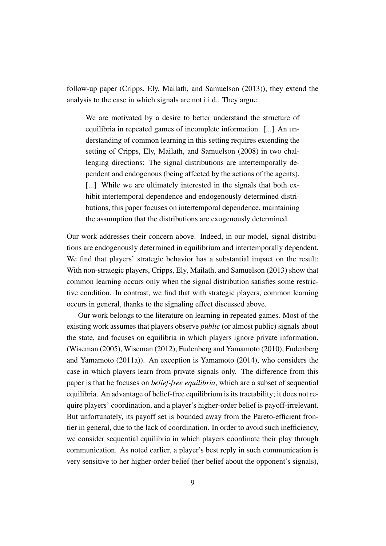follow-up paper (Cripps, Ely, Mailath, and Samuelson (2013)), they extend the analysis to the case in which signals are not i.i.d.. They argue:

We are motivated by a desire to better understand the structure of equilibria in repeated games of incomplete information. [...] An understanding of common learning in this setting requires extending the setting of Cripps, Ely, Mailath, and Samuelson (2008) in two challenging directions: The signal distributions are intertemporally dependent and endogenous (being affected by the actions of the agents). [...] While we are ultimately interested in the signals that both exhibit intertemporal dependence and endogenously determined distributions, this paper focuses on intertemporal dependence, maintaining the assumption that the distributions are exogenously determined.

Our work addresses their concern above. Indeed, in our model, signal distributions are endogenously determined in equilibrium and intertemporally dependent. We find that players' strategic behavior has a substantial impact on the result: With non-strategic players, Cripps, Ely, Mailath, and Samuelson (2013) show that common learning occurs only when the signal distribution satisfies some restrictive condition. In contrast, we find that with strategic players, common learning occurs in general, thanks to the signaling effect discussed above.

Our work belongs to the literature on learning in repeated games. Most of the existing work assumes that players observe *public* (or almost public) signals about the state, and focuses on equilibria in which players ignore private information. (Wiseman (2005), Wiseman (2012), Fudenberg and Yamamoto (2010), Fudenberg and Yamamoto (2011a)). An exception is Yamamoto (2014), who considers the case in which players learn from private signals only. The difference from this paper is that he focuses on *belief-free equilibria*, which are a subset of sequential equilibria. An advantage of belief-free equilibrium is its tractability; it does not require players' coordination, and a player's higher-order belief is payoff-irrelevant. But unfortunately, its payoff set is bounded away from the Pareto-efficient frontier in general, due to the lack of coordination. In order to avoid such inefficiency, we consider sequential equilibria in which players coordinate their play through communication. As noted earlier, a player's best reply in such communication is very sensitive to her higher-order belief (her belief about the opponent's signals),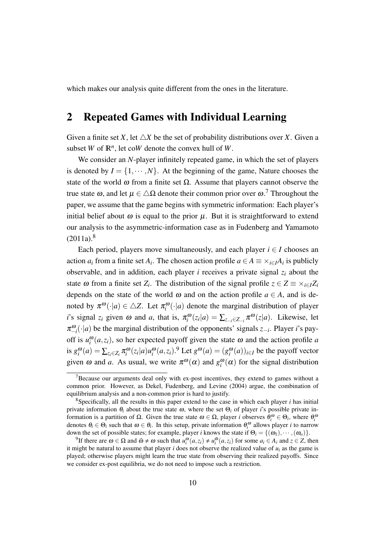which makes our analysis quite different from the ones in the literature.

### 2 Repeated Games with Individual Learning

Given a finite set *X*, let  $\triangle X$  be the set of probability distributions over *X*. Given a subset *W* of  $\mathbb{R}^n$ , let co*W* denote the convex hull of *W*.

We consider an *N*-player infinitely repeated game, in which the set of players is denoted by  $I = \{1, \dots, N\}$ . At the beginning of the game, Nature chooses the state of the world  $\omega$  from a finite set  $\Omega$ . Assume that players cannot observe the true state  $\omega$ , and let  $\mu \in \Delta\Omega$  denote their common prior over  $\omega$ .<sup>7</sup> Throughout the paper, we assume that the game begins with symmetric information: Each player's initial belief about  $\omega$  is equal to the prior  $\mu$ . But it is straightforward to extend our analysis to the asymmetric-information case as in Fudenberg and Yamamoto  $(2011a).<sup>8</sup>$ 

Each period, players move simultaneously, and each player  $i \in I$  chooses an action  $a_i$  from a finite set  $A_i$ . The chosen action profile  $a \in A \equiv \times_{i \in I} A_i$  is publicly observable, and in addition, each player *i* receives a private signal *z<sup>i</sup>* about the state  $\omega$  from a finite set  $Z_i$ . The distribution of the signal profile  $z \in Z \equiv \times_{i \in I} Z_i$ depends on the state of the world  $\omega$  and on the action profile  $a \in A$ , and is denoted by  $\pi^{\omega}(\cdot|a) \in \Delta Z$ . Let  $\pi^{\omega}_{i}(\cdot|a)$  denote the marginal distribution of player *i*'s signal  $z_i$  given  $\omega$  and  $a$ , that is,  $\pi_i^{\omega}(z_i|a) = \sum_{z_{-i} \in Z_{-i}} \pi^{\omega}(z|a)$ . Likewise, let π ω *−i* (*·|a*) be the marginal distribution of the opponents' signals *z−<sup>i</sup>* . Player *i*'s payoff is  $u_i^{\omega}(a, z_i)$ , so her expected payoff given the state  $\omega$  and the action profile *a* is  $g_i^{\omega}(a) = \sum_{z_i \in Z_i} \pi_i^{\omega}(z_i|a) u_i^{\omega}(a, z_i)$ .<sup>9</sup> Let  $g^{\omega}(a) = (g_i^{\omega}(a))_{i \in I}$  be the payoff vector given  $\omega$  and  $a$ . As usual, we write  $\pi^{\omega}(\alpha)$  and  $g_i^{\omega}(\alpha)$  for the signal distribution

 $7B$  Because our arguments deal only with ex-post incentives, they extend to games without a common prior. However, as Dekel, Fudenberg, and Levine (2004) argue, the combination of equilibrium analysis and a non-common prior is hard to justify.

<sup>8</sup>Specifically, all the results in this paper extend to the case in which each player *i* has initial private information  $\theta_i$  about the true state  $\omega$ , where the set  $\Theta_i$  of player *i*'s possible private information is a partition of Ω. Given the true state  $ω ∈ Ω$ , player *i* observes  $θ_i^ω ∈ Θ_i$ , where  $θ_i^ω$ denotes  $\theta_i \in \Theta_i$  such that  $\omega \in \theta_i$ . In this setup, private information  $\theta_i^{\omega}$  allows player *i* to narrow down the set of possible states; for example, player *i* knows the state if  $\Theta_i = \{(\omega_1), \cdots, (\omega_o)\}\.$ 

<sup>&</sup>lt;sup>9</sup>If there are  $\omega \in \Omega$  and  $\tilde{\omega} \neq \omega$  such that  $u_i^{\omega}(a, z_i) \neq u_i^{\tilde{\omega}}(a, z_i)$  for some  $a_i \in A_i$  and  $z \in Z$ , then it might be natural to assume that player *i* does not observe the realized value of  $u_i$  as the game is played; otherwise players might learn the true state from observing their realized payoffs. Since we consider ex-post equilibria, we do not need to impose such a restriction.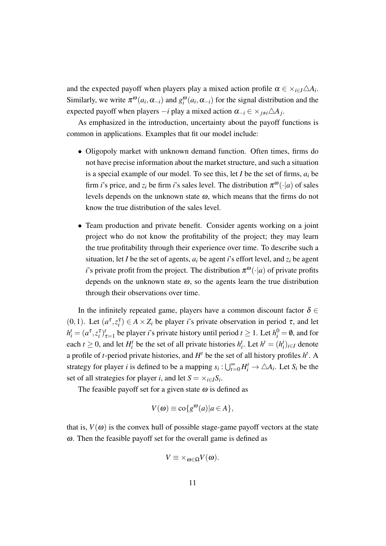and the expected payoff when players play a mixed action profile  $\alpha \in \times_{i \in I} \triangle A_i$ . Similarly, we write  $\pi^{\omega}(a_i, \alpha_{-i})$  and  $g_i^{\omega}(a_i, \alpha_{-i})$  for the signal distribution and the expected payoff when players *−i* play a mixed action <sup>α</sup>*−<sup>i</sup> ∈ ×j*,*i△A<sup>j</sup>* .

As emphasized in the introduction, uncertainty about the payoff functions is common in applications. Examples that fit our model include:

- *•* Oligopoly market with unknown demand function. Often times, firms do not have precise information about the market structure, and such a situation is a special example of our model. To see this, let *I* be the set of firms, *a<sup>i</sup>* be firm *i*'s price, and  $z_i$  be firm *i*'s sales level. The distribution  $\pi^{\omega}(\cdot|a)$  of sales levels depends on the unknown state  $\omega$ , which means that the firms do not know the true distribution of the sales level.
- *•* Team production and private benefit. Consider agents working on a joint project who do not know the profitability of the project; they may learn the true profitability through their experience over time. To describe such a situation, let *I* be the set of agents,  $a_i$  be agent *i*'s effort level, and  $z_i$  be agent *i*'s private profit from the project. The distribution  $\pi^{\omega}(\cdot|a)$  of private profits depends on the unknown state  $\omega$ , so the agents learn the true distribution through their observations over time.

In the infinitely repeated game, players have a common discount factor  $\delta \in$ (0,1). Let  $(a^{\tau}, z_i^{\tau}) \in A \times Z_i$  be player *i*'s private observation in period  $\tau$ , and let  $h_i^t = (a^{\tau}, z_i^{\tau})_{\tau=1}^t$  be player *i*'s private history until period  $t \ge 1$ . Let  $h_i^0 = \emptyset$ , and for each  $t \geq 0$ , and let  $H_i^t$  be the set of all private histories  $h_i^t$ . Let  $h^t = (h_i^t)_{i \in I}$  denote a profile of *t*-period private histories, and  $H^t$  be the set of all history profiles  $h^t$ . A strategy for player *i* is defined to be a mapping  $s_i : \bigcup_{t=0}^{\infty} H_i^t \to \triangle A_i$ . Let  $S_i$  be the set of all strategies for player *i*, and let  $S = \times_{i \in I} S_i$ .

The feasible payoff set for a given state  $\omega$  is defined as

$$
V(\omega) \equiv \text{co}\lbrace g^{\omega}(a) | a \in A \rbrace,
$$

that is,  $V(\omega)$  is the convex hull of possible stage-game payoff vectors at the state <sup>ω</sup>. Then the feasible payoff set for the overall game is defined as

$$
V \equiv \times_{\omega \in \Omega} V(\omega).
$$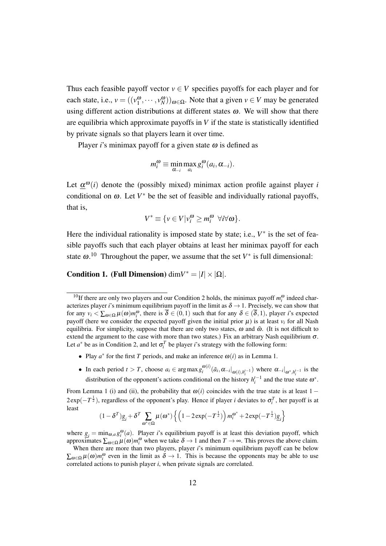Thus each feasible payoff vector  $v \in V$  specifies payoffs for each player and for each state, i.e.,  $v = ((v_1^{\omega}, \dots, v_N^{\omega}))_{\omega \in \Omega}$ . Note that a given  $v \in V$  may be generated using different action distributions at different states  $\omega$ . We will show that there are equilibria which approximate payoffs in  $V$  if the state is statistically identified by private signals so that players learn it over time.

Player *i*'s minimax payoff for a given state  $\omega$  is defined as

$$
m_i^{\omega} \equiv \min_{\alpha_{-i}} \max_{a_i} g_i^{\omega}(a_i, \alpha_{-i}).
$$

Let  $\underline{\alpha}^{\omega}(i)$  denote the (possibly mixed) minimax action profile against player *i* conditional on  $\omega$ . Let  $V^*$  be the set of feasible and individually rational payoffs, that is,

$$
V^* \equiv \{ v \in V | v_i^{\omega} \ge m_i^{\omega} \ \forall i \forall \omega \}.
$$

Here the individual rationality is imposed state by state; i.e.,  $V^*$  is the set of feasible payoffs such that each player obtains at least her minimax payoff for each state  $\omega$ .<sup>10</sup> Throughout the paper, we assume that the set  $V^*$  is full dimensional:

**Condition 1.** (Full Dimension) dim $V^* = |I| \times |\Omega|$ .

- Play  $a^*$  for the first *T* periods, and make an inference  $\omega(i)$  as in Lemma 1.
- In each period  $t > T$ , choose  $a_i \in \arg \max_{i} g_i^{\omega(i)}$  $\int_{i}^{\omega(t)} (\tilde{a}_i, \alpha_{-i}|_{\omega(i), h_i^{t-1}})$  where  $\alpha_{-i}|_{\omega^*, h_i^{t-1}}$  is the distribution of the opponent's actions conditional on the history  $h_i^{t-1}$  and the true state  $\omega^*$ .

From Lemma 1 (i) and (ii), the probability that  $\omega(i)$  coincides with the true state is at least 1 −  $2 \exp(-T^{\frac{1}{2}})$ , regardless of the opponent's play. Hence if player *i* deviates to  $\sigma_i^T$ , her payoff is at least

$$
(1-\delta^T)\underline{g}_i + \delta^T \sum_{\omega^* \in \Omega} \mu(\omega^*) \left\{ \left(1 - 2\exp(-T^{\frac{1}{2}})\right) m_i^{\omega^*} + 2\exp(-T^{\frac{1}{2}})\underline{g}_i \right\}
$$

where  $g_i = \min_{\omega, a} g_i^{\omega}(a)$ . Player *i*'s equilibrium payoff is at least this deviation payoff, which approximates  $\sum_{\omega \in \Omega} \mu(\omega) m_i^{\omega}$  when we take  $\delta \to 1$  and then  $T \to \infty$ . This proves the above claim.

<sup>&</sup>lt;sup>10</sup>If there are only two players and our Condition 2 holds, the minimax payoff  $m_i^{\omega}$  indeed characterizes player *i*'s minimum equilibrium payoff in the limit as  $\delta \rightarrow 1$ . Precisely, we can show that for any  $v_i < \sum_{\omega \in \Omega} \mu(\omega) m_i^{\omega}$ , there is  $\delta \in (0,1)$  such that for any  $\delta \in (\delta,1)$ , player *i*'s expected payoff (here we consider the expected payoff given the initial prior  $\mu$ ) is at least  $v_i$  for all Nash equilibria. For simplicity, suppose that there are only two states,  $\omega$  and  $\tilde{\omega}$ . (It is not difficult to extend the argument to the case with more than two states.) Fix an arbitrary Nash equilibrium  $\sigma$ . Let  $a^*$  be as in Condition 2, and let  $\sigma_i^T$  be player *i*'s strategy with the following form:

When there are more than two players, player *i*'s minimum equilibrium payoff can be below  $\sum_{\omega \in \Omega} \mu(\omega) m_i^{\omega}$  even in the limit as  $\delta \to 1$ . This is because the opponents may be able to use correlated actions to punish player *i*, when private signals are correlated.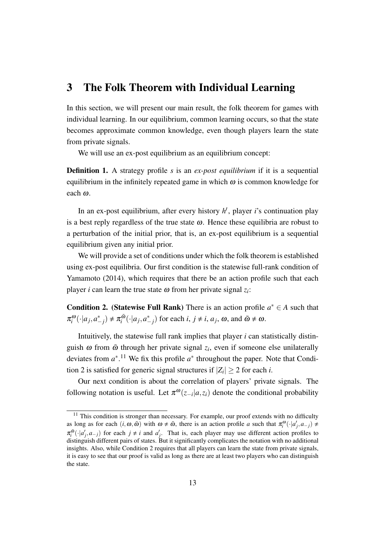## 3 The Folk Theorem with Individual Learning

In this section, we will present our main result, the folk theorem for games with individual learning. In our equilibrium, common learning occurs, so that the state becomes approximate common knowledge, even though players learn the state from private signals.

We will use an ex-post equilibrium as an equilibrium concept:

Definition 1. A strategy profile *s* is an *ex-post equilibrium* if it is a sequential equilibrium in the infinitely repeated game in which  $\omega$  is common knowledge for each <sup>ω</sup>.

In an ex-post equilibrium, after every history  $h^t$ , player *i*'s continuation play is a best reply regardless of the true state  $\omega$ . Hence these equilibria are robust to a perturbation of the initial prior, that is, an ex-post equilibrium is a sequential equilibrium given any initial prior.

We will provide a set of conditions under which the folk theorem is established using ex-post equilibria. Our first condition is the statewise full-rank condition of Yamamoto (2014), which requires that there be an action profile such that each player *i* can learn the true state  $\omega$  from her private signal  $z_i$ :

**Condition 2.** (Statewise Full Rank) There is an action profile  $a^* \in A$  such that  $\pi_i^{\omega}(\cdot|a_j, a_{-j}^*) \neq \pi_i^{\tilde{\omega}}$  $\tilde{a}^{\tilde{\omega}}(\cdot|a_j, a_{-j}^*)$  for each *i*,  $j \neq i$ , *a<sub>j</sub>*,  $\omega$ , and  $\tilde{\omega} \neq \omega$ .

Intuitively, the statewise full rank implies that player *i* can statistically distinguish  $\omega$  from  $\tilde{\omega}$  through her private signal  $z_i$ , even if someone else unilaterally deviates from  $a^*$ .<sup>11</sup> We fix this profile  $a^*$  throughout the paper. Note that Condition 2 is satisfied for generic signal structures if  $|Z_i| \ge 2$  for each *i*.

Our next condition is about the correlation of players' private signals. The following notation is useful. Let  $\pi^{\omega}(z_{-i}|a, z_i)$  denote the conditional probability

 $11$  This condition is stronger than necessary. For example, our proof extends with no difficulty as long as for each  $(i, \omega, \tilde{\omega})$  with  $\omega \neq \tilde{\omega}$ , there is an action profile *a* such that  $\pi_i^{\omega}(\cdot | a'_j, a_{-j}) \neq$  $\pi_i^{\tilde{\omega}}(\cdot | a'_j, a_{-j})$  for each  $j \neq i$  and  $a'_j$ . That is, each player may use different action profiles to distinguish different pairs of states. But it significantly complicates the notation with no additional insights. Also, while Condition 2 requires that all players can learn the state from private signals, it is easy to see that our proof is valid as long as there are at least two players who can distinguish the state.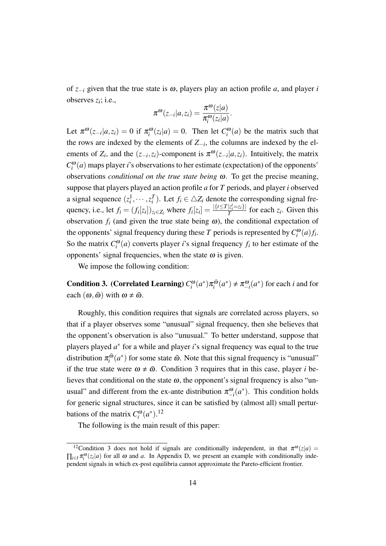of *z−<sup>i</sup>* given that the true state is <sup>ω</sup>, players play an action profile *a*, and player *i* observes  $z_i$ ; i.e.,

$$
\pi^{\omega}(z_{-i}|a,z_i) = \frac{\pi^{\omega}(z|a)}{\pi_i^{\omega}(z_i|a)}.
$$

Let  $\pi^{\omega}(z_{-i}|a, z_i) = 0$  if  $\pi^{\omega}_i(z_i|a) = 0$ . Then let  $C_i^{\omega}(a)$  be the matrix such that the rows are indexed by the elements of *Z−<sup>i</sup>* , the columns are indexed by the elements of  $Z_i$ , and the  $(z_{-i}, z_i)$ -component is  $\pi^{\omega}(z_{-i}|a, z_i)$ . Intuitively, the matrix  $C_i^{\omega}(a)$  maps player *i*'s observations to her estimate (expectation) of the opponents' observations *conditional on the true state being* <sup>ω</sup>. To get the precise meaning, suppose that players played an action profile *a* for *T* periods, and player *i* observed a signal sequence  $(z_i^1, \dots, z_i^T)$ . Let  $f_i \in \Delta Z_i$  denote the corresponding signal frequency, i.e., let  $f_i = (f_i[z_i])_{z_i \in Z_i}$  where  $f_i[z_i] = \frac{|\{t \le T | z_i = z_i\}|}{T}$  $\frac{|z_i - z_i|}{T}$  for each  $z_i$ . Given this observation  $f_i$  (and given the true state being  $\omega$ ), the conditional expectation of the opponents' signal frequency during these *T* periods is represented by  $C_i^{\omega}(a) f_i$ . So the matrix  $C_i^{\omega}(a)$  converts player *i*'s signal frequency  $f_i$  to her estimate of the opponents' signal frequencies, when the state  $\omega$  is given.

We impose the following condition:

**Condition 3.** (Correlated Learning)  $C_i^{\omega}(a^*)\pi_i^{\tilde{\omega}}$  $\int_{i}^{\tilde{\omega}} (a^*) \neq \pi_{-i}^{\omega}(a^*)$  for each *i* and for each  $(\omega, \tilde{\omega})$  with  $\omega \neq \tilde{\omega}$ .

Roughly, this condition requires that signals are correlated across players, so that if a player observes some "unusual" signal frequency, then she believes that the opponent's observation is also "unusual." To better understand, suppose that players played *a ∗* for a while and player *i*'s signal frequency was equal to the true distribution  $\pi_i^{\tilde{\omega}}$  $\frac{a}{i}$  ( $a^*$ ) for some state  $\tilde{\omega}$ . Note that this signal frequency is "unusual" if the true state were  $\omega \neq \tilde{\omega}$ . Condition 3 requires that in this case, player *i* believes that conditional on the state  $\omega$ , the opponent's signal frequency is also "unusual" and different from the ex-ante distribution  $\pi_{-i}^{\omega}(a^*)$ . This condition holds for generic signal structures, since it can be satisfied by (almost all) small perturbations of the matrix  $C_i^{\omega}(a^*)$ .<sup>12</sup>

The following is the main result of this paper:

<sup>&</sup>lt;sup>12</sup> Condition 3 does not hold if signals are conditionally independent, in that  $\pi^{\omega}(z|a) =$  $\prod_{i \in I} \pi_i^{\omega}(z_i|a)$  for all  $\omega$  and  $a$ . In Appendix D, we present an example with conditionally independent signals in which ex-post equilibria cannot approximate the Pareto-efficient frontier.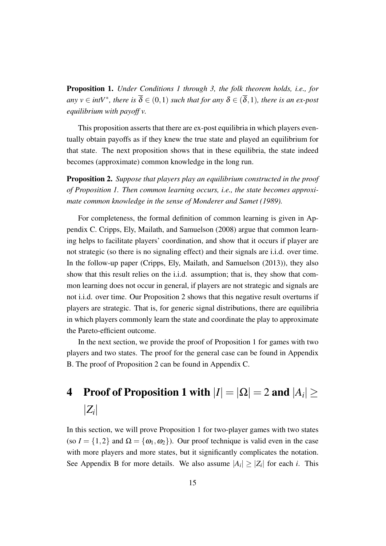Proposition 1. *Under Conditions 1 through 3, the folk theorem holds, i.e., for*  $any \ v \in intV^*$ , there is  $\overline{\delta} \in (0,1)$  such that for any  $\delta \in (\overline{\delta},1)$ , there is an ex-post *equilibrium with payoff v.*

This proposition asserts that there are ex-post equilibria in which players eventually obtain payoffs as if they knew the true state and played an equilibrium for that state. The next proposition shows that in these equilibria, the state indeed becomes (approximate) common knowledge in the long run.

Proposition 2. *Suppose that players play an equilibrium constructed in the proof of Proposition 1. Then common learning occurs, i.e., the state becomes approximate common knowledge in the sense of Monderer and Samet (1989).*

For completeness, the formal definition of common learning is given in Appendix C. Cripps, Ely, Mailath, and Samuelson (2008) argue that common learning helps to facilitate players' coordination, and show that it occurs if player are not strategic (so there is no signaling effect) and their signals are i.i.d. over time. In the follow-up paper (Cripps, Ely, Mailath, and Samuelson (2013)), they also show that this result relies on the i.i.d. assumption; that is, they show that common learning does not occur in general, if players are not strategic and signals are not i.i.d. over time. Our Proposition 2 shows that this negative result overturns if players are strategic. That is, for generic signal distributions, there are equilibria in which players commonly learn the state and coordinate the play to approximate the Pareto-efficient outcome.

In the next section, we provide the proof of Proposition 1 for games with two players and two states. The proof for the general case can be found in Appendix B. The proof of Proposition 2 can be found in Appendix C.

## 4 Proof of Proposition 1 with  $|I| = |\Omega| = 2$  and  $|A_i| \geq 4$ *|Zi |*

In this section, we will prove Proposition 1 for two-player games with two states (so  $I = \{1, 2\}$  and  $\Omega = \{\omega_1, \omega_2\}$ ). Our proof technique is valid even in the case with more players and more states, but it significantly complicates the notation. See Appendix B for more details. We also assume  $|A_i| \geq |Z_i|$  for each *i*. This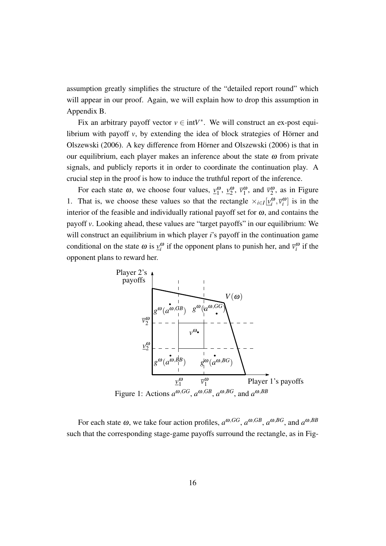assumption greatly simplifies the structure of the "detailed report round" which will appear in our proof. Again, we will explain how to drop this assumption in Appendix B.

Fix an arbitrary payoff vector  $v \in \text{int}V^*$ . We will construct an ex-post equilibrium with payoff  $v$ , by extending the idea of block strategies of Hörner and Olszewski (2006). A key difference from Hörner and Olszewski (2006) is that in our equilibrium, each player makes an inference about the state  $\omega$  from private signals, and publicly reports it in order to coordinate the continuation play. A crucial step in the proof is how to induce the truthful report of the inference.

For each state  $\omega$ , we choose four values,  $v_1^{\omega}$ ,  $v_2^{\omega}$ ,  $\overline{v}_1^{\omega}$ , and  $\overline{v}_2^{\omega}$ , as in Figure 1. That is, we choose these values so that the rectangle  $\times_{i\in I} [\underline{v}_i^{\omega}, \overline{v}_i^{\omega}]$  is in the interior of the feasible and individually rational payoff set for  $\omega$ , and contains the payoff *v*. Looking ahead, these values are "target payoffs" in our equilibrium: We will construct an equilibrium in which player *i*'s payoff in the continuation game conditional on the state  $\omega$  is  $v_i^{\omega}$  if the opponent plans to punish her, and  $\bar{v}_i^{\omega}$  if the opponent plans to reward her.



Figure 1: Actions  $a^{\omega, GG}$ ,  $a^{\omega, GB}$ ,  $a^{\omega, BG}$ , and  $a^{\omega, BB}$ 

For each state  $\omega$ , we take four action profiles,  $a^{\omega, GG}$ ,  $a^{\omega, GB}$ ,  $a^{\omega, BG}$ , and  $a^{\omega, BB}$ such that the corresponding stage-game payoffs surround the rectangle, as in Fig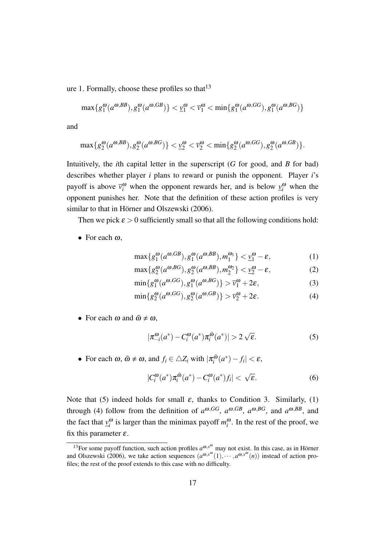ure 1. Formally, choose these profiles so that  $13$ 

$$
\max\{g_1^{\omega}(a^{\omega,BB}), g_1^{\omega}(a^{\omega,GB})\} < \underline{v}_1^{\omega} < \overline{v}_1^{\omega} < \min\{g_1^{\omega}(a^{\omega,GG}), g_1^{\omega}(a^{\omega,BG})\}
$$

and

$$
\max\{g_2^{\omega}(a^{\omega,BB}), g_2^{\omega}(a^{\omega,BG})\} < \underline{v}_2^{\omega} < \overline{v}_2^{\omega} < \min\{g_2^{\omega}(a^{\omega,GG}), g_2^{\omega}(a^{\omega,GB})\}.
$$

Intuitively, the *i*th capital letter in the superscript (*G* for good, and *B* for bad) describes whether player *i* plans to reward or punish the opponent. Player *i*'s payoff is above  $\overline{v}_i^{\omega}$  when the opponent rewards her, and is below  $\underline{v}_i^{\omega}$  when the opponent punishes her. Note that the definition of these action profiles is very similar to that in Hörner and Olszewski (2006).

Then we pick  $\varepsilon > 0$  sufficiently small so that all the following conditions hold:

*•* For each <sup>ω</sup>,

$$
\max\{g_1^{\omega}(a^{\omega, GB}), g_1^{\omega}(a^{\omega, BB}), m_1^{\omega_1}\} < \underline{v}_1^{\omega} - \varepsilon,\tag{1}
$$

$$
\max\{g_2^{\omega}(a^{\omega, BG}), g_2^{\omega}(a^{\omega, BB}), m_2^{\omega_2}\} < \underline{v}_2^{\omega} - \varepsilon,\tag{2}
$$

$$
\min\{g_1^{\omega}(a^{\omega, GG}), g_1^{\omega}(a^{\omega, BG})\} > \overline{v}_1^{\omega} + 2\varepsilon,\tag{3}
$$

$$
\min\{g_2^{\omega}(a^{\omega, GG}), g_2^{\omega}(a^{\omega, GB})\} > \overline{v}_2^{\omega} + 2\varepsilon. \tag{4}
$$

• For each  $\omega$  and  $\tilde{\omega} \neq \omega$ ,

$$
|\pi_{-i}^{\omega}(a^*) - C_i^{\omega}(a^*)\pi_i^{\tilde{\omega}}(a^*)| > 2\sqrt{\varepsilon}.
$$
 (5)

• For each  $\omega$ ,  $\tilde{\omega} \neq \omega$ , and  $f_i \in \triangle Z_i$  with  $|\pi_i^{\tilde{\omega}}|$ *i* (*a ∗* )*− f<sup>i</sup> | <* <sup>ε</sup>,

$$
|C_i^{\omega}(a^*)\pi_i^{\tilde{\omega}}(a^*) - C_i^{\omega}(a^*)f_i| < \sqrt{\varepsilon}.\tag{6}
$$

Note that (5) indeed holds for small  $\varepsilon$ , thanks to Condition 3. Similarly, (1) through (4) follow from the definition of  $a^{\omega, GG}$ ,  $a^{\omega, GB}$ ,  $a^{\omega, BG}$ , and  $a^{\omega, BB}$ , and the fact that  $v_i^{\omega}$  is larger than the minimax payoff  $m_i^{\omega}$ . In the rest of the proof, we fix this parameter  $\varepsilon$ .

<sup>&</sup>lt;sup>13</sup>For some payoff function, such action profiles  $a^{\omega, x^{\omega}}$  may not exist. In this case, as in Hörner and Olszewski (2006), we take action sequences  $(a^{\omega,x^{\omega}}(1), \dots, a^{\omega,x^{\omega}}(n))$  instead of action profiles; the rest of the proof extends to this case with no difficulty.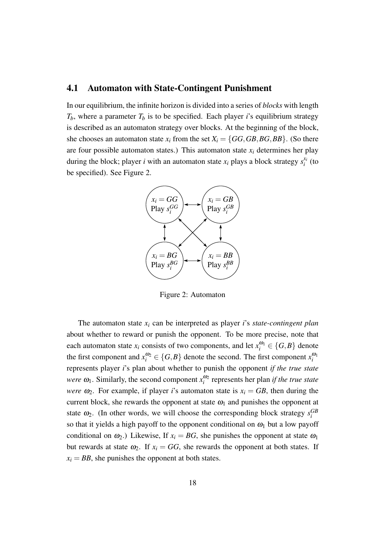#### 4.1 Automaton with State-Contingent Punishment

In our equilibrium, the infinite horizon is divided into a series of *blocks* with length  $T_b$ , where a parameter  $T_b$  is to be specified. Each player *i*'s equilibrium strategy is described as an automaton strategy over blocks. At the beginning of the block, she chooses an automaton state  $x_i$  from the set  $X_i = \{GG, GB, BG, BB\}$ . (So there are four possible automaton states.) This automaton state  $x_i$  determines her play during the block; player *i* with an automaton state  $x_i$  plays a block strategy  $s_i^{x_i}$  $\int_i^{\lambda_i}$  (to be specified). See Figure 2.



Figure 2: Automaton

The automaton state  $x_i$  can be interpreted as player *i*'s *state-contingent plan* about whether to reward or punish the opponent. To be more precise, note that each automaton state  $x_i$  consists of two components, and let  $x_i^{\omega_1} \in \{G, B\}$  denote the first component and  $x_i^{\omega_2} \in \{G, B\}$  denote the second. The first component  $x_i^{\omega_1}$ represents player *i*'s plan about whether to punish the opponent *if the true state were*  $\omega_1$ . Similarly, the second component  $x_i^{\omega_2}$  represents her plan *if the true state were*  $\omega_2$ . For example, if player *i*'s automaton state is  $x_i = GB$ , then during the current block, she rewards the opponent at state  $\omega_1$  and punishes the opponent at state  $\omega_2$ . (In other words, we will choose the corresponding block strategy  $s_i^{GB}$ so that it yields a high payoff to the opponent conditional on  $\omega_1$  but a low payoff conditional on  $\omega_2$ .) Likewise, If  $x_i = BG$ , she punishes the opponent at state  $\omega_1$ but rewards at state  $\omega_2$ . If  $x_i = GG$ , she rewards the opponent at both states. If  $x_i = BB$ , she punishes the opponent at both states.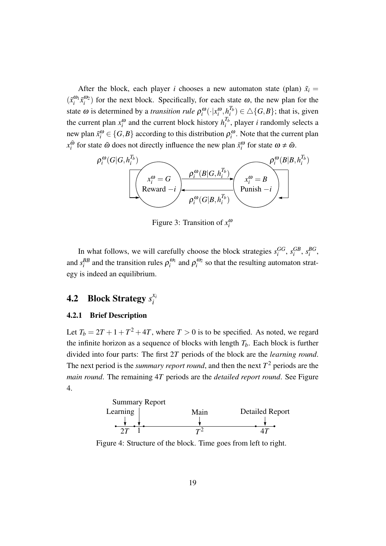After the block, each player *i* chooses a new automaton state (plan)  $\tilde{x}_i$  =  $(\tilde{x}_i^{\omega_1} \tilde{x}_i^{\omega_2})$  for the next block. Specifically, for each state  $\omega$ , the new plan for the state  $\omega$  is determined by a *transition rule*  $\rho_i^{\omega}(\cdot|x_i^{\omega}, h_i^{T_b})$  $\binom{I_b}{i} \in \triangle$  {*G,B*}; that is, given the current plan  $x_i^{\omega}$  and the current block history  $h_i^{T_b}$  $i<sup>I<sub>b</sub></sup>$ , player *i* randomly selects a new plan  $\tilde{x}_i^{\omega} \in \{G, B\}$  according to this distribution  $\rho_i^{\omega}$ . Note that the current plan  $x_i^{\tilde{\omega}}$  $\tilde{\omega}$  for state  $\tilde{\omega}$  does not directly influence the new plan  $\tilde{x}_i^{\omega}$  for state  $\omega \neq \tilde{\omega}$ .



Figure 3: Transition of  $x_i^{\omega}$ 

In what follows, we will carefully choose the block strategies  $s_i^{GG}$ ,  $s_i^{GB}$ ,  $s_i^{BG}$ , and  $s_i^{BB}$  and the transition rules  $\rho_i^{\omega_1}$  and  $\rho_i^{\omega_2}$  so that the resulting automaton strategy is indeed an equilibrium.

#### 4.2 Block Strategy *s xi i*

#### 4.2.1 Brief Description

Let  $T_b = 2T + 1 + T^2 + 4T$ , where  $T > 0$  is to be specified. As noted, we regard the infinite horizon as a sequence of blocks with length  $T_b$ . Each block is further divided into four parts: The first 2*T* periods of the block are the *learning round*. The next period is the *summary report round*, and then the next  $T^2$  periods are the *main round*. The remaining 4*T* periods are the *detailed report round*. See Figure 4.



Figure 4: Structure of the block. Time goes from left to right.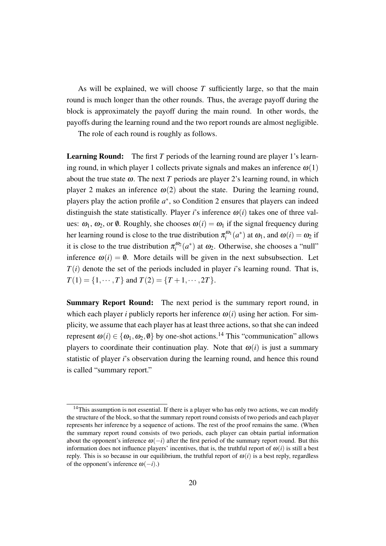As will be explained, we will choose *T* sufficiently large, so that the main round is much longer than the other rounds. Thus, the average payoff during the block is approximately the payoff during the main round. In other words, the payoffs during the learning round and the two report rounds are almost negligible.

The role of each round is roughly as follows.

**Learning Round:** The first *T* periods of the learning round are player 1's learning round, in which player 1 collects private signals and makes an inference  $\omega(1)$ about the true state  $\omega$ . The next *T* periods are player 2's learning round, in which player 2 makes an inference  $\omega(2)$  about the state. During the learning round, players play the action profile  $a^*$ , so Condition 2 ensures that players can indeed distinguish the state statistically. Player *i*'s inference  $\omega(i)$  takes one of three values:  $\omega_1$ ,  $\omega_2$ , or  $\emptyset$ . Roughly, she chooses  $\omega(i) = \omega_1$  if the signal frequency during her learning round is close to the true distribution  $\pi_i^{\omega_1}(a^*)$  at  $\omega_1$ , and  $\omega(i) = \omega_2$  if it is close to the true distribution  $\pi_i^{\omega_2}(a^*)$  at  $\omega_2$ . Otherwise, she chooses a "null" inference  $\omega(i) = \emptyset$ . More details will be given in the next subsubsection. Let  $T(i)$  denote the set of the periods included in player *i*'s learning round. That is,  $T(1) = \{1, \dots, T\}$  and  $T(2) = \{T + 1, \dots, 2T\}$ .

Summary Report Round: The next period is the summary report round, in which each player *i* publicly reports her inference  $\omega(i)$  using her action. For simplicity, we assume that each player has at least three actions, so that she can indeed represent  $\omega(i) \in \{\omega_1, \omega_2, \emptyset\}$  by one-shot actions.<sup>14</sup> This "communication" allows players to coordinate their continuation play. Note that  $\omega(i)$  is just a summary statistic of player *i*'s observation during the learning round, and hence this round is called "summary report."

<sup>&</sup>lt;sup>14</sup>This assumption is not essential. If there is a player who has only two actions, we can modify the structure of the block, so that the summary report round consists of two periods and each player represents her inference by a sequence of actions. The rest of the proof remains the same. (When the summary report round consists of two periods, each player can obtain partial information about the opponent's inference  $\omega(-i)$  after the first period of the summary report round. But this information does not influence players' incentives, that is, the truthful report of  $\omega(i)$  is still a best reply. This is so because in our equilibrium, the truthful report of  $\omega(i)$  is a best reply, regardless of the opponent's inference  $\omega(-i)$ .)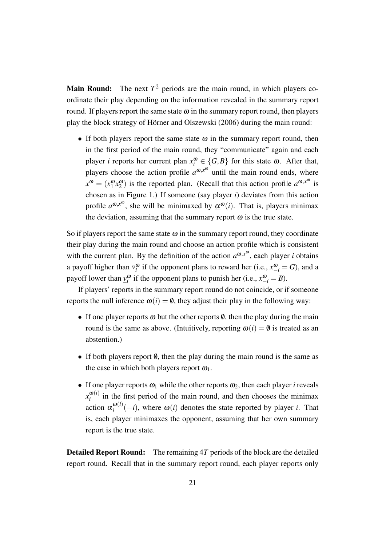**Main Round:** The next  $T^2$  periods are the main round, in which players coordinate their play depending on the information revealed in the summary report round. If players report the same state  $\omega$  in the summary report round, then players play the block strategy of Hörner and Olszewski (2006) during the main round:

• If both players report the same state  $\omega$  in the summary report round, then in the first period of the main round, they "communicate" again and each player *i* reports her current plan  $x_i^{\omega} \in \{G, B\}$  for this state  $\omega$ . After that, players choose the action profile  $a^{\omega,x^{\omega}}$  until the main round ends, where  $x^{\omega} = (x_1^{\omega} x_2^{\omega})$  is the reported plan. (Recall that this action profile  $a^{\omega, x^{\omega}}$  is chosen as in Figure 1.) If someone (say player *i*) deviates from this action profile  $a^{\omega, x^{\omega}}$ , she will be minimaxed by  $\underline{\alpha}^{\omega}(i)$ . That is, players minimax the deviation, assuming that the summary report  $\omega$  is the true state.

So if players report the same state  $\omega$  in the summary report round, they coordinate their play during the main round and choose an action profile which is consistent with the current plan. By the definition of the action  $a^{\omega, x^{\omega}}$ , each player *i* obtains a payoff higher than  $\overline{v}_i^{\omega}$  if the opponent plans to reward her (i.e.,  $x_{-i}^{\omega} = G$ ), and a payoff lower than  $\underline{v}^{\omega}_i$  if the opponent plans to punish her (i.e.,  $x^{\omega}_{-i} = B$ ).

If players' reports in the summary report round do not coincide, or if someone reports the null inference  $\omega(i) = \emptyset$ , they adjust their play in the following way:

- If one player reports  $\omega$  but the other reports  $\emptyset$ , then the play during the main round is the same as above. (Intuitively, reporting  $\omega(i) = \emptyset$  is treated as an abstention.)
- If both players report  $\emptyset$ , then the play during the main round is the same as the case in which both players report  $\omega_1$ .
- If one player reports  $\omega_1$  while the other reports  $\omega_2$ , then each player *i* reveals  $x_i^{\omega(i)}$  $\frac{\omega(t)}{i}$  in the first period of the main round, and then chooses the minimax action  $\underline{\alpha}_i^{\omega(i)}$  $\omega_i^{(\omega)}(-i)$ , where  $\omega(i)$  denotes the state reported by player *i*. That is, each player minimaxes the opponent, assuming that her own summary report is the true state.

Detailed Report Round: The remaining 4*T* periods of the block are the detailed report round. Recall that in the summary report round, each player reports only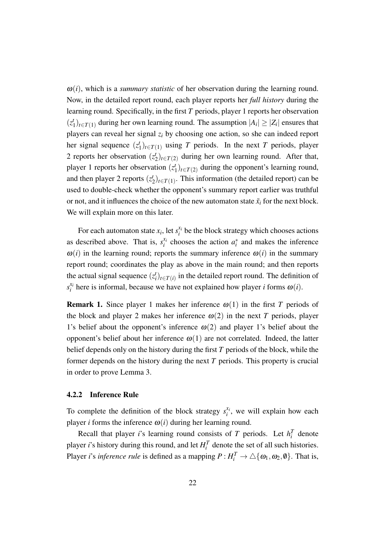$\omega(i)$ , which is a *summary statistic* of her observation during the learning round. Now, in the detailed report round, each player reports her *full history* during the learning round. Specifically, in the first *T* periods, player 1 reports her observation  $(z^t)$  $\sum_{i=1}^{t}$ ) $t \in T(1)$  during her own learning round. The assumption  $|A_i|$  ≥  $|Z_i|$  ensures that players can reveal her signal  $z_i$  by choosing one action, so she can indeed report her signal sequence  $(z^t)$  $T_{1}^{t}$ <sub>*t*</sub> $(T_{1})$  using *T* periods. In the next *T* periods, player 2 reports her observation  $(z^t)$  $\binom{t}{2}$ *t*∈*T*(2) during her own learning round. After that, player 1 reports her observation (*z t* 1 )*t∈T*(2) during the opponent's learning round, and then player 2 reports  $(z_2^t)$  $\binom{t}{2}$ *t*∈*T*(1)</sub>. This information (the detailed report) can be used to double-check whether the opponent's summary report earlier was truthful or not, and it influences the choice of the new automaton state  $\tilde{x}_i$  for the next block. We will explain more on this later.

For each automaton state  $x_i$ , let  $s_i^{x_i}$  $\chi_i^{\chi_i}$  be the block strategy which chooses actions as described above. That is,  $s_i^{x_i}$  $\chi_i^{\chi_i}$  chooses the action  $a_i^*$  and makes the inference  $\omega(i)$  in the learning round; reports the summary inference  $\omega(i)$  in the summary report round; coordinates the play as above in the main round; and then reports the actual signal sequence  $(z_i^t)_{t \in T(i)}$  in the detailed report round. The definition of  $s_i^{x_i}$  $\alpha_i^{x_i}$  here is informal, because we have not explained how player *i* forms  $\omega(i)$ .

**Remark 1.** Since player 1 makes her inference  $\omega(1)$  in the first *T* periods of the block and player 2 makes her inference  $\omega(2)$  in the next *T* periods, player 1's belief about the opponent's inference  $\omega(2)$  and player 1's belief about the opponent's belief about her inference  $\omega(1)$  are not correlated. Indeed, the latter belief depends only on the history during the first *T* periods of the block, while the former depends on the history during the next *T* periods. This property is crucial in order to prove Lemma 3.

#### 4.2.2 Inference Rule

To complete the definition of the block strategy  $s_i^{x_i}$  $i_i^{x_i}$ , we will explain how each player *i* forms the inference  $\omega(i)$  during her learning round.

Recall that player *i*'s learning round consists of *T* periods. Let  $h_i^T$  denote player *i*'s history during this round, and let  $H_i^T$  denote the set of all such histories. Player *i*'s *inference rule* is defined as a mapping  $P: H_i^T \to \triangle \{\omega_1, \omega_2, \emptyset\}$ . That is,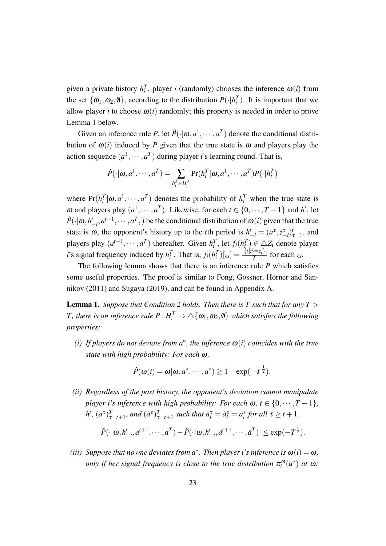given a private history  $h_i^T$ , player *i* (randomly) chooses the inference  $\omega(i)$  from the set  $\{\omega_1, \omega_2, \emptyset\}$ , according to the distribution  $P(\cdot | h_i^T)$ . It is important that we allow player *i* to choose  $\omega(i)$  randomly; this property is needed in order to prove Lemma 1 below.

Given an inference rule P, let  $\hat{P}(\cdot | \omega, a^1, \dots, a^T)$  denote the conditional distribution of  $\omega(i)$  induced by *P* given that the true state is  $\omega$  and players play the action sequence  $(a^1, \dots, a^T)$  during player *i*'s learning round. That is,

$$
\hat{P}(\cdot|\omega,a^1,\cdots,a^T)=\sum_{h_i^T\in H_i^T}\Pr(h_i^T|\omega,a^1,\cdots,a^T)P(\cdot|h_i^T)
$$

where  $Pr(h_i^T | \omega, a^1, \dots, a^T)$  denotes the probability of  $h_i^T$  when the true state is *ω* and players play  $(a^1, \cdots, a^T)$ . Likewise, for each *t* ∈ {0, ··· , *T* − 1} and *h*<sup>*t*</sup>, let  $\hat{P}(\cdot|\omega, h_{-i}^t, a^{t+1}, \cdots, a^T)$  be the conditional distribution of  $\omega(i)$  given that the true state is  $\omega$ , the opponent's history up to the *t*<sup>th</sup> period is  $h^t_{-i} = (a^{\tau}, z^{\tau}_{-i})^t_{\tau=1}$ , and players play  $(a^{t+1}, \dots, a^T)$  thereafter. Given  $h_i^T$ , let  $f_i(h_i^T) \in \triangle Z_i$  denote player *i*'s signal frequency induced by  $h_i^T$ . That is,  $f_i(h_i^T)[z_i] = \frac{|\{t | z_i^t = z_i\}|}{T}$  $\frac{i^{-2}i f}{T}$  for each  $z_i$ .

The following lemma shows that there is an inference rule *P* which satisfies some useful properties. The proof is similar to Fong, Gossner, Hörner and Sannikov (2011) and Sugaya (2019), and can be found in Appendix A.

**Lemma 1.** *Suppose that Condition 2 holds. Then there is*  $\overline{T}$  *such that for any*  $T >$  $\overline{T}$ *, there is an inference rule*  $P$  *:*  $H_i^T \to \triangle \{\omega_1, \omega_2, \emptyset\}$  *which satisfies the following properties:*

 $(i)$  If players do not deviate from  $a^*$ , the inference  $\omega(i)$  coincides with the true *state with high probability: For each* <sup>ω</sup>*,*

$$
\hat{P}(\boldsymbol{\omega}(i) = \boldsymbol{\omega}|\boldsymbol{\omega}, a^*, \cdots, a^*) \ge 1 - \exp(-T^{\frac{1}{2}}).
$$

*(ii) Regardless of the past history, the opponent's deviation cannot manipulate player i*'s inference with high probability: For each  $\omega$ ,  $t \in \{0, \dots, T-1\}$ ,  $h^{t}$ ,  $(a^{\tau})_{\tau=t+1}^{T}$ , and  $(\tilde{a}^{\tau})_{\tau=t+1}^{T}$  such that  $a_{i}^{\tau} = \tilde{a}_{i}^{\tau} = a_{i}^{*}$  for all  $\tau \geq t+1$ ,

$$
|\hat{P}(\cdot|\omega, h_{-i}^t, a^{t+1}, \cdots, a^T) - \hat{P}(\cdot|\omega, h_{-i}^t, \tilde{a}^{t+1}, \cdots, \tilde{a}^T)| \le \exp(-T^{\frac{1}{2}}).
$$

*(iii)* Suppose that no one deviates from  $a^*$ . Then player *i*'s inference is  $\omega(i) = \omega$ , *only if her signal frequency is close to the true distribution*  $\pi_i^{\omega}(a^*)$  at  $\omega$ :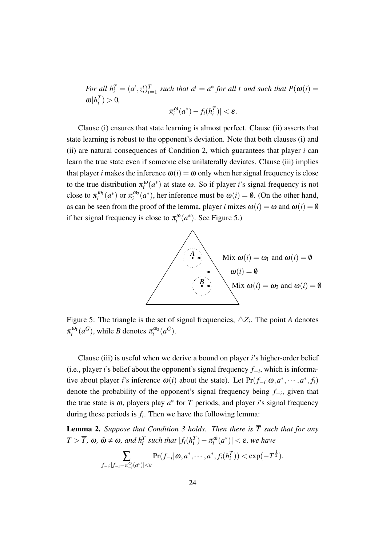For all  $h_i^T = (a^t, z_i^t)_{t=1}^T$  such that  $a^t = a^*$  for all t and such that  $P(\omega(i)) =$  $\omega | h_i^T$   $> 0$ *,* 

$$
|\pi_i^{\omega}(a^*) - f_i(h_i^T)| < \varepsilon.
$$

Clause (i) ensures that state learning is almost perfect. Clause (ii) asserts that state learning is robust to the opponent's deviation. Note that both clauses (i) and (ii) are natural consequences of Condition 2, which guarantees that player *i* can learn the true state even if someone else unilaterally deviates. Clause (iii) implies that player *i* makes the inference  $\omega(i) = \omega$  only when her signal frequency is close to the true distribution  $\pi_i^{\omega}(a^*)$  at state  $\omega$ . So if player *i*'s signal frequency is not close to  $\pi_i^{\omega_1}(a^*)$  or  $\pi_i^{\omega_2}(a^*)$ , her inference must be  $\omega(i) = \emptyset$ . (On the other hand, as can be seen from the proof of the lemma, player *i* mixes  $\omega(i) = \omega$  and  $\omega(i) = \emptyset$ if her signal frequency is close to  $\pi_i^{\omega}(a^*)$ . See Figure 5.)



Figure 5: The triangle is the set of signal frequencies,  $\triangle Z_i$ . The point *A* denotes  $\pi_i^{\omega_1}(a^G)$ , while *B* denotes  $\pi_i^{\omega_2}(a^G)$ .

Clause (iii) is useful when we derive a bound on player *i*'s higher-order belief (i.e., player *i*'s belief about the opponent's signal frequency *f−<sup>i</sup>* , which is informative about player *i*'s inference  $\omega(i)$  about the state). Let  $Pr(f_{-i}|\omega, a^*, \dots, a^*, f_i)$ denote the probability of the opponent's signal frequency being *f−<sup>i</sup>* , given that the true state is  $\omega$ , players play  $a^*$  for *T* periods, and player *i*'s signal frequency during these periods is  $f_i$ . Then we have the following lemma:

**Lemma 2.** *Suppose that Condition 3 holds. Then there is*  $\overline{T}$  *such that for any*  $T > \overline{T}$ ,  $\omega$ ,  $\tilde{\omega} \neq \omega$ , and  $h_i^T$  such that  $|f_i(h_i^T) - \pi_i^{\tilde{\omega}}$  $\left|\frac{\tilde{\omega}}{i}(a^*)\right| < \varepsilon$ , we have

$$
\sum_{f_{-i}:|f_{-i}-\pi_{-i}^{\omega}(a^*)|<\varepsilon}\Pr(f_{-i}|\omega,a^*,\cdots,a^*,f_i(h_i^T))<\exp(-T^{\frac{1}{2}}).
$$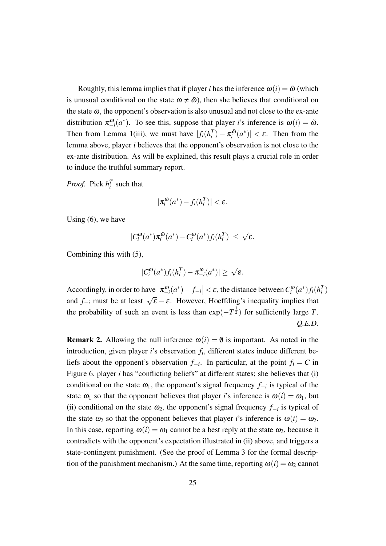Roughly, this lemma implies that if player *i* has the inference  $\omega(i) = \tilde{\omega}$  (which is unusual conditional on the state  $\omega \neq \tilde{\omega}$ ), then she believes that conditional on the state  $\omega$ , the opponent's observation is also unusual and not close to the ex-ante distribution  $\pi_{-i}^{\omega}(a^*)$ . To see this, suppose that player *i*'s inference is  $\omega(i) = \tilde{\omega}$ . Then from Lemma 1(iii), we must have  $|f_i(h_i^T) - \pi_i^{\tilde{\omega}}\rangle$  $\left|\frac{a}{i}(a^*)\right| < \varepsilon$ . Then from the lemma above, player *i* believes that the opponent's observation is not close to the ex-ante distribution. As will be explained, this result plays a crucial role in order to induce the truthful summary report.

*Proof.* Pick  $h_i^T$  such that

$$
|\pi_i^{\tilde{\omega}}(a^*) - f_i(h_i^T)| < \varepsilon.
$$

Using (6), we have

$$
|C_i^{\omega}(a^*)\pi_i^{\tilde{\omega}}(a^*) - C_i^{\omega}(a^*)f_i(h_i^T)| \leq \sqrt{\varepsilon}.
$$

Combining this with (5),

$$
|C_i^{\omega}(a^*)f_i(h_i^T) - \pi_{-i}^{\omega}(a^*)| \geq \sqrt{\varepsilon}.
$$

Accordingly, in order to have  $\left|\pi_{-i}^{\omega}(a^*)-f_{-i}\right| < \varepsilon$ , the distance between  $C_i^{\omega}(a^*)f_i(h_i^T)$ and  $f_{-i}$  must be at least  $\sqrt{\epsilon} - \epsilon$ . However, Hoeffding's inequality implies that the probability of such an event is less than  $exp(-T^{\frac{1}{2}})$  for sufficiently large *T*. *Q.E.D.*

**Remark 2.** Allowing the null inference  $\omega(i) = \emptyset$  is important. As noted in the introduction, given player *i*'s observation *f<sup>i</sup>* , different states induce different beliefs about the opponent's observation  $f_{-i}$ . In particular, at the point  $f_i = C$  in Figure 6, player *i* has "conflicting beliefs" at different states; she believes that (i) conditional on the state  $\omega_1$ , the opponent's signal frequency  $f_{-i}$  is typical of the state  $\omega_1$  so that the opponent believes that player *i*'s inference is  $\omega(i) = \omega_1$ , but (ii) conditional on the state  $\omega_2$ , the opponent's signal frequency  $f_{-i}$  is typical of the state  $\omega_2$  so that the opponent believes that player *i*'s inference is  $\omega(i) = \omega_2$ . In this case, reporting  $\omega(i) = \omega_1$  cannot be a best reply at the state  $\omega_2$ , because it contradicts with the opponent's expectation illustrated in (ii) above, and triggers a state-contingent punishment. (See the proof of Lemma 3 for the formal description of the punishment mechanism.) At the same time, reporting  $\omega(i) = \omega_2$  cannot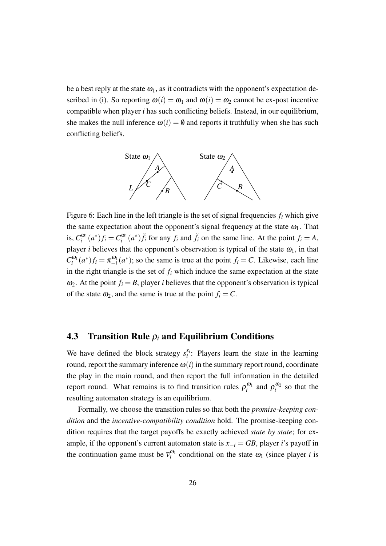be a best reply at the state  $\omega_1$ , as it contradicts with the opponent's expectation described in (i). So reporting  $\omega(i) = \omega_1$  and  $\omega(i) = \omega_2$  cannot be ex-post incentive compatible when player *i* has such conflicting beliefs. Instead, in our equilibrium, she makes the null inference  $\omega(i) = \emptyset$  and reports it truthfully when she has such conflicting beliefs.



Figure 6: Each line in the left triangle is the set of signal frequencies *f<sup>i</sup>* which give the same expectation about the opponent's signal frequency at the state  $\omega_1$ . That is,  $C_i^{\omega_1}(a^*)f_i = C_i^{\omega_1}(a^*)\tilde{f}_i$  for any  $f_i$  and  $\tilde{f}_i$  on the same line. At the point  $f_i = A$ , player *i* believes that the opponent's observation is typical of the state  $\omega_1$ , in that  $C_i^{\omega_1}(a^*)f_i = \pi_{-i}^{\omega_1}(a^*)$ ; so the same is true at the point  $f_i = C$ . Likewise, each line in the right triangle is the set of  $f_i$  which induce the same expectation at the state  $\omega_2$ . At the point  $f_i = B$ , player *i* believes that the opponent's observation is typical of the state  $\omega_2$ , and the same is true at the point  $f_i = C$ .

#### 4.3 Transition Rule <sup>ρ</sup>*<sup>i</sup>* and Equilibrium Conditions

We have defined the block strategy  $s_i^{x_i}$  $i_i$ : Players learn the state in the learning round, report the summary inference  $\omega(i)$  in the summary report round, coordinate the play in the main round, and then report the full information in the detailed report round. What remains is to find transition rules  $\rho_i^{\omega_1}$  and  $\rho_i^{\omega_2}$  so that the resulting automaton strategy is an equilibrium.

Formally, we choose the transition rules so that both the *promise-keeping condition* and the *incentive-compatibility condition* hold. The promise-keeping condition requires that the target payoffs be exactly achieved *state by state*; for example, if the opponent's current automaton state is  $x_{-i} = GB$ , player *i*'s payoff in the continuation game must be  $\bar{v}_i^{\omega_1}$  conditional on the state  $\omega_1$  (since player *i* is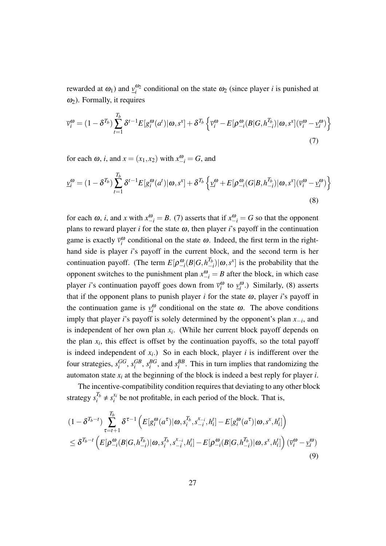rewarded at  $\omega_1$ ) and  $\frac{v_0}{i}$  conditional on the state  $\omega_2$  (since player *i* is punished at  $\omega_2$ ). Formally, it requires

$$
\overline{v}_{i}^{\omega} = (1 - \delta^{T_b}) \sum_{t=1}^{T_b} \delta^{t-1} E[g_i^{\omega}(a^t) | \omega, s^x] + \delta^{T_b} \left\{ \overline{v}_{i}^{\omega} - E[\rho_{-i}^{\omega}(B|G, h_{-i}^{T_b}) | \omega, s^x] (\overline{v}_{i}^{\omega} - \underline{v}_{i}^{\omega}) \right\}
$$
\n(7)

for each  $\omega$ , *i*, and  $x = (x_1, x_2)$  with  $x_{-i}^{\omega} = G$ , and

$$
\underline{v}_{i}^{\omega} = (1 - \delta^{T_b}) \sum_{t=1}^{T_b} \delta^{t-1} E[g_i^{\omega}(a^t) | \omega, s^x] + \delta^{T_b} \left\{ \underline{v}_{i}^{\omega} + E[\rho_{-i}^{\omega}(G|B, h_{-i}^{T_b}) | \omega, s^x] (\overline{v}_{i}^{\omega} - \underline{v}_{i}^{\omega}) \right\}
$$
\n(8)

for each  $\omega$ , *i*, and *x* with  $x_{-i}^{\omega} = B$ . (7) asserts that if  $x_{-i}^{\omega} = G$  so that the opponent plans to reward player  $i$  for the state  $\omega$ , then player  $i$ 's payoff in the continuation game is exactly  $\bar{v}_i^{\omega}$  conditional on the state  $\omega$ . Indeed, the first term in the righthand side is player *i*'s payoff in the current block, and the second term is her continuation payoff. (The term  $E[\rho_{-i}^{\omega}(B|G, h_{-}^{T_b})]$  $\binom{T_b}{-i}$  *(ω, s<sup>x</sup>*) is the probability that the opponent switches to the punishment plan  $x_{-i}^{\omega} = B$  after the block, in which case player *i*'s continuation payoff goes down from  $\bar{v}_i^{\omega}$  to  $\underline{v}_i^{\omega}$ .) Similarly, (8) asserts that if the opponent plans to punish player  $i$  for the state  $\omega$ , player  $i$ 's payoff in the continuation game is  $y_i^{\omega}$  conditional on the state  $\omega$ . The above conditions imply that player *i*'s payoff is solely determined by the opponent's plan *x−<sup>i</sup>* , and is independent of her own plan  $x_i$ . (While her current block payoff depends on the plan  $x_i$ , this effect is offset by the continuation payoffs, so the total payoff is indeed independent of  $x_i$ .) So in each block, player *i* is indifferent over the four strategies,  $s_i^{GG}$ ,  $s_i^{GB}$ ,  $s_i^{BG}$ , and  $s_i^{BB}$ . This in turn implies that randomizing the automaton state  $x_i$  at the beginning of the block is indeed a best reply for player  $i$ .

The incentive-compatibility condition requires that deviating to any other block strategy  $s_i^{T_b} \neq s_i^{x_i}$  $\mathbf{z}_i^{x_i}$  be not profitable, in each period of the block. That is,

$$
(1 - \delta^{T_b - t}) \sum_{\tau=t+1}^{T_b} \delta^{\tau-1} \left( E[g_i^{\omega}(a^{\tau}) | \omega, s_i^{T_b}, s_{-i}^{x_{-i}}, h_i^t] - E[g_i^{\omega}(a^{\tau}) | \omega, s^x, h_i^t] \right) \n\leq \delta^{T_b - t} \left( E[\rho_{-i}^{\omega}(B|G, h_{-i}^{T_b}) | \omega, s_i^{T_b}, s_{-i}^{x_{-i}}, h_i^t] - E[\rho_{-i}^{\omega}(B|G, h_{-i}^{T_b}) | \omega, s^x, h_i^t] \right) (\overline{v}_i^{\omega} - \underline{v}_i^{\omega})
$$
\n(9)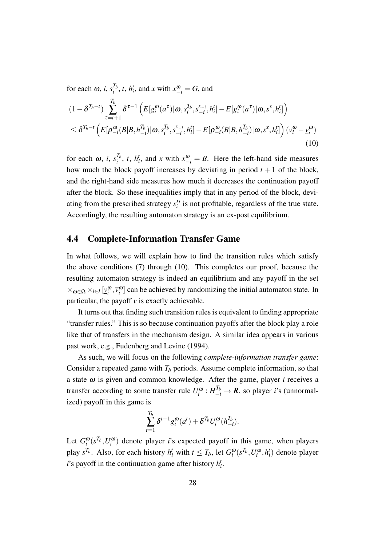for each  $\omega$ , *i*,  $s_i^{T_b}$  $a_i^{T_b}$ , *t*, *h*<sup>*t*</sup></sup>, and *x* with  $x_{-i}^{\omega} = G$ , and

$$
(1 - \delta^{T_b - t}) \sum_{\tau=t+1}^{T_b} \delta^{\tau-1} \left( E[g_i^{\omega}(a^{\tau}) | \omega, s_i^{T_b}, s_{-i}^{x_{-i}}, h_i^t] - E[g_i^{\omega}(a^{\tau}) | \omega, s^x, h_i^t] \right) \n\leq \delta^{T_b - t} \left( E[\rho_{-i}^{\omega}(B | B, h_{-i}^{T_b}) | \omega, s_i^{T_b}, s_{-i}^{x_{-i}}, h_i^t] - E[\rho_{-i}^{\omega}(B | B, h_{-i}^{T_b}) | \omega, s^x, h_i^t] \right) (\overline{v}_i^{\omega} - \underline{v}_i^{\omega})
$$
\n(10)

for each  $\omega$ , *i*,  $s_i^{T_b}$  $\int_{i}^{T_b}$ , *t*, *h*<sup>*t*</sup>, and *x* with  $x_{-i}^{\omega} = B$ . Here the left-hand side measures how much the block payoff increases by deviating in period  $t + 1$  of the block, and the right-hand side measures how much it decreases the continuation payoff after the block. So these inequalities imply that in any period of the block, deviating from the prescribed strategy  $s_i^{x_i}$  $x_i$  is not profitable, regardless of the true state. Accordingly, the resulting automaton strategy is an ex-post equilibrium.

#### 4.4 Complete-Information Transfer Game

In what follows, we will explain how to find the transition rules which satisfy the above conditions (7) through (10). This completes our proof, because the resulting automaton strategy is indeed an equilibrium and any payoff in the set  $\times_{\omega \in \Omega} \times_{i \in I} [\underline{v}_i^{\omega}, \overline{v}_i^{\omega}]$  can be achieved by randomizing the initial automaton state. In particular, the payoff  $\nu$  is exactly achievable.

It turns out that finding such transition rules is equivalent to finding appropriate "transfer rules." This is so because continuation payoffs after the block play a role like that of transfers in the mechanism design. A similar idea appears in various past work, e.g., Fudenberg and Levine (1994).

As such, we will focus on the following *complete-information transfer game*: Consider a repeated game with  $T_b$  periods. Assume complete information, so that a state <sup>ω</sup> is given and common knowledge. After the game, player *i* receives a transfer according to some transfer rule  $U_i^{\omega}: H_{-i}^{T_b} \to \mathbf{R}$ , so player *i*'s (unnormalized) payoff in this game is

$$
\sum_{t=1}^{T_b} \delta^{t-1} g_i^{\omega}(a^t) + \delta^{T_b} U_i^{\omega}(h_{-i}^{T_b}).
$$

Let  $G_i^{\omega}(s^{T_b}, U_i^{\omega})$  denote player *i*'s expected payoff in this game, when players play  $s^{T_b}$ . Also, for each history  $h_i^t$  with  $t \leq T_b$ , let  $G_i^{\omega}(s^{T_b}, U_i^{\omega}, h_i^t)$  denote player *i*'s payoff in the continuation game after history  $h_i^t$ .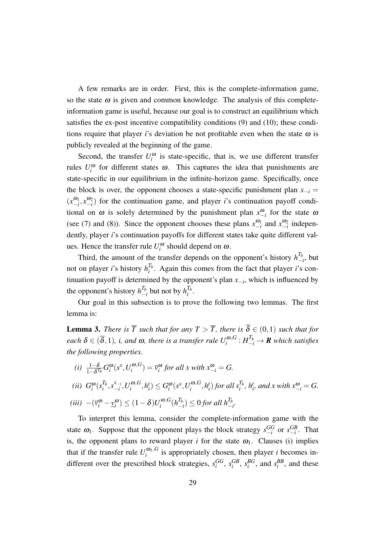A few remarks are in order. First, this is the complete-information game, so the state  $\omega$  is given and common knowledge. The analysis of this completeinformation game is useful, because our goal is to construct an equilibrium which satisfies the ex-post incentive compatibility conditions (9) and (10); these conditions require that player *i*'s deviation be not profitable even when the state  $\omega$  is publicly revealed at the beginning of the game.

Second, the transfer  $U_i^{\omega}$  is state-specific, that is, we use different transfer rules  $U_i^{\omega}$  for different states  $\omega$ . This captures the idea that punishments are state-specific in our equilibrium in the infinite-horizon game. Specifically, once the block is over, the opponent chooses a state-specific punishment plan  $x_{-i}$  =  $(x_{-i}^{\omega_1}, x_{-i}^{\omega_2})$  for the continuation game, and player *i*'s continuation payoff conditional on  $\omega$  is solely determined by the punishment plan  $x_{-i}^{\omega}$  for the state  $\omega$ (see (7) and (8)). Since the opponent chooses these plans  $x_{-i}^{\omega_1}$  and  $x_{-i}^{\omega_2}$  independently, player *i*'s continuation payoffs for different states take quite different values. Hence the transfer rule  $U_i^{\omega}$  should depend on  $\omega$ .

Third, the amount of the transfer depends on the opponent's history  $h_{-}^{T_b}$  $\frac{I_b}{I}$ , but not on player *i*'s history  $h_i^{T_b}$  $i<sup>1</sup>$ . Again this comes from the fact that player *i*'s continuation payoff is determined by the opponent's plan *x−<sup>i</sup>* , which is influenced by the opponent's history  $h_{-}^{T_b}$  $\frac{T_b}{-i}$  but not by  $h_i^{T_b}$  $\frac{i}{i}$ .

Our goal in this subsection is to prove the following two lemmas. The first lemma is:

**Lemma 3.** *There is*  $\overline{T}$  *such that for any*  $T > \overline{T}$ *, there is*  $\overline{\delta} \in (0,1)$  *such that for*  $e$ ach  $\delta \in (\overline{\delta},1)$ *, i, and*  $\omega$ *, there is a transfer rule*  $U_i^{\omega,G}$  $\sigma_i^{\omega,G}$  :  $H_{-i}^{T_b}$   $\rightarrow$  **R** which satisfies *the following properties.*

(i) 
$$
\frac{1-\delta}{1-\delta^{T_b}} G_i^{\omega}(s^x, U_i^{\omega, G}) = \overline{v}_i^{\omega} \text{ for all } x \text{ with } x_{-i}^{\omega} = G.
$$
  
\n(ii)  $G_i^{\omega}(s_i^{T_b}, s_{-i}^{x_{-i}}, U_i^{\omega, G}, h_i^t) \leq G_i^{\omega}(s^x, U_i^{\omega, G}, h_i^t) \text{ for all } s_i^{T_b}, h_i^t, \text{ and } x \text{ with } x_{-i}^{\omega} = G.$   
\n(iii)  $-(\overline{v}_i^{\omega} - \underline{v}_i^{\omega}) \leq (1-\delta)U_i^{\omega, G}(h_{-i}^{T_b}) \leq 0 \text{ for all } h_{-i}^{T_b}.$ 

To interpret this lemma, consider the complete-information game with the state  $\omega_1$ . Suppose that the opponent plays the block strategy  $s_{-i}^{GG}$  or  $s_{-i}^{GB}$ . That is, the opponent plans to reward player *i* for the state  $\omega_1$ . Clauses (i) implies that if the transfer rule  $U_i^{\omega_1, G}$  $i$ <sup>t $\omega_1$ </sup>,<sup> $\omega$ </sup> is appropriately chosen, then player *i* becomes indifferent over the prescribed block strategies,  $s_i^{GG}$ ,  $s_i^{GB}$ ,  $s_i^{BG}$ , and  $s_i^{BB}$ , and these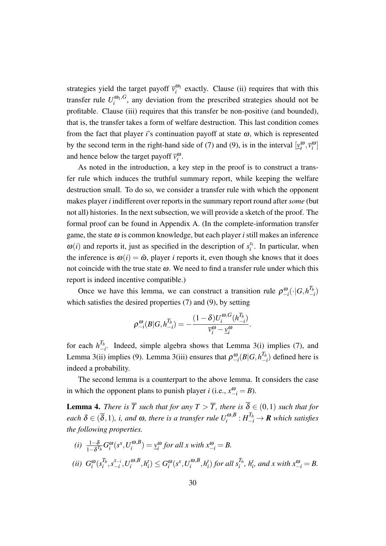strategies yield the target payoff  $\bar{v}_i^{\omega_1}$  exactly. Clause (ii) requires that with this transfer rule  $U_i^{\omega_1, G}$  $i$ <sup> $\omega_1$ </sup>,<sup> $\omega$ </sup>, any deviation from the prescribed strategies should not be profitable. Clause (iii) requires that this transfer be non-positive (and bounded), that is, the transfer takes a form of welfare destruction. This last condition comes from the fact that player *i*'s continuation payoff at state  $\omega$ , which is represented by the second term in the right-hand side of (7) and (9), is in the interval  $[\underline{v}_i^{\omega}, \overline{v}_i^{\omega}]$ and hence below the target payoff  $\bar{v}_i^{\omega}$ .

As noted in the introduction, a key step in the proof is to construct a transfer rule which induces the truthful summary report, while keeping the welfare destruction small. To do so, we consider a transfer rule with which the opponent makes player *i* indifferent over reports in the summary report round after *some* (but not all) histories. In the next subsection, we will provide a sketch of the proof. The formal proof can be found in Appendix A. (In the complete-information transfer game, the state  $\omega$  is common knowledge, but each player *i* still makes an inference  $\omega(i)$  and reports it, just as specified in the description of  $s_i^x$  $i^{x_i}$ . In particular, when the inference is  $\omega(i) = \tilde{\omega}$ , player *i* reports it, even though she knows that it does not coincide with the true state  $\omega$ . We need to find a transfer rule under which this report is indeed incentive compatible.)

Once we have this lemma, we can construct a transition rule  $\rho_{-i}^{\omega}(\cdot|G, h_{-i}^{T_b})$  $\binom{I_b}{-i}$ which satisfies the desired properties (7) and (9), by setting

$$
\rho^{\omega}_{-i}(B|G, h^{T_b}_{-i}) = -\frac{(1-\delta)U_i^{\omega, G}(h^{T_b}_{-i})}{\overline{v}^{\omega}_i - \underline{v}^{\omega}_i}.
$$

for each  $h_{-1}^{T_b}$  $\frac{I_b}{I_b}$ . Indeed, simple algebra shows that Lemma 3(i) implies (7), and Lemma 3(ii) implies (9). Lemma 3(iii) ensures that  $\rho_{-i}^{\omega}(B|G, h_{-i}^{T_b})$ *−i* ) defined here is indeed a probability.

The second lemma is a counterpart to the above lemma. It considers the case in which the opponent plans to punish player *i* (i.e.,  $x_{-i}^{\omega} = B$ ).

**Lemma 4.** *There is*  $\overline{T}$  *such that for any*  $T > \overline{T}$ *, there is*  $\overline{\delta} \in (0,1)$  *such that for*  $e$ ach  $\delta \in (\overline{\delta},1)$ *, i, and*  $\omega$ *, there is a transfer rule*  $U_i^{\omega,B}$  $\sigma_i^{\omega,B} : H_{-i}^{T_b} \to \mathbf{R}$  which satisfies *the following properties.*

(i) 
$$
\frac{1-\delta}{1-\delta^{T_b}} G_i^{\omega}(s^x, U_i^{\omega, B}) = \underline{v}_i^{\omega}
$$
 for all x with  $x_{-i}^{\omega} = B$ .  
\n(ii)  $G_i^{\omega}(s_i^{T_b}, s_{-i}^{x_{-i}}, U_i^{\omega, B}, h_i^t) \leq G_i^{\omega}(s^x, U_i^{\omega, B}, h_i^t)$  for all  $s_i^{T_b}$ ,  $h_i^t$ , and x with  $x_{-i}^{\omega} = B$ .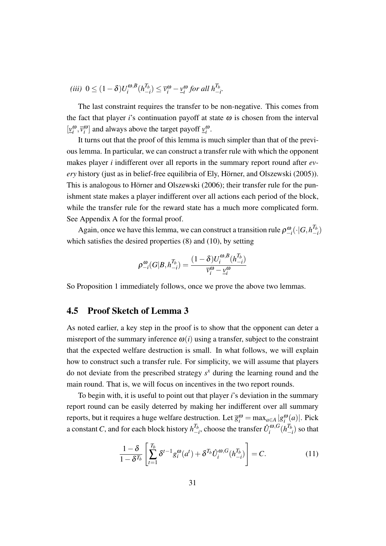$$
(iii) \ \ 0 \le (1 - \delta)U_i^{\omega, B}(h_{-i}^{T_b}) \le \overline{v}_i^{\omega} - \underline{v}_i^{\omega} \text{ for all } h_{-i}^{T_b}.
$$

The last constraint requires the transfer to be non-negative. This comes from the fact that player *i*'s continuation payoff at state  $\omega$  is chosen from the interval  $[\underline{v}_i^{\omega}, \overline{v}_i^{\omega}]$  and always above the target payoff  $\underline{v}_i^{\omega}$ .

It turns out that the proof of this lemma is much simpler than that of the previous lemma. In particular, we can construct a transfer rule with which the opponent makes player *i* indifferent over all reports in the summary report round after *every* history (just as in belief-free equilibria of Ely, Hörner, and Olszewski (2005)). This is analogous to Hörner and Olszewski (2006); their transfer rule for the punishment state makes a player indifferent over all actions each period of the block, while the transfer rule for the reward state has a much more complicated form. See Appendix A for the formal proof.

Again, once we have this lemma, we can construct a transition rule  $\rho_{-i}^{\omega}(\cdot | G, h_{-}^{T_b})$  $\binom{I_b}{-i}$ which satisfies the desired properties (8) and (10), by setting

$$
\rho^{\textcolor{blue}{\omega}}_{-i} (G|B,h^{T_b}_{-i}) = \frac{(1-\delta) U_i^{\textcolor{blue}{\omega},B}(h^{T_b}_{-i})}{\overline{v}^{\textcolor{blue}{\omega}}_i - \underline{v}^{\textcolor{blue}{\omega}}_i}
$$

So Proposition 1 immediately follows, once we prove the above two lemmas.

#### 4.5 Proof Sketch of Lemma 3

As noted earlier, a key step in the proof is to show that the opponent can deter a misreport of the summary inference  $\omega(i)$  using a transfer, subject to the constraint that the expected welfare destruction is small. In what follows, we will explain how to construct such a transfer rule. For simplicity, we will assume that players do not deviate from the prescribed strategy  $s<sup>x</sup>$  during the learning round and the main round. That is, we will focus on incentives in the two report rounds.

To begin with, it is useful to point out that player *i*'s deviation in the summary report round can be easily deterred by making her indifferent over all summary reports, but it requires a huge welfare destruction. Let  $\overline{g}_i^{\omega} = \max_{a \in A} |g_i^{\omega}(a)|$ . Pick a constant *C*, and for each block history  $h_{-}^{T_b}$  $\frac{T_b}{T}$ , choose the transfer  $\hat{U}^{\omega,G}_i$  $\int_i^{\boldsymbol{\omega},G} (h^{T_b}_-)$  $\binom{I_b}{-i}$  so that

$$
\frac{1-\delta}{1-\delta^{T_b}} \left[ \sum_{t=1}^{T_b} \delta^{t-1} g_i^{\omega}(a^t) + \delta^{T_b} \hat{U}_i^{\omega, G}(h_{-i}^{T_b}) \right] = C. \tag{11}
$$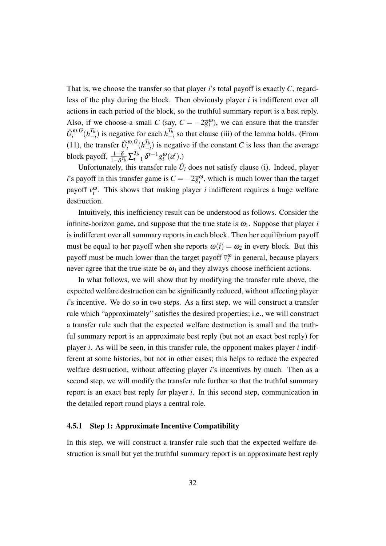That is, we choose the transfer so that player *i*'s total payoff is exactly *C*, regardless of the play during the block. Then obviously player *i* is indifferent over all actions in each period of the block, so the truthful summary report is a best reply. Also, if we choose a small *C* (say,  $C = -2\overline{g}_i^{\omega}$ ), we can ensure that the transfer  $\hat{U}_i^{\omega, G}$  $\int_i^{\omega,G} (h^{T_b}_-)$  $\frac{T_b}{-i}$  is negative for each  $h^{T_b}_{-i}$ *−i* so that clause (iii) of the lemma holds. (From (11), the transfer  $\hat{U}^{\omega, G}_i$  $\int_{i}^{\omega,G} (h^{T_b}_-)$  $\binom{I_b}{-i}$  is negative if the constant *C* is less than the average block payoff,  $\frac{1-\delta}{1-\delta^{T_b}}\sum_{t=1}^{T_b}$  $T_{t=1}^{T_b} \delta^{t-1} g_i^{\omega}(a^t)$ .)

Unfortunately, this transfer rule  $\hat{U}_i$  does not satisfy clause (i). Indeed, player *i*'s payoff in this transfer game is  $C = -2\overline{g}_i^{\omega}$ , which is much lower than the target payoff  $\bar{v}_i^{\omega}$ . This shows that making player *i* indifferent requires a huge welfare destruction.

Intuitively, this inefficiency result can be understood as follows. Consider the infinite-horizon game, and suppose that the true state is  $\omega_1$ . Suppose that player *i* is indifferent over all summary reports in each block. Then her equilibrium payoff must be equal to her payoff when she reports  $\omega(i) = \omega_2$  in every block. But this payoff must be much lower than the target payoff  $\bar{v}_i^{\omega}$  in general, because players never agree that the true state be  $\omega_1$  and they always choose inefficient actions.

In what follows, we will show that by modifying the transfer rule above, the expected welfare destruction can be significantly reduced, without affecting player *i*'s incentive. We do so in two steps. As a first step, we will construct a transfer rule which "approximately" satisfies the desired properties; i.e., we will construct a transfer rule such that the expected welfare destruction is small and the truthful summary report is an approximate best reply (but not an exact best reply) for player *i*. As will be seen, in this transfer rule, the opponent makes player *i* indifferent at some histories, but not in other cases; this helps to reduce the expected welfare destruction, without affecting player *i*'s incentives by much. Then as a second step, we will modify the transfer rule further so that the truthful summary report is an exact best reply for player *i*. In this second step, communication in the detailed report round plays a central role.

#### 4.5.1 Step 1: Approximate Incentive Compatibility

In this step, we will construct a transfer rule such that the expected welfare destruction is small but yet the truthful summary report is an approximate best reply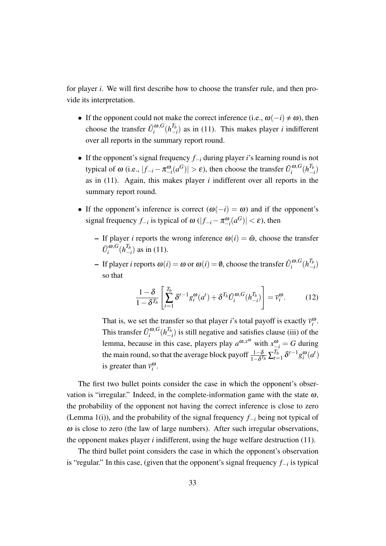for player *i*. We will first describe how to choose the transfer rule, and then provide its interpretation.

- If the opponent could not make the correct inference (i.e.,  $\omega(-i) \neq \omega$ ), then choose the transfer  $\tilde{U}^{\omega, G}_i$  $\int_i^{\boldsymbol{\omega},G} (h^{T_b}_-)$  $\binom{I_b}{I}$  as in (11). This makes player *i* indifferent over all reports in the summary report round.
- *•* If the opponent's signal frequency *f−<sup>i</sup>* during player *i*'s learning round is not typical of  $\omega$  (i.e.,  $|f_{-i} - \pi_{-i}^{\omega}(a^G)| > \varepsilon$ ), then choose the transfer  $\tilde{U}_i^{\omega, G}$  $\int_i^{\boldsymbol{\omega},G}(h^{T_b}_-)$  $\binom{I_b}{-i}$ as in (11). Again, this makes player *i* indifferent over all reports in the summary report round.
- If the opponent's inference is correct  $(\omega(-i) = \omega)$  and if the opponent's signal frequency  $f_{-i}$  is typical of  $\omega$  ( $|f_{-i} - \pi_{-i}^{\omega}(a^G)| < \varepsilon$ ), then
	- If player *i* reports the wrong inference  $\omega(i) = \tilde{\omega}$ , choose the transfer  $\tilde{U}_i^{\omega, G}$  $\int_i^{\omega,G} (h^{T_b}_-)$ *−i* ) as in (11).
	- If player *i* reports  $ω(i) = ω$  or  $ω(i) = θ$ , choose the transfer  $\tilde{U}_i^{\omega, G}$  $\int_i^{\boldsymbol{\omega},G}(h^{T_b}_-)$  $\binom{I_b}{-i}$ so that

$$
\frac{1-\delta}{1-\delta^{T_b}} \left[ \sum_{t=1}^{T_b} \delta^{t-1} g_i^{\omega}(a^t) + \delta^{T_b} \tilde{U}_i^{\omega, G}(h_{-i}^{T_b}) \right] = \bar{v}_i^{\omega}.
$$
 (12)

That is, we set the transfer so that player *i*'s total payoff is exactly  $\overline{v}_i^{\omega}$ . This transfer  $\tilde{U}^{\omega, G}_i$  $\int_i^{\omega,G} (h^{T_b}_-)$ *−i* ) is still negative and satisfies clause (iii) of the lemma, because in this case, players play  $a^{\omega, x^{\omega}}$  with  $x^{\omega}_{-i} = G$  during the main round, so that the average block payoff  $\frac{1-\delta}{1-\delta^{T_b}}\sum_{t=1}^{T_b}$  $\frac{T_b}{t=1} \delta^{t-1} g_i^{\omega}(a^t)$ is greater than  $\bar{v}_i^{\omega}$ .

The first two bullet points consider the case in which the opponent's observation is "irregular." Indeed, in the complete-information game with the state  $\omega$ , the probability of the opponent not having the correct inference is close to zero (Lemma 1(i)), and the probability of the signal frequency *f−<sup>i</sup>* being not typical of  $\omega$  is close to zero (the law of large numbers). After such irregular observations, the opponent makes player *i* indifferent, using the huge welfare destruction (11).

The third bullet point considers the case in which the opponent's observation is "regular." In this case, (given that the opponent's signal frequency *f−<sup>i</sup>* is typical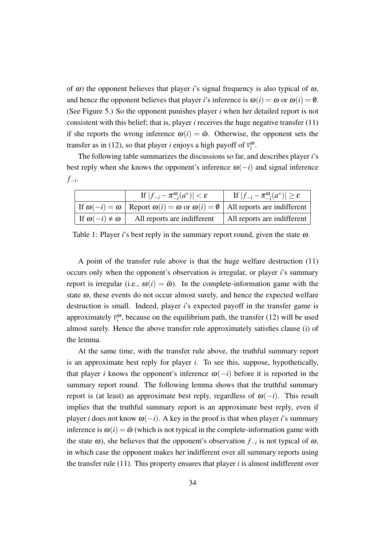of  $\omega$ ) the opponent believes that player *i*'s signal frequency is also typical of  $\omega$ , and hence the opponent believes that player *i*'s inference is  $\omega(i) = \omega$  or  $\omega(i) = \emptyset$ . (See Figure 5.) So the opponent punishes player *i* when her detailed report is not consistent with this belief; that is, player *i* receives the huge negative transfer (11) if she reports the wrong inference  $\omega(i) = \tilde{\omega}$ . Otherwise, the opponent sets the transfer as in (12), so that player *i* enjoys a high payoff of  $\overline{v}_i^{\omega}$ .

The following table summarizes the discussions so far, and describes player *i*'s best reply when she knows the opponent's inference  $\omega(-i)$  and signal inference *f−i* .

|                             | If $ f_{-i} - \pi_{-i}^{\omega}(a^*)  < \varepsilon$                                                        | If $ f_{-i} - \pi_{-i}^{\omega}(a^*)  \ge \varepsilon$ |
|-----------------------------|-------------------------------------------------------------------------------------------------------------|--------------------------------------------------------|
|                             | If $\omega(-i) = \omega$ Report $\omega(i) = \omega$ or $\omega(i) = \emptyset$ All reports are indifferent |                                                        |
| If $\omega(-i) \neq \omega$ | All reports are indifferent                                                                                 | All reports are indifferent                            |

Table 1: Player *i*'s best reply in the summary report round, given the state  $\omega$ .

A point of the transfer rule above is that the huge welfare destruction (11) occurs only when the opponent's observation is irregular, or player *i*'s summary report is irregular (i.e.,  $\omega(i) = \tilde{\omega}$ ). In the complete-information game with the state  $\omega$ , these events do not occur almost surely, and hence the expected welfare destruction is small. Indeed, player *i*'s expected payoff in the transfer game is approximately  $\bar{v}_i^{\omega}$ , because on the equilibrium path, the transfer (12) will be used almost surely. Hence the above transfer rule approximately satisfies clause (i) of the lemma.

At the same time, with the transfer rule above, the truthful summary report is an approximate best reply for player *i*. To see this, suppose, hypothetically, that player *i* knows the opponent's inference  $\omega(-i)$  before it is reported in the summary report round. The following lemma shows that the truthful summary report is (at least) an approximate best reply, regardless of <sup>ω</sup>(*−i*). This result implies that the truthful summary report is an approximate best reply, even if player *i* does not know  $\omega(-i)$ . A key in the proof is that when player *i*'s summary inference is  $\omega(i) = \tilde{\omega}$  (which is not typical in the complete-information game with the state <sup>ω</sup>), she believes that the opponent's observation *f−<sup>i</sup>* is not typical of <sup>ω</sup>, in which case the opponent makes her indifferent over all summary reports using the transfer rule (11). This property ensures that player *i* is almost indifferent over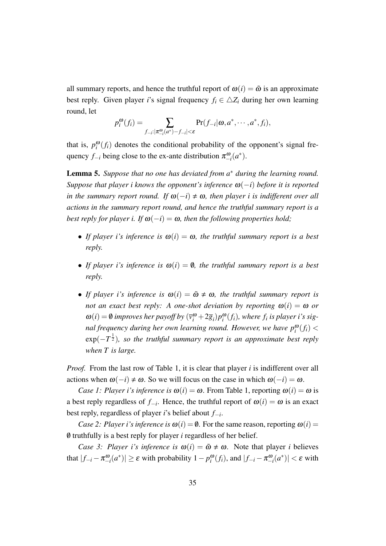all summary reports, and hence the truthful report of  $\omega(i) = \tilde{\omega}$  is an approximate best reply. Given player *i*'s signal frequency  $f_i \in \Delta Z_i$  during her own learning round, let

$$
p_i^{\boldsymbol{\omega}}(f_i) = \sum_{f_{-i}: |\pi_{-i}^{\boldsymbol{\omega}}(a^*) - f_{-i}| < \varepsilon} \Pr(f_{-i}|\boldsymbol{\omega}, a^*, \cdots, a^*, f_i),
$$

that is,  $p_i^{\omega}(f_i)$  denotes the conditional probability of the opponent's signal frequency  $f_{-i}$  being close to the ex-ante distribution  $\pi_{-i}^{\omega}(a^*)$ .

Lemma 5. *Suppose that no one has deviated from a <sup>∗</sup> during the learning round. Suppose that player i knows the opponent's inference* <sup>ω</sup>(*−i*) *before it is reported in the summary report round. If*  $\omega(-i) \neq \omega$ , *then player i is indifferent over all actions in the summary report round, and hence the truthful summary report is a best reply for player i. If*  $\omega(-i) = \omega$ , then the following properties hold;

- *If player i's inference is*  $\omega(i) = \omega$ *, the truthful summary report is a best reply.*
- *If player i's inference is*  $\omega(i) = \emptyset$ *, the truthful summary report is a best reply.*
- *If player i's inference is*  $\omega(i) = \tilde{\omega} \neq \omega$ , the truthful summary report is *not an exact best reply:* A *one-shot deviation by reporting*  $\omega(i) = \omega$  *or*  $\omega(i) = \emptyset$  improves her payoff by  $(\overline{v}_i^{\omega} + 2\overline{g}_i)p_i^{\omega}(f_i)$ , where  $f_i$  is player i's sig*nal frequency during her own learning round. However, we have*  $p_i^{\omega}(f_i)$  *<* exp(*−T* 1 <sup>2</sup> )*, so the truthful summary report is an approximate best reply when T is large.*

*Proof.* From the last row of Table 1, it is clear that player *i* is indifferent over all actions when  $\omega(-i) \neq \omega$ . So we will focus on the case in which  $\omega(-i) = \omega$ .

*Case 1: Player i's inference is*  $\omega(i) = \omega$ . From Table 1, reporting  $\omega(i) = \omega$  is a best reply regardless of  $f_{-i}$ . Hence, the truthful report of  $\omega(i) = \omega$  is an exact best reply, regardless of player *i*'s belief about *f−<sup>i</sup>* .

*Case 2: Player i's inference is*  $\omega(i) = \emptyset$ . For the same reason, reporting  $\omega(i) =$ /0 truthfully is a best reply for player *i* regardless of her belief.

*Case 3: Player i's inference is*  $\omega(i) = \tilde{\omega} \neq \omega$ . Note that player *i* believes that  $|f_{-i} - \pi_{-i}^{\omega}(a^*)| \ge \varepsilon$  with probability  $1 - p_i^{\omega}(f_i)$ , and  $|f_{-i} - \pi_{-i}^{\omega}(a^*)| < \varepsilon$  with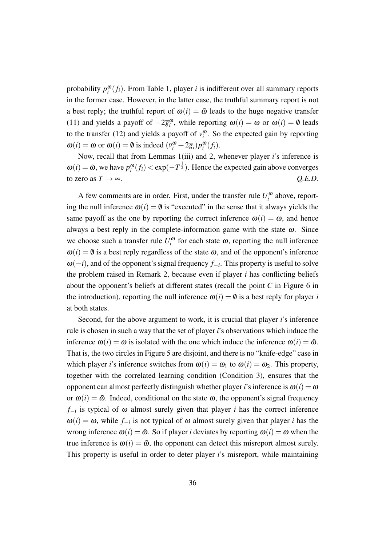probability  $p_i^{\omega}(f_i)$ . From Table 1, player *i* is indifferent over all summary reports in the former case. However, in the latter case, the truthful summary report is not a best reply; the truthful report of  $\omega(i) = \tilde{\omega}$  leads to the huge negative transfer (11) and yields a payoff of  $-2\overline{g}_i^{\omega}$ , while reporting  $\omega(i) = \omega$  or  $\omega(i) = \emptyset$  leads to the transfer (12) and yields a payoff of  $\bar{v}_i^{\omega}$ . So the expected gain by reporting  $\omega(i) = \omega$  or  $\omega(i) = \emptyset$  is indeed  $(\overline{v}_i^{\omega} + 2\overline{g}_i) p_i^{\omega}(f_i)$ .

Now, recall that from Lemmas 1(iii) and 2, whenever player *i*'s inference is  $\omega(i) = \tilde{\omega}$ , we have  $p_i^{\omega}(f_i) < \exp(-T^{\frac{1}{2}})$ . Hence the expected gain above converges to zero as  $T \rightarrow \infty$ .  $Q.E.D.$ 

A few comments are in order. First, under the transfer rule  $U_i^{\omega}$  above, reporting the null inference  $\omega(i) = \emptyset$  is "executed" in the sense that it always yields the same payoff as the one by reporting the correct inference  $\omega(i) = \omega$ , and hence always a best reply in the complete-information game with the state  $\omega$ . Since we choose such a transfer rule  $U_i^{\omega}$  for each state  $\omega$ , reporting the null inference  $\omega(i) = \emptyset$  is a best reply regardless of the state  $\omega$ , and of the opponent's inference <sup>ω</sup>(*−i*), and of the opponent's signal frequency *f−<sup>i</sup>* . This property is useful to solve the problem raised in Remark 2, because even if player *i* has conflicting beliefs about the opponent's beliefs at different states (recall the point *C* in Figure 6 in the introduction), reporting the null inference  $\omega(i) = \emptyset$  is a best reply for player *i* at both states.

Second, for the above argument to work, it is crucial that player *i*'s inference rule is chosen in such a way that the set of player *i*'s observations which induce the inference  $\omega(i) = \omega$  is isolated with the one which induce the inference  $\omega(i) = \tilde{\omega}$ . That is, the two circles in Figure 5 are disjoint, and there is no "knife-edge" case in which player *i*'s inference switches from  $\omega(i) = \omega_1$  to  $\omega(i) = \omega_2$ . This property, together with the correlated learning condition (Condition 3), ensures that the opponent can almost perfectly distinguish whether player *i*'s inference is  $\omega(i) = \omega$ or  $\omega(i) = \tilde{\omega}$ . Indeed, conditional on the state  $\omega$ , the opponent's signal frequency *f−i* is typical of <sup>ω</sup> almost surely given that player *i* has the correct inference  $\omega(i) = \omega$ , while  $f_{-i}$  is not typical of  $\omega$  almost surely given that player *i* has the wrong inference  $\omega(i) = \tilde{\omega}$ . So if player *i* deviates by reporting  $\omega(i) = \omega$  when the true inference is  $\omega(i) = \tilde{\omega}$ , the opponent can detect this misreport almost surely. This property is useful in order to deter player *i*'s misreport, while maintaining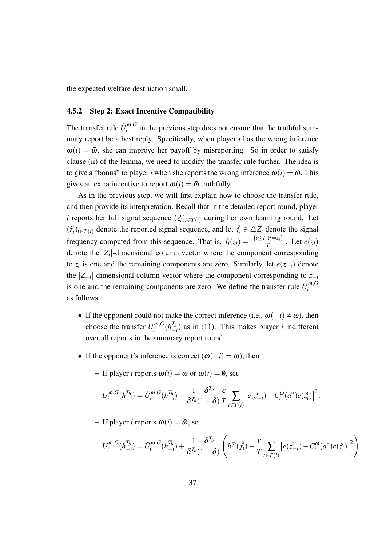the expected welfare destruction small.

#### 4.5.2 Step 2: Exact Incentive Compatibility

The transfer rule  $\tilde{U}^{\omega, G}_i$  $i$ <sup> $\omega$ </sup>, $\sigma$  in the previous step does not ensure that the truthful summary report be a best reply. Specifically, when player *i* has the wrong inference  $\omega(i) = \tilde{\omega}$ , she can improve her payoff by misreporting. So in order to satisfy clause (ii) of the lemma, we need to modify the transfer rule further. The idea is to give a "bonus" to player *i* when she reports the wrong inference  $\omega(i) = \tilde{\omega}$ . This gives an extra incentive to report  $\omega(i) = \tilde{\omega}$  truthfully.

As in the previous step, we will first explain how to choose the transfer rule, and then provide its interpretation. Recall that in the detailed report round, player *i* reports her full signal sequence  $(z_i^t)_{t \in T(i)}$  during her own learning round. Let  $(\hat{z}_i^t)_{t \in T(i)}$  denote the reported signal sequence, and let  $\hat{f}_i \in \Delta Z_i$  denote the signal frequency computed from this sequence. That is,  $\hat{f}_i(z_i) = \frac{|\{t \le T | \hat{z}_i^i = z_i\}|}{T}$  $\frac{|z_i=z_i|}{T}$ . Let  $e(z_i)$ denote the *|Z<sup>i</sup> |*-dimensional column vector where the component corresponding to  $z_i$  is one and the remaining components are zero. Similarly, let  $e(z_{-i})$  denote the *|Z−<sup>i</sup> |*-dimensional column vector where the component corresponding to *z−<sup>i</sup>* is one and the remaining components are zero. We define the transfer rule  $U_i^{\omega, G}$ *i* as follows:

- If the opponent could not make the correct inference (i.e.,  $\omega(-i) \neq \omega$ ), then choose the transfer  $U_i^{\omega, G}$  $\int_i^{\boldsymbol{\omega},G} (h^{T_b}_-)$  $\binom{I_b}{I}$  as in (11). This makes player *i* indifferent over all reports in the summary report round.
- If the opponent's inference is correct  $(\omega(-i) = \omega)$ , then
	- If player *i* reports  $\omega(i) = \omega$  or  $\omega(i) = \emptyset$ , set

$$
U_i^{\omega,G}(h_{-i}^{T_b}) = \tilde{U}_i^{\omega,G}(h_{-i}^{T_b}) - \frac{1 - \delta^{T_b}}{\delta^{T_b}(1 - \delta)} \frac{\varepsilon}{T} \sum_{t \in T(i)} \left| e(z_{-i}^t) - C_i^{\omega}(a^*) e(\hat{z}_i^t) \right|^2.
$$

– If player *i* reports  $\omega(i) = \tilde{\omega}$ , set

$$
U_i^{\omega,G}(h_{-i}^{T_b}) = \tilde{U}_i^{\omega,G}(h_{-i}^{T_b}) + \frac{1 - \delta^{T_b}}{\delta^{T_b}(1 - \delta)} \left( b_i^{\omega}(\hat{f}_i) - \frac{\varepsilon}{T} \sum_{t \in T(i)} \left| e(z_{-i}^t) - C_i^{\omega}(a^*) e(\hat{z}_i^t) \right|^2 \right)
$$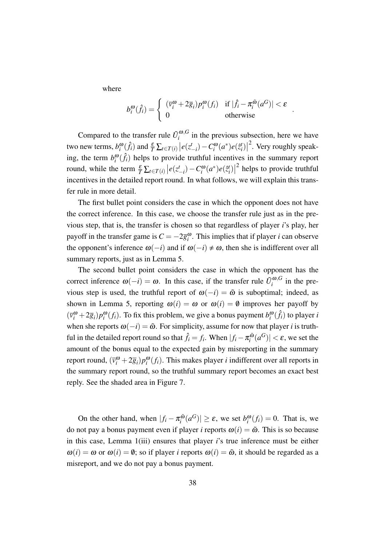where

$$
b_i^{\omega}(\hat{f}_i) = \begin{cases} (\bar{v}_i^{\omega} + 2\bar{g}_i) p_i^{\omega}(f_i) & \text{if } |\hat{f}_i - \pi_i^{\tilde{\omega}}(a^G)| < \varepsilon \\ 0 & \text{otherwise} \end{cases}
$$

*.*

Compared to the transfer rule  $\tilde{U}_i^{\omega, G}$  $\int_{i}^{\omega, \sigma}$  in the previous subsection, here we have two new terms,  $b_i^{\omega}(\hat{f}_i)$  and  $\frac{\varepsilon}{T} \sum_{t \in T(i)} \left| e(z_{-i}^t) - C_i^{\omega}(a^*) e(\hat{z}_i^t) \right|$  $2$ . Very roughly speaking, the term  $b_i^{\omega}(\hat{f}_i)$  helps to provide truthful incentives in the summary report round, while the term  $\frac{\varepsilon}{T} \sum_{t \in T(i)} \left| e(z_{-i}^t) - C_i^{\omega}(a^*) e(\hat{z}_i^t) \right|$ <sup>2</sup> helps to provide truthful incentives in the detailed report round. In what follows, we will explain this transfer rule in more detail.

The first bullet point considers the case in which the opponent does not have the correct inference. In this case, we choose the transfer rule just as in the previous step, that is, the transfer is chosen so that regardless of player *i*'s play, her payoff in the transfer game is  $C = -2\overline{g}_i^{\omega}$ . This implies that if player *i* can observe the opponent's inference  $\omega(-i)$  and if  $\omega(-i) \neq \omega$ , then she is indifferent over all summary reports, just as in Lemma 5.

The second bullet point considers the case in which the opponent has the correct inference  $\omega(-i) = \omega$ . In this case, if the transfer rule  $\tilde{U}_i^{\omega, G}$  $\int_{i}^{\omega,\sigma}$  in the previous step is used, the truthful report of  $\omega(-i) = \tilde{\omega}$  is suboptimal; indeed, as shown in Lemma 5, reporting  $\omega(i) = \omega$  or  $\omega(i) = \emptyset$  improves her payoff by  $(\bar{v}_i^{\omega} + 2\bar{g}_i)p_i^{\omega}(f_i)$ . To fix this problem, we give a bonus payment  $b_i^{\omega}(\hat{f}_i)$  to player *i* when she reports  $\omega(-i) = \tilde{\omega}$ . For simplicity, assume for now that player *i* is truthful in the detailed report round so that  $\hat{f}_i = f_i$ . When  $|f_i - \pi_i^{\tilde{\omega}}|$  $\left| \frac{\tilde{\omega}}{i} (a^G) \right| < \varepsilon$ , we set the amount of the bonus equal to the expected gain by misreporting in the summary report round,  $(\bar{v}_i^{\omega} + 2\bar{g}_i)p_i^{\omega}(f_i)$ . This makes player *i* indifferent over all reports in the summary report round, so the truthful summary report becomes an exact best reply. See the shaded area in Figure 7.

On the other hand, when  $|f_i - \pi_i^{\tilde{\omega}}|$  $\left| \int_i^{\tilde{\omega}} (a^G) \right| \geq \varepsilon$ , we set  $b_i^{\omega}(f_i) = 0$ . That is, we do not pay a bonus payment even if player *i* reports  $\omega(i) = \tilde{\omega}$ . This is so because in this case, Lemma 1(iii) ensures that player *i*'s true inference must be either  $\omega(i) = \omega$  or  $\omega(i) = \emptyset$ ; so if player *i* reports  $\omega(i) = \tilde{\omega}$ , it should be regarded as a misreport, and we do not pay a bonus payment.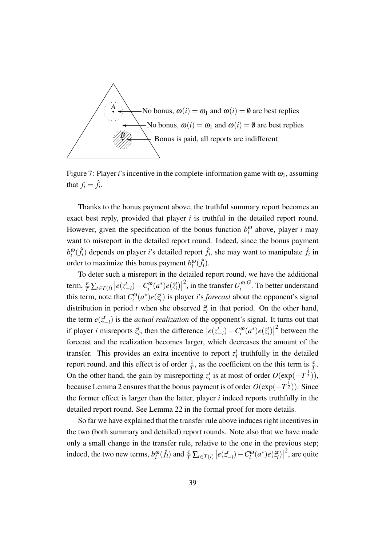

Figure 7: Player *i*'s incentive in the complete-information game with  $\omega_1$ , assuming that  $f_i = \hat{f}_i$ .

Thanks to the bonus payment above, the truthful summary report becomes an exact best reply, provided that player *i* is truthful in the detailed report round. However, given the specification of the bonus function  $b_i^{\omega}$  above, player *i* may want to misreport in the detailed report round. Indeed, since the bonus payment  $b_i^{\omega}(\hat{f}_i)$  depends on player *i*'s detailed report  $\hat{f}_i$ , she may want to manipulate  $\hat{f}_i$  in order to maximize this bonus payment  $b_i^{\omega}(\hat{f}_i)$ .

To deter such a misreport in the detailed report round, we have the additional  $\left| e(z_{-i}^t) - C_i^{\omega}(a^*)e(\hat{z}_{i}^t) \right|$ <sup>2</sup>, in the transfer  $U_i^{\omega, G}$  $\int_{i}^{\omega,\sigma}$ . To better understand this term, note that  $C_i^{\omega}(a^*)e(\hat{z}_i^t)$  is player *i*'s *forecast* about the opponent's signal distribution in period *t* when she observed  $\hat{z}_i^t$  in that period. On the other hand, the term  $e(z_{-i}^t)$  is the *actual realization* of the opponent's signal. It turns out that if player *i* misreports  $\hat{z}_i^t$ , then the difference  $|e(z_{-i}^t) - C_i^{\omega}(a^*)e(\hat{z}_i^t)|$ 2 between the forecast and the realization becomes larger, which decreases the amount of the transfer. This provides an extra incentive to report  $z_i^t$  truthfully in the detailed report round, and this effect is of order  $\frac{1}{T}$ , as the coefficient on the this term is  $\frac{\varepsilon}{T}$ . On the other hand, the gain by misreporting  $z_i^t$  is at most of order  $O(\exp(-T^{\frac{1}{2}}))$ , because Lemma 2 ensures that the bonus payment is of order *O*(exp(*−T* 1 <sup>2</sup> )). Since the former effect is larger than the latter, player *i* indeed reports truthfully in the detailed report round. See Lemma 22 in the formal proof for more details.

So far we have explained that the transfer rule above induces right incentives in the two (both summary and detailed) report rounds. Note also that we have made only a small change in the transfer rule, relative to the one in the previous step; indeed, the two new terms,  $b_i^{\omega}(\hat{f}_i)$  and  $\frac{\varepsilon}{T} \sum_{t \in T(i)} |e(z_{-i}^t) - C_i^{\omega}(a^*) e(\hat{z}_i^t)|$  $^{2}$ , are quite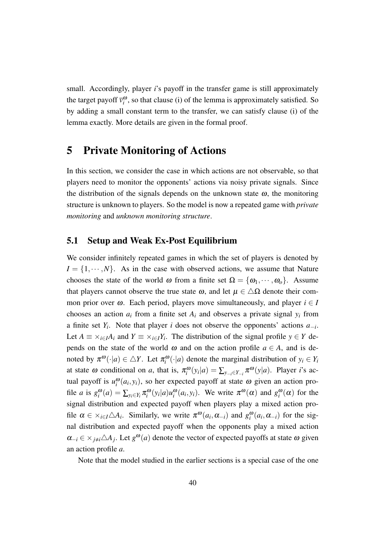small. Accordingly, player *i*'s payoff in the transfer game is still approximately the target payoff  $\bar{v}_i^{\omega}$ , so that clause (i) of the lemma is approximately satisfied. So by adding a small constant term to the transfer, we can satisfy clause (i) of the lemma exactly. More details are given in the formal proof.

## 5 Private Monitoring of Actions

In this section, we consider the case in which actions are not observable, so that players need to monitor the opponents' actions via noisy private signals. Since the distribution of the signals depends on the unknown state  $\omega$ , the monitoring structure is unknown to players. So the model is now a repeated game with *private monitoring* and *unknown monitoring structure*.

### 5.1 Setup and Weak Ex-Post Equilibrium

We consider infinitely repeated games in which the set of players is denoted by  $I = \{1, \dots, N\}$ . As in the case with observed actions, we assume that Nature chooses the state of the world  $\omega$  from a finite set  $\Omega = {\omega_1, \cdots, \omega_o}$ . Assume that players cannot observe the true state  $\omega$ , and let  $\mu \in \Delta\Omega$  denote their common prior over  $\omega$ . Each period, players move simultaneously, and player  $i \in I$ chooses an action  $a_i$  from a finite set  $A_i$  and observes a private signal  $y_i$  from a finite set *Y<sup>i</sup>* . Note that player *i* does not observe the opponents' actions *a−<sup>i</sup>* . Let  $A \equiv \times_{i \in I} A_i$  and  $Y \equiv \times_{i \in I} Y_i$ . The distribution of the signal profile  $y \in Y$  depends on the state of the world  $\omega$  and on the action profile  $a \in A$ , and is denoted by  $\pi^{\omega}(\cdot|a) \in \Delta Y$ . Let  $\pi^{\omega}_{i}(\cdot|a)$  denote the marginal distribution of  $y_{i} \in Y_{i}$ at state  $\omega$  conditional on *a*, that is,  $\pi_i^{\omega}(y_i|a) = \sum_{y_{-i} \in Y_{-i}} \pi^{\omega}(y|a)$ . Player *i*'s actual payoff is  $u_i^{\omega}(a_i, y_i)$ , so her expected payoff at state  $\omega$  given an action profile *a* is  $g_i^{\omega}(a) = \sum_{y_i \in Y_i} \pi_i^{\omega}(y_i|a) u_i^{\omega}(a_i, y_i)$ . We write  $\pi^{\omega}(\alpha)$  and  $g_i^{\omega}(\alpha)$  for the signal distribution and expected payoff when players play a mixed action profile  $\alpha \in \times_{i \in I} \triangle A_i$ . Similarly, we write  $\pi^{\omega}(a_i, \alpha_{-i})$  and  $g_i^{\omega}(a_i, \alpha_{-i})$  for the signal distribution and expected payoff when the opponents play a mixed action  $\alpha_{-i} \in \times_{j \neq i} \triangle A_j$ . Let  $g^{\omega}(a)$  denote the vector of expected payoffs at state  $\omega$  given an action profile *a*.

Note that the model studied in the earlier sections is a special case of the one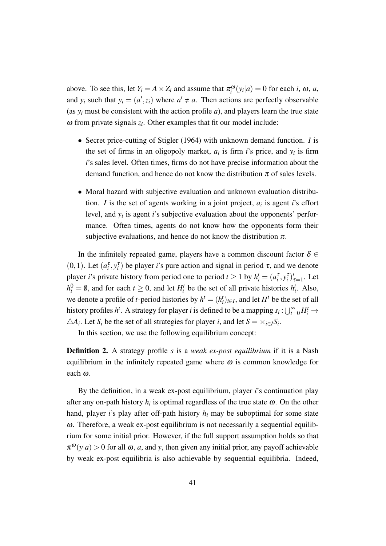above. To see this, let  $Y_i = A \times Z_i$  and assume that  $\pi_i^{\omega}(y_i|a) = 0$  for each *i*,  $\omega$ , *a*, and  $y_i$  such that  $y_i = (a', z_i)$  where  $a' \neq a$ . Then actions are perfectly observable (as  $y_i$  must be consistent with the action profile *a*), and players learn the true state  $\omega$  from private signals  $z_i$ . Other examples that fit our model include:

- *•* Secret price-cutting of Stigler (1964) with unknown demand function. *I* is the set of firms in an oligopoly market,  $a_i$  is firm *i*'s price, and  $y_i$  is firm *i*'s sales level. Often times, firms do not have precise information about the demand function, and hence do not know the distribution  $\pi$  of sales levels.
- *•* Moral hazard with subjective evaluation and unknown evaluation distribution. *I* is the set of agents working in a joint project,  $a_i$  is agent *i*'s effort level, and *y<sup>i</sup>* is agent *i*'s subjective evaluation about the opponents' performance. Often times, agents do not know how the opponents form their subjective evaluations, and hence do not know the distribution  $\pi$ .

In the infinitely repeated game, players have a common discount factor  $\delta \in$ (0, 1). Let  $(a_i^{\tau}, y_i^{\tau})$  be player *i*'s pure action and signal in period  $\tau$ , and we denote player *i*'s private history from period one to period  $t \ge 1$  by  $h_i^t = (a_i^{\tau}, y_i^{\tau})_{\tau=1}^t$ . Let  $h_i^0 = \emptyset$ , and for each  $t \ge 0$ , and let  $H_i^t$  be the set of all private histories  $h_i^t$ . Also, we denote a profile of *t*-period histories by  $h^t = (h^t_i)_{i \in I}$ , and let  $H^t$  be the set of all history profiles *h<sup>t</sup>*. A strategy for player *i* is defined to be a mapping  $s_i : \bigcup_{t=0}^{\infty} H_i^t \to$  $\triangle A_i$ . Let *S<sub>i</sub>* be the set of all strategies for player *i*, and let  $S = \times_{i \in I} S_i$ .

In this section, we use the following equilibrium concept:

Definition 2. A strategy profile *s* is a *weak ex-post equilibrium* if it is a Nash equilibrium in the infinitely repeated game where  $\omega$  is common knowledge for each <sup>ω</sup>.

By the definition, in a weak ex-post equilibrium, player *i*'s continuation play after any on-path history  $h_i$  is optimal regardless of the true state  $\omega$ . On the other hand, player *i*'s play after off-path history *h<sup>i</sup>* may be suboptimal for some state ω. Therefore, a weak ex-post equilibrium is not necessarily a sequential equilibrium for some initial prior. However, if the full support assumption holds so that  $\pi^{\omega}(y|a) > 0$  for all  $\omega$ , *a*, and *y*, then given any initial prior, any payoff achievable by weak ex-post equilibria is also achievable by sequential equilibria. Indeed,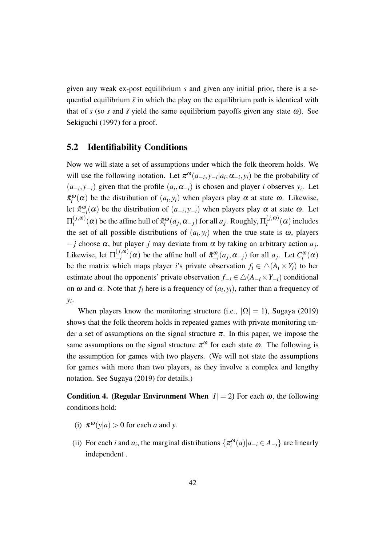given any weak ex-post equilibrium *s* and given any initial prior, there is a sequential equilibrium  $\tilde{s}$  in which the play on the equilibrium path is identical with that of *s* (so *s* and  $\tilde{s}$  yield the same equilibrium payoffs given any state  $\omega$ ). See Sekiguchi (1997) for a proof.

### 5.2 Identifiability Conditions

Now we will state a set of assumptions under which the folk theorem holds. We will use the following notation. Let  $\pi^{\omega}(a_{-i}, y_{-i}|a_i, \alpha_{-i}, y_i)$  be the probability of  $(a_{-i}, y_{-i})$  given that the profile  $(a_i, \alpha_{-i})$  is chosen and player *i* observes  $y_i$ . Let  $\tilde{\pi}_i^{\omega}(\alpha)$  be the distribution of  $(a_i, y_i)$  when players play  $\alpha$  at state  $\omega$ . Likewise, let  $\tilde{\pi}_{-i}^{\omega}(\alpha)$  be the distribution of  $(a_{-i}, y_{-i})$  when players play  $\alpha$  at state  $\omega$ . Let  $\Pi_i^{(j,\bm{\omega})}$  $\pi_i^{(j,\omega)}(\alpha)$  be the affine hull of  $\tilde{\pi}_i^{\omega}(a_j,\alpha_{-j})$  for all  $a_j$ . Roughly,  $\Pi_i^{(j,\omega)}$  $\int_i^{(J,\omega)} (\alpha)$  includes the set of all possible distributions of  $(a_i, y_i)$  when the true state is  $\omega$ , players *−j* choose <sup>α</sup>, but player *j* may deviate from <sup>α</sup> by taking an arbitrary action *a<sup>j</sup>* . Likewise, let  $\Pi_{-i}^{(j,\omega)}$  $\int_{-i}^{(J,\omega)} (\alpha)$  be the affine hull of  $\tilde{\pi}^{\omega}_{-i}(a_j, \alpha_{-j})$  for all  $a_j$ . Let  $C_i^{\omega}(\alpha)$ be the matrix which maps player *i*'s private observation  $f_i \in \Delta(A_i \times Y_i)$  to her estimate about the opponents' private observation  $f_{-i} \in \Delta(A_{-i} \times Y_{-i})$  conditional on  $\omega$  and  $\alpha$ . Note that  $f_i$  here is a frequency of  $(a_i, y_i)$ , rather than a frequency of *yi* .

When players know the monitoring structure (i.e.,  $|\Omega| = 1$ ), Sugaya (2019) shows that the folk theorem holds in repeated games with private monitoring under a set of assumptions on the signal structure  $\pi$ . In this paper, we impose the same assumptions on the signal structure  $\pi^{\omega}$  for each state  $\omega$ . The following is the assumption for games with two players. (We will not state the assumptions for games with more than two players, as they involve a complex and lengthy notation. See Sugaya (2019) for details.)

**Condition 4. (Regular Environment When**  $|I| = 2$ **)** For each  $\omega$ , the following conditions hold:

- (i)  $\pi^{\omega}(y|a) > 0$  for each *a* and *y*.
- (ii) For each *i* and  $a_i$ , the marginal distributions  $\{\pi_i^{\omega}(a)|a_{-i} \in A_{-i}\}\$  are linearly independent .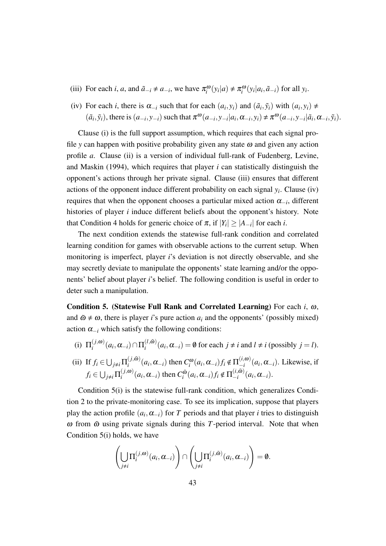- (iii) For each *i*, *a*, and  $\tilde{a}_{-i} \neq a_{-i}$ , we have  $\pi_i^{\omega}(y_i|a) \neq \pi_i^{\omega}(y_i|a_i, \tilde{a}_{-i})$  for all  $y_i$ .
- (iv) For each *i*, there is  $\alpha_{-i}$  such that for each  $(a_i, y_i)$  and  $(\tilde{a}_i, \tilde{y}_i)$  with  $(a_i, y_i) \neq$  $(\tilde{a}_i, \tilde{y}_i)$ , there is  $(a_{-i}, y_{-i})$  such that  $\pi^{\omega}(a_{-i}, y_{-i}|a_i, \alpha_{-i}, y_i) \neq \pi^{\omega}(a_{-i}, y_{-i}|\tilde{a}_i, \alpha_{-i}, \tilde{y}_i)$ .

Clause (i) is the full support assumption, which requires that each signal profile *y* can happen with positive probability given any state  $\omega$  and given any action profile *a*. Clause (ii) is a version of individual full-rank of Fudenberg, Levine, and Maskin (1994), which requires that player *i* can statistically distinguish the opponent's actions through her private signal. Clause (iii) ensures that different actions of the opponent induce different probability on each signal *y<sup>i</sup>* . Clause (iv) requires that when the opponent chooses a particular mixed action <sup>α</sup>*−<sup>i</sup>* , different histories of player *i* induce different beliefs about the opponent's history. Note that Condition 4 holds for generic choice of  $\pi$ , if  $|Y_i| \ge |A_{-i}|$  for each *i*.

The next condition extends the statewise full-rank condition and correlated learning condition for games with observable actions to the current setup. When monitoring is imperfect, player *i*'s deviation is not directly observable, and she may secretly deviate to manipulate the opponents' state learning and/or the opponents' belief about player *i*'s belief. The following condition is useful in order to deter such a manipulation.

Condition 5. (Statewise Full Rank and Correlated Learning) For each *i*, <sup>ω</sup>, and  $\tilde{\omega} \neq \omega$ , there is player *i*'s pure action  $a_i$  and the opponents' (possibly mixed) action  $\alpha_{-i}$  which satisfy the following conditions:

- (i)  $\Pi_i^{(j,\omega)}$  $\pi_i^{(j, \omega)}(a_i, \alpha_{-i}) \cap \Pi_i^{(l, \tilde{\omega})}$  $i_i^{(i,\omega)}(a_i, \alpha_{-i}) = \emptyset$  for each  $j \neq i$  and  $l \neq i$  (possibly  $j = l$ ).
- (ii) If  $f_i \in \bigcup_{j \neq i} \prod_i^{(j,\tilde{\omega})}$  $\int_i^{(j,\tilde{\omega})} (a_i, \alpha_{-i})$  then  $C_i^{\omega}(a_i, \alpha_{-i}) f_i \notin \Pi_{-i}^{(i,\omega)}$  $\int_{-i}^{(i, \omega)} (a_i, \alpha_{-i})$ . Likewise, if  $f_i \in \bigcup_{j \neq i} \prod_i^{(j,\omega)}$  $\sum_{i}^{(j, \omega)}$  (*a*<sub>*i*</sub></sub>,  $\alpha$ <sub>−*i*</sub>) then  $C_i^{\tilde{\omega}}$  $\sum_{i}^{\tilde{\omega}}(a_i, \alpha_{-i})f_i \notin \Pi_{-i}^{(i,\tilde{\omega})}$  $\frac{a_i(a_i, \omega)}{a_i(a_i, \alpha_{-i})}$ .

Condition 5(i) is the statewise full-rank condition, which generalizes Condition 2 to the private-monitoring case. To see its implication, suppose that players play the action profile  $(a_i, \alpha_{-i})$  for *T* periods and that player *i* tries to distinguish  $\omega$  from  $\tilde{\omega}$  using private signals during this *T*-period interval. Note that when Condition 5(i) holds, we have

$$
\left(\bigcup_{j\neq i}\Pi_i^{(j,\omega)}(a_i,\alpha_{-i})\right)\cap\left(\bigcup_{j\neq i}\Pi_i^{(j,\tilde{\omega})}(a_i,\alpha_{-i})\right)=\emptyset.
$$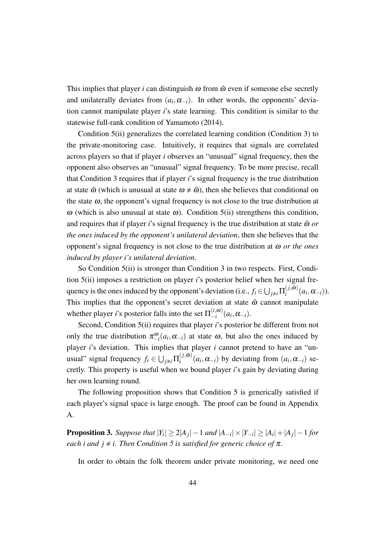This implies that player *i* can distinguish  $\omega$  from  $\tilde{\omega}$  even if someone else secretly and unilaterally deviates from  $(a_i, \alpha_{-i})$ . In other words, the opponents' deviation cannot manipulate player *i*'s state learning. This condition is similar to the statewise full-rank condition of Yamamoto (2014).

Condition 5(ii) generalizes the correlated learning condition (Condition 3) to the private-monitoring case. Intuitively, it requires that signals are correlated across players so that if player *i* observes an "unusual" signal frequency, then the opponent also observes an "unusual" signal frequency. To be more precise, recall that Condition 3 requires that if player *i*'s signal frequency is the true distribution at state  $\tilde{\omega}$  (which is unusual at state  $\omega \neq \tilde{\omega}$ ), then she believes that conditional on the state  $\omega$ , the opponent's signal frequency is not close to the true distribution at  $\omega$  (which is also unusual at state  $\omega$ ). Condition 5(ii) strengthens this condition, and requires that if player *i*'s signal frequency is the true distribution at state  $\tilde{\omega}$  *or the ones induced by the opponent's unilateral deviation*, then she believes that the opponent's signal frequency is not close to the true distribution at <sup>ω</sup> *or the ones induced by player i's unilateral deviation*.

So Condition 5(ii) is stronger than Condition 3 in two respects. First, Condition 5(ii) imposes a restriction on player *i*'s posterior belief when her signal frequency is the ones induced by the opponent's deviation (i.e.,  $f_i \in \bigcup_{j \neq i} \prod_i^{(j,\tilde{\omega})}$  $\alpha_i^{(J,\boldsymbol{\omega})}(a_i,\boldsymbol{\alpha}_{-i})).$ This implies that the opponent's secret deviation at state  $\tilde{\omega}$  cannot manipulate whether player *i*'s posterior falls into the set  $\Pi_{-i}^{(i,\omega)}$  $\frac{(i, \omega)}{-i}$   $(a_i, \alpha_{-i})$ .

Second, Condition 5(ii) requires that player *i*'s posterior be different from not only the true distribution  $\pi_{-i}^{\omega}(a_i, \alpha_{-i})$  at state  $\omega$ , but also the ones induced by player *i*'s deviation. This implies that player *i* cannot pretend to have an "unusual" signal frequency  $f_i \in \bigcup_{j \neq i} \Pi_i^{(j,\tilde{\omega})}$  $(i^{(j,\omega)}(a_i, \alpha_{-i})$  by deviating from  $(a_i, \alpha_{-i})$  secretly. This property is useful when we bound player *i*'s gain by deviating during her own learning round.

The following proposition shows that Condition 5 is generically satisfied if each player's signal space is large enough. The proof can be found in Appendix A.

**Proposition 3.** Suppose that  $|Y_i|\geq 2|A_j|-1$  and  $|A_{-i}|\times |Y_{-i}|\geq |A_i|+|A_j|-1$  for *each i and*  $j \neq i$ *. Then Condition 5 is satisfied for generic choice of*  $\pi$ *.* 

In order to obtain the folk theorem under private monitoring, we need one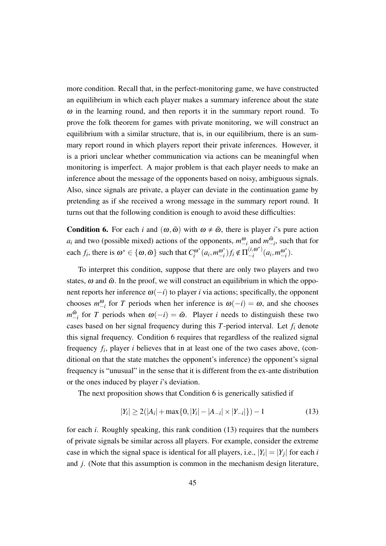more condition. Recall that, in the perfect-monitoring game, we have constructed an equilibrium in which each player makes a summary inference about the state  $\omega$  in the learning round, and then reports it in the summary report round. To prove the folk theorem for games with private monitoring, we will construct an equilibrium with a similar structure, that is, in our equilibrium, there is an summary report round in which players report their private inferences. However, it is a priori unclear whether communication via actions can be meaningful when monitoring is imperfect. A major problem is that each player needs to make an inference about the message of the opponents based on noisy, ambiguous signals. Also, since signals are private, a player can deviate in the continuation game by pretending as if she received a wrong message in the summary report round. It turns out that the following condition is enough to avoid these difficulties:

**Condition 6.** For each *i* and  $(\omega, \tilde{\omega})$  with  $\omega \neq \tilde{\omega}$ , there is player *i*'s pure action *a*<sub>*i*</sub> and two (possible mixed) actions of the opponents,  $m_{-i}^{\omega}$  and  $m_{-i}^{\omega}$ *−i* , such that for each *f<sub>i</sub>*, there is  $\omega^* \in {\{\omega, \tilde{\omega}\}}$  such that  $C_i^{\omega^*}$  $a_i^{\omega^*}$   $(a_i, m_{-i}^{\omega^*})$  $\sum_{i=1}^{a}$  *f*<sub>*i*</sub> ∉  $\prod_{i=1}^{i}$  $\binom{(i, \omega^*)}{-i}$  (*a*<sub>*i*</sub>, *m*<sup>ω\*</sup><sub>*−i*</sub> *−i* ).

To interpret this condition, suppose that there are only two players and two states,  $\omega$  and  $\tilde{\omega}$ . In the proof, we will construct an equilibrium in which the opponent reports her inference  $\omega(-i)$  to player *i* via actions; specifically, the opponent chooses  $m_{-i}^{\omega}$  for *T* periods when her inference is  $\omega(-i) = \omega$ , and she chooses  $m_-^{\tilde{\omega}}$  $\sum_{i=1}^{6}$  for *T* periods when  $\omega(-i) = \tilde{\omega}$ . Player *i* needs to distinguish these two cases based on her signal frequency during this *T*-period interval. Let *f<sup>i</sup>* denote this signal frequency. Condition 6 requires that regardless of the realized signal frequency *f<sup>i</sup>* , player *i* believes that in at least one of the two cases above, (conditional on that the state matches the opponent's inference) the opponent's signal frequency is "unusual" in the sense that it is different from the ex-ante distribution or the ones induced by player *i*'s deviation.

The next proposition shows that Condition 6 is generically satisfied if

$$
|Y_i| \ge 2(|A_i| + \max\{0, |Y_i| - |A_{-i}| \times |Y_{-i}|\}) - 1
$$
\n(13)

for each *i*. Roughly speaking, this rank condition (13) requires that the numbers of private signals be similar across all players. For example, consider the extreme case in which the signal space is identical for all players, i.e.,  $|Y_i| = |Y_j|$  for each *i* and *j*. (Note that this assumption is common in the mechanism design literature,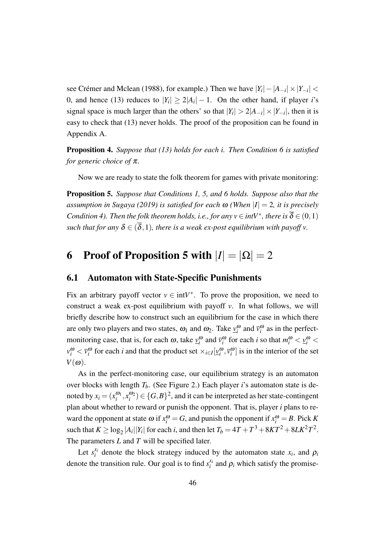see Crémer and Mclean (1988), for example.) Then we have  $|Y_i| - |A_{-i}| \times |Y_{-i}| <$ 0, and hence (13) reduces to  $|Y_i| \geq 2|A_i| - 1$ . On the other hand, if player *i*'s signal space is much larger than the others' so that  $|Y_i| > 2|A_{-i}| \times |Y_{-i}|$ , then it is easy to check that (13) never holds. The proof of the proposition can be found in Appendix A.

Proposition 4. *Suppose that (13) holds for each i. Then Condition 6 is satisfied for generic choice of* <sup>π</sup>*.*

Now we are ready to state the folk theorem for games with private monitoring:

Proposition 5. *Suppose that Conditions 1, 5, and 6 holds. Suppose also that the assumption in Sugaya (2019) is satisfied for each* <sup>ω</sup> *(When |I|* = 2*, it is precisely Condition 4). Then the folk theorem holds, i.e., for any*  $v \in intV^*$ , there is  $\overline{\delta} \in (0,1)$ *such that for any*  $\delta \in (\overline{\delta}, 1)$ *, there is a weak ex-post equilibrium with payoff v.* 

## 6 Proof of Proposition 5 with  $|I| = |\Omega| = 2$

### 6.1 Automaton with State-Specific Punishments

Fix an arbitrary payoff vector  $v \in \text{int}V^*$ . To prove the proposition, we need to construct a weak ex-post equilibrium with payoff *v*. In what follows, we will briefly describe how to construct such an equilibrium for the case in which there are only two players and two states,  $\omega_1$  and  $\omega_2$ . Take  $v_i^{\omega}$  and  $\bar{v}_i^{\omega}$  as in the perfectmonitoring case, that is, for each  $\omega$ , take  $\underline{v}_i^{\omega}$  and  $\overline{v}_i^{\omega}$  for each *i* so that  $m_i^{\omega} < \underline{v}_i^{\omega} <$  $v_i^{\omega} < \overline{v}_i^{\omega}$  for each *i* and that the product set  $\times_{i \in I} [\underline{v}_i^{\omega}, \overline{v}_i^{\omega}]$  is in the interior of the set  $V(\omega)$ .

As in the perfect-monitoring case, our equilibrium strategy is an automaton over blocks with length *Tb*. (See Figure 2.) Each player *i*'s automaton state is denoted by  $x_i = (x_i^{\omega_1}, x_i^{\omega_2}) \in \{G, B\}^2$ , and it can be interpreted as her state-contingent plan about whether to reward or punish the opponent. That is, player *i* plans to reward the opponent at state  $\omega$  if  $x_i^{\omega} = G$ , and punish the opponent if  $x_i^{\omega} = B$ . Pick K such that  $K \geq \log_2 |A_i||Y_i|$  for each *i*, and then let  $T_b = 4T + T^3 + 8KT^2 + 8LK^2T^2$ . The parameters *L* and *T* will be specified later.

Let  $s_i^{x_i}$  $\alpha_i^{x_i}$  denote the block strategy induced by the automaton state  $x_i$ , and  $\rho_i$ denote the transition rule. Our goal is to find  $s_i^x$  $\mu_i^{x_i}$  and  $\rho_i$  which satisfy the promise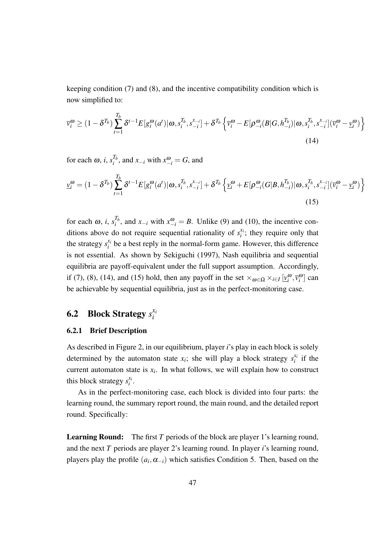keeping condition (7) and (8), and the incentive compatibility condition which is now simplified to:

$$
\overline{v}_{i}^{\omega} \geq (1 - \delta^{T_{b}}) \sum_{t=1}^{T_{b}} \delta^{t-1} E[g_{i}^{\omega}(a^{t}) | \omega, s_{i}^{T_{b}}, s_{-i}^{x_{-i}}] + \delta^{T_{b}} \left\{ \overline{v}_{i}^{\omega} - E[\rho_{-i}^{\omega}(B|G, h_{-i}^{T_{b}}) | \omega, s_{i}^{T_{b}}, s_{-i}^{x_{-i}}] (\overline{v}_{i}^{\omega} - \underline{v}_{i}^{\omega}) \right\}
$$
\n(14)

for each  $\omega$ , *i*,  $s_i^{T_b}$  $\int_{i}^{I_b}$ , and  $x_{-i}$  with  $x_{-i}^{\omega}$  = *G*, and

$$
\underline{v}_{i}^{\omega} = (1 - \delta^{T_{b}}) \sum_{t=1}^{T_{b}} \delta^{t-1} E[g_{i}^{\omega}(a^{t}) | \omega, s_{i}^{T_{b}}, s_{-i}^{x_{-i}}] + \delta^{T_{b}} \left\{ \underline{v}_{i}^{\omega} + E[\rho_{-i}^{\omega}(G|B, h_{-i}^{T_{b}}) | \omega, s_{i}^{T_{b}}, s_{-i}^{x_{-i}}] (\overline{v}_{i}^{\omega} - \underline{v}_{i}^{\omega}) \right\}
$$
\n(15)

for each  $\omega$ , *i*,  $s_i^{T_b}$  $i<sup>b</sup>$ , and *x*<sub>−*i*</sub> with  $x<sup>ω</sup>$ <sub>−*i*</sub> = *B*. Unlike (9) and (10), the incentive conditions above do not require sequential rationality of  $s_i^x$  $i$ <sup> $\lambda$ </sup>*i*; they require only that the strategy  $s_i^{x_i}$  $\hat{a}_i^{x_i}$  be a best reply in the normal-form game. However, this difference is not essential. As shown by Sekiguchi (1997), Nash equilibria and sequential equilibria are payoff-equivalent under the full support assumption. Accordingly, if (7), (8), (14), and (15) hold, then any payoff in the set  $\times_{\omega \in \Omega} \times_{i \in I} [\underline{v}_i^{\omega}, \overline{v}_i^{\omega}]$  can be achievable by sequential equilibria, just as in the perfect-monitoring case.

#### 6.2 Block Strategy *s xi i*

#### 6.2.1 Brief Description

As described in Figure 2, in our equilibrium, player *i*'s play in each block is solely determined by the automaton state  $x_i$ ; she will play a block strategy  $s_i^{x_i}$  $i$ <sup> $i$ </sup> if the current automaton state is  $x_i$ . In what follows, we will explain how to construct this block strategy  $s_i^{x_i}$  $\frac{x_i}{i}$ .

As in the perfect-monitoring case, each block is divided into four parts: the learning round, the summary report round, the main round, and the detailed report round. Specifically:

Learning Round: The first *T* periods of the block are player 1's learning round, and the next *T* periods are player 2's learning round. In player *i*'s learning round, players play the profile  $(a_i, \alpha_{-i})$  which satisfies Condition 5. Then, based on the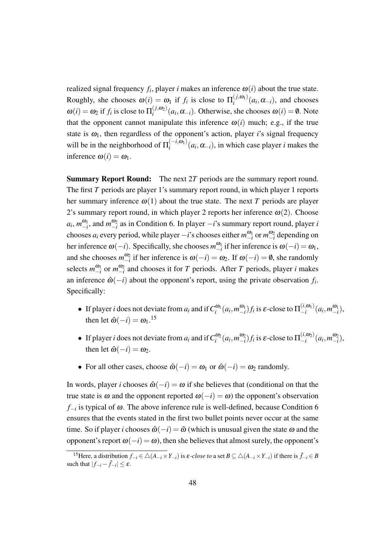realized signal frequency  $f_i$ , player *i* makes an inference  $\omega(i)$  about the true state. Roughly, she chooses  $\omega(i) = \omega_1$  if  $f_i$  is close to  $\Pi_i^{(j,\omega_1)}$  $\alpha_i^{(j,\omega_1)}(a_i,\alpha_{-i})$ , and chooses  $\omega(i) = \omega_2$  if  $f_i$  is close to  $\Pi_i^{(j,\omega_2)}$  $\omega_i^{(J,\omega_2)}(a_i, \alpha_{-i})$ . Otherwise, she chooses  $\omega(i) = \emptyset$ . Note that the opponent cannot manipulate this inference  $\omega(i)$  much; e.g., if the true state is  $\omega_1$ , then regardless of the opponent's action, player *i*'s signal frequency will be in the neighborhood of  $\Pi_i^{(-i,\omega_1)}$  $\int_{i}^{(-i, \omega_1)} (a_i, \alpha_{-i})$ , in which case player *i* makes the inference  $\omega(i) = \omega_1$ .

Summary Report Round: The next 2*T* periods are the summary report round. The first *T* periods are player 1's summary report round, in which player 1 reports her summary inference  $\omega(1)$  about the true state. The next *T* periods are player 2's summary report round, in which player 2 reports her inference  $\omega(2)$ . Choose  $a_i$ ,  $m_{-i}^{\omega_1}$ , and  $m_{-i}^{\omega_2}$  as in Condition 6. In player *−i*'s summary report round, player *i* chooses  $a_i$  every period, while player  $-i$ 's chooses either  $m_{-i}^{\omega_1}$  or  $m_{-i}^{\omega_2}$  depending on her inference  $\omega(-i)$ . Specifically, she chooses  $m_{-i}^{\omega_1}$  if her inference is  $\omega(-i) = \omega_1$ , and she chooses  $m_{-i}^{\omega_2}$  if her inference is  $\omega(-i) = \omega_2$ . If  $\omega(-i) = \emptyset$ , she randomly selects  $m_{-i}^{\omega_1}$  or  $m_{-i}^{\omega_2}$  and chooses it for *T* periods. After *T* periods, player *i* makes an inference  $\hat{\omega}(-i)$  about the opponent's report, using the private observation  $f_i$ . Specifically:

- If player *i* does not deviate from  $a_i$  and if  $C_i^{\omega_1}(a_i, m_{-i}^{\omega_1})f_i$  is  $\varepsilon$ -close to  $\Pi_{-i}^{(i,\omega_1)}$  $(a_i, m_{-i}^{(i, \omega_1)}(a_i, m_{-i}^{\omega_1}),$ then let  $\hat{\omega}(-i) = \omega_1$ .<sup>15</sup>
- If player *i* does not deviate from  $a_i$  and if  $C_i^{\omega_2}(a_i, m_{-i}^{\omega_2})f_i$  is  $\varepsilon$ -close to  $\Pi_{-i}^{(i,\omega_2)}$  $(a_i, a_2)$ <sup>*(a<sub>i</sub></sub>, m*<sup> $a_2$ </sup><sub>*i*</sub>),</sup> then let  $\hat{\omega}(-i) = \omega_2$ .
- For all other cases, choose  $\hat{\omega}(-i) = \omega_1$  or  $\hat{\omega}(-i) = \omega_2$  randomly.

In words, player *i* chooses  $\hat{\omega}(-i) = \omega$  if she believes that (conditional on that the true state is  $\omega$  and the opponent reported  $\omega(-i) = \omega$ ) the opponent's observation *f−i* is typical of <sup>ω</sup>. The above inference rule is well-defined, because Condition 6 ensures that the events stated in the first two bullet points never occur at the same time. So if player *i* chooses  $\hat{\omega}(-i) = \tilde{\omega}$  (which is unusual given the state  $\omega$  and the opponent's report <sup>ω</sup>(*−i*) = <sup>ω</sup>), then she believes that almost surely, the opponent's

<sup>&</sup>lt;sup>15</sup>Here, a distribution  $f_{-i} \in \overline{\Delta(A_{-i} \times Y_{-i})}$  is  $\varepsilon$ -close to a set  $B \subseteq \Delta(A_{-i} \times Y_{-i})$  if there is  $\tilde{f}_{-i} \in B$ such that  $|f_{-i} - \tilde{f}_{-i}| \leq \varepsilon$ .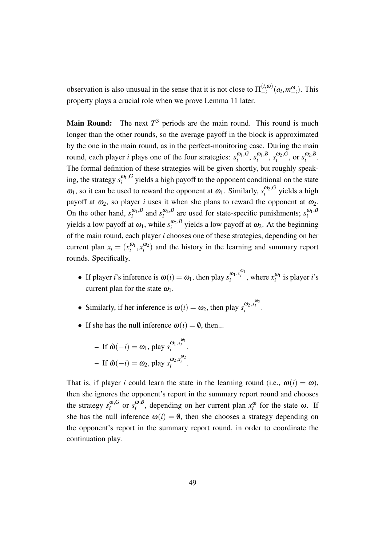observation is also unusual in the sense that it is not close to  $\Pi_{-i}^{(i,\omega)}$  $\binom{(i, \omega)}{-i}$   $(a_i, m_{-i}^{\omega})$ . This property plays a crucial role when we prove Lemma 11 later.

**Main Round:** The next  $T<sup>3</sup>$  periods are the main round. This round is much longer than the other rounds, so the average payoff in the block is approximated by the one in the main round, as in the perfect-monitoring case. During the main round, each player *i* plays one of the four strategies:  $s_i^{\omega_1, G}$  $\frac{\omega_1}{i}$ ,  $S_i$ ,  $\frac{\omega_1}{i}$ , *B*  $\int_i^{\omega_1,B}$ ,  $s_i^{\omega_2,G}$  $\int_i^{i} \omega_2 G$ , or  $s_i^{i} \omega_2 B$  $\int_i^{w_2,D}$ . The formal definition of these strategies will be given shortly, but roughly speaking, the strategy  $s_i^{\omega_1, G}$  $\frac{\omega_1,\omega_2}{\omega_1}$  yields a high payoff to the opponent conditional on the state  $\omega_1$ , so it can be used to reward the opponent at  $\omega_1$ . Similarly,  $s_i^{\omega_2, G}$  $\int_{i}^{\omega_2,\sigma}$  yields a high payoff at  $\omega_2$ , so player *i* uses it when she plans to reward the opponent at  $\omega_2$ . On the other hand,  $s_i^{\omega_1, B}$  $\int_{i}^{\omega_1, B}$  and  $s_i^{\omega_2, B}$  $\frac{\omega_2 B}{i}$  are used for state-specific punishments;  $s_i^{\omega_1, B}$ *i* yields a low payoff at  $\omega_1$ , while  $s_i^{\omega_2, B}$  $\omega_2$ <sup>, *b*</sup> yields a low payoff at  $\omega_2$ . At the beginning of the main round, each player *i* chooses one of these strategies, depending on her current plan  $x_i = (x_i^{00}, x_i^{00})$  and the history in the learning and summary report rounds. Specifically,

- If player *i*'s inference is  $\omega(i) = \omega_1$ , then play  $s_i^{\omega_1, x_i^{\omega_1}}$ , where  $x_i^{\omega_1}$  is player *i*'s current plan for the state  $\omega_1$ .
- Similarly, if her inference is  $\omega(i) = \omega_2$ , then play  $s_i^{\omega_2, x_i^{\omega_2}}$ .
- If she has the null inference  $\omega(i) = \emptyset$ , then...

- If 
$$
\hat{\omega}(-i) = \omega_1
$$
, play  $s_i^{\omega_1} x_i^{\omega_1}$ .  
- If  $\hat{\omega}(-i) = \omega_2$ , play  $s_i^{\omega_2} x_i^{\omega_2}$ .

That is, if player *i* could learn the state in the learning round (i.e.,  $\omega(i) = \omega$ ), then she ignores the opponent's report in the summary report round and chooses the strategy  $s_i^{\omega, G}$  $\int_i^{\omega}$  or  $s_i^{\omega, B}$  $\omega_i^{\omega}$ , depending on her current plan  $x_i^{\omega}$  for the state  $\omega$ . If she has the null inference  $\omega(i) = \emptyset$ , then she chooses a strategy depending on the opponent's report in the summary report round, in order to coordinate the continuation play.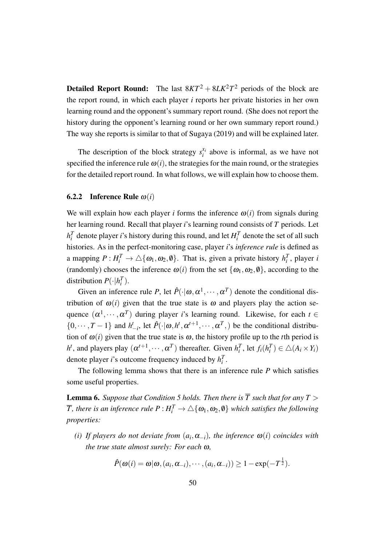**Detailed Report Round:** The last  $8KT^2 + 8LK^2T^2$  periods of the block are the report round, in which each player *i* reports her private histories in her own learning round and the opponent's summary report round. (She does not report the history during the opponent's learning round or her own summary report round.) The way she reports is similar to that of Sugaya (2019) and will be explained later.

The description of the block strategy  $s_i^{x_i}$  $i_i^{x_i}$  above is informal, as we have not specified the inference rule  $\omega(i)$ , the strategies for the main round, or the strategies for the detailed report round. In what follows, we will explain how to choose them.

#### **6.2.2** Inference Rule  $\omega(i)$

We will explain how each player *i* forms the inference  $\omega(i)$  from signals during her learning round. Recall that player *i*'s learning round consists of *T* periods. Let  $h_i^T$  denote player *i*'s history during this round, and let  $H_i^T$  denote the set of all such histories. As in the perfect-monitoring case, player *i*'s *inference rule* is defined as a mapping  $P: H_i^T \to \triangle \{ \omega_1, \omega_2, \emptyset \}$ . That is, given a private history  $h_i^T$ , player *i* (randomly) chooses the inference  $\omega(i)$  from the set  $\{\omega_1, \omega_2, \emptyset\}$ , according to the distribution  $P(\cdot | h_i^T)$ .

Given an inference rule P, let  $\hat{P}(\cdot|\omega, \alpha^1, \dots, \alpha^T)$  denote the conditional distribution of  $\omega(i)$  given that the true state is  $\omega$  and players play the action sequence  $(\alpha^1, \dots, \alpha^T)$  during player *i*'s learning round. Likewise, for each  $t \in$  $\{0,\dots, T-1\}$  and  $h'_{-i}$ , let  $\hat{P}(\cdot|\omega, h^t, \alpha^{t+1}, \dots, \alpha^T)$  be the conditional distribution of  $\omega(i)$  given that the true state is  $\omega$ , the history profile up to the *t*th period is  $h^t$ , and players play  $(\alpha^{t+1}, \dots, \alpha^T)$  thereafter. Given  $h_i^T$ , let  $f_i(h_i^T) \in \triangle(A_i \times Y_i)$ denote player *i*'s outcome frequency induced by  $h_i^T$ .

The following lemma shows that there is an inference rule *P* which satisfies some useful properties.

**Lemma 6.** Suppose that Condition 5 holds. Then there is  $\overline{T}$  such that for any  $T >$  $\overline{T}$ *, there is an inference rule*  $P$  *:*  $H_i^T \to \triangle \{\bm{\omega}_1, \bm{\omega}_2, \bm{\emptyset}\}$  *which satisfies the following properties:*

 $(i)$  If players do not deviate from  $(a_i, \alpha_{-i})$ , the inference  $\omega(i)$  coincides with *the true state almost surely: For each* <sup>ω</sup>*,*

$$
\hat{P}(\boldsymbol{\omega}(i) = \boldsymbol{\omega}|\boldsymbol{\omega}, (a_i, \alpha_{-i}), \cdots, (a_i, \alpha_{-i})) \geq 1 - \exp(-T^{\frac{1}{2}}).
$$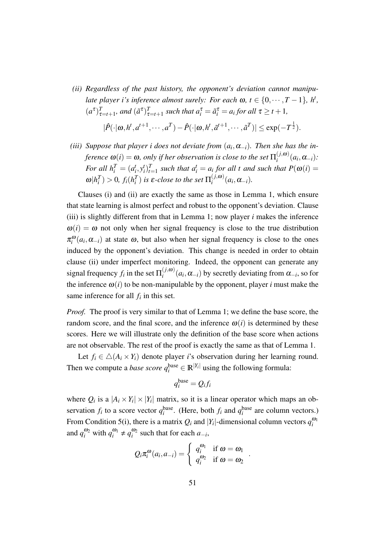- *(ii) Regardless of the past history, the opponent's deviation cannot manipulate player i's inference almost surely: For each*  $\omega$ ,  $t \in \{0, \dots, T-1\}$ ,  $h^t$ ,  $(a^{\tau})_{\tau=t+1}^T$ *, and*  $(\tilde{a}^{\tau})_{\tau=t+1}^T$  *such that*  $a_i^{\tau} = \tilde{a}_i^{\tau} = a_i$  *for all*  $\tau \geq t+1$ *,*  $|\hat{P}(\cdot|\omega, h^t, a^{t+1}, \cdots, a^T) - \hat{P}(\cdot|\omega, h^t, \tilde{a}^{t+1}, \cdots, \tilde{a}^T)| \leq \exp(-T^{\frac{1}{2}}).$
- *(iii)* Suppose that player *i* does not deviate from  $(a_i, \alpha_{-i})$ . Then she has the in*ference*  $\omega(i) = \omega$ , only if her observation is close to the set  $\Pi_i^{(j,\omega)}$  $a_i^{(J,\boldsymbol{\omega})}(a_i,\boldsymbol{\alpha}_{-i})$ : For all  $h_i^T = (a_i^t, y_i^t)_{t=1}^T$  such that  $a_i^t = a_i$  for all t and such that  $P(\omega(i) =$  $\omega | h_i^T) > 0$ ,  $f_i(h_i^T)$  is  $\varepsilon$ -close to the set  $\Pi_i^{(j,\omega)}$  $\alpha_i^{(J,\omega)}(a_i,\alpha_{-i}).$

Clauses (i) and (ii) are exactly the same as those in Lemma 1, which ensure that state learning is almost perfect and robust to the opponent's deviation. Clause (iii) is slightly different from that in Lemma 1; now player *i* makes the inference  $\omega(i) = \omega$  not only when her signal frequency is close to the true distribution  $\pi_i^{\omega}(a_i, \alpha_{-i})$  at state  $\omega$ , but also when her signal frequency is close to the ones induced by the opponent's deviation. This change is needed in order to obtain clause (ii) under imperfect monitoring. Indeed, the opponent can generate any signal frequency  $f_i$  in the set  $\Pi_i^{(j,\omega)}$  $\alpha_i^{(j,\omega)}(a_i, \alpha_{-i})$  by secretly deviating from  $\alpha_{-i}$ , so for the inference  $\omega(i)$  to be non-manipulable by the opponent, player *i* must make the same inference for all  $f_i$  in this set.

*Proof.* The proof is very similar to that of Lemma 1; we define the base score, the random score, and the final score, and the inference  $\omega(i)$  is determined by these scores. Here we will illustrate only the definition of the base score when actions are not observable. The rest of the proof is exactly the same as that of Lemma 1.

Let  $f_i \in \Delta(A_i \times Y_i)$  denote player *i*'s observation during her learning round. Then we compute a *base score*  $q_i^{\text{base}} \in \mathbb{R}^{|Y_i|}$  using the following formula:

$$
q_i^{\text{base}} = Q_i f_i
$$

where  $Q_i$  is a  $|A_i \times Y_i| \times |Y_i|$  matrix, so it is a linear operator which maps an observation  $f_i$  to a score vector  $q_i^{\text{base}}$ . (Here, both  $f_i$  and  $q_i^{\text{base}}$  are column vectors.) From Condition 5(i), there is a matrix  $Q_i$  and  $|Y_i|$ -dimensional column vectors  $q_i^{\omega_1}$ and  $q_i^{\omega_2}$  with  $q_i^{\omega_1} \neq q_i^{\omega_2}$  such that for each  $a_{-i}$ ,

$$
Q_i \pi_i^{\omega}(a_i, a_{-i}) = \begin{cases} q_i^{\omega_1} & \text{if } \omega = \omega_1 \\ q_i^{\omega_2} & \text{if } \omega = \omega_2 \end{cases}
$$

*.*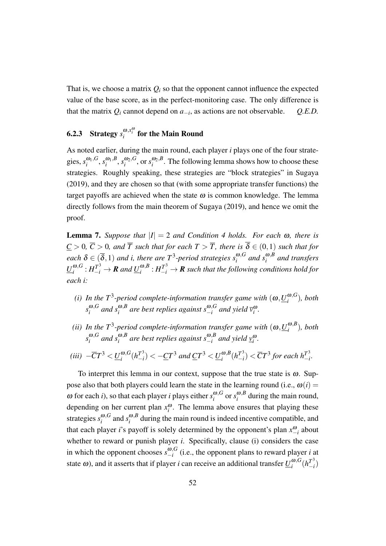That is, we choose a matrix  $Q_i$  so that the opponent cannot influence the expected value of the base score, as in the perfect-monitoring case. The only difference is that the matrix  $Q_i$  cannot depend on  $a_{-i}$ , as actions are not observable.  $Q.E.D.$ 

## 6.2.3 Strategy  $s_i^{\omega, x_i^{\omega}}$  for the Main Round

As noted earlier, during the main round, each player *i* plays one of the four strategies,  $s_i^{\omega_1, G}$  $\frac{\omega_1}{i}$ ,  $S_i$ ,  $\frac{\omega_1}{i}$ , *B*  $\frac{\omega_1 B}{i}$ ,  $s_i^{\omega_2,G}$  $\frac{\omega_2 G}{i}$ , or  $s_i^{\omega_2, B}$  $\binom{w_2, b}{i}$ . The following lemma shows how to choose these strategies. Roughly speaking, these strategies are "block strategies" in Sugaya (2019), and they are chosen so that (with some appropriate transfer functions) the target payoffs are achieved when the state  $\omega$  is common knowledge. The lemma directly follows from the main theorem of Sugaya (2019), and hence we omit the proof.

**Lemma 7.** *Suppose that*  $|I| = 2$  *and Condition 4 holds. For each*  $\omega$ *, there is*  $C > 0$ ,  $\overline{C} > 0$ , and  $\overline{T}$  *such that for each*  $T > \overline{T}$ , *there is*  $\overline{\delta} \in (0,1)$  *such that for*  $e$ *ach*  $\delta \in (\overline{\delta}, 1)$  *and i, there are*  $T^3$ -period strategies  $s_i^{\omega, G}$  $\int_i^{\omega,G}$  and  $s_i^{\omega,B}$ *i and transfers*  $\underline{U}^{\omega,G}_i$  $_{i}^{\omega,G}:H_{-i}^{T^3}\rightarrow R$  and  $\underline{U}_{i}^{\omega,B}$  $_{i}^{\omega,B}:H_{-i}^{T^3}\rightarrow I\!\!R$  such that the following conditions hold for *each i:*

- *(i)* In the T<sup>3</sup>-period complete-information transfer game with  $(\omega, \underline{U}_i^{\omega, G})$  $\binom{w,\mathbf{G}}{i}$ *, both*  $s_i^{\omega, G}$  $\sum_{i}^{\omega, G}$  and  $s_i^{\omega, B}$ *i are best replies against s* <sup>ω</sup>*,G*  $\int_{-i}^{\omega, G}$  and yield  $\overline{v}_i^{\omega}$ .
- *(ii)* In the  $T^3$ -period complete-information transfer game with  $(\omega, \underline{U}_i^{\omega, B})$  $\binom{w, b}{i}$ *, both*  $s_i^{\omega, G}$  $\sum_{i}^{\omega, G}$  and  $s_i^{\omega, B}$  $a^{0,B}_{i}$  are best replies against  $s^{0,B}_{-i}$  $\int_{-i}^{\omega, b}$  and yield  $\int_{i}^{\omega}$ .

$$
(iii) \ -\overline{C}T^3 < \underline{U}_i^{\omega, G}(h_{-i}^{T^3}) < -\underline{C}T^3 \ and \ \underline{C}T^3 < \underline{U}_i^{\omega, B}(h_{-i}^{T^3}) < \overline{C}T^3 \ for \ each \ h_{-i}^{T^3}.
$$

To interpret this lemma in our context, suppose that the true state is  $\omega$ . Suppose also that both players could learn the state in the learning round (i.e.,  $\omega(i)$ )  $\omega$  for each *i*), so that each player *i* plays either  $s_i^{\omega, G}$  $\int_i^{\omega,G}$  or  $s_i^{\omega,B}$  $\int_{i}^{\omega,D}$  during the main round, depending on her current plan  $x_i^{\omega}$ . The lemma above ensures that playing these strategies *s* <sup>ω</sup>*,G*  $\sum_{i}^{\omega, G}$  and  $s_i^{\omega, B}$  $\int_{i}^{\omega, b}$  during the main round is indeed incentive compatible, and that each player *i*'s payoff is solely determined by the opponent's plan  $x_{-i}^ω$  about whether to reward or punish player *i*. Specifically, clause (i) considers the case in which the opponent chooses  $s_{-i}^{\omega, G}$ *−i* (i.e., the opponent plans to reward player *i* at state  $\omega$ ), and it asserts that if player *i* can receive an additional transfer  $\underline{U}^{\omega, G}_i$  $\frac{\omega}{i}$ <sup>3</sup> $(h_{-i}^T)$ *−i* )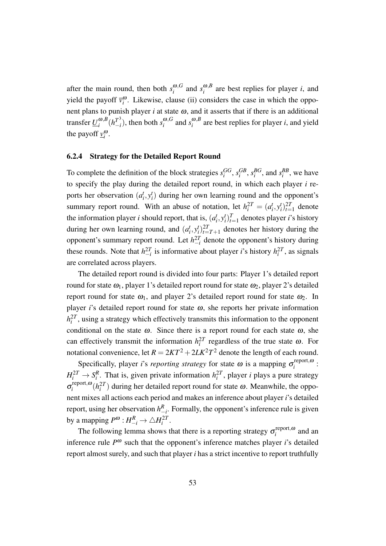after the main round, then both  $s_i^{\omega, G}$  $\int_i^{\omega,G}$  and  $s_i^{\omega,B}$  $\binom{a}{i}$  are best replies for player *i*, and yield the payoff  $\bar{v}_i^{\omega}$ . Likewise, clause (ii) considers the case in which the opponent plans to punish player  $i$  at state  $\omega$ , and it asserts that if there is an additional transfer  $\underline{U}^{\omega, B}_i$  $\sum_{i}^{\omega,B} (h_{-i}^{T^3})$  $\binom{T^3}{-i}$ , then both  $s_i^{\omega, G}$  $\sum_{i}^{\omega, G}$  and  $s_i^{\omega, B}$  $\int_{i}^{\omega, B}$  are best replies for player *i*, and yield the payoff  $\underline{v}_i^{\omega}$ .

#### 6.2.4 Strategy for the Detailed Report Round

To complete the definition of the block strategies  $s_i^{GG}, s_i^{GB}, s_i^{BG}$ , and  $s_i^{BB}$ , we have to specify the play during the detailed report round, in which each player *i* reports her observation  $(a_i^t, y_i^t)$  during her own learning round and the opponent's summary report round. With an abuse of notation, let  $h_i^{2T} = (a_i^t, y_i^t)_{t=1}^{2T}$  denote the information player *i* should report, that is,  $(a_i^t, y_i^t)_{t=1}^T$  denotes player *i*'s history during her own learning round, and  $(a_i^t, y_i^t)_{t=T+1}^{2T}$  denotes her history during the opponent's summary report round. Let  $h_{-i}^{2T}$  denote the opponent's history during these rounds. Note that  $h_{-i}^{2T}$  is informative about player *i*'s history  $h_i^{2T}$ , as signals are correlated across players.

The detailed report round is divided into four parts: Player 1's detailed report round for state  $\omega_1$ , player 1's detailed report round for state  $\omega_2$ , player 2's detailed report round for state  $\omega_1$ , and player 2's detailed report round for state  $\omega_2$ . In player *i*'s detailed report round for state  $\omega$ , she reports her private information  $h_i^{2T}$ , using a strategy which effectively transmits this information to the opponent conditional on the state  $\omega$ . Since there is a report round for each state  $\omega$ , she can effectively transmit the information  $h_i^{2T}$  regardless of the true state  $\omega$ . For notational convenience, let  $R = 2KT^2 + 2LK^2T^2$  denote the length of each round.

Specifically, player *i*'s *reporting strategy* for state  $\omega$  is a mapping  $\sigma_i^{\text{report}, \omega}$  $\frac{1}{i}$   $\frac{1}{i}$  $H_i^{2T} \to S_i^R$ . That is, given private information  $h_i^{2T}$ , player *i* plays a pure strategy σ report*,*<sup>ω</sup> <sup>*i*</sup> *i*<sup>27</sup></sup> *i*( $h_i^{2T}$ ) during her detailed report round for state  $\omega$ . Meanwhile, the opponent mixes all actions each period and makes an inference about player *i*'s detailed report, using her observation  $h_{-i}^R$ . Formally, the opponent's inference rule is given by a mapping  $P^{\omega}: H_{-i}^R \to \triangle H_i^{2T}$ .

The following lemma shows that there is a reporting strategy  $\sigma_i^{\text{report}, \omega}$  $i$ <sup>tepon, $\omega$  and an</sup> inference rule *P* <sup>ω</sup> such that the opponent's inference matches player *i*'s detailed report almost surely, and such that player *i* has a strict incentive to report truthfully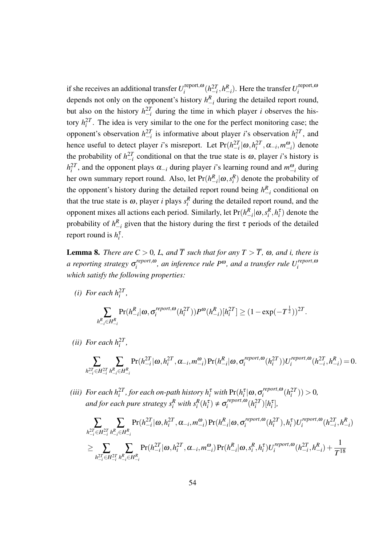if she receives an additional transfer  $U_i^{\text{report}, \omega}$  $\int_{i}^{r \text{report}, \omega} (h_{-i}^{2T}, h_{-i}^{R})$ . Here the transfer  $U_{i}^{r \text{report}, \omega}$ *i* depends not only on the opponent's history  $h_{-i}^R$  during the detailed report round, but also on the history  $h_{-i}^{2T}$  during the time in which player *i* observes the history  $h_i^{2T}$ . The idea is very similar to the one for the perfect monitoring case; the opponent's observation  $h_{-i}^{2T}$  is informative about player *i*'s observation  $h_i^{2T}$ , and hence useful to detect player *i*'s misreport. Let  $Pr(h_{-i}^{2T} | \omega, h_i^{2T}, \alpha_{-i}, m_{-i}^{\omega})$  denote the probability of  $h_{-i}^{2T}$  conditional on that the true state is  $\omega$ , player *i*'s history is  $h_i^{2T}$ , and the opponent plays  $\alpha_{-i}$  during player *i*'s learning round and  $m_{-i}^{\omega}$  during her own summary report round. Also, let  $Pr(h_{-i}^R | \omega, s_i^R)$  denote the probability of the opponent's history during the detailed report round being  $h_{-i}^R$  conditional on that the true state is  $\omega$ , player *i* plays  $s_i^R$  during the detailed report round, and the opponent mixes all actions each period. Similarly, let  $Pr(h_{-i}^R | \omega, s_i^R, h_i^{\tau})$  denote the probability of  $h_{-i}^R$  given that the history during the first  $\tau$  periods of the detailed report round is  $h_i^{\tau}$ .

**Lemma 8.** *There are*  $C > 0$ *, L, and*  $\overline{T}$  *such that for any*  $T > \overline{T}$ *,*  $\omega$ *, and i, there is a reporting strategy* <sup>σ</sup> *report,*<sup>ω</sup>  $C_i^{report, \omega}$ , an inference rule  $P^{\omega}$ , and a transfer rule  $U_i^{report, \omega}$ *i which satisfy the following properties:*

*(i)* For each  $h_i^{2T}$ ,

$$
\sum_{h_{-i}^R \in H_{-i}^R} \Pr(h_{-i}^R | \omega, \sigma_i^{report, \omega}(h_i^{2T})) P^{\omega}(h_{-i}^R) [h_i^{2T}] \ge (1 - \exp(-T^{\frac{1}{2}}))^{2T}.
$$

(*ii*) For each  $h_i^{2T}$ ,

$$
\sum_{h_{-i}^{2T}\in H_{-i}^{2T}}\sum_{h_{-i}^R\in H_{-i}^R}\Pr(h_{-i}^{2T}|\omega,h_i^{2T},\alpha_{-i},m_{-i}^{\omega})\Pr(h_{-i}^R|\omega,\sigma_i^{report,\omega}(h_i^{2T}))U_i^{report,\omega}(h_{-i}^{2T},h_{-i}^R)=0.
$$

*(iii)* For each  $h_i^{2T}$ , for each on-path history  $h_i^{\tau}$  with  $\Pr(h_i^{\tau}|\omega,\sigma_i^{report,\omega})$  $\binom{report, \omega}{i}$  $\geq 0$ *and for each pure strategy*  $s_i^R$  *with*  $s_i^R(h_i^{\tau}) \neq \sigma_i^{report, \omega}$  $\int_{i}^{report,\omega} (h_i^{2T})[h_i^{\tau}],$ 

$$
\begin{aligned} & \sum_{h_{-i}^{2T} \in H_{-i}^{2T}} \sum_{h_{-i}^{R} \in H_{-i}^{R}} \Pr(h_{-i}^{2T} | \omega, h_{i}^{2T}, \alpha_{-i}, m_{-i}^{\omega}) \Pr(h_{-i}^{R} | \omega, \sigma_{i}^{report, \omega}(h_{i}^{2T}), h_{i}^{\tau}) U_{i}^{report, \omega}(h_{-i}^{2T}, h_{-i}^{R}) \\ & \geq \sum_{h_{-i}^{2T} \in H_{-i}^{2T}} \sum_{h_{-i}^{R} \in H_{-i}^{2T}} \Pr(h_{-i}^{2T} | \omega, h_{i}^{2T}, \alpha_{-i}, m_{-i}^{\omega}) \Pr(h_{-i}^{R} | \omega, s_{i}^{R}, h_{i}^{\tau}) U_{i}^{report, \omega}(h_{-i}^{2T}, h_{-i}^{R}) + \frac{1}{T^{18}} \end{aligned}
$$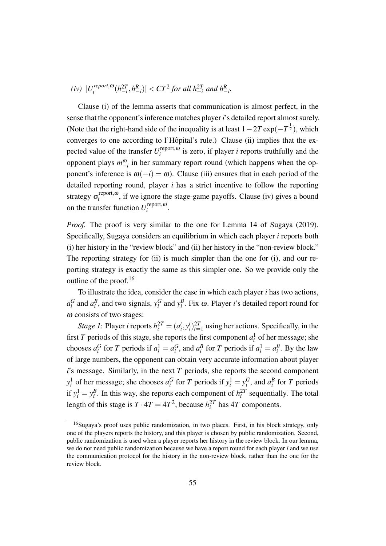$(iv)$   $|U_i^{report, \omega}|$  $\int_{i}^{report, \omega} (h_{-i}^{2T}, h_{-i}^{R}) \vert < CT^{2}$  for all  $h_{-i}^{2T}$  and  $h_{-i}^{R}$ .

Clause (i) of the lemma asserts that communication is almost perfect, in the sense that the opponent's inference matches player *i*'s detailed report almost surely. (Note that the right-hand side of the inequality is at least  $1-2T \exp(-T^{\frac{1}{2}})$ , which converges to one according to l'Hôpital's rule.) Clause (ii) implies that the expected value of the transfer  $U_i^{\text{report}, \omega}$  $i_i^{\text{report},\omega}$  is zero, if player *i* reports truthfully and the opponent plays  $m_{-i}^{\omega}$  in her summary report round (which happens when the opponent's inference is  $\omega(-i) = \omega$ ). Clause (iii) ensures that in each period of the detailed reporting round, player *i* has a strict incentive to follow the reporting strategy  $\sigma_i^{\text{report},\omega}$  $i<sub>i</sub>$  iepont, $\omega$ , if we ignore the stage-game payoffs. Clause (iv) gives a bound on the transfer function  $U_i^{\text{report}, \omega}$  $\sum_{i}$  $\sum_{i}$ 

*Proof.* The proof is very similar to the one for Lemma 14 of Sugaya (2019). Specifically, Sugaya considers an equilibrium in which each player *i* reports both (i) her history in the "review block" and (ii) her history in the "non-review block." The reporting strategy for (ii) is much simpler than the one for (i), and our reporting strategy is exactly the same as this simpler one. So we provide only the outline of the proof.<sup>16</sup>

To illustrate the idea, consider the case in which each player *i* has two actions,  $a_i^G$  and  $a_i^B$ , and two signals,  $y_i^G$  and  $y_i^B$ . Fix  $\omega$ . Player *i*'s detailed report round for  $\omega$  consists of two stages:

*Stage 1*: Player *i* reports  $h_i^{2T} = (a_i^t, y_i^t)_{t=1}^{2T}$  using her actions. Specifically, in the first *T* periods of this stage, she reports the first component  $a_i^1$  of her message; she chooses  $a_i^G$  for T periods if  $a_i^1 = a_i^G$ , and  $a_i^B$  for T periods if  $a_i^1 = a_i^B$ . By the law of large numbers, the opponent can obtain very accurate information about player *i*'s message. Similarly, in the next *T* periods, she reports the second component  $y_i^1$  of her message; she chooses  $a_i^G$  for *T* periods if  $y_i^1 = y_i^G$ , and  $a_i^B$  for *T* periods if  $y_i^1 = y_i^B$ . In this way, she reports each component of  $h_i^{2T}$  sequentially. The total length of this stage is  $T \cdot 4T = 4T^2$ , because  $h_i^{2T}$  has  $4T$  components.

<sup>&</sup>lt;sup>16</sup>Sugaya's proof uses public randomization, in two places. First, in his block strategy, only one of the players reports the history, and this player is chosen by public randomization. Second, public randomization is used when a player reports her history in the review block. In our lemma, we do not need public randomization because we have a report round for each player *i* and we use the communication protocol for the history in the non-review block, rather than the one for the review block.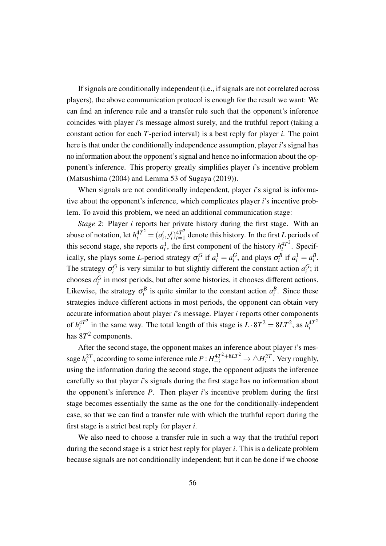If signals are conditionally independent (i.e., if signals are not correlated across players), the above communication protocol is enough for the result we want: We can find an inference rule and a transfer rule such that the opponent's inference coincides with player *i*'s message almost surely, and the truthful report (taking a constant action for each *T*-period interval) is a best reply for player *i*. The point here is that under the conditionally independence assumption, player *i*'s signal has no information about the opponent's signal and hence no information about the opponent's inference. This property greatly simplifies player *i*'s incentive problem (Matsushima (2004) and Lemma 53 of Sugaya (2019)).

When signals are not conditionally independent, player *i*'s signal is informative about the opponent's inference, which complicates player *i*'s incentive problem. To avoid this problem, we need an additional communication stage:

*Stage 2*: Player *i* reports her private history during the first stage. With an abuse of notation, let  $h_i^{4T^2} = (a_i^t, y_i^t)_{t=1}^{4T^2}$  $t_{t=1}^{4T^2}$  denote this history. In the first *L* periods of this second stage, she reports  $a_i^1$ , the first component of the history  $h_i^{4T^2}$  $i^{4T^2}$ . Specifically, she plays some *L*-period strategy  $\sigma_i^G$  if  $a_i^1 = a_i^G$ , and plays  $\sigma_i^B$  if  $a_i^1 = a_i^B$ . The strategy  $\sigma_i^G$  is very similar to but slightly different the constant action  $a_i^G$ ; it chooses  $a_i^G$  in most periods, but after some histories, it chooses different actions. Likewise, the strategy  $\sigma_i^B$  is quite similar to the constant action  $a_i^B$ . Since these strategies induce different actions in most periods, the opponent can obtain very accurate information about player *i*'s message. Player *i* reports other components of  $h_i^{4T^2}$  $i^{4}$ <sup>2</sup> in the same way. The total length of this stage is  $L \cdot 8T^2 = 8LT^2$ , as  $h_i^{4}$ <sup>2</sup> *i* has  $8T^2$  components.

After the second stage, the opponent makes an inference about player *i*'s message  $h_i^{2T}$ , according to some inference rule  $P$  :  $H_{-i}^{4T^2+8LT^2} \to \triangle H_i^{2T}$ . Very roughly, using the information during the second stage, the opponent adjusts the inference carefully so that player *i*'s signals during the first stage has no information about the opponent's inference *P*. Then player *i*'s incentive problem during the first stage becomes essentially the same as the one for the conditionally-independent case, so that we can find a transfer rule with which the truthful report during the first stage is a strict best reply for player *i*.

We also need to choose a transfer rule in such a way that the truthful report during the second stage is a strict best reply for player *i*. This is a delicate problem because signals are not conditionally independent; but it can be done if we choose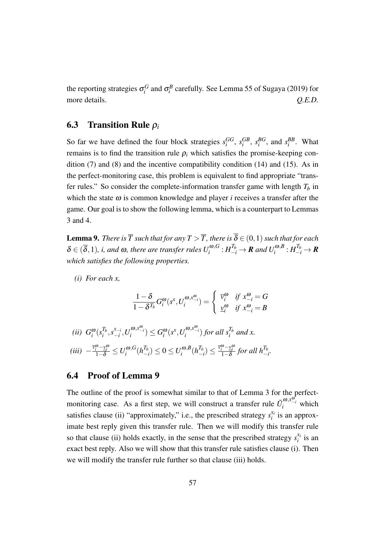the reporting strategies  $\sigma_i^G$  and  $\sigma_i^B$  carefully. See Lemma 55 of Sugaya (2019) for more details.  $Q.E.D.$ 

### 6.3 Transition Rule <sup>ρ</sup>*<sup>i</sup>*

So far we have defined the four block strategies  $s_i^{GG}$ ,  $s_i^{GB}$ ,  $s_i^{BG}$ , and  $s_i^{BB}$ . What remains is to find the transition rule  $\rho_i$  which satisfies the promise-keeping condition  $(7)$  and  $(8)$  and the incentive compatibility condition  $(14)$  and  $(15)$ . As in the perfect-monitoring case, this problem is equivalent to find appropriate "transfer rules." So consider the complete-information transfer game with length  $T_b$  in which the state  $\omega$  is common knowledge and player *i* receives a transfer after the game. Our goal is to show the following lemma, which is a counterpart to Lemmas 3 and 4.

**Lemma 9.** *There is*  $\overline{T}$  *such that for any*  $T > \overline{T}$ *, there is*  $\overline{\delta} \in (0,1)$  *such that for each*  $\delta \in (\overline{\delta},1)$ , *i, and*  $\omega$ *, there are transfer rules*  $U_i^{\omega,G}$  $\int_i^{a,0,G} : H_{-i}^{T_b} \to \mathbf{R}$  and  $U_i^{a,B}$  $\frac{d}{i}^{(\omega,B)}: H_{-i}^{T_b} \to \mathbb{R}$ *which satisfies the following properties.*

*(i) For each x,*

$$
\frac{1-\delta}{1-\delta^{T_b}}G_i^{\omega}(s^x, U_i^{\omega, x_{-i}^{\omega}}) = \begin{cases} \bar{v}_i^{\omega} & \text{if } x_{-i}^{\omega} = G \\ \underline{v}_i^{\omega} & \text{if } x_{-i}^{\omega} = B \end{cases}
$$

$$
\begin{aligned} (ii) \ \ G_i^{\omega}(s_i^{T_b}, s_{-i}^{x_{-i}}, U_i^{\omega, x_{-i}^{\omega}}) &\le G_i^{\omega}(s^x, U_i^{\omega, x_{-i}^{\omega}}) \text{ for all } s_i^{T_b} \text{ and } x. \\ (iii) \ -\frac{\bar{v}_i^{\omega} - \underline{v}_i^{\omega}}{1-\delta} &\le U_i^{\omega, G}(h_{-i}^{T_b}) \le 0 \le U_i^{\omega, B}(h_{-i}^{T_b}) \le \frac{\bar{v}_i^{\omega} - \underline{v}_i^{\omega}}{1-\delta} \text{ for all } h_{-i}^{T_b}. \end{aligned}
$$

### 6.4 Proof of Lemma 9

The outline of the proof is somewhat similar to that of Lemma 3 for the perfectmonitoring case. As a first step, we will construct a transfer rule  $\tilde{U}_i^{\omega,x_{-i}^{\omega}}$  which satisfies clause (ii) "approximately," i.e., the prescribed strategy  $s_i^x$  $i$ <sup> $x_i$ </sup> is an approximate best reply given this transfer rule. Then we will modify this transfer rule so that clause (ii) holds exactly, in the sense that the prescribed strategy  $s_i^x$  $\int_i^{\chi_i}$  is an exact best reply. Also we will show that this transfer rule satisfies clause (i). Then we will modify the transfer rule further so that clause (iii) holds.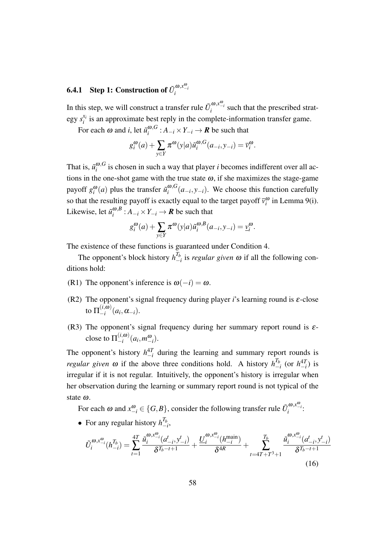# **6.4.1** Step 1: Construction of  $\tilde{U}_i^{\omega, x_{-i}^{\omega}}$

In this step, we will construct a transfer rule  $\tilde{U}_i^{\omega,x_{-i}^{\omega}}$  such that the prescribed strategy *s xi*  $\mathbf{z}_i^{x_i}$  is an approximate best reply in the complete-information transfer game.

For each  $\omega$  and *i*, let  $\tilde{u}^{\omega, G}_i$  $i_i^{(\omega,\omega)}$ :  $A_{-i} \times Y_{-i} \to \mathbb{R}$  be such that

$$
g_i^{\omega}(a) + \sum_{y \in Y} \pi^{\omega}(y|a) \tilde{u}_i^{\omega, G}(a_{-i}, y_{-i}) = \overline{v}_i^{\omega}.
$$

That is,  $\tilde{u}^{\omega, G}_i$  $\frac{\omega}{i}$  is chosen in such a way that player *i* becomes indifferent over all actions in the one-shot game with the true state  $\omega$ , if she maximizes the stage-game payoff  $g_i^{\omega}(a)$  plus the transfer  $\tilde{u}_i^{\omega, G}$  $\int_{i}^{\omega}$ ,  $G(a_{-i}, y_{-i})$ . We choose this function carefully so that the resulting payoff is exactly equal to the target payoff  $\bar{v}_i^{\omega}$  in Lemma 9(i). Likewise, let  $\tilde{u}^{\omega, B}_i$  $i^{ω, b}_{i}: A_{-i} \times Y_{-i} \rightarrow \mathbf{R}$  be such that

$$
g_i^{\omega}(a) + \sum_{y \in Y} \pi^{\omega}(y|a) \tilde{u}_i^{\omega, B}(a_{-i}, y_{-i}) = \underline{v}_i^{\omega}.
$$

The existence of these functions is guaranteed under Condition 4.

The opponent's block history  $h_{-}^{T_b}$ *−i* is *regular given* <sup>ω</sup> if all the following conditions hold:

- (R1) The opponent's inference is  $\omega(-i) = \omega$ .
- (R2) The opponent's signal frequency during player *i*'s learning round is  $\varepsilon$ -close to  $\Pi_{-i}^{(i, \omega)}$  $\frac{(i, \omega)}{-i}$   $(a_i, \alpha_{-i})$ .
- (R3) The opponent's signal frequency during her summary report round is  $\varepsilon$ close to  $\Pi_{-i}^{(i,\omega)}$  $\binom{(l, \omega)}{-i} (a_i, m_{-i}^{\omega}).$

The opponent's history  $h_{-i}^{4T}$  during the learning and summary report rounds is *regular given*  $\omega$  if the above three conditions hold. A history  $h_{-}^{T_b}$  $\int_{-i}^{T_b}$  (or  $h_{-i}^{4T}$ ) is irregular if it is not regular. Intuitively, the opponent's history is irregular when her observation during the learning or summary report round is not typical of the state <sup>ω</sup>.

For each  $\omega$  and  $x_{-i}^{\omega} \in \{G, B\}$ , consider the following transfer rule  $\tilde{U}_i^{\omega, x_{-i}^{\omega}}$ .

• For any regular history  $h^{T_b}_-$ *−i* ,

$$
\tilde{U}_{i}^{\omega,x_{-i}^{\omega}}(h_{-i}^{T_{b}}) = \sum_{t=1}^{4T} \frac{\tilde{u}_{i}^{\omega,x_{-i}^{\omega}}(a_{-i}^{t},y_{-i}^{t})}{\delta^{T_{b}-t+1}} + \frac{\underline{U}_{i}^{\omega,x_{-i}^{\omega}}(h_{-i}^{\text{main}})}{\delta^{4R}} + \sum_{t=4T+T^{3}+1}^{T_{b}} \frac{\tilde{u}_{i}^{\omega,x_{-i}^{\omega}}(a_{-i}^{t},y_{-i}^{t})}{\delta^{T_{b}-t+1}}
$$
\n(16)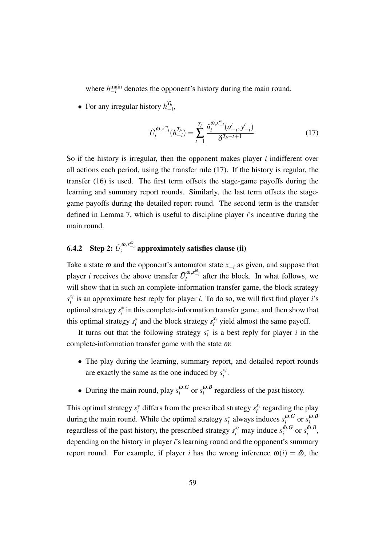where  $h_{-i}^{\text{main}}$  denotes the opponent's history during the main round.

• For any irregular history  $h_{-}^{T_b}$ *−i* ,

$$
\tilde{U}_i^{\omega, x_{-i}^{\omega}}(h_{-i}^{T_b}) = \sum_{t=1}^{T_b} \frac{\tilde{u}_i^{\omega, x_{-i}^{\omega}}(a_{-i}^t, y_{-i}^t)}{\delta^{T_b - t + 1}}
$$
\n(17)

So if the history is irregular, then the opponent makes player *i* indifferent over all actions each period, using the transfer rule (17). If the history is regular, the transfer (16) is used. The first term offsets the stage-game payoffs during the learning and summary report rounds. Similarly, the last term offsets the stagegame payoffs during the detailed report round. The second term is the transfer defined in Lemma 7, which is useful to discipline player *i*'s incentive during the main round.

# 6.4.2 Step 2:  $\tilde{U}_i^{\omega, x_{-i}^{\omega}}$  approximately satisfies clause (ii)

Take a state  $\omega$  and the opponent's automaton state  $x_{-i}$  as given, and suppose that player *i* receives the above transfer  $\tilde{U}_i^{\omega, x_{-i}^{\omega}}$  after the block. In what follows, we will show that in such an complete-information transfer game, the block strategy  $s_i^{x_i}$  $i_i$  is an approximate best reply for player *i*. To do so, we will first find player *i*'s optimal strategy *s ∗ i* in this complete-information transfer game, and then show that this optimal strategy  $s_i^*$  and the block strategy  $s_i^{\mathcal{X}_i}$  $x_i^{x_i}$  yield almost the same payoff.

It turns out that the following strategy  $s_i^*$  is a best reply for player *i* in the complete-information transfer game with the state <sup>ω</sup>:

- The play during the learning, summary report, and detailed report rounds are exactly the same as the one induced by  $s_i^x$  $\frac{x_i}{i}$ .
- During the main round, play  $s_i^{\omega, G}$  $\int_i^{\omega,G}$  or  $s_i^{\omega,B}$  $\int_{i}^{\omega, b}$  regardless of the past history.

This optimal strategy  $s_i^*$  differs from the prescribed strategy  $s_i^{\mathbf{x}_i}$  $\sum_{i}^{x_i}$  regarding the play during the main round. While the optimal strategy  $s_i^*$  always induces  $s_i^{\omega, G}$  $\int_i^{\omega,G}$  or  $s_i^{\omega,B}$ *i* regardless of the past history, the prescribed strategy  $s_i^{x_i}$  may induce  $s_i^{\tilde{\omega}, G}$  $\sum_{i}^{\tilde{\omega},G}$  or  $s_i^{\tilde{\omega},B}$  $i^{w,p}$ , depending on the history in player *i*'s learning round and the opponent's summary report round. For example, if player *i* has the wrong inference  $\omega(i) = \tilde{\omega}$ , the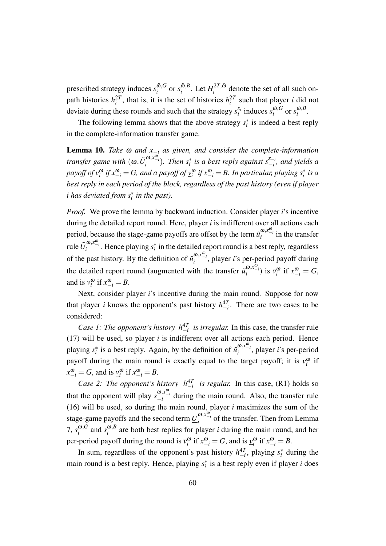prescribed strategy induces  $s_i^{\tilde{\omega}, G}$  $\sum_{i}^{\tilde{\omega},G}$  or  $s_i^{\tilde{\omega},B}$  $\int_{i}^{\tilde{\omega},B}$ . Let  $H_i^{2T,\tilde{\omega}}$  $i^{21}$ ,<sup> $\omega$ </sup> denote the set of all such onpath histories  $h_i^2$ , that is, it is the set of histories  $h_i^2$  such that player *i* did not deviate during these rounds and such that the strategy *s xi*  $\sum_{i}^{x_i}$  induces  $s_i^{\tilde{\omega}, G}$  $\int_i^{\tilde{\omega},G}$  or  $s_i^{\tilde{\omega},B}$  $\int_i^{w,D}$ 

The following lemma shows that the above strategy  $s_i^*$  is indeed a best reply in the complete-information transfer game.

**Lemma 10.** *Take*  $\omega$  *and*  $x_{-i}$  *as given, and consider the complete-information transfer game with*  $(\omega, \tilde{U}^{\omega, x_{-i}}_i)$ *. Then s*<sup>\*</sup><sub>*i*</sub> *is a best reply against*  $s_{-i}^{x_{-i}}$ *−i , and yields a* payoff of  $\bar{v}_i^{\omega}$  if  $x_{-i}^{\omega} = G$ , and a payoff of  $\underline{v}_i^{\omega}$  if  $x_{-i}^{\omega} = B$ . In particular, playing  $s_i^*$  is a *best reply in each period of the block, regardless of the past history (even if player i* has deviated from  $s_i^*$  in the past).

*Proof.* We prove the lemma by backward induction. Consider player *i*'s incentive during the detailed report round. Here, player *i* is indifferent over all actions each period, because the stage-game payoffs are offset by the term  $\tilde{u}^{\omega, x^{\omega}'}_i$  in the transfer rule  $\tilde{U}_i^{\omega,x_{-i}^{\omega}}$ . Hence playing  $s_i^*$  in the detailed report round is a best reply, regardless of the past history. By the definition of  $\tilde{u}^{\omega,\mathcal{X}^{\omega_i}}_i$ , player *i*'s per-period payoff during the detailed report round (augmented with the transfer  $\tilde{u}_i^{\omega, x_{-i}^{\omega}}$ ) is  $\bar{v}_i^{\omega}$  if  $x_{-i}^{\omega} = G$ , and is  $\underline{v}_i^{\omega}$  if  $x_{-i}^{\omega} = B$ .

Next, consider player *i*'s incentive during the main round. Suppose for now that player *i* knows the opponent's past history  $h_{-i}^{4T}$ . There are two cases to be considered:

*Case 1: The opponent's history*  $h_{-i}^{4T}$  *is irregular.* In this case, the transfer rule (17) will be used, so player *i* is indifferent over all actions each period. Hence playing  $s_i^*$  is a best reply. Again, by the definition of  $\tilde{u}_i^{\omega,x_{-i}^{\omega}}$ , player *i*'s per-period payoff during the main round is exactly equal to the target payoff; it is  $\bar{v}_i^{\omega}$  if  $x_{-i}^{\omega} = G$ , and is  $y_i^{\omega}$  if  $x_{-i}^{\omega} = B$ .

*Case 2: The opponent's history*  $h_{-i}^{4T}$  *is regular.* In this case, (R1) holds so that the opponent will play  $s_{-i}^{\omega, x_{-i}^{\omega}}$  during the main round. Also, the transfer rule (16) will be used, so during the main round, player *i* maximizes the sum of the stage-game payoffs and the second term  $\underline{U}^{\omega, x_{-i}^{\omega}}_i$  of the transfer. Then from Lemma 7,  $s_i^{\omega, G}$  $\sum_{i}^{\omega, G}$  and  $s_i^{\omega, B}$  $\binom{w, B}{i}$  are both best replies for player *i* during the main round, and her per-period payoff during the round is  $\overline{v}_i^{\omega}$  if  $x_{-i}^{\omega} = G$ , and is  $\underline{v}_i^{\omega}$  if  $x_{-i}^{\omega} = B$ .

In sum, regardless of the opponent's past history  $h_{-i}^{4T}$ , playing  $s_i^*$  during the main round is a best reply. Hence, playing  $s_i^*$  is a best reply even if player *i* does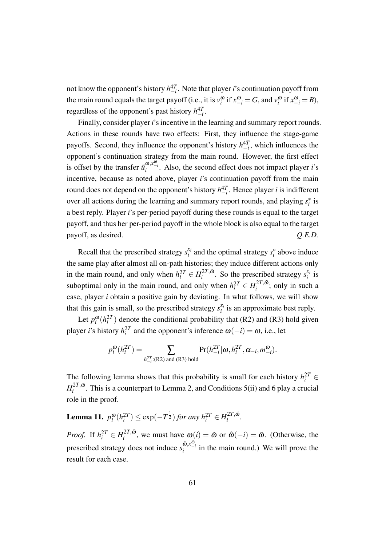not know the opponent's history *h* 4*T −i* . Note that player *i*'s continuation payoff from the main round equals the target payoff (i.e., it is  $\bar{v}_i^{\omega}$  if  $x_{-i}^{\omega} = G$ , and  $\underline{v}_i^{\omega}$  if  $x_{-i}^{\omega} = B$ ), regardless of the opponent's past history  $h_{-i}^{4T}$ .

Finally, consider player *i*'s incentive in the learning and summary report rounds. Actions in these rounds have two effects: First, they influence the stage-game payoffs. Second, they influence the opponent's history  $h_{-i}^{4T}$ , which influences the opponent's continuation strategy from the main round. However, the first effect is offset by the transfer  $\tilde{u}^{\omega, x^{\omega}}_i$ . Also, the second effect does not impact player *i*'s incentive, because as noted above, player *i*'s continuation payoff from the main round does not depend on the opponent's history  $h^{4T}_{-i}$ . Hence player *i* is indifferent over all actions during the learning and summary report rounds, and playing *s ∗ i* is a best reply. Player *i*'s per-period payoff during these rounds is equal to the target payoff, and thus her per-period payoff in the whole block is also equal to the target payoff, as desired.  $Q.E.D.$ 

Recall that the prescribed strategy  $s_i^x$  $x_i$  and the optimal strategy  $s_i^*$  above induce the same play after almost all on-path histories; they induce different actions only in the main round, and only when  $h_i^{2T} \in H_i^{2T,\tilde{\omega}}$  $s_i^{2T,\tilde{\omega}}$ . So the prescribed strategy  $s_i^{x_i}$  $\frac{x_i}{i}$  is suboptimal only in the main round, and only when  $h_i^{2T} \in H_i^{2T,\tilde{\omega}}$  $i^{2I}$ ,<sup> $\omega$ </sup>; only in such a case, player *i* obtain a positive gain by deviating. In what follows, we will show that this gain is small, so the prescribed strategy  $s_i^x$  $i_i^{x_i}$  is an approximate best reply.

Let  $p_i^{\omega}(h_i^2)$  denote the conditional probability that (R2) and (R3) hold given player *i*'s history  $h_i^{2T}$  and the opponent's inference  $\omega(-i) = \omega$ , i.e., let

$$
p_i^{\omega}(h_i^{2T}) = \sum_{h_{-i}^{2T} : (R2) \text{ and } (R3) \text{ hold}} Pr(h_{-i}^{2T} | \omega, h_i^{2T}, \alpha_{-i}, m_{-i}^{\omega}).
$$

The following lemma shows that this probability is small for each history  $h_i^{2T} \in$  $H_i^{2T, \tilde{\omega}}$  $\sum_{i=1}^{21, \omega}$ . This is a counterpart to Lemma 2, and Conditions 5(ii) and 6 play a crucial role in the proof.

Lemma 11.  $p_i^{\omega}(h_i^{2T}) \le \exp(-T^{\frac{1}{2}})$  for any  $h_i^{2T} \in H_i^{2T,\tilde{\omega}}$  $\int_i^{\mathcal{L}I} \cdot \mathbf{w}$ .

*Proof.* If  $h_i^{2T} \in H_i^{2T,\tilde{\omega}}$  $\hat{\omega}_i^{2I}$ , we must have  $\omega(i) = \tilde{\omega}$  or  $\hat{\omega}(-i) = \tilde{\omega}$ . (Otherwise, the prescribed strategy does not induce  $s_i^{\tilde{\omega}, x_{i}^{\tilde{\omega}}}$  in the main round.) We will prove the result for each case.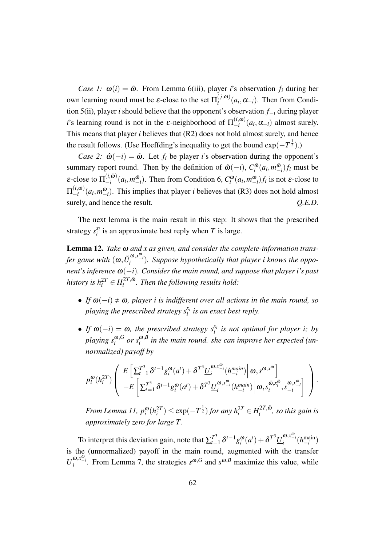*Case 1:*  $\omega(i) = \tilde{\omega}$ . From Lemma 6(iii), player *i*'s observation  $f_i$  during her own learning round must be *ε*-close to the set  $\Pi_i^{(j,\omega)}$  $\int_{i}^{(f,\omega)} (a_i, \alpha_{-i})$ . Then from Condition 5(ii), player *i* should believe that the opponent's observation *f−<sup>i</sup>* during player *i*'s learning round is not in the  $\varepsilon$ -neighborhood of  $\Pi_{-i}^{(i,\omega)}$  $\binom{(i, w)}{-i}$  (*a*<sub>*i*</sub></sub>, α<sub>−*i*</sub>) almost surely. This means that player *i* believes that (R2) does not hold almost surely, and hence the result follows. (Use Hoeffding's inequality to get the bound exp( $-T^{\frac{1}{2}}$ ).)

*Case 2:*  $\hat{\omega}(-i) = \tilde{\omega}$ . Let  $f_i$  be player *i*'s observation during the opponent's summary report round. Then by the definition of  $\hat{\omega}(-i)$ ,  $C_i^{\tilde{\omega}}$  $\int_i^{\tilde{w}}(a_i, m_-^{\tilde{\omega}})$ *−i* )*f<sup>i</sup>* must be ε-close to  $\Pi^{(i,\tilde{\omega})}_{-i}$  $\binom{(i, \omega)}{-i}$   $(a_i, m\frac{\tilde{\omega}}{-i})$  $\binom{ω}{i}$ . Then from Condition 6,  $C_i^ω$  (*a<sub>i</sub>*, *m*<sup>ω</sup><sub>*-i*</sub>)</sub> *f<sub><i>i*</sub> is not ε-close to  $\Pi_{-i}^{(i, \boldsymbol{\omega})}$  $\binom{n,\omega}{i}(a_i, m_{-i}^{\omega})$ . This implies that player *i* believes that (R3) does not hold almost surely, and hence the result.  $Q.E.D.$ 

The next lemma is the main result in this step: It shows that the prescribed strategy  $s_i^{x_i}$  $i_i^{x_i}$  is an approximate best reply when *T* is large.

Lemma 12. *Take* <sup>ω</sup> *and x as given, and consider the complete-information transfer game with*  $(\omega, \tilde{U}_i^{\omega, x_{-i}^{\omega}})$ . Suppose hypothetically that player i knows the oppo*nent's inference* <sup>ω</sup>(*−i*)*. Consider the main round, and suppose that player i's past history is*  $h_i^{2T} \in H_i^{2T, \tilde{\omega}}$ *i . Then the following results hold:*

- *If*  $\omega(-i) \neq \omega$ , player *i* is indifferent over all actions in the main round, so *playing the prescribed strategy s xi i is an exact best reply.*
- *If*  $\omega(-i) = \omega$ *, the prescribed strategy*  $s_i^{x_i}$ *i is not optimal for player i; by playing s* <sup>ω</sup>*,G*  $\int_i^{\omega,G}$  *or*  $s_i^{\omega,B}$ *i in the main round. she can improve her expected (unnormalized) payoff by*

$$
p_i^{\omega}(h_i^{2T})\left(\begin{array}{c} E\left[\sum_{t=1}^{T^3}\delta^{t-1}g_i^{\omega}(a^t)+\delta^{T^3}\underline{U}_i^{\omega,x_{-i}^{\omega}}(h_{-i}^{main})\right|\omega,s^{\omega,x_{\omega}^{\omega}}\\ -E\left[\sum_{t=1}^{T^3}\delta^{t-1}g_i^{\omega}(a^t)+\delta^{T^3}\underline{U}_i^{\omega,x_{-i}^{\omega}}(h_{-i}^{main})\right|\omega,s_i^{\tilde{\omega},x_i^{\tilde{\omega}}},s_{-i}^{\omega,x_{-i}^{\tilde{\omega}}}\right] \end{array}\right).
$$

*From Lemma 11,*  $p_i^{\omega}(h_i^{2T}) \leq \exp(-T^{\frac{1}{2}})$  *for any*  $h_i^{2T} \in H_i^{2T,\tilde{\omega}}$  $\int_{i}^{2I}$ ,<sup> $\omega$ </sup>, so this gain is *approximately zero for large T.*

To interpret this deviation gain, note that  $\sum_{t=1}^{T^3}$  $T_{t=1}^{3} \delta^{t-1} g_{i}^{\omega}(a^{t}) + \delta^{T^{3}} \underline{U}_{i}^{\omega, x_{-i}^{\omega}}(h_{-i}^{\text{main}})$ is the (unnormalized) payoff in the main round, augmented with the transfer  $\underline{U}^{\omega, x_{-i}^{\omega}}$ . From Lemma 7, the strategies  $s^{\omega, G}$  and  $s^{\omega, B}$  maximize this value, while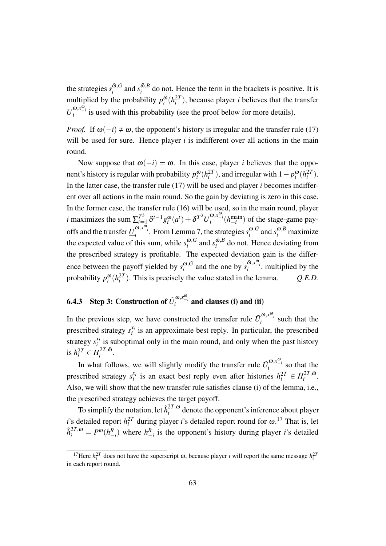the strategies  $s_i^{\tilde{\omega},G}$  $\sum_{i}^{\tilde{\omega},G}$  and  $s_i^{\tilde{\omega},B}$  $\binom{w, b}{i}$  do not. Hence the term in the brackets is positive. It is multiplied by the probability  $p_i^{\omega}(h_i^{2T})$ , because player *i* believes that the transfer  $\underline{U}^{\omega, x_{-i}^{\omega}}_i$  is used with this probability (see the proof below for more details).

*Proof.* If  $\omega(-i) \neq \omega$ , the opponent's history is irregular and the transfer rule (17) will be used for sure. Hence player *i* is indifferent over all actions in the main round.

Now suppose that  $\omega(-i) = \omega$ . In this case, player *i* believes that the opponent's history is regular with probability  $p_i^{\omega}(h_i^{2T})$ , and irregular with  $1 - p_i^{\omega}(h_i^{2T})$ . In the latter case, the transfer rule (17) will be used and player *i* becomes indifferent over all actions in the main round. So the gain by deviating is zero in this case. In the former case, the transfer rule (16) will be used, so in the main round, player *i* maximizes the sum  $\sum_{t=1}^{T^3}$  $T_{t=1}^3 \delta^{t-1} g_i^{\omega}(a^t) + \delta^{T^3} \underline{U}_i^{\omega, x_{-i}^{\omega}}(h_{-i}^{\text{main}})$  of the stage-game payoffs and the transfer  $\underline{U}^{\omega,\mathfrak{x}_{-i}^{\omega}}_{i}$ . From Lemma 7, the strategies  $s^{\omega,G}_{i}$  $\int_{i}^{\omega,G}$  and  $s_i^{\omega,B}$  maximize the expected value of this sum, while  $s_i^{\tilde{\omega}, G}$  $\int_i^{\tilde{\omega},G}$  and  $s_i^{\tilde{\omega},B}$  $\int_{i}^{\omega, b}$  do not. Hence deviating from the prescribed strategy is profitable. The expected deviation gain is the difference between the payoff yielded by  $s_i^{\omega, G}$  $\int_{i}^{\omega}$ , *G* and the one by  $s_i^{\tilde{\omega}, x_{-i}^{\tilde{\omega}}}$ , multiplied by the probability  $p_i^{\omega}(h_i^{2T})$ . This is precisely the value stated in the lemma.  $Q.E.D.$ 

# 6.4.3 Step 3: Construction of  $\hat{U}^{\omega,\mathrm{x}^{\omega}_{i}}_{i}$  and clauses (i) and (ii)

In the previous step, we have constructed the transfer rule  $\tilde{U}_i^{\omega, x_{-i}^{\omega}}$  such that the prescribed strategy  $s_i^{x_i}$  $i_i$  is an approximate best reply. In particular, the prescribed strategy  $s_i^{x_i}$  $i_i$  is suboptimal only in the main round, and only when the past history is  $h_i^{2T} \in H_i^{2T,\tilde{\omega}}$  $\int_i^{\mathcal{L}I}$ ,  $\int$ .

In what follows, we will slightly modify the transfer rule  $\tilde{U}_i^{\omega, x_{-i}^{\omega}}$  so that the prescribed strategy  $s_i^{x_i}$ *i*<sub>*i*</sub> is an exact best reply even after histories  $h_i^{2T} \in H_i^{2T,\tilde{\omega}}$  $\int_i^{\mathcal{L}I}$ ,  $\omega$ . Also, we will show that the new transfer rule satisfies clause (i) of the lemma, i.e., the prescribed strategy achieves the target payoff.

To simplify the notation, let  $\hat{h}^{2T,\omega}_i$  $i^{21}$ ,<sup> $\omega$ </sup> denote the opponent's inference about player *i*'s detailed report  $h_i^{2T}$  during player *i*'s detailed report round for  $\omega$ .<sup>17</sup> That is, let  $\hat{h}^{2T,\omega}_{i} = P^{\omega}(h^{R}_{-i})$  where  $h^{R}_{-i}$  is the opponent's history during player *i*'s detailed

<sup>&</sup>lt;sup>17</sup>Here  $h_i^{2T}$  does not have the superscript  $\omega$ , because player *i* will report the same message  $h_i^{2T}$ in each report round.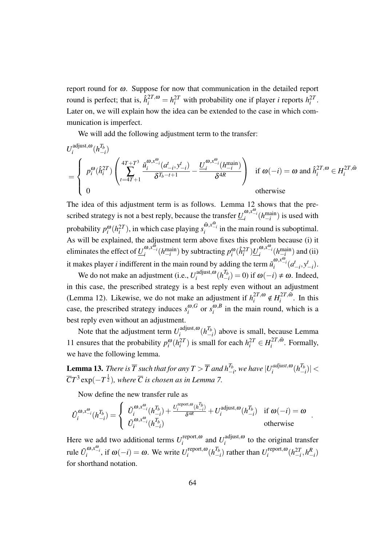report round for <sup>ω</sup>. Suppose for now that communication in the detailed report round is perfect; that is,  $\hat{h}_i^{2T,\omega} = h_i^{2T}$  with probability one if player *i* reports  $h_i^{2T}$ . Later on, we will explain how the idea can be extended to the case in which communication is imperfect.

We will add the following adjustment term to the transfer:

$$
U_i^{\text{adjust},\omega}(h_{-i}^{T_b})
$$
\n
$$
= \begin{cases}\np_i^{\omega}(\hat{h}_i^{2T}) \left( \sum_{t=4T+1}^{4T+T^3} \frac{\tilde{u}_i^{\omega,x_{-i}^{\omega}}(a_{-i}^t, y_{-i}^t)}{\delta^{T_b-t+1}} - \frac{U_i^{\omega,x_{-i}^{\omega}}(h_{-i}^{\text{main}})}{\delta^{4R}} \right) & \text{if } \omega(-i) = \omega \text{ and } \hat{h}_i^{2T,\omega} \in H_i^{2T,\tilde{\omega}} \\
0 & \text{otherwise}\n\end{cases}
$$

The idea of this adjustment term is as follows. Lemma 12 shows that the prescribed strategy is not a best reply, because the transfer  $\underline{U}^{\omega,x_{-i}^{\omega}}_{i}(h_{-i}^{\text{main}})$  is used with probability  $p_i^{\omega}(h_i^{2T})$ , in which case playing  $s_i^{\tilde{\omega}, x_{-i}^{\tilde{\omega}}}$  in the main round is suboptimal. As will be explained, the adjustment term above fixes this problem because (i) it eliminates the effect of  $\underline{U}^{\omega, x_{-i}^{\omega}}_i(h^{main}_{-i})$  by subtracting  $p^{\omega}_i(\hat{h}^{2T}_i) \underline{U}^{\omega, x_{-i}^{\omega}}_i(h^{main}_{-i})$  and (ii) it makes player *i* indifferent in the main round by adding the term  $\tilde{u}^{\omega, x^{\omega} _{-i}}_i (a^t_{-i}, y^t_{-i}).$ 

We do not make an adjustment (i.e.,  $U_i^{\text{adjust},\omega}$  $\int_{i}^{adjust, \omega} (h_{-}^{T_b})$  $\sigma_{-i}^{I_b}$  = 0) if  $\omega(-i) \neq \omega$ . Indeed, in this case, the prescribed strategy is a best reply even without an adjustment (Lemma 12). Likewise, we do not make an adjustment if  $h_i^{2T,\omega}$  $\chi_i^{2T,\tilde{\omega}} \notin H_i^{2T,\tilde{\omega}}$  $\int_{i}^{2I}$ ,  $\omega$ . In this case, the prescribed strategy induces  $s_i^{\omega, G}$  $\int_i^{\omega}$ , or  $s_i^{\omega, B}$  $\binom{w}{i}$  in the main round, which is a best reply even without an adjustment.

Note that the adjustment term  $U_i^{\text{adjust},\omega}$  $\int_{i}^{adjust, \omega} (h_{-}^{T_b})$ *−i* ) above is small, because Lemma 11 ensures that the probability  $p_i^{\omega}(h_i^{2T})$  is small for each  $h_i^{2T} \in H_i^{2T, \tilde{\omega}}$  $i^{2I}$ ,  $\omega$ . Formally, we have the following lemma.

**Lemma 13.** There is  $\overline{T}$  such that for any  $T > \overline{T}$  and  $h_{-}^{T_b}$  $T_b$ <sub>*−i*</sub>, we have  $|U_i^{adjust, \omega}\rangle$  $\int_{i}^{adjust, \omega} (h_{-}^{T_b})$ *−i* )*| <*  $\overline{C}T^3\exp(-T^{\frac{1}{2}})$ , where  $\overline{C}$  is chosen as in Lemma 7.

Now define the new transfer rule as

$$
\hat{U}_i^{\omega,\mathbf{x}_{-i}^{\omega}}(h_{-i}^{T_b}) = \begin{cases} \tilde{U}_i^{\omega,\mathbf{x}_{-i}^{\omega}}(h_{-i}^{T_b}) + \frac{U_i^{\text{report},\omega}(h_{-i}^{T_b})}{\delta^{4R}} + U_i^{\text{adjust},\omega}(h_{-i}^{T_b}) & \text{if } \omega(-i) = \omega \\ \tilde{U}_i^{\omega,\mathbf{x}_{-i}^{\omega}}(h_{-i}^{T_b}) & \text{otherwise} \end{cases}
$$

*.*

Here we add two additional terms  $U_i^{\text{report}, \omega}$ *i*<sup> $i$ </sup> and  $U_i^{\text{adjust},\omega}$  $\sum_{i=1}^{a}$  to the original transfer rule  $\tilde{U}_i^{\omega, x_{-i}^{\omega}}$ , if  $\omega(-i) = \omega$ . We write  $U_i^{\text{report}, \omega}$  $\sum_{i}^{ \text{report}, \omega} (h_{-}^{T_b})$  $\binom{T_b}{-i}$  rather than  $U_i^{\text{report},\omega}$ *i*<sup> $\binom{report, \omega}{i}$  $\left(h_{-i}^{2T}, h_{-i}^R\right)$ </sup> for shorthand notation.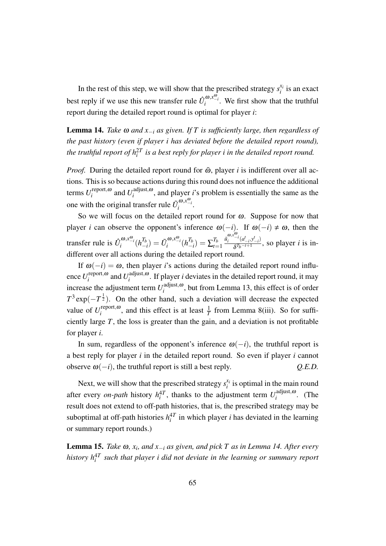In the rest of this step, we will show that the prescribed strategy  $s_i^x$  $\chi_i^{\chi_i}$  is an exact best reply if we use this new transfer rule  $\hat{U}^{\omega,\mathbf{x}_{-i}^{\omega}}_i$ . We first show that the truthful report during the detailed report round is optimal for player *i*:

Lemma 14. *Take* <sup>ω</sup> *and x−<sup>i</sup> as given. If T is sufficiently large, then regardless of the past history (even if player i has deviated before the detailed report round), the truthful report of*  $h_i^{2T}$  *is a best reply for player*  $i$  *in the detailed report round.* 

*Proof.* During the detailed report round for  $\tilde{\omega}$ , player *i* is indifferent over all actions. This is so because actions during this round does not influence the additional terms *U* report*,*<sup>ω</sup> *i*<sup> $i$ </sup> and  $U_i^{\text{adjust},\omega}$  $\sum_{i=1}^{a}$  and player *i*'s problem is essentially the same as the one with the original transfer rule  $\tilde{U}_i^{\omega, x_{-i}^{\omega}}$ .

So we will focus on the detailed report round for  $\omega$ . Suppose for now that player *i* can observe the opponent's inference  $\omega(-i)$ . If  $\omega(-i) \neq \omega$ , then the transfer rule is  $\hat{U}_i^{\omega, x_{-i}^{\omega}}(h_{-i}^{T_b})$  $\tilde{U}^{(0),x_{-i}^{(0)}}_i(h^{T_b}_{-i})$  $\frac{T_b}{-i}) = \sum_{t=1}^{T_b}$ *t*=1  $\tilde{u}_i^{\omega, x_{-i}^{\omega}}(a_{-i}^t, y_{-i}^t)$ δ *Tb−t*+1 , so player *i* is indifferent over all actions during the detailed report round.

If  $\omega(-i) = \omega$ , then player *i*'s actions during the detailed report round influence *U* report*,*<sup>ω</sup> *i*<sup> $i$ </sup> and  $U_i^{\text{adjust},\omega}$  $\int_{i}^{2}$  is  $\int_{i}^{3}$ . If player *i* deviates in the detailed report round, it may increase the adjustment term  $U_i^{\text{adjust},\omega}$  $i$ <sup>adjust, $\omega$ </sup>, but from Lemma 13, this effect is of order  $T^3 \exp(-T^{\frac{1}{2}})$ . On the other hand, such a deviation will decrease the expected value of  $U_i^{\text{report}, \omega}$  $\sum_{i}^{report, \omega}$ , and this effect is at least  $\frac{1}{T}$  from Lemma 8(iii). So for sufficiently large *T*, the loss is greater than the gain, and a deviation is not profitable for player *i*.

In sum, regardless of the opponent's inference  $\omega(-i)$ , the truthful report is a best reply for player *i* in the detailed report round. So even if player *i* cannot observe  $\omega(-i)$ , the truthful report is still a best reply.  $Q.E.D.$ 

Next, we will show that the prescribed strategy  $s_i^x$  $i$ <sup>i</sup> is optimal in the main round after every *on-path* history  $h_i^{4T}$ , thanks to the adjustment term  $U_i^{\text{adjust},\omega}$  $\int_{i}^{august, \omega}$ . (The result does not extend to off-path histories, that is, the prescribed strategy may be suboptimal at off-path histories  $h_i^{4T}$  in which player *i* has deviated in the learning or summary report rounds.)

Lemma 15. *Take* <sup>ω</sup>*, x<sup>i</sup> , and x−<sup>i</sup> as given, and pick T as in Lemma 14. After every history h* 4*T i such that player i did not deviate in the learning or summary report*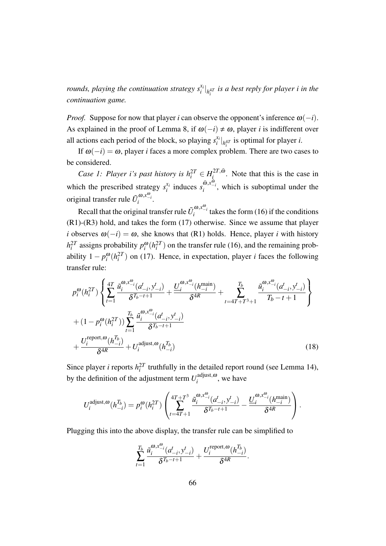*rounds, playing the continuation strategy s xi i | h* 4*T i is a best reply for player i in the continuation game.*

*Proof.* Suppose for now that player *i* can observe the opponent's inference  $\omega(-i)$ . As explained in the proof of Lemma 8, if  $\omega(-i) \neq \omega$ , player *i* is indifferent over all actions each period of the block, so playing  $s_i^x$  $\int_{i}^{x_i}$  *l*<sub> $h_i$ 4*T*</sub> is optimal for player *i*.

If  $\omega(-i) = \omega$ , player *i* faces a more complex problem. There are two cases to be considered.

*Case 1: Player i's past history is*  $h_i^{2T} \in H_i^{2T,\tilde{\omega}}$  $i_i^{21, \omega}$ . Note that this is the case in which the prescribed strategy  $s_i^{x_i}$  $\sum_{i}^{x_i}$  induces  $s_i^{\tilde{\omega}, x_{-i}^{\tilde{\omega}}}$ , which is suboptimal under the original transfer rule  $\tilde{U}_i^{\omega, x_{-i}^{\omega}}$ .

Recall that the original transfer rule  $\tilde{U}_i^{\omega, x_{-i}^{\omega}}$  takes the form (16) if the conditions (R1)-(R3) hold, and takes the form (17) otherwise. Since we assume that player *i* observes  $\omega(-i) = \omega$ , she knows that (R1) holds. Hence, player *i* with history  $h_i^{2T}$  assigns probability  $p_i^{\omega}(h_i^{2T})$  on the transfer rule (16), and the remaining probability  $1 - p_i^{\omega}(h_i^{2T})$  on (17). Hence, in expectation, player *i* faces the following transfer rule:

$$
p_i^{\omega}(h_i^{2T}) \left\{ \sum_{t=1}^{4T} \frac{\tilde{u}_i^{\omega, x_{-i}^{\omega}}(d_{-i}, y_{-i}^t)}{\delta^{T_b - t + 1}} + \frac{\underline{U}_i^{\omega, x_{-i}^{\omega}}(h_{-i}^{\text{main}})}{\delta^{4R}} + \sum_{t=4T + T^3 + 1}^{T_b} \frac{\tilde{u}_i^{\omega, x_{-i}^{\omega}}(d_{-i}, y_{-i}^t)}{T_b - t + 1} \right\}
$$
  
+ 
$$
(1 - p_i^{\omega}(h_i^{2T})) \sum_{t=1}^{T_b} \frac{\tilde{u}_i^{\omega, x_{-i}^{\omega}}(d_{-i}, y_{-i}^t)}{\delta^{T_b - t + 1}}
$$
  
+ 
$$
\frac{U_i^{\text{report}, \omega}(h_{-i}^{T_b})}{\delta^{4R}} + U_i^{\text{adjust}, \omega}(h_{-i}^{T_b})
$$
(18)

Since player *i* reports  $h_i^{2T}$  truthfully in the detailed report round (see Lemma 14), by the definition of the adjustment term  $U_i^{\text{adjust},\omega}$  $\sum_{i=1}^{a}$  we have

$$
U_i^{\text{adjust},\omega}(h_{-i}^{T_b}) = p_i^{\omega}(h_i^{2T}) \left( \sum_{t=4T+1}^{4T+T^3} \frac{\tilde{u}_i^{\omega,x_{-i}^{\omega}}(a_{-i}^t, y_{-i}^t)}{\delta^{T_b-t+1}} - \frac{\underline{U}_i^{\omega,x_{-i}^{\omega}}(h_{-i}^{\text{main}})}{\delta^{4R}} \right).
$$

Plugging this into the above display, the transfer rule can be simplified to

$$
\sum_{t=1}^{T_b} \frac{\tilde{u}_i^{\omega, x_{-i}^{\omega}}(a_{-i}^t, y_{-i}^t)}{\delta^{T_b - t + 1}} + \frac{U_i^{\text{report}, \omega}(h_{-i}^{T_b})}{\delta^{4R}}.
$$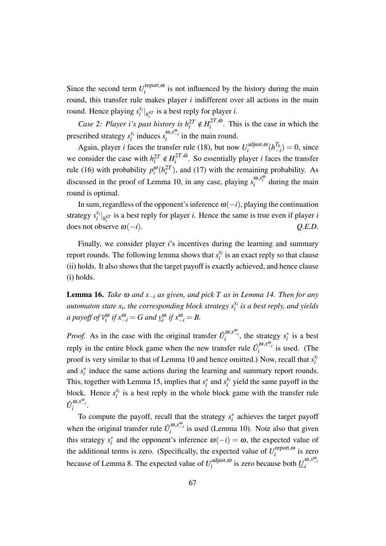Since the second term  $U_i^{\text{report}, \omega}$  $i<sub>i</sub>$  is not influenced by the history during the main round, this transfer rule makes player *i* indifferent over all actions in the main round. Hence playing *s xi*  $\binom{x_i}{i}$ <sub>*h*<sup>47</sup></sub> is a best reply for player *i*. *i*

*Case 2: Player i's past history is*  $h_i^{2T} \notin H_i^{2T,\tilde{\omega}}$  $i^{21,0}$ . This is the case in which the prescribed strategy  $s_i^{x_i}$  $\int_{i}^{x_i}$  induces  $s_i^{\omega, x_{-i}^{\omega}}$  in the main round.

Again, player *i* faces the transfer rule (18), but now  $U_i^{\text{adjust}, \omega}$  $\int_{i}^{adjust, \omega} (h_{-}^{T_b})$  $\binom{I_b}{-i} = 0$ , since we consider the case with  $h_i^{2T} \notin H_i^{2T, \tilde{\omega}}$  $i_i^{2I}$ ,<sup> $\omega$ </sup>. So essentially player *i* faces the transfer rule (16) with probability  $p_i^{\omega}(h_i^2)$ , and (17) with the remaining probability. As *i* discussed in the proof of Lemma 10, in any case, playing  $s_i^{\omega, x_i^{\omega}}$  during the main round is optimal.

In sum, regardless of the opponent's inference  $\omega(-i)$ , playing the continuation strategy  $s_i^{x_i}$  $\int_{i}^{x_i}$  *h*<sub>*i*</sub><sup>*n*</sup> is a best reply for player *i*. Hence the same is true even if player *i*  $\omega$  does not observe  $\omega(-i)$ .  $Q.E.D.$ 

Finally, we consider player *i*'s incentives during the learning and summary report rounds. The following lemma shows that  $s_i^x$  $i_i^{x_i}$  is an exact reply so that clause (ii) holds. It also shows that the target payoff is exactly achieved, and hence clause (i) holds.

Lemma 16. *Take* <sup>ω</sup> *and x−<sup>i</sup> as given, and pick T as in Lemma 14. Then for any* automaton state  $x_i$ , the corresponding block strategy  $s_i^{x_i}$ *i is a best reply, and yields a payoff of*  $\overline{v}_i^{\omega}$  *if*  $x_{-i}^{\omega} = G$  *and*  $\underline{v}_i^{\omega}$  *if*  $x_{-i}^{\omega} = B$ .

*Proof.* As in the case with the original transfer  $\tilde{U}_i^{\omega, x_{-i}^{\omega}}$ , the strategy  $s_i^*$  is a best reply in the entire block game when the new transfer rule  $\hat{U}_i^{\omega,x_{-i}^{\omega}}$  is used. (The proof is very similar to that of Lemma 10 and hence omitted.) Now, recall that  $s_i^{x_i}$ *i* and  $s_i^*$  induce the same actions during the learning and summary report rounds. This, together with Lemma 15, implies that  $s_i^*$  and  $s_i^*$  $x_i^i$  yield the same payoff in the block. Hence  $s_i^{x_i}$  $i_i^{x_i}$  is a best reply in the whole block game with the transfer rule  $\hat{U}_i^{\omega, x_{-i}^{\omega}}$ .

To compute the payoff, recall that the strategy  $s_i^*$  achieves the target payoff when the original transfer rule  $\tilde{U}_i^{\omega, x_{-i}^{\omega}}$  is used (Lemma 10). Note also that given this strategy  $s_i^*$  and the opponent's inference  $\omega(-i) = \omega$ , the expected value of the additional terms is zero. (Specifically, the expected value of  $U_i^{\text{report}, \omega}$  $\sum_{i=1}^{1}$  epon,  $\omega$  is zero because of Lemma 8. The expected value of  $U_i^{\text{adjust},\omega}$  $\frac{d}{dt}$ <sup>*i*</sup> adjust, $\omega$ </sup> is zero because both  $\underline{U}_i^{\omega, x_{-i}^{\omega}}$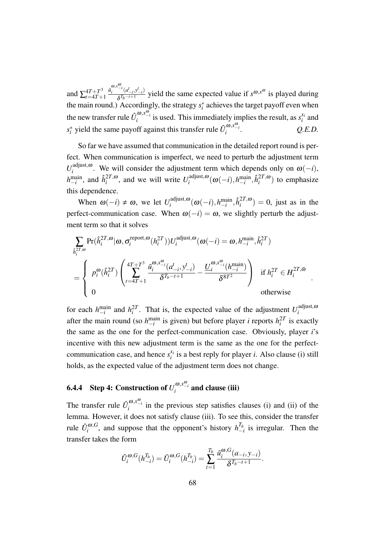and  $\sum_{t=4}^{4T+T^3}$ *t*=4*T*+1  $\tilde{u}_i^{\omega, x_{-i}^{\omega}}(a_{-i}^t, y_{-i}^t)$  $\frac{d}{d\sigma}$ <sup>*(a\_</sup>i,y*<sup>*-i*</sup>)</sup> yield the same expected value if *s*<sup>ω</sup>,*x*<sup>ω</sup> is played during the main round.) Accordingly, the strategy  $s_i^*$  achieves the target payoff even when the new transfer rule  $\hat{U}_i^{\omega, x_{-i}^{\omega}}$  is used. This immediately implies the result, as  $s_i^{x_i}$ implies the result, as  $s_i^{x_i}$  and  $s_i^*$  yield the same payoff against this transfer rule  $\hat{U}_i^{\omega, x_{-i}^{\omega}}$ . *Q.E.D.*

So far we have assumed that communication in the detailed report round is perfect. When communication is imperfect, we need to perturb the adjustment term  $U_i^{\text{adjust},\omega}$  $\omega_i^{\text{august},\omega}$ . We will consider the adjustment term which depends only on  $\omega(-i)$ ,  $h_{-i}^{\text{main}}$ , and  $\hat{h}_i^{2T,\omega}$  $i^{2T,\omega}$ , and we will write  $U_i^{\text{adjust},\omega}$  $\hat{h}^{\text{adjust},\omega}_{i}(\omega(-i),h^{\text{main}}_{-i},\hat{h}^{2T,\omega}_{i})$  $\binom{21}{i}$  to emphasize this dependence.

When  $\omega(-i) \neq \omega$ , we let  $U_i^{\text{adjust},\omega}$  $\hat{h}^{\text{adjust},\omega}_{i}(\omega(-i),h^{\text{main}}_{-i},\hat{h}^{2T,\omega}_{i})$  $j_i^{2I}$ ,  $\omega$ ) = 0, just as in the perfect-communication case. When  $\omega(-i) = \omega$ , we slightly perturb the adjustment term so that it solves

$$
\begin{aligned} &\sum_{\hat{h}_i^{2T,\omega}} \Pr(\hat{h}_i^{2T,\omega}|\omega,\sigma_i^{\text{report},\omega}(h_i^{2T})) U_i^{\text{adjust},\omega}(\omega(-i)=\omega,h_{-i}^{\text{main}},\hat{h}_i^{2T})\\ &= \left\{\begin{array}{ll} p_i^{\omega}(\hat{h}_i^{2T}) \left(\sum_{t=4T+1}^{4T+T^3} \frac{\tilde{u}_i^{\omega,x_{-i}^{\omega}}(a_{-i}^t,y_{-i}^t)}{\delta^{T_b-t+1}} - \frac{\underline{U}_i^{\omega,x_{-i}^{\omega}}(h_{-i}^{\text{main}})}{\delta^{8T^2}}\right) & \text{if } h_i^{2T} \in H_i^{2T,\tilde{\omega}}\\ 0 & \text{otherwise} \end{array}\right. . \end{aligned}
$$

for each  $h_{-i}^{\text{main}}$  and  $h_i^{2T}$ . That is, the expected value of the adjustment  $U_i^{\text{adjust},\omega}$ *i* after the main round (so  $h_{-i}^{\text{main}}$  is given) but before player *i* reports  $h_i^{2T}$  is exactly the same as the one for the perfect-communication case. Obviously, player *i*'s incentive with this new adjustment term is the same as the one for the perfectcommunication case, and hence  $s_i^x$  $i_i^{x_i}$  is a best reply for player *i*. Also clause (i) still holds, as the expected value of the adjustment term does not change.

# 6.4.4 Step 4: Construction of  $U_i^{\omega,\mathbf{x}_{-i}^{\omega}}$  and clause (iii)

The transfer rule  $\hat{U}_i^{\omega,x_{i}^{\omega}}$  in the previous step satisfies clauses (i) and (ii) of the lemma. However, it does not satisfy clause (iii). To see this, consider the transfer rule  $\hat{U}^{\omega, G}_i$  $\sum_{i}^{I_o, G}$ , and suppose that the opponent's history  $h^{T_b}_-$ *−i* is irregular. Then the transfer takes the form

$$
\hat{U}_{i}^{\omega,G}(h_{-i}^{T_b}) = \tilde{U}_{i}^{\omega,G}(h_{-i}^{T_b}) = \sum_{t=1}^{T_b} \frac{\tilde{u}_{i}^{\omega,G}(a_{-i}, y_{-i})}{\delta^{T_b - t + 1}}.
$$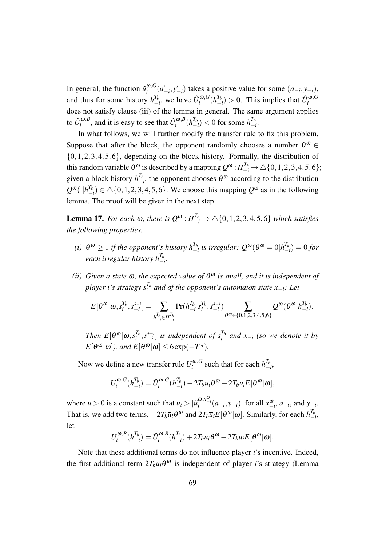In general, the function  $\tilde{u}^{\omega, G}_i$  $\int_{i}^{\omega}$ ,  $G$ <sub>*(a<sup>†</sup></sup><sub>−</sub><i>i*</sub>,  $y$ <sup>*+*</sup><sub>−*i*</sub>), takes a positive value for some  $(a_{-i}, y_{-i})$ ,</sub> and thus for some history  $h_{-}^{T_b}$  $\frac{T_b}{T}$ , we have  $\hat{U}_i^{\omega, G}$  $\int_i^{\boldsymbol{\omega},G} (h^{T_b}_-)$  $\binom{T_b}{-i}$  > 0. This implies that  $\hat{U}_i^{\omega, G}$ *i* does not satisfy clause (iii) of the lemma in general. The same argument applies to  $\hat{U}^{\omega, B}_i$  $\hat{U}^{\omega, B}_i$ , and it is easy to see that  $\hat{U}^{\omega, B}_i$  $\int_i^{\omega,B}(h^{T_b}_-)$ *T*<sup>*b*</sup><sub>−</sub>*i*</sub>) < 0 for some  $h_−^{T_b}$ *−i* .

In what follows, we will further modify the transfer rule to fix this problem. Suppose that after the block, the opponent randomly chooses a number  $\theta^{\omega} \in$ *{*0*,*1*,*2*,*3*,*4*,*5*,*6*}*, depending on the block history. Formally, the distribution of this random variable  $\theta^{\omega}$  is described by a mapping  $Q^{\omega}$  :  $H_{-i}^{T_b} \to \triangle \{0,1,2,3,4,5,6\}$ ; given a block history  $h^{T_b}_ \frac{I_b}{I_b}$ , the opponent chooses  $\theta^{\omega}$  according to the distribution  $\mathcal{Q}^{\boldsymbol{w}}(\cdot|h^{T_b}_{-})$  $\binom{I_b}{-i}$  ∈ △{0,1,2,3,4,5,6}. We choose this mapping  $Q^{\omega}$  as in the following lemma. The proof will be given in the next step.

**Lemma 17.** For each  $\omega$ , there is  $Q^{\omega}$  :  $H_{-i}^{T_b} \to \triangle \{0, 1, 2, 3, 4, 5, 6\}$  which satisfies *the following properties.*

- *(i)*  $\theta^{\omega} \ge 1$  *if the opponent's history*  $h_{\perp}^{T_b}$  $\frac{T_b}{-i}$  is irregular:  $Q^{\omega}(\theta^{\omega}=0|h_{-}^{T_b})$  $\binom{I_b}{-i} = 0$  *for each irregular history h Tb −i .*
- *(ii) Given a state* <sup>ω</sup>*, the expected value of* <sup>θ</sup> <sup>ω</sup> *is small, and it is independent of player i's strategy s Tb i and of the opponent's automaton state x−i: Let*

$$
E[\theta^{\omega}|\omega, s_i^{T_b}, s_{-i}^{x_{-i}}] = \sum_{h_{-i}^{T_b} \in H_{-i}^{T_b}} \Pr(h_{-i}^{T_b}|s_i^{T_b}, s_{-i}^{x_{-i}}) \sum_{\theta^{\omega} \in \{0, 1, 2, 3, 4, 5, 6\}} Q^{\omega}(\theta^{\omega}|h_{-i}^{T_b}).
$$

*Then*  $E[\theta^{\omega}|\omega,s_i^{T_b}]$  $\int_i^{T_b}$ ,  $s_{-i}^{x_{-i}}$  $\begin{bmatrix} x_{-i} \\ -i \end{bmatrix}$  *is independent of*  $s_i^{T_b}$ *i and x−<sup>i</sup> (so we denote it by*  $E[\theta^{\omega}|\omega]$ *), and*  $E[\theta^{\omega}|\omega] \leq 6 \exp(-T^{\frac{1}{2}})$ *.* 

Now we define a new transfer rule  $U_i^{\omega, G}$  $\sum_{i}^{a} a_i G$  such that for each  $h^{T_b}_{-1}$  $\frac{I_b}{-i}$ 

$$
U_i^{\omega,G}(h_{-i}^{T_b}) = \hat{U}_i^{\omega,G}(h_{-i}^{T_b}) - 2T_b \overline{u}_i \theta^{\omega} + 2T_b \overline{u}_i E[\theta^{\omega}|\omega],
$$

where  $\overline{u} > 0$  is a constant such that  $\overline{u}_i > |\tilde{u}_i^{\omega, x_{-i}^{\omega}}(a_{-i}, y_{-i})|$  for all  $x_{-i}^{\omega}, a_{-i}$ , and  $y_{-i}$ . That is, we add two terms,  $-2T_b\overline{u}_i\theta^\omega$  and  $2T_b\overline{u}_iE[\theta^\omega|\omega]$ . Similarly, for each  $h^{T_b}_-$ *−i* , let

$$
U_i^{\omega,B}(h_{-i}^{T_b}) = \hat{U}_i^{\omega,B}(h_{-i}^{T_b}) + 2T_b\overline{u}_i\theta^{\omega} - 2T_b\overline{u}_iE[\theta^{\omega}|\omega].
$$

Note that these additional terms do not influence player *i*'s incentive. Indeed, the first additional term  $2T_b\overline{u}_i\theta^{\omega}$  is independent of player *i*'s strategy (Lemma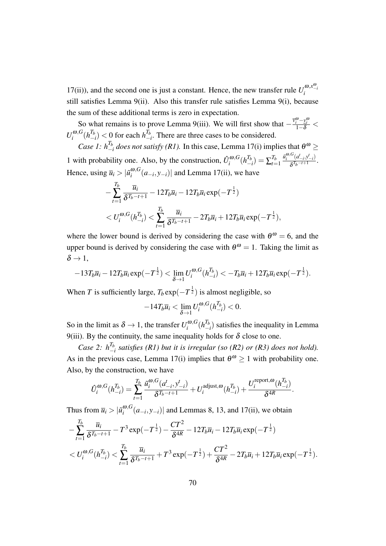17(ii)), and the second one is just a constant. Hence, the new transfer rule  $U_i^{\omega, x_{-i}^{\omega}}$ still satisfies Lemma 9(ii). Also this transfer rule satisfies Lemma 9(i), because the sum of these additional terms is zero in expectation.

So what remains is to prove Lemma 9(iii). We will first show that  $-\frac{\bar{v}_i^{\omega} - v_i^{\omega}}{1 - \delta}$  $U_i^{\omega, G}$  $\int_i^{\omega,G} (h^{T_b}_-)$  $\binom{T_b}{-i}$  < 0 for each *h*<sup> $T_b$ </sup> <sup> $^{1b}_{-i}$ . There are three cases to be considered.</sup>

*Case 1:*  $h_{-1}^{T_b}$  $\frac{I_b}{I}$  *does not satisfy (R1).* In this case, Lemma 17(i) implies that  $\theta^{\omega}$  ≥ 1 with probability one. Also, by the construction,  $\hat{U}_i^{\omega, G}$  $\int_i^{\boldsymbol{\omega},G} (h^{T_b}_-)$  $\sum_{t=1}^{T_b}=\sum_{t=1}^{T_b}$ *t*=1  $\tilde{u}_i^{\omega, G}(a_{-i}^t, y_{-i}^t)$  $\frac{a_{-i}y_{-i}}{\delta^{T_b-t+1}}$ . Hence, using  $\overline{u}_i > |\tilde{u}_i^{\omega, G}|$  $\binom{a}{i}$  (*a*<sub>−*i*</sub>, *y*<sub>−*i*</sub>)</sub> and Lemma 17(ii), we have

$$
-\sum_{t=1}^{T_b} \frac{\overline{u}_i}{\delta^{T_b - t + 1}} - 12T_b \overline{u}_i - 12T_b \overline{u}_i \exp(-T^{\frac{1}{2}})
$$
  
<  $U_i^{\omega, G}(h_{-i}^{T_b}) < \sum_{t=1}^{T_b} \frac{\overline{u}_i}{\delta^{T_b - t + 1}} - 2T_b \overline{u}_i + 12T_b \overline{u}_i \exp(-T^{\frac{1}{2}}),$ 

where the lower bound is derived by considering the case with  $\theta^{\omega} = 6$ , and the upper bound is derived by considering the case with  $\theta^{\omega} = 1$ . Taking the limit as  $\delta \rightarrow 1$ ,

$$
-13T_b\overline{u}_i-12T_b\overline{u}_i\exp(-T^{\frac{1}{2}})<\lim_{\delta\to 1}U_i^{\omega,G}(h_{-i}^{T_b})<-T_b\overline{u}_i+12T_b\overline{u}_i\exp(-T^{\frac{1}{2}}).
$$

When *T* is sufficiently large,  $T_b$  exp( $-T^{\frac{1}{2}}$ ) is almost negligible, so

$$
-14T_b\overline{u}_i<\lim_{\delta\to 1}U_i^{\omega,G}(h_{-i}^{T_b})<0.
$$

So in the limit as  $\delta \rightarrow 1$ , the transfer  $U_i^{\omega, G}$  $\int_i^{\omega,G} (h^{T_b}_-)$ *−i* ) satisfies the inequality in Lemma 9(iii). By the continuity, the same inequality holds for  $\delta$  close to one.

*Case 2:*  $h^{T_b}_{-1}$ *−i satisfies (R1) but it is irregular (so (R2) or (R3) does not hold).* As in the previous case, Lemma 17(i) implies that  $\theta^{\omega} \ge 1$  with probability one. Also, by the construction, we have

$$
\hat{U}_{i}^{\omega,G}(h_{-i}^{T_b}) = \sum_{t=1}^{T_b} \frac{\tilde{u}_{i}^{\omega,G}(a_{-i}^t, y_{-i}^t)}{\delta^{T_b - t + 1}} + U_i^{\text{adjust},\omega}(h_{-i}^{T_b}) + \frac{U_i^{\text{report},\omega}(h_{-i}^{T_b})}{\delta^{4R}}.
$$

Thus from  $\overline{u}_i > | \tilde{u}_i^{\omega, G} |$  $\int_{i}^{\omega}$ ,  $\sigma$  ( $a$ <sub>−*i*</sub>,  $y$ <sub>−*i*</sub>)</sub> and Lemmas 8, 13, and 17(ii), we obtain

$$
-\sum_{t=1}^{T_b} \frac{\overline{u}_i}{\delta^{T_b-t+1}} - T^3 \exp(-T^{\frac{1}{2}}) - \frac{CT^2}{\delta^{4R}} - 12T_b \overline{u}_i - 12T_b \overline{u}_i \exp(-T^{\frac{1}{2}})
$$
  
<  $U_i^{\omega,G}(h_{-i}^{T_b}) < \sum_{t=1}^{T_b} \frac{\overline{u}_i}{\delta^{T_b-t+1}} + T^3 \exp(-T^{\frac{1}{2}}) + \frac{CT^2}{\delta^{4R}} - 2T_b \overline{u}_i + 12T_b \overline{u}_i \exp(-T^{\frac{1}{2}}).$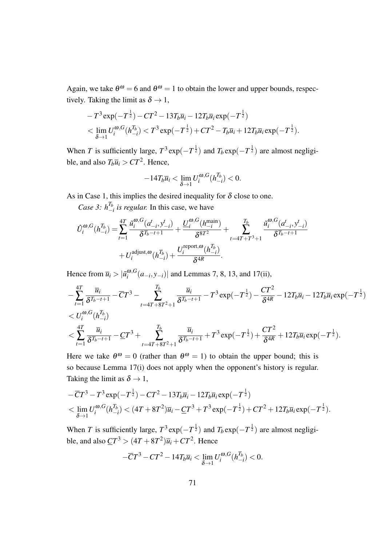Again, we take  $\theta^{\omega} = 6$  and  $\theta^{\omega} = 1$  to obtain the lower and upper bounds, respectively. Taking the limit as  $\delta \rightarrow 1$ ,

$$
-T^{3}\exp(-T^{\frac{1}{2}})-CT^{2}-13T_{b}\overline{u}_{i}-12T_{b}\overline{u}_{i}\exp(-T^{\frac{1}{2}})<\lim_{\delta\to 1}U_{i}^{\omega,G}(h_{-i}^{T_{b}})
$$

When *T* is sufficiently large,  $T^3 \exp(-T^{\frac{1}{2}})$  and  $T_b \exp(-T^{\frac{1}{2}})$  are almost negligible, and also  $T_b\overline{u}_i > CT^2$ . Hence,

$$
-14T_b\overline{u}_i < \lim_{\delta \to 1} U_i^{\omega,G}(h_{-i}^{T_b}) < 0.
$$

As in Case 1, this implies the desired inequality for  $\delta$  close to one.

*Case 3:*  $h_{-}^{T_b}$ *−i is regular.* In this case, we have

$$
\hat{U}_{i}^{\omega,G}(h_{-i}^{T_b}) = \sum_{t=1}^{4T} \frac{\tilde{u}_{i}^{\omega,G}(a_{-i}^{t}, y_{-i}^{t})}{\delta^{T_b - t + 1}} + \frac{\underline{U}_{i}^{\omega,G}(h_{-i}^{\text{main}})}{\delta^{8T^2}} + \sum_{t=4T+T^{3}+1}^{T_b} \frac{\tilde{u}_{i}^{\omega,G}(a_{-i}^{t}, y_{-i}^{t})}{\delta^{T_b - t + 1}} + U_{i}^{\text{adjust},\omega}(h_{-i}^{T_b}) + \frac{U_{i}^{\text{report},\omega}(h_{-i}^{T_b})}{\delta^{4R}}.
$$

Hence from  $\overline{u}_i > |\tilde{u}_i^{\omega, G}|$ *i* (*a−<sup>i</sup> , y−i*)*|* and Lemmas 7, 8, 13, and 17(ii),

$$
-\sum_{t=1}^{4T} \frac{\overline{u}_{i}}{\delta^{T_{b}-t+1}} - \overline{C}T^{3} - \sum_{t=4T+8T^{2}+1}^{T_{b}} \frac{\overline{u}_{i}}{\delta^{T_{b}-t+1}} - T^{3} \exp(-T^{\frac{1}{2}}) - \frac{CT^{2}}{\delta^{4R}} - 12T_{b}\overline{u}_{i} - 12T_{b}\overline{u}_{i} \exp(-T^{\frac{1}{2}}) < \sum_{t=1}^{4T} \frac{\overline{u}_{i}}{\delta^{T_{b}-t+1}} - \underline{C}T^{3} + \sum_{t=4T+8T^{2}+1}^{T_{b}} \frac{\overline{u}_{i}}{\delta^{T_{b}-t+1}} + T^{3} \exp(-T^{\frac{1}{2}}) + \frac{CT^{2}}{\delta^{4R}} + 12T_{b}\overline{u}_{i} \exp(-T^{\frac{1}{2}}).
$$

Here we take  $\theta^{\omega} = 0$  (rather than  $\theta^{\omega} = 1$ ) to obtain the upper bound; this is so because Lemma 17(i) does not apply when the opponent's history is regular. Taking the limit as  $\delta \rightarrow 1$ ,

$$
-\overline{C}T^3 - T^3 \exp(-T^{\frac{1}{2}}) - CT^2 - 13T_b\overline{u}_i - 12T_b\overline{u}_i \exp(-T^{\frac{1}{2}})
$$
  

$$
< \lim_{\delta \to 1} U_i^{\omega, G}(h_{-i}^{T_b}) < (4T + 8T^2)\overline{u}_i - \underline{C}T^3 + T^3 \exp(-T^{\frac{1}{2}}) + CT^2 + 12T_b\overline{u}_i \exp(-T^{\frac{1}{2}}).
$$

When *T* is sufficiently large,  $T^3 \exp(-T^{\frac{1}{2}})$  and  $T_b \exp(-T^{\frac{1}{2}})$  are almost negligible, and also  $\mathcal{L}T^3 > (4T + 8T^2)\overline{u}_i + CT^2$ . Hence

$$
-\overline{C}T^3 - CT^2 - 14T_b\overline{u}_i < \lim_{\delta \to 1} U_i^{\omega, G}(h_{-i}^{T_b}) < 0.
$$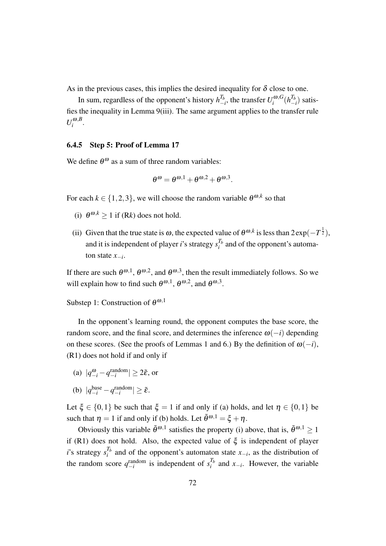As in the previous cases, this implies the desired inequality for  $\delta$  close to one.

In sum, regardless of the opponent's history  $h_{-}^{T_b}$  $T_b$ <sub>*−i*</sub>, the transfer  $U_i^{\omega, G}$  $\int_i^{\boldsymbol{\omega},G}(h^{T_b}_-)$ *−i* ) satisfies the inequality in Lemma 9(iii). The same argument applies to the transfer rule  $U_i^{\omega, B}$  $\int_i^{w,D}$ 

### 6.4.5 Step 5: Proof of Lemma 17

We define  $\theta^{\omega}$  as a sum of three random variables:

$$
\theta^{\omega} = \theta^{\omega,1} + \theta^{\omega,2} + \theta^{\omega,3}.
$$

For each  $k \in \{1, 2, 3\}$ , we will choose the random variable  $\theta^{\omega, k}$  so that

- (i)  $\theta^{\omega,k} \ge 1$  if (R*k*) does not hold.
- (ii) Given that the true state is  $\omega$ , the expected value of  $\theta^{\omega,k}$  is less than  $2 \exp(-T^{\frac{1}{2}})$ , and it is independent of player *i*'s strategy  $s_i^{T_b}$  $i<sup>I<sub>b</sub></sup>$  and of the opponent's automaton state *x−<sup>i</sup>* .

If there are such  $\theta^{\omega,1}$ ,  $\theta^{\omega,2}$ , and  $\theta^{\omega,3}$ , then the result immediately follows. So we will explain how to find such  $\theta^{\omega,1}$ ,  $\theta^{\omega,2}$ , and  $\theta^{\omega,3}$ .

Substep 1: Construction of  $\theta^{\omega,1}$ 

In the opponent's learning round, the opponent computes the base score, the random score, and the final score, and determines the inference  $\omega(-i)$  depending on these scores. (See the proofs of Lemmas 1 and 6.) By the definition of  $\omega(-i)$ , (R1) does not hold if and only if

- (a)  $|q_{-i}^{\omega} q_{-i}^{\text{random}}| \geq 2\tilde{\varepsilon}$ , or
- (b)  $|q_{-i}^{\text{base}} q_{-i}^{\text{random}}| \geq \tilde{\varepsilon}.$

Let  $\xi \in \{0,1\}$  be such that  $\xi = 1$  if and only if (a) holds, and let  $\eta \in \{0,1\}$  be such that  $\eta = 1$  if and only if (b) holds. Let  $\tilde{\theta}^{\omega,1} = \xi + \eta$ .

Obviously this variable  $\tilde{\theta}^{\omega,1}$  satisfies the property (i) above, that is,  $\tilde{\theta}^{\omega,1} \ge 1$ if (R1) does not hold. Also, the expected value of  $\xi$  is independent of player *i*'s strategy  $s_i^{T_b}$  $i<sup>i</sup>$  and of the opponent's automaton state *x*<sup>−*i*</sup>, as the distribution of the random score  $q_{-i}^{\text{random}}$  is independent of  $s_i^{T_b}$  $i<sup>i<sub>b</sub></sup>$  and *x*<sup>−*i*</sup>. However, the variable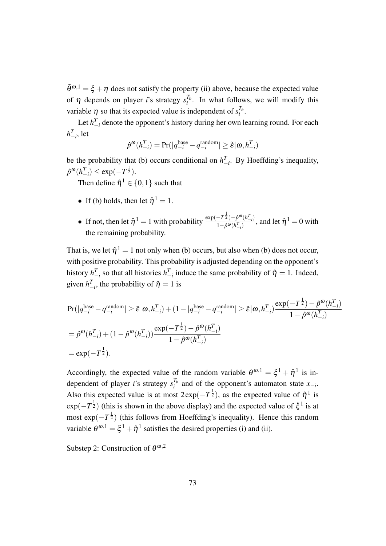$\tilde{\theta}^{\omega,1} = \xi + \eta$  does not satisfy the property (ii) above, because the expected value of  $\eta$  depends on player *i*'s strategy  $s_i^{T_b}$  $i<sup>1<sub>b</sub></sup>$ . In what follows, we will modify this variable  $\eta$  so that its expected value is independent of  $s_i^{T_b}$  $\frac{i}{i}$ .

Let  $h_{-i}^T$  denote the opponent's history during her own learning round. For each  $h_{-i}^T$ , let

$$
\hat{p}^{\omega}(h_{-i}^T) = \Pr(|q_{-i}^{\text{base}} - q_{-i}^{\text{random}}| \geq \tilde{\varepsilon} | \omega, h_{-i}^T)
$$

be the probability that (b) occurs conditional on  $h_{-i}^T$ . By Hoeffding's inequality,  $\hat{p}^{\omega} (h_{-i}^{T}) \leq \exp(-T^{\frac{1}{2}}).$ 

Then define  $\hat{\eta}^1 \in \{0, 1\}$  such that

- If (b) holds, then let  $\hat{\eta}^1 = 1$ .
- If not, then let  $\hat{\eta}^1 = 1$  with probability  $\frac{\exp(-T^{\frac{1}{2}}) \hat{p}^{\omega}(h^T \hat{p})}{1 \hat{p}^{\omega}(h^T \hat{p})}$  $\frac{-I^{2}}{1-\hat{p}^{\omega}(h_{-i}^{T})}$ , and let  $\hat{\eta}^{1} = 0$  with the remaining probability.

That is, we let  $\hat{\eta}^1 = 1$  not only when (b) occurs, but also when (b) does not occur, with positive probability. This probability is adjusted depending on the opponent's history  $h_{-i}^T$  so that all histories  $h_{-i}^T$  induce the same probability of  $\hat{\eta} = 1$ . Indeed, given  $h_{-i}^T$ , the probability of  $\hat{\eta} = 1$  is

$$
\begin{split} &\Pr(|q_{-i}^{\text{base}} - q_{-i}^{\text{random}}| \geq \tilde{\varepsilon} | \omega, h_{-i}^T) + (1 - |q_{-i}^{\text{base}} - q_{-i}^{\text{random}}| \geq \tilde{\varepsilon} | \omega, h_{-i}^T) \frac{\exp(-T^{\frac{1}{2}}) - \hat{p}^{\omega}(h_{-i}^T)}{1 - \hat{p}^{\omega}(h_{-i}^T)} \\ & = \hat{p}^{\omega}(h_{-i}^T) + (1 - \hat{p}^{\omega}(h_{-i}^T)) \frac{\exp(-T^{\frac{1}{2}}) - \hat{p}^{\omega}(h_{-i}^T)}{1 - \hat{p}^{\omega}(h_{-i}^T)} \\ & = \exp(-T^{\frac{1}{2}}). \end{split}
$$

Accordingly, the expected value of the random variable  $\theta^{\omega,1} = \xi^1 + \hat{\eta}^1$  is independent of player *i*'s strategy *s Tb*  $i^{\text{th}}$  and of the opponent's automaton state *x*<sup>−*i*</sup>. Also this expected value is at most  $2 \exp(-T^{\frac{1}{2}})$ , as the expected value of  $\hat{\eta}^1$  is  $\exp(-T^{\frac{1}{2}})$  (this is shown in the above display) and the expected value of  $\xi^1$  is at most exp( $-T^{\frac{1}{2}}$ ) (this follows from Hoeffding's inequality). Hence this random variable  $\theta^{\omega,1} = \xi^1 + \hat{\eta}^1$  satisfies the desired properties (i) and (ii).

Substep 2: Construction of  $\theta^{\omega,2}$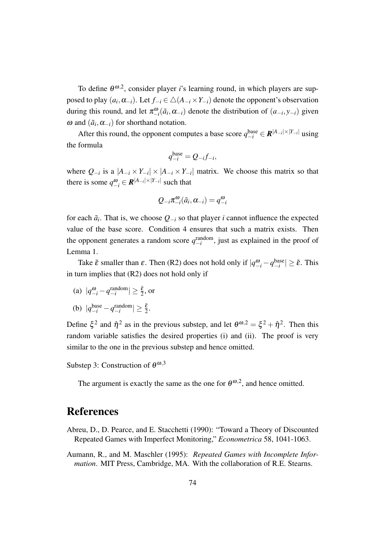To define  $\theta^{\omega,2}$ , consider player *i*'s learning round, in which players are supposed to play  $(a_i, \alpha_{-i})$ . Let  $f_{-i} \in \triangle(A_{-i} \times Y_{-i})$  denote the opponent's observation during this round, and let  $\pi_{-i}^{\omega}(\tilde{a}_i, \alpha_{-i})$  denote the distribution of  $(a_{-i}, y_{-i})$  given  $\omega$  and  $(\tilde{a}_i, \alpha_{-i})$  for shorthand notation.

After this round, the opponent computes a base score  $q_{-i}^{\text{base}} \in \mathbb{R}^{|A_{-i}| \times |Y_{-i}|}$  using the formula

$$
q_{-i}^{\text{base}} = Q_{-i} f_{-i},
$$

where  $Q_{-i}$  is a  $|A_{-i} \times Y_{-i}| \times |A_{-i} \times Y_{-i}|$  matrix. We choose this matrix so that there is some  $q_{-i}^{\omega} \in \mathbb{R}^{|A_{-i}| \times |Y_{-i}|}$  such that

$$
Q_{-i}\pi_{-i}^{\omega}(\tilde{a}_i,\alpha_{-i})=q_{-i}^{\omega}
$$

for each  $\tilde{a}_i$ . That is, we choose  $Q_{-i}$  so that player *i* cannot influence the expected value of the base score. Condition 4 ensures that such a matrix exists. Then the opponent generates a random score  $q_{-i}^{\text{random}}$ , just as explained in the proof of Lemma 1.

Take  $\tilde{\varepsilon}$  smaller than  $\varepsilon$ . Then (R2) does not hold only if  $|q_{-i}^{\omega} - q_{-i}^{\text{base}}| \geq \tilde{\varepsilon}$ . This in turn implies that (R2) does not hold only if

(a)  $|q_{-i}^{\omega} - q_{-i}^{\text{random}}| \ge \frac{\tilde{\varepsilon}}{2}$ , or

(b) 
$$
|q_{-i}^{\text{base}} - q_{-i}^{\text{random}}| \ge \frac{\tilde{\varepsilon}}{2}
$$
.

Define  $\xi^2$  and  $\hat{\eta}^2$  as in the previous substep, and let  $\theta^{\omega,2} = \xi^2 + \hat{\eta}^2$ . Then this random variable satisfies the desired properties (i) and (ii). The proof is very similar to the one in the previous substep and hence omitted.

Substep 3: Construction of  $\theta^{\omega,3}$ 

The argument is exactly the same as the one for  $\theta^{\omega,2}$ , and hence omitted.

# References

- Abreu, D., D. Pearce, and E. Stacchetti (1990): "Toward a Theory of Discounted Repeated Games with Imperfect Monitoring," *Econometrica* 58, 1041-1063.
- Aumann, R., and M. Maschler (1995): *Repeated Games with Incomplete Information*. MIT Press, Cambridge, MA. With the collaboration of R.E. Stearns.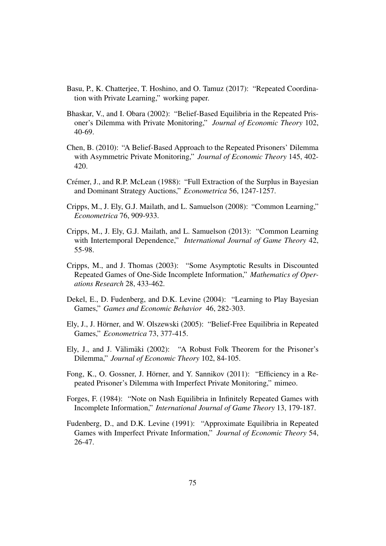- Basu, P., K. Chatterjee, T. Hoshino, and O. Tamuz (2017): "Repeated Coordination with Private Learning," working paper.
- Bhaskar, V., and I. Obara (2002): "Belief-Based Equilibria in the Repeated Prisoner's Dilemma with Private Monitoring," *Journal of Economic Theory* 102, 40-69.
- Chen, B. (2010): "A Belief-Based Approach to the Repeated Prisoners' Dilemma with Asymmetric Private Monitoring," *Journal of Economic Theory* 145, 402- 420.
- Crémer, J., and R.P. McLean (1988): "Full Extraction of the Surplus in Bayesian and Dominant Strategy Auctions," *Econometrica* 56, 1247-1257.
- Cripps, M., J. Ely, G.J. Mailath, and L. Samuelson (2008): "Common Learning," *Econometrica* 76, 909-933.
- Cripps, M., J. Ely, G.J. Mailath, and L. Samuelson (2013): "Common Learning with Intertemporal Dependence," *International Journal of Game Theory* 42, 55-98.
- Cripps, M., and J. Thomas (2003): "Some Asymptotic Results in Discounted Repeated Games of One-Side Incomplete Information," *Mathematics of Operations Research* 28, 433-462.
- Dekel, E., D. Fudenberg, and D.K. Levine (2004): "Learning to Play Bayesian Games," *Games and Economic Behavior* 46, 282-303.
- Ely, J., J. Hörner, and W. Olszewski (2005): "Belief-Free Equilibria in Repeated Games," *Econometrica* 73, 377-415.
- Ely, J., and J. Välimäki (2002): "A Robust Folk Theorem for the Prisoner's Dilemma," *Journal of Economic Theory* 102, 84-105.
- Fong, K., O. Gossner, J. Hörner, and Y. Sannikov (2011): "Efficiency in a Repeated Prisoner's Dilemma with Imperfect Private Monitoring," mimeo.
- Forges, F. (1984): "Note on Nash Equilibria in Infinitely Repeated Games with Incomplete Information," *International Journal of Game Theory* 13, 179-187.
- Fudenberg, D., and D.K. Levine (1991): "Approximate Equilibria in Repeated Games with Imperfect Private Information," *Journal of Economic Theory* 54, 26-47.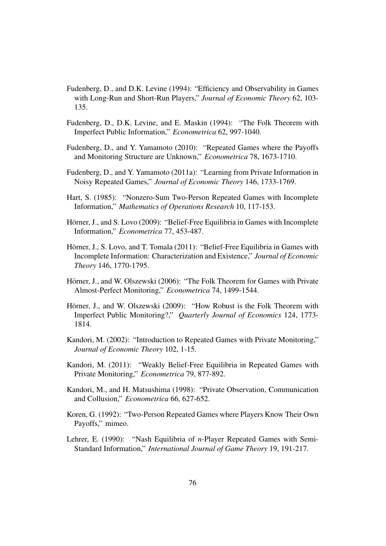- Fudenberg, D., and D.K. Levine (1994): "Efficiency and Observability in Games with Long-Run and Short-Run Players," *Journal of Economic Theory* 62, 103- 135.
- Fudenberg, D., D.K. Levine, and E. Maskin (1994): "The Folk Theorem with Imperfect Public Information," *Econometrica* 62, 997-1040.
- Fudenberg, D., and Y. Yamamoto (2010): "Repeated Games where the Payoffs and Monitoring Structure are Unknown," *Econometrica* 78, 1673-1710.
- Fudenberg, D., and Y. Yamamoto (2011a): "Learning from Private Information in Noisy Repeated Games," *Journal of Economic Theory* 146, 1733-1769.
- Hart, S. (1985): "Nonzero-Sum Two-Person Repeated Games with Incomplete Information," *Mathematics of Operations Research* 10, 117-153.
- Hörner, J., and S. Lovo (2009): "Belief-Free Equilibria in Games with Incomplete Information," *Econometrica* 77, 453-487.
- Hörner, J., S. Lovo, and T. Tomala (2011): "Belief-Free Equilibria in Games with Incomplete Information: Characterization and Existence," *Journal of Economic Theory* 146, 1770-1795.
- Hörner, J., and W. Olszewski (2006): "The Folk Theorem for Games with Private Almost-Perfect Monitoring," *Econometrica* 74, 1499-1544.
- Hörner, J., and W. Olszewski (2009): "How Robust is the Folk Theorem with Imperfect Public Monitoring?," *Quarterly Journal of Economics* 124, 1773- 1814.
- Kandori, M. (2002): "Introduction to Repeated Games with Private Monitoring," *Journal of Economic Theory* 102, 1-15.
- Kandori, M. (2011): "Weakly Belief-Free Equilibria in Repeated Games with Private Monitoring," *Econometrica* 79, 877-892.
- Kandori, M., and H. Matsushima (1998): "Private Observation, Communication and Collusion," *Econometrica* 66, 627-652.
- Koren, G. (1992): "Two-Person Repeated Games where Players Know Their Own Payoffs," mimeo.
- Lehrer, E. (1990): "Nash Equilibria of *n*-Player Repeated Games with Semi-Standard Information," *International Journal of Game Theory* 19, 191-217.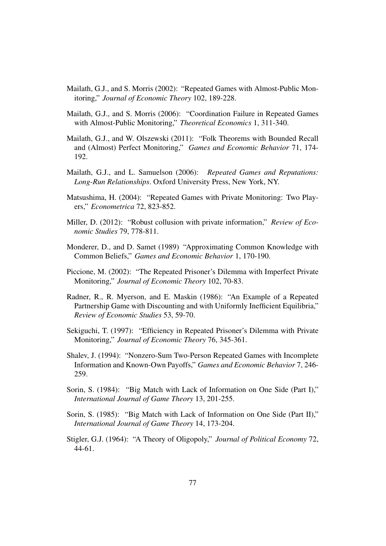- Mailath, G.J., and S. Morris (2002): "Repeated Games with Almost-Public Monitoring," *Journal of Economic Theory* 102, 189-228.
- Mailath, G.J., and S. Morris (2006): "Coordination Failure in Repeated Games with Almost-Public Monitoring," *Theoretical Economics* 1, 311-340.
- Mailath, G.J., and W. Olszewski (2011): "Folk Theorems with Bounded Recall and (Almost) Perfect Monitoring," *Games and Economic Behavior* 71, 174- 192.
- Mailath, G.J., and L. Samuelson (2006): *Repeated Games and Reputations: Long-Run Relationships*. Oxford University Press, New York, NY.
- Matsushima, H. (2004): "Repeated Games with Private Monitoring: Two Players," *Econometrica* 72, 823-852.
- Miller, D. (2012): "Robust collusion with private information," *Review of Economic Studies* 79, 778-811.
- Monderer, D., and D. Samet (1989) "Approximating Common Knowledge with Common Beliefs," *Games and Economic Behavior* 1, 170-190.
- Piccione, M. (2002): "The Repeated Prisoner's Dilemma with Imperfect Private Monitoring," *Journal of Economic Theory* 102, 70-83.
- Radner, R., R. Myerson, and E. Maskin (1986): "An Example of a Repeated Partnership Game with Discounting and with Uniformly Inefficient Equilibria," *Review of Economic Studies* 53, 59-70.
- Sekiguchi, T. (1997): "Efficiency in Repeated Prisoner's Dilemma with Private Monitoring," *Journal of Economic Theory* 76, 345-361.
- Shalev, J. (1994): "Nonzero-Sum Two-Person Repeated Games with Incomplete Information and Known-Own Payoffs," *Games and Economic Behavior* 7, 246- 259.
- Sorin, S. (1984): "Big Match with Lack of Information on One Side (Part I)," *International Journal of Game Theory* 13, 201-255.
- Sorin, S. (1985): "Big Match with Lack of Information on One Side (Part II)," *International Journal of Game Theory* 14, 173-204.
- Stigler, G.J. (1964): "A Theory of Oligopoly," *Journal of Political Economy* 72, 44-61.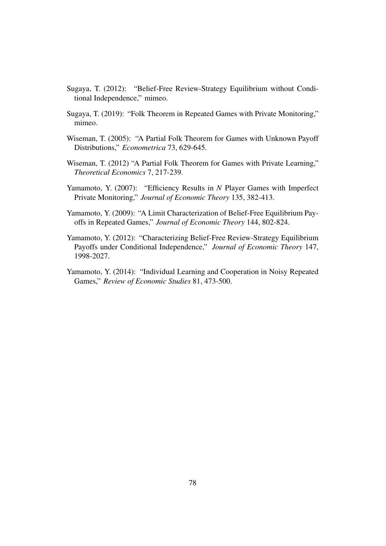- Sugaya, T. (2012): "Belief-Free Review-Strategy Equilibrium without Conditional Independence," mimeo.
- Sugaya, T. (2019): "Folk Theorem in Repeated Games with Private Monitoring," mimeo.
- Wiseman, T. (2005): "A Partial Folk Theorem for Games with Unknown Payoff Distributions," *Econometrica* 73, 629-645.
- Wiseman, T. (2012) "A Partial Folk Theorem for Games with Private Learning," *Theoretical Economics* 7, 217-239.
- Yamamoto, Y. (2007): "Efficiency Results in *N* Player Games with Imperfect Private Monitoring," *Journal of Economic Theory* 135, 382-413.
- Yamamoto, Y. (2009): "A Limit Characterization of Belief-Free Equilibrium Payoffs in Repeated Games," *Journal of Economic Theory* 144, 802-824.
- Yamamoto, Y. (2012): "Characterizing Belief-Free Review-Strategy Equilibrium Payoffs under Conditional Independence," *Journal of Economic Theory* 147, 1998-2027.
- Yamamoto, Y. (2014): "Individual Learning and Cooperation in Noisy Repeated Games," *Review of Economic Studies* 81, 473-500.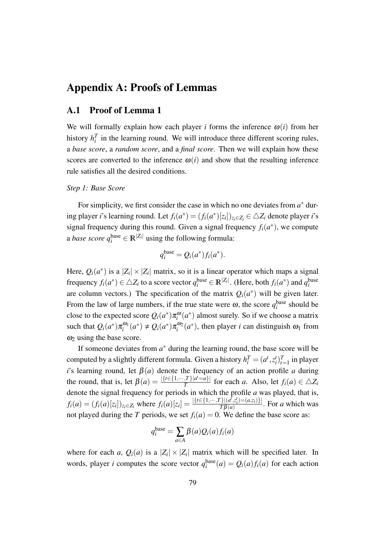# Appendix A: Proofs of Lemmas

# A.1 Proof of Lemma 1

We will formally explain how each player *i* forms the inference  $\omega(i)$  from her history  $h_i^T$  in the learning round. We will introduce three different scoring rules, a *base score*, a *random score*, and a *final score*. Then we will explain how these scores are converted to the inference  $\omega(i)$  and show that the resulting inference rule satisfies all the desired conditions.

## *Step 1: Base Score*

For simplicity, we first consider the case in which no one deviates from  $a^*$  during player *i*'s learning round. Let  $f_i(a^*) = (f_i(a^*)[z_i])_{z_i \in Z_i} \in \triangle Z_i$  denote player *i*'s signal frequency during this round. Given a signal frequency  $f_i(a^*)$ , we compute a *base score*  $q_i^{\text{base}} \in \mathbb{R}^{|Z_i|}$  using the following formula:

$$
q_i^{\text{base}} = Q_i(a^*) f_i(a^*).
$$

Here,  $Q_i(a^*)$  is a  $|Z_i| \times |Z_i|$  matrix, so it is a linear operator which maps a signal frequency  $f_i(a^*) \in \Delta Z_i$  to a score vector  $q_i^{\text{base}} \in \mathbb{R}^{|Z_i|}$ . (Here, both  $f_i(a^*)$  and  $q_i^{\text{base}}$ are column vectors.) The specification of the matrix  $Q_i(a^*)$  will be given later. From the law of large numbers, if the true state were  $\omega$ , the score  $q_i^{\text{base}}$  should be close to the expected score  $Q_i(a^*)\pi_i^{\omega}(a^*)$  almost surely. So if we choose a matrix such that  $Q_i(a^*)\pi_i^{\omega_1}(a^*) \neq Q_i(a^*)\pi_i^{\omega_2}(a^*)$ , then player *i* can distinguish  $\omega_1$  from  $\omega_2$  using the base score.

If someone deviates from  $a^*$  during the learning round, the base score will be computed by a slightly different formula. Given a history  $h_i^T = (a^t, z_i^t)_{t=1}^T$  in player *i*'s learning round, let  $\beta(a)$  denote the frequency of an action profile *a* during the round, that is, let  $\beta(a) = \frac{|\{t \in \{1, \cdots, T\}|a^t = a\}|}{T}$  $\frac{f_1 f_1}{T}$  for each *a*. Also, let  $f_i(a) \in \Delta Z_i$ denote the signal frequency for periods in which the profile *a* was played, that is,  $f_i(a) = (f_i(a)[z_i])_{z_i \in Z_i}$  where  $f_i(a)[z_i] = \frac{|\{t \in \{1, \cdots, T\} | (a^f, z_i^t) = (a, z_i)\}|}{T\beta(a)}$  $\frac{f[(a^j, z_i)=(a, z_i)^j]}{T\beta(a)}$ . For *a* which was not played during the *T* periods, we set  $f_i(a) = 0$ . We define the base score as:

$$
q_i^{\text{base}} = \sum_{a \in A} \beta(a) Q_i(a) f_i(a)
$$

where for each *a*,  $Q_i(a)$  is a  $|Z_i| \times |Z_i|$  matrix which will be specified later. In words, player *i* computes the score vector  $q_i^{\text{base}}(a) = Q_i(a) f_i(a)$  for each action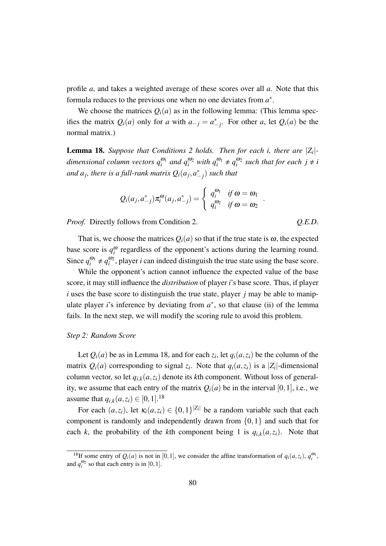profile *a*, and takes a weighted average of these scores over all *a*. Note that this formula reduces to the previous one when no one deviates from *a ∗* .

We choose the matrices  $Q_i(a)$  as in the following lemma: (This lemma specifies the matrix  $Q_i(a)$  only for *a* with  $a_{-j} = a_{-j}^*$ . For other *a*, let  $Q_i(a)$  be the normal matrix.)

Lemma 18. *Suppose that Conditions 2 holds. Then for each i, there are |Z<sup>i</sup> | dimensional column vectors*  $q_i^{\omega_1}$  *and*  $q_i^{\omega_2}$  *with*  $q_i^{\omega_1} \neq q_i^{\omega_2}$  *such that for each*  $j \neq i$ and  $a_j$ , there is a full-rank matrix  $Q_i(a_j, a_{-j}^*)$  such that

$$
Q_i(a_j, a_{-j}^*) \pi_i^{\omega}(a_j, a_{-j}^*) = \begin{cases} q_i^{\omega_1} & \text{if } \omega = \omega_1 \\ q_i^{\omega_2} & \text{if } \omega = \omega_2 \end{cases}
$$

*Proof.* Directly follows from Condition 2. *Q.E.D.*

*.*

That is, we choose the matrices  $Q_i(a)$  so that if the true state is  $\omega$ , the expected base score is  $q_i^{\omega}$  regardless of the opponent's actions during the learning round. Since  $q_i^{\omega_1} \neq q_i^{\omega_2}$ , player *i* can indeed distinguish the true state using the base score.

While the opponent's action cannot influence the expected value of the base score, it may still influence the *distribution* of player *i*'s base score. Thus, if player *i* uses the base score to distinguish the true state, player *j* may be able to manipulate player *i*'s inference by deviating from  $a^*$ , so that clause (ii) of the lemma fails. In the next step, we will modify the scoring rule to avoid this problem.

### *Step 2: Random Score*

Let  $Q_i(a)$  be as in Lemma 18, and for each  $z_i$ , let  $q_i(a, z_i)$  be the column of the matrix  $Q_i(a)$  corresponding to signal  $z_i$ . Note that  $q_i(a, z_i)$  is a  $|Z_i|$ -dimensional column vector, so let  $q_{i,k}(a, z_i)$  denote its *k*th component. Without loss of generality, we assume that each entry of the matrix  $Q_i(a)$  be in the interval [0, 1], i.e., we assume that  $q_{i,k}(a, z_i) \in [0, 1].^{18}$ 

For each  $(a, z_i)$ , let  $\kappa_i(a, z_i) \in \{0, 1\}^{|Z_i|}$  be a random variable such that each component is randomly and independently drawn from *{*0*,*1*}* and such that for each *k*, the probability of the *k*th component being 1 is  $q_{i,k}(a, z_i)$ . Note that

<sup>&</sup>lt;sup>18</sup>If some entry of  $Q_i(a)$  is not in [0,1], we consider the affine transformation of  $q_i(a, z_i)$ ,  $q_i^{\omega_1}$ , and  $q_i^{\omega_2}$  so that each entry is in [0, 1].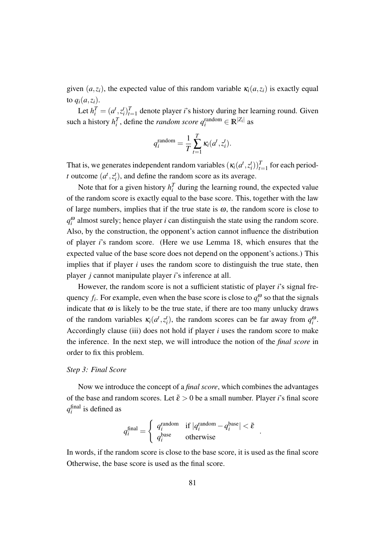given  $(a, z_i)$ , the expected value of this random variable  $\kappa_i(a, z_i)$  is exactly equal to  $q_i(a, z_i)$ .

Let  $h_i^T = (a^t, z_i^t)_{t=1}^T$  denote player *i*'s history during her learning round. Given such a history  $h_i^T$ , define the *random score*  $q_i^{\text{random}} \in \mathbb{R}^{|Z_i|}$  as

$$
q_i^{\text{random}} = \frac{1}{T} \sum_{t=1}^T \kappa_i(a^t, z_i^t).
$$

That is, we generates independent random variables  $(\kappa_i(a^t, z^t_i))_{t=1}^T$  for each period*t* outcome  $(a^t, z^t_i)$ , and define the random score as its average.

Note that for a given history  $h_i^T$  during the learning round, the expected value of the random score is exactly equal to the base score. This, together with the law of large numbers, implies that if the true state is  $\omega$ , the random score is close to  $q_i^{\omega}$  almost surely; hence player *i* can distinguish the state using the random score. Also, by the construction, the opponent's action cannot influence the distribution of player *i*'s random score. (Here we use Lemma 18, which ensures that the expected value of the base score does not depend on the opponent's actions.) This implies that if player *i* uses the random score to distinguish the true state, then player *j* cannot manipulate player *i*'s inference at all.

However, the random score is not a sufficient statistic of player *i*'s signal frequency  $f_i$ . For example, even when the base score is close to  $q_i^{\omega}$  so that the signals indicate that  $\omega$  is likely to be the true state, if there are too many unlucky draws of the random variables  $\kappa_i(a^t, z_i^t)$ , the random scores can be far away from  $q_i^{\omega}$ . Accordingly clause (iii) does not hold if player *i* uses the random score to make the inference. In the next step, we will introduce the notion of the *final score* in order to fix this problem.

### *Step 3: Final Score*

Now we introduce the concept of a *final score*, which combines the advantages of the base and random scores. Let  $\tilde{\varepsilon} > 0$  be a small number. Player *i*'s final score *q* final *i* is defined as

$$
q_i^{\text{final}} = \begin{cases} q_i^{\text{random}} & \text{if } |q_i^{\text{random}} - q_i^{\text{base}}| < \tilde{\varepsilon} \\ q_i^{\text{base}} & \text{otherwise} \end{cases}
$$

*.*

In words, if the random score is close to the base score, it is used as the final score Otherwise, the base score is used as the final score.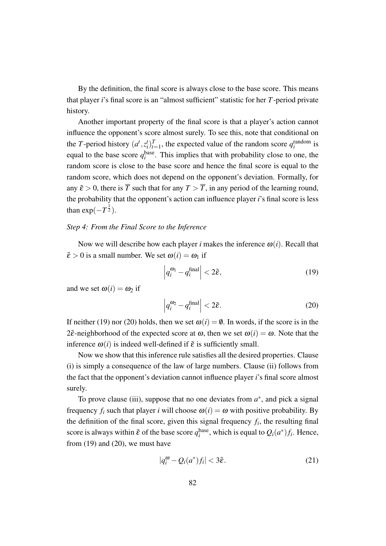By the definition, the final score is always close to the base score. This means that player *i*'s final score is an "almost sufficient" statistic for her *T*-period private history.

Another important property of the final score is that a player's action cannot influence the opponent's score almost surely. To see this, note that conditional on the *T*-period history  $(a^t, z^t_i)_{t=1}^T$ , the expected value of the random score  $q_i^{\text{random}}$  is equal to the base score  $q_i^{\text{base}}$ . This implies that with probability close to one, the random score is close to the base score and hence the final score is equal to the random score, which does not depend on the opponent's deviation. Formally, for any  $\tilde{\varepsilon} > 0$ , there is  $\overline{T}$  such that for any  $T > \overline{T}$ , in any period of the learning round, the probability that the opponent's action can influence player *i*'s final score is less than  $exp(-T^{\frac{1}{2}})$ .

## *Step 4: From the Final Score to the Inference*

Now we will describe how each player *i* makes the inference  $\omega(i)$ . Recall that  $\tilde{\varepsilon} > 0$  is a small number. We set  $\omega(i) = \omega_1$  if

$$
\left| q_i^{\omega_1} - q_i^{\text{final}} \right| < 2\tilde{\varepsilon},\tag{19}
$$

and we set  $\omega(i) = \omega_2$  if

$$
\left| q_i^{\omega_2} - q_i^{\text{final}} \right| < 2\tilde{\varepsilon}.\tag{20}
$$

If neither (19) nor (20) holds, then we set  $\omega(i) = \emptyset$ . In words, if the score is in the 2 $\tilde{\epsilon}$ -neighborhood of the expected score at  $\omega$ , then we set  $\omega(i) = \omega$ . Note that the inference  $\omega(i)$  is indeed well-defined if  $\tilde{\varepsilon}$  is sufficiently small.

Now we show that this inference rule satisfies all the desired properties. Clause (i) is simply a consequence of the law of large numbers. Clause (ii) follows from the fact that the opponent's deviation cannot influence player *i*'s final score almost surely.

To prove clause (iii), suppose that no one deviates from  $a^*$ , and pick a signal frequency  $f_i$  such that player *i* will choose  $\omega(i) = \omega$  with positive probability. By the definition of the final score, given this signal frequency  $f_i$ , the resulting final score is always within  $\tilde{\varepsilon}$  of the base score  $q_i^{\text{base}}$ , which is equal to  $Q_i(a^*)f_i$ . Hence, from  $(19)$  and  $(20)$ , we must have

$$
|q_i^{\omega} - Q_i(a^*)f_i| < 3\tilde{\varepsilon}.\tag{21}
$$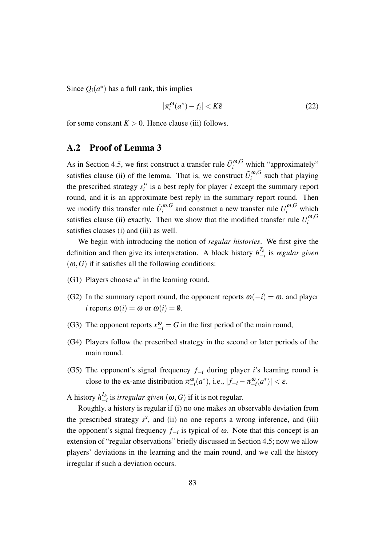Since  $Q_i(a^*)$  has a full rank, this implies

$$
|\pi_i^{\omega}(a^*) - f_i| < K\tilde{\varepsilon} \tag{22}
$$

for some constant  $K > 0$ . Hence clause (iii) follows.

# A.2 Proof of Lemma 3

As in Section 4.5, we first construct a transfer rule  $\tilde{U}^{\omega,G}_i$  which "approximately" satisfies clause (ii) of the lemma. That is, we construct  $\tilde{U}^{\omega, G}_i$  $\int_{i}^{\omega,\sigma}$  such that playing the prescribed strategy  $s_i^{x_i}$  $i_i^{x_i}$  is a best reply for player *i* except the summary report round, and it is an approximate best reply in the summary report round. Then we modify this transfer rule  $\tilde{U}_i^{\omega, G}$  $\sum_{i}^{a}$  and construct a new transfer rule  $U_i^{a}$ , which satisfies clause (ii) exactly. Then we show that the modified transfer rule  $U_i^{\omega, G}$ *i* satisfies clauses (i) and (iii) as well.

We begin with introducing the notion of *regular histories*. We first give the definition and then give its interpretation. A block history  $h_{\perp}^{T_b}$ *−i* is *regular given*  $(\omega, G)$  if it satisfies all the following conditions:

- (G1) Players choose  $a^*$  in the learning round.
- (G2) In the summary report round, the opponent reports  $\omega(-i) = \omega$ , and player *i* reports  $\omega(i) = \omega$  or  $\omega(i) = \emptyset$ .
- (G3) The opponent reports  $x_{-i}^{\omega} = G$  in the first period of the main round,
- (G4) Players follow the prescribed strategy in the second or later periods of the main round.
- (G5) The opponent's signal frequency *f−<sup>i</sup>* during player *i*'s learning round is close to the ex-ante distribution  $\pi_{-i}^{\omega}(a^*)$ , i.e.,  $|f_{-i} - \pi_{-i}^{\omega}(a^*)| < \varepsilon$ .

A history  $h_{-1}^{T_b}$ *−i* is *irregular given* (ω*,G*) if it is not regular.

Roughly, a history is regular if (i) no one makes an observable deviation from the prescribed strategy  $s^x$ , and (ii) no one reports a wrong inference, and (iii) the opponent's signal frequency *f−<sup>i</sup>* is typical of <sup>ω</sup>. Note that this concept is an extension of "regular observations" briefly discussed in Section 4.5; now we allow players' deviations in the learning and the main round, and we call the history irregular if such a deviation occurs.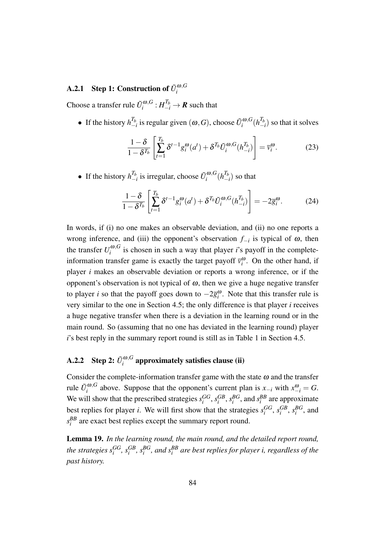### **A.2.1** Step 1: Construction of  $\tilde{U}^{\omega, G}_i$ *i*

Choose a transfer rule  $\tilde{U}^{\omega, G}_i$  $\iota^{a,G}_i : H_{-i}^{T_b} \to \mathbb{R}$  such that

• If the history  $h^{T_b}_ \frac{T_b}{T_{i}}$  is regular given  $(\omega, G)$ , choose  $\tilde{U}_i^{\omega, G}$  $\int_i^{\boldsymbol{\omega},G} (h^{T_b}_-)$  $\binom{I_b}{-i}$  so that it solves

$$
\frac{1-\delta}{1-\delta^{T_b}} \left[ \sum_{t=1}^{T_b} \delta^{t-1} g_i^{\omega}(a^t) + \delta^{T_b} \tilde{U}_i^{\omega, G}(h_{-i}^{T_b}) \right] = \overline{v}_i^{\omega}.
$$
 (23)

• If the history  $h_{-}^{T_b}$  $\frac{T_b}{T}$  is irregular, choose  $\tilde{U}_i^{\omega, G}$  $\int_i^{\boldsymbol{\omega},G} (h^{T_b}_-)$  $\binom{I_b}{-i}$  so that

$$
\frac{1-\delta}{1-\delta^{T_b}} \left[ \sum_{t=1}^{T_b} \delta^{t-1} g_i^{\omega}(a^t) + \delta^{T_b} \tilde{U}_i^{\omega, G}(h_{-i}^{T_b}) \right] = -2\overline{g}_i^{\omega}.
$$
 (24)

In words, if (i) no one makes an observable deviation, and (ii) no one reports a wrong inference, and (iii) the opponent's observation *f−<sup>i</sup>* is typical of <sup>ω</sup>, then the transfer  $U_i^{\omega, G}$  $i$ <sup>0,0</sup>,<sup>0</sup> is chosen in such a way that player *i*'s payoff in the completeinformation transfer game is exactly the target payoff  $\bar{v}_i^{\omega}$ . On the other hand, if player *i* makes an observable deviation or reports a wrong inference, or if the opponent's observation is not typical of  $\omega$ , then we give a huge negative transfer to player *i* so that the payoff goes down to *−*2*g* ω *i* . Note that this transfer rule is very similar to the one in Section 4.5; the only difference is that player *i* receives a huge negative transfer when there is a deviation in the learning round or in the main round. So (assuming that no one has deviated in the learning round) player *i*'s best reply in the summary report round is still as in Table 1 in Section 4.5.

### **A.2.2** Step 2:  $\tilde{U}^{\omega,G}_i$  $i^{(\omega,\sigma)}$  approximately satisfies clause (ii)

Consider the complete-information transfer game with the state  $\omega$  and the transfer rule  $\tilde{U}^{\omega, G}_i$  $\int_{i}^{\omega}$ , above. Suppose that the opponent's current plan is *x*<sub>−*i*</sub> with  $x_{-i}^{\omega} = G$ . We will show that the prescribed strategies  $s_i^{GG}, s_i^{GB}, s_i^{BG}$ , and  $s_i^{BB}$  are approximate best replies for player *i*. We will first show that the strategies  $s_i^{GG}, s_i^{GB}, s_i^{BG}$ , and *s BB i* are exact best replies except the summary report round.

Lemma 19. *In the learning round, the main round, and the detailed report round,* the strategies  $s_i^{GG}, s_i^{GB}, s_i^{BG},$  and  $s_i^{BB}$  are best replies for player i, regardless of the *past history.*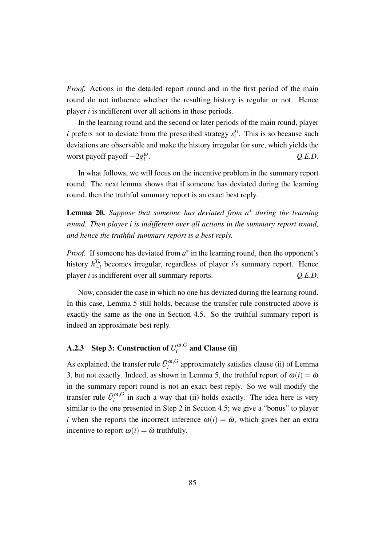*Proof.* Actions in the detailed report round and in the first period of the main round do not influence whether the resulting history is regular or not. Hence player *i* is indifferent over all actions in these periods.

In the learning round and the second or later periods of the main round, player *i* prefers not to deviate from the prescribed strategy  $s_i^{x_i}$  $i$ <sup> $i$ </sup>. This is so because such deviations are observable and make the history irregular for sure, which yields the worst payoff payoff *−*2*g* ω *i* . *Q.E.D.*

In what follows, we will focus on the incentive problem in the summary report round. The next lemma shows that if someone has deviated during the learning round, then the truthful summary report is an exact best reply.

Lemma 20. *Suppose that someone has deviated from a <sup>∗</sup> during the learning round. Then player i is indifferent over all actions in the summary report round, and hence the truthful summary report is a best reply.*

*Proof.* If someone has deviated from  $a^*$  in the learning round, then the opponent's history  $h_{-1}^{T_b}$ *−i* becomes irregular, regardless of player *i*'s summary report. Hence player *i* is indifferent over all summary reports. *Q.E.D.*

Now, consider the case in which no one has deviated during the learning round. In this case, Lemma 5 still holds, because the transfer rule constructed above is exactly the same as the one in Section 4.5. So the truthful summary report is indeed an approximate best reply.

### **A.2.3** Step 3: Construction of  $U_i^{\omega, G}$  $\int_i^{w,G}$  and Clause (ii)

As explained, the transfer rule  $\tilde{U}^{\omega, G}_i$  $i$ <sup> $\omega$ </sup>, $\sigma$  approximately satisfies clause (ii) of Lemma 3, but not exactly. Indeed, as shown in Lemma 5, the truthful report of  $\omega(i) = \tilde{\omega}$ in the summary report round is not an exact best reply. So we will modify the transfer rule  $\tilde{U}^{\omega, G}_i$  $i$ <sup>( $\omega$ , $G$ </sup>) in such a way that (ii) holds exactly. The idea here is very similar to the one presented in Step 2 in Section 4.5; we give a "bonus" to player *i* when she reports the incorrect inference  $\omega(i) = \tilde{\omega}$ , which gives her an extra incentive to report  $\omega(i) = \tilde{\omega}$  truthfully.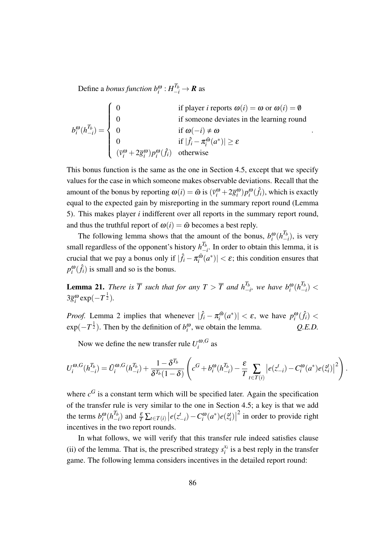Define a *bonus function*  $b_i^{\omega}: H_{-i}^{T_b} \to \mathbb{R}$  as

$$
b_i^{\omega}(h_{-i}^{T_b}) = \begin{cases} 0 & \text{if player } i \text{ reports } \omega(i) = \omega \text{ or } \omega(i) = \emptyset \\ 0 & \text{if someone deviates in the learning round} \\ 0 & \text{if } |\hat{f}_i - \pi_i^{\tilde{\omega}}(a^*)| \ge \varepsilon \\ 0 & \text{if } |\hat{f}_i - \pi_i^{\tilde{\omega}}(a^*)| \ge \varepsilon \\ (\overline{v}_i^{\omega} + 2\overline{g}_i^{\omega})p_i^{\omega}(\hat{f}_i) & \text{otherwise} \end{cases}
$$

*.*

This bonus function is the same as the one in Section 4.5, except that we specify values for the case in which someone makes observable deviations. Recall that the amount of the bonus by reporting  $\omega(i) = \tilde{\omega}$  is  $(\bar{v}_i^{\omega} + 2\bar{g}_i^{\omega})p_i^{\omega}(\hat{f}_i)$ , which is exactly equal to the expected gain by misreporting in the summary report round (Lemma 5). This makes player *i* indifferent over all reports in the summary report round, and thus the truthful report of  $\omega(i) = \tilde{\omega}$  becomes a best reply.

The following lemma shows that the amount of the bonus,  $b_i^{\omega} (h_i^T h)$ *−i* ), is very small regardless of the opponent's history  $h_{-}^{T_b}$ *−i* . In order to obtain this lemma, it is crucial that we pay a bonus only if  $|\hat{f}_i - \pi_i^{\tilde{\omega}}|$  $\left| \sum_{i}^{60} (a^*) \right| < \varepsilon$ ; this condition ensures that  $p_i^{\omega}(\hat{f}_i)$  is small and so is the bonus.

**Lemma 21.** *There is*  $\overline{T}$  *such that for any*  $T > \overline{T}$  *and*  $h_{-}^{T_b}$  $\frac{T_b}{T_{i-1}}$ , we have  $b_i^{\omega} (h_1^{\overline{T_b}})$ *−i* ) *<*  $3\overline{g}_i^{\omega}$  exp( $-T^{\frac{1}{2}}$ ).

*Proof.* Lemma 2 implies that whenever  $|\hat{f}_i - \pi_i^{\tilde{\omega}}|$  $\left| \int_{i}^{\tilde{\omega}} (a^*) \right| < \varepsilon$ , we have  $p_i^{\omega}(\hat{f}_i)$  $\exp(-T^{\frac{1}{2}})$ . Then by the definition of  $b_i^{\omega}$ , we obtain the lemma.  $Q.E.D.$ 

Now we define the new transfer rule  $U_i^{\omega, G}$  $\int_{i}^{\omega,\sigma}$  as

$$
U_i^{\omega,G}(h_{-i}^{T_b}) = \tilde{U}_i^{\omega,G}(h_{-i}^{T_b}) + \frac{1 - \delta^{T_b}}{\delta^{T_b}(1 - \delta)} \left( c^G + b_i^{\omega}(h_{-i}^{T_b}) - \frac{\varepsilon}{T} \sum_{t \in T(i)} \left| e(z_{-i}^t) - C_i^{\omega}(a^*) e(\tilde{z}_i^t) \right|^2 \right).
$$

where  $c<sup>G</sup>$  is a constant term which will be specified later. Again the specification of the transfer rule is very similar to the one in Section 4.5; a key is that we add the terms  $b_i^{\omega} (h_{-i}^{T_b})$  $\int_{-i}^{T_b}$  and  $\frac{\varepsilon}{T} \sum_{t \in T(i)} |e(z_{-i}^t) - C_i^{\omega}(a^*)e(\hat{z}_i^t)|$  $2$  in order to provide right incentives in the two report rounds.

In what follows, we will verify that this transfer rule indeed satisfies clause (ii) of the lemma. That is, the prescribed strategy  $s_i^{x_i}$  $i_i^{x_i}$  is a best reply in the transfer game. The following lemma considers incentives in the detailed report round: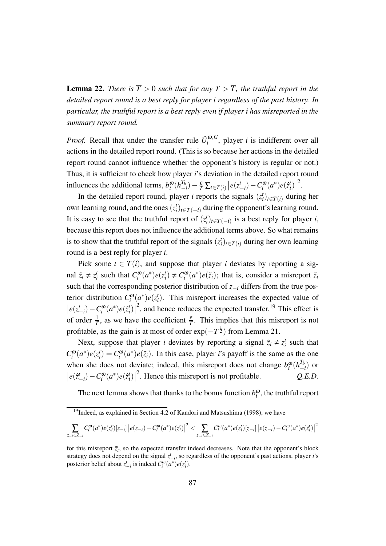**Lemma 22.** *There is*  $\overline{T} > 0$  *such that for any*  $T > \overline{T}$ *, the truthful report in the detailed report round is a best reply for player i regardless of the past history. In particular, the truthful report is a best reply even if player i has misreported in the summary report round.*

*Proof.* Recall that under the transfer rule  $\tilde{U}^{\omega, G}_i$  $i_i^{(0,0)}$ , player *i* is indifferent over all actions in the detailed report round. (This is so because her actions in the detailed report round cannot influence whether the opponent's history is regular or not.) Thus, it is sufficient to check how player *i*'s deviation in the detailed report round influences the additional terms,  $b_i^{\omega} (h_{-}^{T_b})$  $\left| \frac{T_b}{T_b} \right| - \frac{\varepsilon}{T} \sum_{t \in T(i)} \left| e(z_{-i}^t) - C_i^{\omega}(a^*) e(\hat{z}_i^t) \right|$ 2 .

In the detailed report round, player *i* reports the signals  $(z_i^t)_{t \in T(i)}$  during her own learning round, and the ones  $(z_i^t)_{t \in T(-i)}$  during the opponent's learning round. It is easy to see that the truthful report of  $(z_i^t)_{t \in T(-i)}$  is a best reply for player *i*, because this report does not influence the additional terms above. So what remains is to show that the truthful report of the signals  $(z_i^t)_{t \in T(i)}$  during her own learning round is a best reply for player *i*.

Pick some  $t \in T(i)$ , and suppose that player *i* deviates by reporting a signal  $\tilde{z}_i \neq z_i^t$  such that  $C_i^{\omega}(a^*)e(z_i^t) \neq C_i^{\omega}(a^*)e(\tilde{z}_i)$ ; that is, consider a misreport  $\tilde{z}_i$ such that the corresponding posterior distribution of *z−<sup>i</sup>* differs from the true posterior distribution  $C_i^{\omega}(a^*)e(z_i^t)$ . This misreport increases the expected value of  $\left| e(z_{-i}^t) - C_i^{\omega}(a^*)e(\hat{z}_i^t) \right|$  $2<sup>2</sup>$ , and hence reduces the expected transfer.<sup>19</sup> This effect is of order  $\frac{1}{T}$ , as we have the coefficient  $\frac{\varepsilon}{T}$ . This implies that this misreport is not profitable, as the gain is at most of order  $exp(-T^{\frac{1}{2}})$  from Lemma 21.

Next, suppose that player *i* deviates by reporting a signal  $\tilde{z}_i \neq z_i^t$  such that  $C_i^{\omega}(a^*)e(z_i^t) = C_i^{\omega}(a^*)e(\tilde{z}_i)$ . In this case, player *i*'s payoff is the same as the one when she does not deviate; indeed, this misreport does not change  $b_i^{\omega} (h_i^T h)$ *−i* ) or  $\left| e(\hat{z}_{-i}^t) - C_i^{\omega}(a^*)e(\hat{z}_i^t) \right|$ 2 . Hence this misreport is not profitable. *Q.E.D.*

The next lemma shows that thanks to the bonus function  $b_i^{\omega}$ , the truthful report

$$
\sum_{z_{-i}\in Z_{-i}} C_i^{\omega}(a^*)e(z_i^t)[z_{-i}] |e(z_{-i})-C_i^{\omega}(a^*)e(z_i^t)|^2 < \sum_{z_{-i}\in Z_{-i}} C_i^{\omega}(a^*)e(z_i^t)[z_{-i}] |e(z_{-i})-C_i^{\omega}(a^*)e(z_i^t)|^2
$$

 $19$ Indeed, as explained in Section 4.2 of Kandori and Matsushima (1998), we have

for this misreport  $\tilde{z}_i^t$ , so the expected transfer indeed decreases. Note that the opponent's block strategy does not depend on the signal *z t −i* , so regardless of the opponent's past actions, player *i*'s posterior belief about  $z_{-i}^t$  is indeed  $C_i^{\omega}(a^*)e(z_i^t)$ .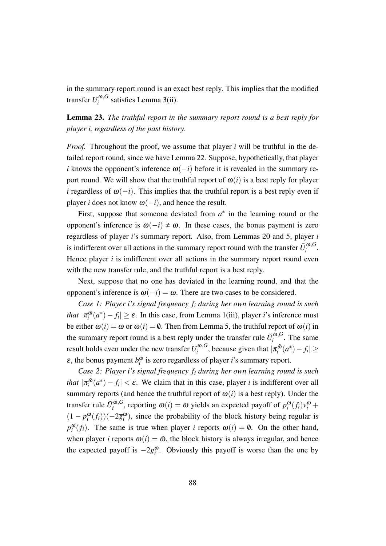in the summary report round is an exact best reply. This implies that the modified transfer  $U_i^{\omega,G}$  $\int_{i}^{\omega,\mathbf{G}}$  satisfies Lemma 3(ii).

Lemma 23. *The truthful report in the summary report round is a best reply for player i, regardless of the past history.*

*Proof.* Throughout the proof, we assume that player *i* will be truthful in the detailed report round, since we have Lemma 22. Suppose, hypothetically, that player *i* knows the opponent's inference  $\omega(-i)$  before it is revealed in the summary report round. We will show that the truthful report of  $\omega(i)$  is a best reply for player *i* regardless of  $\omega(-i)$ . This implies that the truthful report is a best reply even if player *i* does not know  $\omega(-i)$ , and hence the result.

First, suppose that someone deviated from  $a^*$  in the learning round or the opponent's inference is  $\omega(-i) \neq \omega$ . In these cases, the bonus payment is zero regardless of player *i*'s summary report. Also, from Lemmas 20 and 5, player *i* is indifferent over all actions in the summary report round with the transfer  $\tilde{U}^{\omega, G}_i$  $\int_i^{w,\mathbf{G}}$ . Hence player *i* is indifferent over all actions in the summary report round even with the new transfer rule, and the truthful report is a best reply.

Next, suppose that no one has deviated in the learning round, and that the opponent's inference is  $\omega(-i) = \omega$ . There are two cases to be considered.

*Case 1: Player i's signal frequency f<sup>i</sup> during her own learning round is such that*  $|\pi^{\tilde{\omega}}_i\rangle$  $\left| \int_{i}^{\tilde{\omega}} (a^*) - f_i \right|$  ≥  $\varepsilon$ . In this case, from Lemma 1(iii), player *i*'s inference must be either  $\omega(i) = \omega$  or  $\omega(i) = \emptyset$ . Then from Lemma 5, the truthful report of  $\omega(i)$  in the summary report round is a best reply under the transfer rule  $\tilde{U}^{\omega, G}_i$  $\int_{i}^{\omega,\sigma}$ . The same result holds even under the new transfer  $U_i^{\omega, G}$  $\int_{i}^{\omega,G}$ , because given that  $|\pi_i^{\tilde{\omega}}\rangle$ *i* (*a ∗* )*− f<sup>i</sup> | ≥*  $\varepsilon$ , the bonus payment  $b_i^{\omega}$  is zero regardless of player *i*'s summary report.

*Case 2: Player i's signal frequency f<sup>i</sup> during her own learning round is such* that  $|\pi_i^{\tilde{\omega}}\>$  $\int_i^{\tilde{a}} (a^*) - f_i$  |  $< \varepsilon$ . We claim that in this case, player *i* is indifferent over all summary reports (and hence the truthful report of  $\omega(i)$  is a best reply). Under the transfer rule  $\tilde{U}^{\omega, G}_i$  $\int_i^{\omega}$ , reporting  $\omega(i) = \omega$  yields an expected payoff of  $p_i^{\omega}(f_i)\overline{v}_i^{\omega}$  +  $(1 - p_i^{\omega}(f_i))(-2\overline{g}_i^{\omega})$ , since the probability of the block history being regular is  $p_i^{\omega}(f_i)$ . The same is true when player *i* reports  $\omega(i) = \emptyset$ . On the other hand, when player *i* reports  $\omega(i) = \tilde{\omega}$ , the block history is always irregular, and hence the expected payoff is *−*2*g* ω *i* . Obviously this payoff is worse than the one by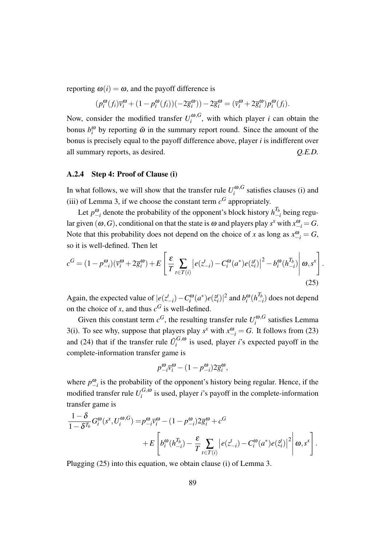reporting  $\omega(i) = \omega$ , and the payoff difference is

$$
(p_i^{\omega}(f_i)\overline{v}_i^{\omega} + (1-p_i^{\omega}(f_i))(-2\overline{g}_i^{\omega})) - 2\overline{g}_i^{\omega} = (\overline{v}_i^{\omega} + 2\overline{g}_i^{\omega})p_i^{\omega}(f_i).
$$

Now, consider the modified transfer  $U_i^{\omega, G}$  $\int_{i}^{\omega, \sigma}$ , with which player *i* can obtain the bonus  $b_i^{\omega}$  by reporting  $\tilde{\omega}$  in the summary report round. Since the amount of the bonus is precisely equal to the payoff difference above, player *i* is indifferent over all summary reports, as desired. *Q.E.D.*

## A.2.4 Step 4: Proof of Clause (i)

In what follows, we will show that the transfer rule  $U_i^{\omega, G}$  $\int_{i}^{\omega, \sigma}$  satisfies clauses (i) and (iii) of Lemma 3, if we choose the constant term  $c<sup>G</sup>$  appropriately.

Let  $p_{-i}^{\omega}$  denote the probability of the opponent's block history  $h_{-}^{T_b}$ *−i* being regular given  $(\omega, G)$ , conditional on that the state is  $\omega$  and players play  $s^x$  with  $x_{-i}^{\omega} = G$ . Note that this probability does not depend on the choice of *x* as long as  $x_{-i}^{\omega} = G$ , so it is well-defined. Then let

$$
c^{G} = (1 - p_{-i}^{\omega})(\bar{v}_{i}^{\omega} + 2\bar{g}_{i}^{\omega}) + E\left[\frac{\varepsilon}{T} \sum_{t \in T(i)} \left| e(z_{-i}^{t}) - C_{i}^{\omega}(a^{*})e(\hat{z}_{i}^{t}) \right|^{2} - b_{i}^{\omega}(h_{-i}^{T_{b}}) \right| \omega, s^{x} \right].
$$
\n(25)

Again, the expected value of  $|e(z_{-i}^t) - C_i^{\omega}(a^*) e(\hat{z}_i^t)|^2$  and  $b_i^{\omega}(h_i^T)$ *−i* ) does not depend on the choice of *x*, and thus  $c^G$  is well-defined.

Given this constant term  $c^G$ , the resulting transfer rule  $U_i^{\omega, G}$  $\int_{i}^{\omega,\mathbf{G}}$  satisfies Lemma 3(i). To see why, suppose that players play  $s^x$  with  $x_{-i}^{\omega} = G$ . It follows from (23) and (24) that if the transfer rule  $\tilde{U}_i^{G,\omega}$  $i_i^{G, \omega}$  is used, player *i*'s expected payoff in the complete-information transfer game is

$$
p_{-i}^{\omega}\overline{v}_{i}^{\omega} - (1 - p_{-i}^{\omega})2\overline{g}_{i}^{\omega},
$$

where  $p_{-i}^{\omega}$  is the probability of the opponent's history being regular. Hence, if the modified transfer rule  $U_i^{G,\omega}$  $i_j^{G, \omega}$  is used, player *i*'s payoff in the complete-information transfer game is

$$
\frac{1-\delta}{1-\delta^{T_b}}G_i^{\omega}(s^x, U_i^{\omega, G}) = p^{\omega}_{-i}\overline{v}_i^{\omega} - (1-p^{\omega}_{-i})2\overline{g}_i^{\omega} + c^G
$$
  
+ 
$$
+ E\left[b_i^{\omega}(h_{-i}^{T_b}) - \frac{\varepsilon}{T} \sum_{t \in T(i)} \left|e(z_{-i}^t) - C_i^{\omega}(a^*)e(\tilde{z}_i^t)\right|^2 \middle| \omega, s^x\right].
$$

Plugging (25) into this equation, we obtain clause (i) of Lemma 3.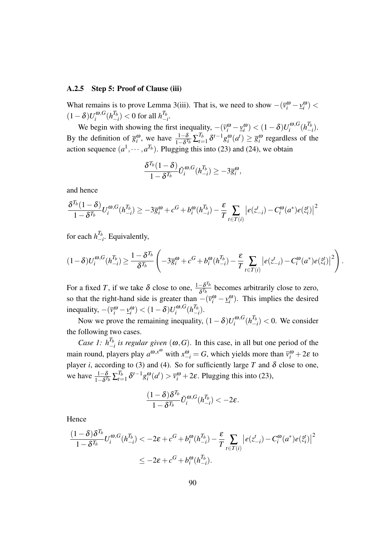## A.2.5 Step 5: Proof of Clause (iii)

What remains is to prove Lemma 3(iii). That is, we need to show  $-(\bar{v}_i^{\omega} - \underline{v}_i^{\omega})$  <  $(1−\delta)U_i^{\omega,G}$  $\int_i^{\omega,G} (h^{T_b}_-)$  $\binom{T_b}{-i}$  < 0 for all  $h^{T_b}_-$ *−i* .

We begin with showing the first inequality,  $-(\bar{v}_i^{\omega} - \underline{v}_i^{\omega}) < (1 - \delta)U_i^{\omega, G}$  $\int_i^{\boldsymbol{\omega},G}(h^{T_b}_-)$ *−i* ). By the definition of  $\overline{g}_i^{\omega}$ , we have  $\frac{1-\delta}{1-\delta^{T_b}}\sum_{t=1}^{T_b}$  $\frac{T_b}{T_{t-1}} \delta^{t-1} g_i^{\omega}(a^t) \ge \overline{g}_i^{\omega}$  regardless of the action sequence  $(a^1, \dots, a^{T_b})$ . Plugging this into (23) and (24), we obtain

$$
\frac{\delta^{T_b}(1-\delta)}{1-\delta^{T_b}}\tilde{U}_i^{\omega,G}(h_{-i}^{T_b})\geq-3\overline{g}_i^{\omega},
$$

and hence

$$
\frac{\delta^{T_b}(1-\delta)}{1-\delta^{T_b}}U_i^{\omega,G}(h_{-i}^{T_b}) \geq -3\overline{g}_i^{\omega} + c^G + b_i^{\omega}(h_{-i}^{T_b}) - \frac{\varepsilon}{T} \sum_{t \in T(i)} |e(z_{-i}^t) - C_i^{\omega}(a^*)e(\tilde{z}_i^t)|^2
$$

for each  $h_{-}^{T_b}$ *−i* . Equivalently,

$$
(1-\delta)U_i^{\omega,G}(h_{-i}^{T_b})\geq \frac{1-\delta^{T_b}}{\delta^{T_b}}\left(-3\overline{g}_i^{\omega}+c^G+b_i^{\omega}(h_{-i}^{T_b})-\frac{\varepsilon}{T}\sum_{t\in T(i)}\left|e(z_{-i}^t)-C_i^{\omega}(a^*)e(\tilde{z}_i^t)\right|^2\right).
$$

For a fixed *T*, if we take  $\delta$  close to one,  $\frac{1-\delta^{T_b}}{s^{T_b}}$  $\frac{-\partial^{2} b}{\partial T_b}$  becomes arbitrarily close to zero, so that the right-hand side is greater than  $-(\bar{v}_i^{\omega} - \underline{v}_i^{\omega})$ . This implies the desired inequality,  $-(\bar{v}_i^{\omega} - \underline{v}_i^{\omega}) < (1 - \delta)U_i^{\omega, G}$  $\int_i^{\boldsymbol{\omega},G} (h^{T_b}_-)$ *−i* ).

Now we prove the remaining inequality,  $(1 - \delta)U_i^{\omega, G}$  $\int_i^{\boldsymbol{\omega},G} (h^{T_b}_-)$  $\binom{I_b}{-i}$  < 0. We consider the following two cases.

*Case 1:*  $h_{-}^{T_b}$  $\frac{I_b}{I_b}$  *is regular given* ( $\omega$ , *G*). In this case, in all but one period of the main round, players play  $a^{\omega, x^{\omega}}$  with  $x^{\omega}_{-i} = G$ , which yields more than  $\bar{v}^{\omega}_i + 2\varepsilon$  to player *i*, according to (3) and (4). So for sufficiently large *T* and  $\delta$  close to one, we have  $\frac{1-\delta}{1-\delta^{T_b}}\sum_{t=1}^{T_b}$  $T_{t=1}^L \delta^{t-1} g_i^{\omega}(a^t) > \overline{v}_i^{\omega} + 2\varepsilon$ . Plugging this into (23),

$$
\frac{(1-\delta)\delta^{T_b}}{1-\delta^{T_b}}\tilde{U}_i^{\omega,G}(h_{-i}^{T_b}) < -2\varepsilon.
$$

Hence

$$
\frac{(1-\delta)\delta^{T_b}}{1-\delta^{T_b}}U_i^{\omega,G}(h_{-i}^{T_b}) < -2\varepsilon + c^G + b_i^{\omega}(h_{-i}^{T_b}) - \frac{\varepsilon}{T} \sum_{t \in T(i)} \left| e(z_{-i}^t) - C_i^{\omega}(a^*)e(\tilde{z}_i^t) \right|^2
$$
  

$$
\leq -2\varepsilon + c^G + b_i^{\omega}(h_{-i}^{T_b}).
$$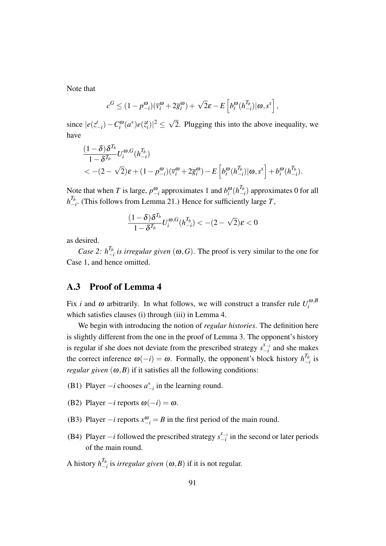Note that

$$
c^G \leq (1 - p^{\omega}_{-i})(\overline{v}^{\omega}_i + 2\overline{g}^{\omega}_i) + \sqrt{2}\varepsilon - E\left[b^{\omega}_i(h^{T_b}_{-i})|\omega, s^x\right],
$$

since  $|e(z_{-i}^t) - C_i^{\omega}(a^*)e(\hat{z}_i^t)|^2 \leq \sqrt{2}$ 2. Plugging this into the above inequality, we have

$$
\frac{(1-\delta)\delta^{T_b}}{1-\delta^{T_b}}U_i^{\omega,G}(h_{-i}^{T_b})
$$
  
<-(2-\sqrt{2})\varepsilon+(1-p\_{-i}^{\omega})(\bar{v}\_i^{\omega}+2\bar{g}\_i^{\omega})-E\left[b\_i^{\omega}(h\_{-i}^{T\_b})|\omega,s^x\right]+b\_i^{\omega}(h\_{-i}^{T\_b}).

Note that when *T* is large,  $p_{-i}^{\omega}$  approximates 1 and  $b_i^{\omega} (h_{-i}^{T_k})$ *−i* ) approximates 0 for all  $h_-^{T_b}$ *−i* . (This follows from Lemma 21.) Hence for sufficiently large *T*,

$$
\frac{(1-\delta)\delta^{T_b}}{1-\delta^{T_b}}U_i^{\omega,G}(h_{-i}^{T_b}) < -(2-\sqrt{2})\varepsilon < 0
$$

as desired.

*Case* 2:  $h_{-}^{T_b}$ *−i is irregular given* (ω*,G*). The proof is very similar to the one for Case 1, and hence omitted.

# A.3 Proof of Lemma 4

Fix *i* and  $\omega$  arbitrarily. In what follows, we will construct a transfer rule  $U_i^{\omega, B}$ *i* which satisfies clauses (i) through (iii) in Lemma 4.

We begin with introducing the notion of *regular histories*. The definition here is slightly different from the one in the proof of Lemma 3. The opponent's history is regular if she does not deviate from the prescribed strategy  $s_{-i}^{x_{-i}}$  $\int_{-i}^{x-i}$  and she makes the correct inference  $\omega(-i) = \omega$ . Formally, the opponent's block history  $h_{-}^{T_b}$  $\frac{I_b}{-i}$  is *regular given*  $(\omega, B)$  if it satisfies all the following conditions:

- (B1) Player  $-i$  chooses  $a_{-i}^*$  in the learning round.
- (B2) Player  $-i$  reports  $\omega(-i) = \omega$ .
- (B3) Player  $-i$  reports  $x_{-i}^{\omega} = B$  in the first period of the main round.
- (B4) Player  $-i$  followed the prescribed strategy  $s_{-i}^{x_{-i}}$  $\int_{-i}^{x_{-i}}$  in the second or later periods of the main round.

A history  $h^{T_b}_{-1}$ *−i* is *irregular given* (ω*,B*) if it is not regular.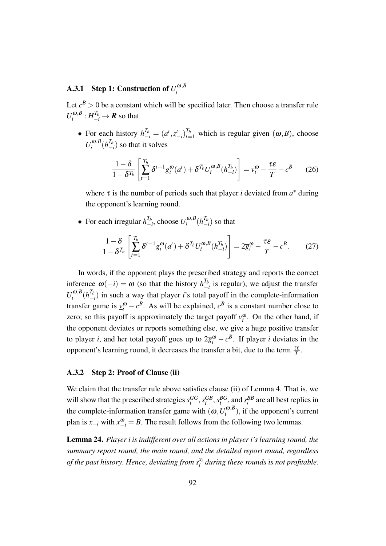### **A.3.1** Step 1: Construction of  $U_i^{\omega,B}$ *i*

Let  $c^B > 0$  be a constant which will be specified later. Then choose a transfer rule  $U_i^{\omega, B}$  $\pi^{(0,B)}_i: H_{-i}^{T_b} \to \mathbf{R}$  so that

• For each history  $h_{-i}^{T_b} = (a^t, z_{-i}^t)_{t=1}^{T_b}$  which is regular given  $(\omega, B)$ , choose  $U_i^{\omega, B}$  $\int_i^{\omega,B}(h^{T_b}_-)$  $\binom{I_b}{-i}$  so that it solves

$$
\frac{1-\delta}{1-\delta^{T_b}} \left[ \sum_{t=1}^{T_b} \delta^{t-1} g_i^{\omega}(a^t) + \delta^{T_b} U_i^{\omega, B}(h_{-i}^{T_b}) \right] = \underline{v}_i^{\omega} - \frac{\tau \varepsilon}{T} - c^B \qquad (26)
$$

where  $\tau$  is the number of periods such that player *i* deviated from  $a^*$  during the opponent's learning round.

• For each irregular  $h^{T_b}_-$ *−i* , choose *U* <sup>ω</sup>*,B*  $\int_i^{\omega,B}(h^{T_b}_-)$  $\binom{I_b}{-i}$  so that

$$
\frac{1-\delta}{1-\delta^{T_b}} \left[ \sum_{t=1}^{T_b} \delta^{t-1} g_i^{\omega}(a^t) + \delta^{T_b} U_i^{\omega, B}(h_{-i}^{T_b}) \right] = 2\overline{g}_i^{\omega} - \frac{\tau \varepsilon}{T} - c^B. \tag{27}
$$

In words, if the opponent plays the prescribed strategy and reports the correct inference  $\omega(-i) = \omega$  (so that the history  $h^{T_b}_-$ *−i* is regular), we adjust the transfer  $U_i^{\omega, B}$  $\int_i^{\omega,B}(h^{T_b}_-)$  $\binom{I_b}{I}$  in such a way that player *i*'s total payoff in the complete-information transfer game is  $y_i^{\omega} - c^B$ . As will be explained,  $c^B$  is a constant number close to zero; so this payoff is approximately the target payoff  $v_i^{\omega}$ . On the other hand, if the opponent deviates or reports something else, we give a huge positive transfer to player *i*, and her total payoff goes up to  $2\bar{g}_i^{\omega} - c^B$ . If player *i* deviates in the opponent's learning round, it decreases the transfer a bit, due to the term  $\frac{\tau \varepsilon}{T}$ .

### A.3.2 Step 2: Proof of Clause (ii)

We claim that the transfer rule above satisfies clause (ii) of Lemma 4. That is, we will show that the prescribed strategies  $s_i^{GG}, s_i^{GB}, s_i^{BG}$ , and  $s_i^{BB}$  are all best replies in the complete-information transfer game with  $(\omega, U_i^{\omega, B})$  $\binom{a}{i}$ , if the opponent's current plan is  $x_{-i}$  with  $x_{-i}^{\omega} = B$ . The result follows from the following two lemmas.

Lemma 24. *Player i is indifferent over all actions in player i's learning round, the summary report round, the main round, and the detailed report round, regardless of the past history. Hence, deviating from s xi i during these rounds is not profitable.*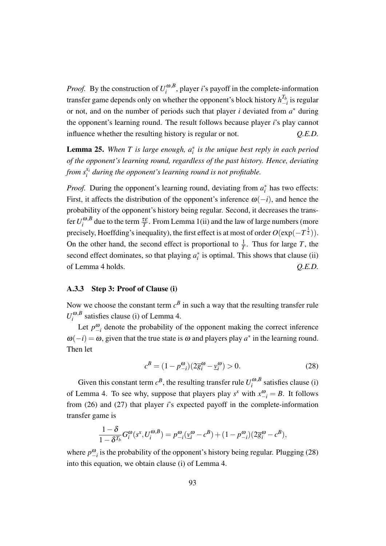*Proof.* By the construction of  $U_i^{\omega, B}$  $i_i^{\omega, b}$ , player *i*'s payoff in the complete-information transfer game depends only on whether the opponent's block history  $h_{\perp}^{T_b}$ *−i* is regular or not, and on the number of periods such that player *i* deviated from *a <sup>∗</sup>* during the opponent's learning round. The result follows because player *i*'s play cannot influence whether the resulting history is regular or not. *Q.E.D.*

Lemma 25. *When T is large enough, a ∗ i is the unique best reply in each period of the opponent's learning round, regardless of the past history. Hence, deviating* from  $s_i^{x_i}$ *i during the opponent's learning round is not profitable.*

*Proof.* During the opponent's learning round, deviating from  $a_i^*$  has two effects: First, it affects the distribution of the opponent's inference <sup>ω</sup>(*−i*), and hence the probability of the opponent's history being regular. Second, it decreases the transfer  $U_i^{\omega, B}$  $\int_{i}^{\omega, B}$  due to the term  $\frac{\tau \varepsilon}{T}$ . From Lemma 1(ii) and the law of large numbers (more precisely, Hoeffding's inequality), the first effect is at most of order  $O(\exp(-T^{\frac{1}{2}}))$ . On the other hand, the second effect is proportional to  $\frac{1}{T}$ . Thus for large *T*, the second effect dominates, so that playing  $a_i^*$  is optimal. This shows that clause (ii) of Lemma 4 holds. *Q.E.D.*

## A.3.3 Step 3: Proof of Clause (i)

Now we choose the constant term  $c^B$  in such a way that the resulting transfer rule  $U_i^{\omega, B}$  $\int_{i}^{\omega, B}$  satisfies clause (i) of Lemma 4.

Let  $p_{-i}^{\omega}$  denote the probability of the opponent making the correct inference  $\omega(-i) = \omega$ , given that the true state is  $\omega$  and players play  $a^*$  in the learning round. Then let

$$
c^{B} = (1 - p^{\omega}_{-i})(2\overline{g}^{\omega}_{i} - \underline{v}^{\omega}_{i}) > 0.
$$
 (28)

Given this constant term  $c^B$ , the resulting transfer rule  $U_i^{\omega, B}$  $\int_{i}^{\omega,D}$  satisfies clause (i) of Lemma 4. To see why, suppose that players play  $s^x$  with  $x_{-i}^{\omega} = B$ . It follows from (26) and (27) that player *i*'s expected payoff in the complete-information transfer game is

$$
\frac{1-\delta}{1-\delta^{T_b}}G_i^{\omega}(s^x, U_i^{\omega, B}) = p_{-i}^{\omega}(\underline{v}_i^{\omega} - c^B) + (1 - p_{-i}^{\omega})(2\overline{g}_i^{\omega} - c^B),
$$

where  $p_{-i}^{\omega}$  is the probability of the opponent's history being regular. Plugging (28) into this equation, we obtain clause (i) of Lemma 4.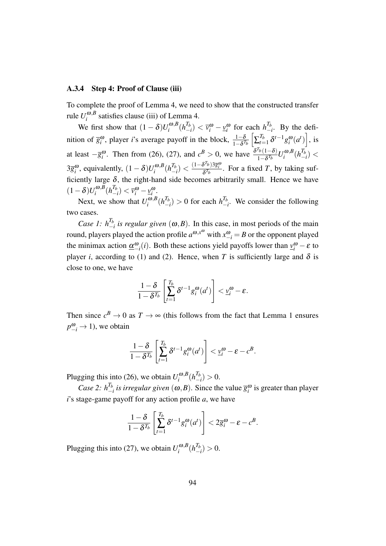## A.3.4 Step 4: Proof of Clause (iii)

To complete the proof of Lemma 4, we need to show that the constructed transfer rule  $U_i^{\omega, B}$  $\int_{i}^{\omega, b}$  satisfies clause (iii) of Lemma 4.

We first show that  $(1 - \delta)U_i^{\omega, B}$  $\int_i^{\omega,B}(h^{T_b}_-)$  $\left(\frac{T_b}{-i}\right)$  <  $\bar{v}_i^{\omega}$  −  $\underline{v}_i^{\omega}$  for each  $h_+^{T_b}$  $\frac{I_b}{I}$ . By the definition of  $\overline{g}_i^{\omega}$ , player *i*'s average payoff in the block,  $\frac{1-\delta}{1-\delta^{T_b}}\left[\sum_{t=1}^{T_b}\right]$  $\int_{t=1}^{T_b} \delta^{t-1} g_i^{\omega}(a^t) \Big]$ , is at least  $-\overline{g}_i^{\omega}$ . Then from (26), (27), and  $c^B > 0$ , we have  $\frac{\delta^{T_b}(1-\delta)}{1-\delta^{T_b}}$  $\frac{I_b(1-\delta)}{1-\delta^{T_b}}U_i^{\omega, B}$  $\int_i^{\boldsymbol{\omega},B}(h_-^{T_b})$ *−i* ) *<* 3 $\overline{g}_i^{\omega}$ , equivalently,  $(1 - \delta)U_i^{\omega, B}$  $\int_i^{\omega,B}(h^{T_b}_-)$  $\binom{T_b}{-i}$  <  $\frac{(1-\delta^{T_b})3\overline{g}_i^{\omega}}{\delta^{T_b}}$ . For a fixed *T*, by taking sufficiently large  $\delta$ , the right-hand side becomes arbitrarily small. Hence we have  $(1−δ)U_i^{\omega, B}$  $\int_i^{\omega,B}(h^{T_b}_-)$  $\left(\frac{I_b}{-i}\right) < \overline{v}_i^{\omega} - \underline{v}_i^{\omega}$ .

Next, we show that  $U_i^{\omega, B}$  $\int_i^{\omega,B}(h^{T_b}_-)$  $\binom{T_b}{-i}$  > 0 for each  $h^{T_b}_{-i}$ *−i* . We consider the following two cases.

*Case 1:*  $h^{T_b}_{-1}$  $\frac{I_b}{I}$  *is regular given* ( $\omega$ *,B*). In this case, in most periods of the main round, players played the action profile  $a^{\omega, x^{\omega}}$  with  $x^{\omega}_{-i} = B$  or the opponent played the minimax action  $\underline{\alpha}^{\omega}_{-i}(i)$ . Both these actions yield payoffs lower than  $v_i^{\omega} - \varepsilon$  to player *i*, according to (1) and (2). Hence, when *T* is sufficiently large and  $\delta$  is close to one, we have

$$
\frac{1-\delta}{1-\delta^{T_b}}\left[\sum_{t=1}^{T_b}\delta^{t-1}g_i^{\omega}(a^t)\right]<\underline{v}_i^{\omega}-\varepsilon.
$$

Then since  $c^B \to 0$  as  $T \to \infty$  (this follows from the fact that Lemma 1 ensures  $p_{-i}^{\omega} \rightarrow 1$ ), we obtain

$$
\frac{1-\delta}{1-\delta^{T_b}}\left[\sum_{t=1}^{T_b}\delta^{t-1}g_i^{\boldsymbol{\omega}}(a^t)\right]<\underline{\nu}_i^{\boldsymbol{\omega}}-\varepsilon-c^B.
$$

Plugging this into (26), we obtain  $U_i^{\omega, B}$  $\int_i^{\boldsymbol{\omega},B}(h^{T_b}_-)$  $\binom{I_b}{-i}$  > 0.

*Case* 2:  $h_{-}^{T_b}$  $\frac{I_b}{I}$  *is irregular given* (ω,*B*). Since the value  $\overline{g}_i^{\omega}$  is greater than player *i*'s stage-game payoff for any action profile *a*, we have

$$
\frac{1-\delta}{1-\delta^{T_b}}\left[\sum_{t=1}^{T_b} \delta^{t-1} g_t^{\omega}(a^t)\right] < 2\overline{g}_i^{\omega} - \varepsilon - c^B.
$$

Plugging this into (27), we obtain  $U_i^{\omega, B}$  $\int_i^{\omega,B}(h^{T_b}_-)$  $\binom{I_b}{-i} > 0.$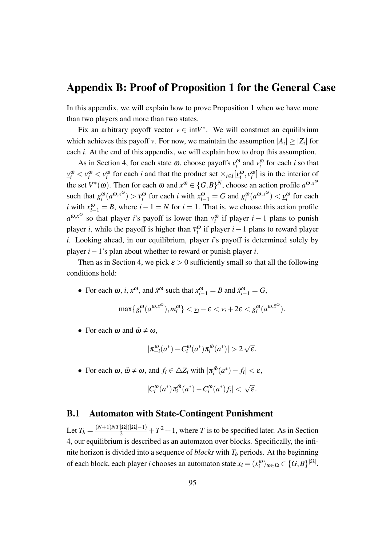# Appendix B: Proof of Proposition 1 for the General Case

In this appendix, we will explain how to prove Proposition 1 when we have more than two players and more than two states.

Fix an arbitrary payoff vector  $v \in \text{int}V^*$ . We will construct an equilibrium which achieves this payoff *v*. For now, we maintain the assumption  $|A_i| \geq |Z_i|$  for each *i*. At the end of this appendix, we will explain how to drop this assumption.

As in Section 4, for each state  $\omega$ , choose payoffs  $v_i^{\omega}$  and  $\bar{v}_i^{\omega}$  for each *i* so that  $\underline{v}_i^{\omega} < v_i^{\omega} < \overline{v}_i^{\omega}$  for each *i* and that the product set  $\times_{i \in I} [\underline{v}_i^{\omega}, \overline{v}_i^{\omega}]$  is in the interior of the set  $V^*(\omega)$ . Then for each  $\omega$  and  $x^{\omega} \in \{G, B\}^N$ , choose an action profile  $a^{\omega, x^{\omega}}$ such that  $g_i^{\omega}(a^{\omega, x^{\omega}}) > \bar{v}_i^{\omega}$  for each *i* with  $x_{i-1}^{\omega} = G$  and  $g_i^{\omega}(a^{\omega, x^{\omega}}) < \underline{v}_i^{\omega}$  for each *i* with  $x_{i-1}^{\omega} = B$ , where  $i-1 = N$  for  $i = 1$ . That is, we choose this action profile  $a^{\omega, x^{\omega}}$  so that player *i*'s payoff is lower than  $y_i^{\omega}$  if player *i* – 1 plans to punish player *i*, while the payoff is higher than  $\bar{v}_i^{\omega}$  if player *i* − 1 plans to reward player *i*. Looking ahead, in our equilibrium, player *i*'s payoff is determined solely by player *i−*1's plan about whether to reward or punish player *i*.

Then as in Section 4, we pick  $\varepsilon > 0$  sufficiently small so that all the following conditions hold:

• For each  $\omega$ , *i*,  $x^{\omega}$ , and  $\tilde{x}^{\omega}$  such that  $x_{i-1}^{\omega} = B$  and  $\tilde{x}_{i-1}^{\omega} = G$ ,

$$
\max\{g_i^{\boldsymbol{\omega}}(a^{\boldsymbol{\omega},x^{\boldsymbol{\omega}}}),m_i^{\boldsymbol{\omega}}\}<\underline{v}_i-\varepsilon<\overline{v}_i+2\varepsilon
$$

• For each  $\omega$  and  $\tilde{\omega} \neq \omega$ ,

$$
|\pi_{-i}^{\omega}(a^*) - C_i^{\omega}(a^*)\pi_i^{\tilde{\omega}}(a^*)| > 2\sqrt{\varepsilon}.
$$

• For each  $\omega$ ,  $\tilde{\omega} \neq \omega$ , and  $f_i \in \triangle Z_i$  with  $|\pi_i^{\tilde{\omega}}|$  $\left|\frac{\tilde{\omega}}{i}(a^*)-f_i\right|<\varepsilon,$ 

$$
|C_i^{\omega}(a^*)\pi_i^{\tilde{\omega}}(a^*) - C_i^{\omega}(a^*)f_i| < \sqrt{\varepsilon}.
$$

## B.1 Automaton with State-Contingent Punishment

Let  $T_b = \frac{(N+1)NT|\Omega|(|\Omega|-1)}{2} + T^2 + 1$ , where *T* is to be specified later. As in Section 4, our equilibrium is described as an automaton over blocks. Specifically, the infinite horizon is divided into a sequence of *blocks* with *T<sup>b</sup>* periods. At the beginning of each block, each player *i* chooses an automaton state  $x_i = (x_i^{\omega})_{\omega \in \Omega} \in \{G, B\}^{|\Omega|}$ .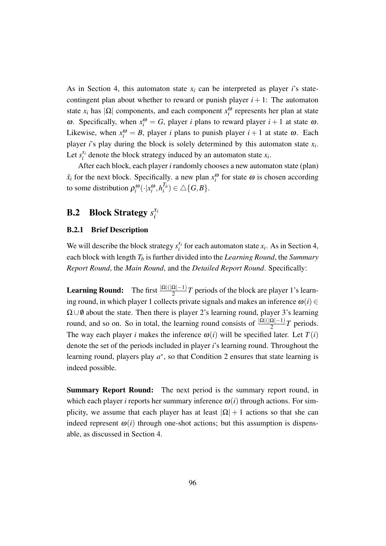As in Section 4, this automaton state  $x_i$  can be interpreted as player *i*'s statecontingent plan about whether to reward or punish player  $i + 1$ : The automaton state  $x_i$  has  $|\Omega|$  components, and each component  $x_i^{\omega}$  represents her plan at state ω. Specifically, when  $x_i^ω = G$ , player *i* plans to reward player  $i + 1$  at state ω. Likewise, when  $x_i^{\omega} = B$ , player *i* plans to punish player  $i + 1$  at state  $\omega$ . Each player *i*'s play during the block is solely determined by this automaton state *x<sup>i</sup>* . Let  $s_i^{x_i}$  $x_i$ <sup>*i*</sup> denote the block strategy induced by an automaton state  $x_i$ .

After each block, each player *i* randomly chooses a new automaton state (plan)  $\tilde{x}_i$  for the next block. Specifically. a new plan  $x_i^{\omega}$  for state  $\omega$  is chosen according to some distribution  $\rho_i^{\omega}(\cdot|x_i^{\omega}, h_i^{T_b})$  $\binom{I_b}{i} \in \triangle$  { $G, B$  }.

### B.2 Block Strategy *s xi i*

## B.2.1 Brief Description

We will describe the block strategy  $s_i^{x_i}$  $x_i^i$  for each automaton state  $x_i$ . As in Section 4, each block with length *T<sup>b</sup>* is further divided into the *Learning Round*, the *Summary Report Round*, the *Main Round*, and the *Detailed Report Round*. Specifically:

**Learning Round:** The first  $\frac{|\Omega|(|\Omega|-1)}{2}T$  periods of the block are player 1's learning round, in which player 1 collects private signals and makes an inference  $\omega(i) \in$ Ω*∪* /0 about the state. Then there is player 2's learning round, player 3's learning round, and so on. So in total, the learning round consists of  $\frac{|\Omega|(|\Omega|-1)}{2}T$  periods. The way each player *i* makes the inference  $\omega(i)$  will be specified later. Let  $T(i)$ denote the set of the periods included in player *i*'s learning round. Throughout the learning round, players play *a ∗* , so that Condition 2 ensures that state learning is indeed possible.

Summary Report Round: The next period is the summary report round, in which each player *i* reports her summary inference  $\omega(i)$  through actions. For simplicity, we assume that each player has at least  $|\Omega| + 1$  actions so that she can indeed represent  $\omega(i)$  through one-shot actions; but this assumption is dispensable, as discussed in Section 4.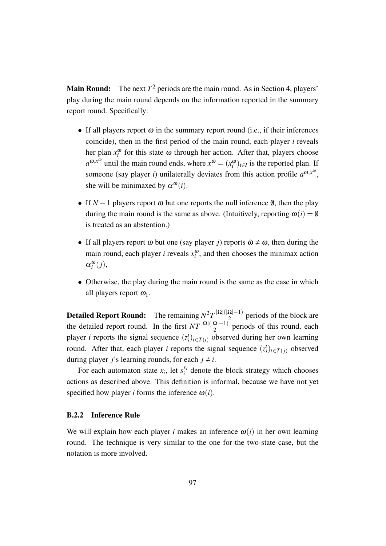**Main Round:** The next  $T^2$  periods are the main round. As in Section 4, players' play during the main round depends on the information reported in the summary report round. Specifically:

- If all players report  $\omega$  in the summary report round (i.e., if their inferences coincide), then in the first period of the main round, each player *i* reveals her plan  $x_i^{\omega}$  for this state  $\omega$  through her action. After that, players choose  $a^{\omega, x^{\omega}}$  until the main round ends, where  $x^{\omega} = (x_i^{\omega})_{i \in I}$  is the reported plan. If someone (say player *i*) unilaterally deviates from this action profile  $a^{\omega, x^{\omega}}$ , she will be minimaxed by  $\underline{\alpha}^{\omega}(i)$ .
- If  $N-1$  players report  $\omega$  but one reports the null inference  $\emptyset$ , then the play during the main round is the same as above. (Intuitively, reporting  $\omega(i) = \emptyset$ is treated as an abstention.)
- If all players report  $\omega$  but one (say player *j*) reports  $\tilde{\omega} \neq \omega$ , then during the main round, each player *i* reveals  $x_i^{\omega}$ , and then chooses the minimax action  $\underline{\alpha}_{i}^{\omega}(j),$
- Otherwise, the play during the main round is the same as the case in which all players report  $\omega_1$ .

**Detailed Report Round:** The remaining  $N^2T\frac{|\Omega|(|\Omega|-1)}{2}$  $\frac{22|-1)}{2}$  periods of the block are the detailed report round. In the first  $NT \frac{|\Omega|(|\Omega|-1)}{2}$  periods of this round, each player *i* reports the signal sequence  $(z_i^t)_{t \in T(i)}$  observed during her own learning round. After that, each player *i* reports the signal sequence  $(z_i^t)_{t \in T(j)}$  observed during player *j*'s learning rounds, for each  $j \neq i$ .

For each automaton state  $x_i$ , let  $s_i^{x_i}$  $\chi_i^{(x)}$  denote the block strategy which chooses actions as described above. This definition is informal, because we have not yet specified how player *i* forms the inference  $\omega(i)$ .

### B.2.2 Inference Rule

We will explain how each player *i* makes an inference  $\omega(i)$  in her own learning round. The technique is very similar to the one for the two-state case, but the notation is more involved.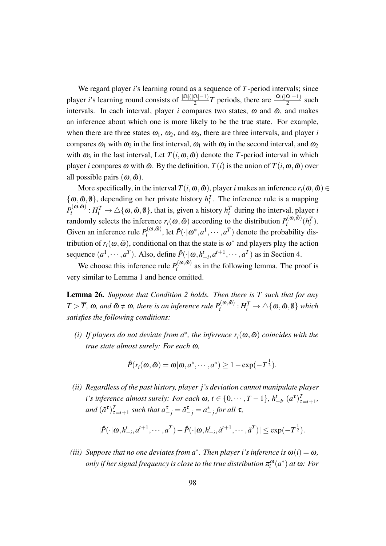We regard player *i*'s learning round as a sequence of *T*-period intervals; since player *i*'s learning round consists of  $\frac{|\Omega|(|\Omega|-1)}{2}T$  periods, there are  $\frac{|\Omega|(|\Omega|-1)}{2}$  such intervals. In each interval, player  $i$  compares two states,  $\omega$  and  $\tilde{\omega}$ , and makes an inference about which one is more likely to be the true state. For example, when there are three states  $\omega_1$ ,  $\omega_2$ , and  $\omega_3$ , there are three intervals, and player *i* compares  $\omega_1$  with  $\omega_2$  in the first interval,  $\omega_1$  with  $\omega_3$  in the second interval, and  $\omega_2$ with  $\omega_3$  in the last interval, Let  $T(i, \omega, \tilde{\omega})$  denote the *T*-period interval in which player *i* compares  $\omega$  with  $\tilde{\omega}$ . By the definition,  $T(i)$  is the union of  $T(i, \omega, \tilde{\omega})$  over all possible pairs  $(\omega, \tilde{\omega})$ .

More specifically, in the interval  $T(i, \omega, \tilde{\omega})$ , player *i* makes an inference  $r_i(\omega, \tilde{\omega}) \in$  $\{\omega, \tilde{\omega}, \theta\}$ , depending on her private history  $h_i^T$ . The inference rule is a mapping  $P_i^{(\boldsymbol{\omega},\tilde{\boldsymbol{\omega}})}$  $a_i^{(0,0,0)}$  :  $H_i^T \to \triangle \{\omega, \tilde{\omega}, \theta\}$ , that is, given a history  $h_i^T$  during the interval, player *i* randomly selects the inference  $r_i(\omega, \tilde{\omega})$  according to the distribution  $P_i^{(\omega, \tilde{\omega})}$  $\theta_i^{(\omega,\omega)}(h_i^T)$ . Given an inference rule  $P_i^{(\omega,\tilde{\omega})}$  $p_i^{(0,0,0)}$ , let  $\hat{P}(\cdot | \omega^*, a^1, \dots, a^T)$  denote the probability distribution of  $r_i(\omega, \tilde{\omega})$ , conditional on that the state is  $\omega^*$  and players play the action sequence  $(a^1, \dots, a^T)$ . Also, define  $\hat{P}(\cdot | \omega, h^t_{-i}, a^{t+1}, \dots, a^T)$  as in Section 4.

We choose this inference rule  $P_i^{(\omega,\tilde{\omega})}$  $\sum_{i}^{N_{\text{tot}}(w,w)}$  as in the following lemma. The proof is very similar to Lemma 1 and hence omitted.

**Lemma 26.** Suppose that Condition 2 holds. Then there is  $\overline{T}$  such that for any  $T > \overline{T}$ ,  $\omega$ , and  $\tilde{\omega} \neq \omega$ , there is an inference rule  $P_i^{(\omega,\tilde{\omega})}$  $j_{i}^{(\boldsymbol{\omega},\boldsymbol{\omega})}:H_{i}^{T}\rightarrow\triangle\{\boldsymbol{\omega},\tilde{\boldsymbol{\omega}},\boldsymbol{\emptyset}\}$  which *satisfies the following conditions:*

*(i)* If players do not deviate from  $a^*$ , the inference  $r_i(\omega, \tilde{\omega})$  coincides with the *true state almost surely: For each* <sup>ω</sup>*,*

$$
\hat{P}(r_i(\omega,\tilde{\omega})=\omega|\omega,a^*,\cdots,a^*)\geq 1-\exp(-T^{\frac{1}{2}}).
$$

*(ii) Regardless of the past history, player j's deviation cannot manipulate player i's inference almost surely: For each*  $\omega$ ,  $t \in \{0, \dots, T-1\}$ ,  $h_{-i}^t$ ,  $(a^{\tau})_{\tau=t+1}^T$ , *and*  $(\tilde{a}^{\tau})^T_{\tau=t+1}$  *such that*  $a^{\tau}_{-j} = \tilde{a}^{\tau}_{-j} = a^*_{-j}$  *for all*  $\tau$ *,* 

$$
|\hat{P}(\cdot|\omega, h_{-i}^t, a^{t+1}, \cdots, a^T) - \hat{P}(\cdot|\omega, h_{-i}^t, \tilde{a}^{t+1}, \cdots, \tilde{a}^T)| \le \exp(-T^{\frac{1}{2}}).
$$

*(iii)* Suppose that no one deviates from  $a^*$ . Then player *i*'s inference is  $\omega(i) = \omega$ ,  $\sigma$  *only if her signal frequency is close to the true distribution*  $\pi_i^{\omega}(a^*)$  *at*  $\omega$ *: For*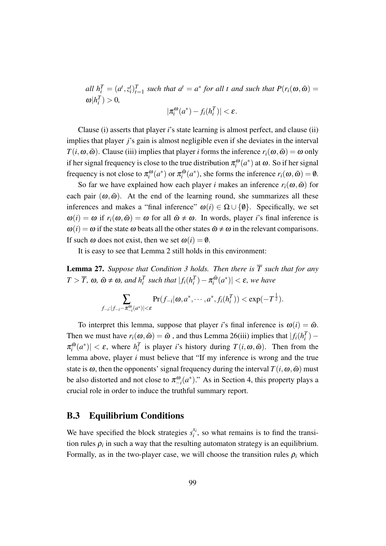all  $h_i^T = (a^t, z_i^t)_{t=1}^T$  such that  $a^t = a^*$  for all t and such that  $P(r_i(\omega, \tilde{\omega})) =$  $\omega | h_i^T$   $> 0$ *,* ω

$$
|\pi_i^{\omega}(a^*) - f_i(h_i^T)| < \varepsilon.
$$

Clause (i) asserts that player *i*'s state learning is almost perfect, and clause (ii) implies that player *j*'s gain is almost negligible even if she deviates in the interval *T*(*i*,  $\omega$ *,* $\tilde{\omega}$ ). Clause (iii) implies that player *i* forms the inference  $r_i(\omega, \tilde{\omega}) = \omega$  only if her signal frequency is close to the true distribution  $\pi_i^{\omega}(a^*)$  at  $\omega$ . So if her signal frequency is not close to  $\pi_i^{\omega}(a^*)$  or  $\pi_i^{\tilde{\omega}}$  $r_i^{\tilde{\omega}}(a^*)$ , she forms the inference  $r_i(\omega, \tilde{\omega}) = \emptyset$ .

So far we have explained how each player *i* makes an inference  $r_i(\omega, \tilde{\omega})$  for each pair  $(\omega, \tilde{\omega})$ . At the end of the learning round, she summarizes all these inferences and makes a "final inference"  $\omega(i) \in \Omega \cup \{\emptyset\}$ . Specifically, we set  $\omega(i) = \omega$  if  $r_i(\omega, \tilde{\omega}) = \omega$  for all  $\tilde{\omega} \neq \omega$ . In words, player *i*'s final inference is  $\omega(i) = \omega$  if the state  $\omega$  beats all the other states  $\tilde{\omega} \neq \omega$  in the relevant comparisons. If such  $\omega$  does not exist, then we set  $\omega(i) = \emptyset$ .

It is easy to see that Lemma 2 still holds in this environment:

**Lemma 27.** *Suppose that Condition 3 holds. Then there is*  $\overline{T}$  *such that for any*  $T > \overline{T}$ ,  $\omega$ ,  $\tilde{\omega} \neq \omega$ , and  $h_i^T$  such that  $|f_i(h_i^T) - \pi_i^{\tilde{\omega}}$  $\left|\frac{\tilde{\omega}}{i}(a^*)\right| < \varepsilon$ , we have

$$
\sum_{f_{-i} : |f_{-i}-\pi_{-i}^{\omega}(a^*)| < \varepsilon} \Pr(f_{-i}|\boldsymbol{\omega}, a^*, \cdots, a^*, f_i(h_i^T)) < \exp(-T^{\frac{1}{2}}).
$$

To interpret this lemma, suppose that player *i*'s final inference is  $\omega(i) = \tilde{\omega}$ . Then we must have  $r_i(\omega, \tilde{\omega}) = \tilde{\omega}$ , and thus Lemma 26(iii) implies that  $|f_i(h_i^T) \pi^{\tilde{\omega}}$  $|f_i^{\tilde{w}}(a^*)| < \varepsilon$ , where  $h_i^T$  is player *i*'s history during  $T(i, \omega, \tilde{\omega})$ . Then from the lemma above, player *i* must believe that "If my inference is wrong and the true state is  $\omega$ , then the opponents' signal frequency during the interval  $T(i, \omega, \tilde{\omega})$  must be also distorted and not close to  $\pi_{-i}^{\omega}(a^*)$ ." As in Section 4, this property plays a crucial role in order to induce the truthful summary report.

# B.3 Equilibrium Conditions

We have specified the block strategies  $s_i^{x_i}$  $x_i$ , so what remains is to find the transition rules  $\rho_i$  in such a way that the resulting automaton strategy is an equilibrium. Formally, as in the two-player case, we will choose the transition rules  $\rho_i$  which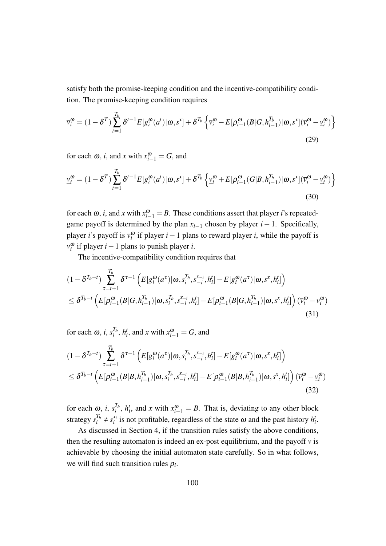satisfy both the promise-keeping condition and the incentive-compatibility condition. The promise-keeping condition requires

$$
\overline{v}_{i}^{\omega} = (1 - \delta^{T}) \sum_{t=1}^{T_{b}} \delta^{t-1} E[g_{i}^{\omega}(a^{t}) | \omega, s^{x}] + \delta^{T_{b}} \left\{ \overline{v}_{i}^{\omega} - E[\rho_{i-1}^{\omega}(B|G, h_{i-1}^{T_{b}}) | \omega, s^{x}] (\overline{v}_{i}^{\omega} - \underline{v}_{i}^{\omega}) \right\}
$$
\n(29)

for each  $\omega$ , *i*, and *x* with  $x_{i-1}^{\omega} = G$ , and

$$
\underline{v}_{i}^{\omega} = (1 - \delta^{T}) \sum_{t=1}^{T_{b}} \delta^{t-1} E[g_{i}^{\omega}(a^{t}) | \omega, s^{x}] + \delta^{T_{b}} \left\{ \underline{v}_{i}^{\omega} + E[\rho_{i-1}^{\omega}(G|B, h_{i-1}^{T_{b}}) | \omega, s^{x}] (\overline{v}_{i}^{\omega} - \underline{v}_{i}^{\omega}) \right\}
$$
(30)

for each  $\omega$ , *i*, and *x* with  $x_{i-1}^{\omega} = B$ . These conditions assert that player *i*'s repeatedgame payoff is determined by the plan  $x_{i-1}$  chosen by player  $i-1$ . Specifically, player *i*'s payoff is  $\bar{v}_i^{\omega}$  if player *i* − 1 plans to reward player *i*, while the payoff is *v* ω *i* if player *i−*1 plans to punish player *i*.

The incentive-compatibility condition requires that

$$
(1 - \delta^{T_b - t}) \sum_{\tau = t+1}^{T_b} \delta^{\tau-1} \left( E[g_i^{\omega}(a^{\tau}) | \omega, s_i^{T_b}, s_{-i}^{x_{-i}}, h_i^t] - E[g_i^{\omega}(a^{\tau}) | \omega, s^x, h_i^t] \right) \n\leq \delta^{T_b - t} \left( E[\rho_{i-1}^{\omega}(B|G, h_{i-1}^{T_b}) | \omega, s_i^{T_b}, s_{-i}^{x_{-i}}, h_i^t] - E[\rho_{i-1}^{\omega}(B|G, h_{i-1}^{T_b}) | \omega, s^x, h_i^t] \right) (\overline{v}_i^{\omega} - \underline{v}_i^{\omega})
$$
\n(31)

for each  $\omega$ , *i*,  $s_i^{T_b}$  $a_i^{T_b}$ ,  $h_i^t$ , and *x* with  $x_{i-1}^{\omega} = G$ , and

$$
(1 - \delta^{T_b - t}) \sum_{\tau = t+1}^{T_b} \delta^{\tau-1} \left( E[g_i^{\omega}(a^{\tau}) | \omega, s_i^{T_b}, s_{-i}^{x_{-i}}, h_i^t] - E[g_i^{\omega}(a^{\tau}) | \omega, s^x, h_i^t] \right) \n\leq \delta^{T_b - t} \left( E[\rho_{i-1}^{\omega}(B | B, h_{i-1}^{T_b}) | \omega, s_i^{T_b}, s_{-i}^{x_{-i}}, h_i^t] - E[\rho_{i-1}^{\omega}(B | B, h_{i-1}^{T_b}) | \omega, s^x, h_i^t] \right) (\bar{v}_i^{\omega} - \underline{v}_i^{\omega})
$$
\n(32)

for each  $\omega$ , *i*,  $s_i^{T_b}$  $\mathcal{I}_{i}^{T_b}$ ,  $h_i^t$ , and *x* with  $x_{i-1}^{\omega} = B$ . That is, deviating to any other block strategy  $s_i^{T_b} \neq s_i^{x_i}$  $x_i$  is not profitable, regardless of the state  $\omega$  and the past history  $h_i^t$ .

As discussed in Section 4, if the transition rules satisfy the above conditions, then the resulting automaton is indeed an ex-post equilibrium, and the payoff  $\nu$  is achievable by choosing the initial automaton state carefully. So in what follows, we will find such transition rules  $\rho_i$ .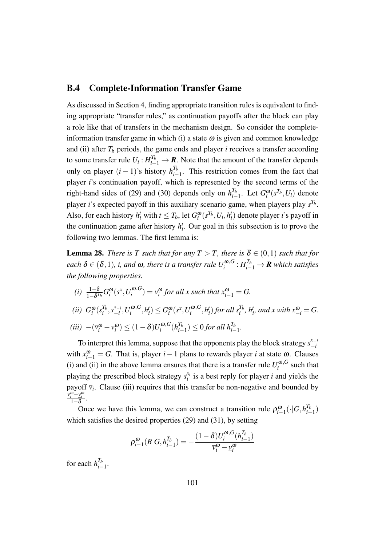# B.4 Complete-Information Transfer Game

As discussed in Section 4, finding appropriate transition rules is equivalent to finding appropriate "transfer rules," as continuation payoffs after the block can play a role like that of transfers in the mechanism design. So consider the completeinformation transfer game in which (i) a state  $\omega$  is given and common knowledge and (ii) after  $T_b$  periods, the game ends and player  $i$  receives a transfer according to some transfer rule  $U_i: H_{i-1}^{T_b} \to \mathbf{R}$ . Note that the amount of the transfer depends only on player  $(i-1)$ 's history  $h_{i-}^{T_b}$  $\frac{I_b}{I_b}$ . This restriction comes from the fact that player *i*'s continuation payoff, which is represented by the second terms of the right-hand sides of (29) and (30) depends only on  $h^{T_b}_{i}$  $T_b$ <sup>*I*<sub>*i*</sub></sub> 1. Let *G*<sup>ω</sup><sub>*i*</sub></sub>(*s*<sup>*T<sub>b</sub>*</sup>,*U<sub><i>i*</sub>) denote</sup> player *i*'s expected payoff in this auxiliary scenario game, when players play *s Tb* . Also, for each history  $h_i^t$  with  $t \leq T_b$ , let  $G_i^{\omega}(s^{T_b}, U_i, h_i^t)$  denote player *i*'s payoff in the continuation game after history  $h_i^t$ . Our goal in this subsection is to prove the following two lemmas. The first lemma is:

**Lemma 28.** *There is*  $\overline{T}$  *such that for any*  $T > \overline{T}$ *, there is*  $\overline{\delta} \in (0,1)$  *such that for*  $e$ ach  $\delta \in (\overline{\delta},1)$ , *i, and*  $\omega$ *, there is a transfer rule*  $U^{ \omega, G}_{i}$  $\pi^{a,G}_i : H_{i-1}^{T_b} \to \boldsymbol{R}$  which satisfies *the following properties.*

(i) 
$$
\frac{1-\delta}{1-\delta^{T_b}} G_i^{\omega}(s^x, U_i^{\omega, G}) = \overline{v}_i^{\omega} \text{ for all } x \text{ such that } x_{i-1}^{\omega} = G.
$$
  
\n(ii)  $G_i^{\omega}(s_i^{T_b}, s_{-i}^{x_{-i}}, U_i^{\omega, G}, h_i^t) \leq G_i^{\omega}(s^x, U_i^{\omega, G}, h_i^t) \text{ for all } s_i^{T_b}, h_i^t, \text{ and } x \text{ with } x_{-i}^{\omega} = G.$   
\n(iii)  $-(\overline{v}_i^{\omega} - \underline{v}_i^{\omega}) \leq (1-\delta)U_i^{\omega, G}(h_{i-1}^{T_b}) \leq 0 \text{ for all } h_{i-1}^{T_b}.$ 

To interpret this lemma, suppose that the opponents play the block strategy  $s_{-i}^{x_{-i}}$ *−i* with  $x_{i-1}^{\omega} = G$ . That is, player *i* − 1 plans to rewards player *i* at state  $\omega$ . Clauses (i) and (ii) in the above lemma ensures that there is a transfer rule  $U_i^{\omega, G}$  $\int_{i}^{\omega,\sigma}$  such that playing the prescribed block strategy  $s_i^{x_i}$  $i_i^{x_i}$  is a best reply for player *i* and yields the payoff  $\bar{v}_i$ . Clause (iii) requires that this transfer be non-negative and bounded by *v* ω *<sup>i</sup> −v* ω *i* 1*−*δ .

Once we have this lemma, we can construct a transition rule  $\rho_{i-1}^{\omega}(\cdot|G, h_{i-1}^{T_b})$  $\binom{I_b}{i-1}$ which satisfies the desired properties (29) and (31), by setting

$$
\rho_{i-1}^{\omega}(B|G, h_{i-1}^{T_b}) = -\frac{(1-\delta)U_i^{\omega, G}(h_{i-1}^{T_b})}{\overline{v}_i^{\omega} - \underline{v}_i^{\omega}}
$$

for each  $h^{T_b}_{i-}$ *i−*1 .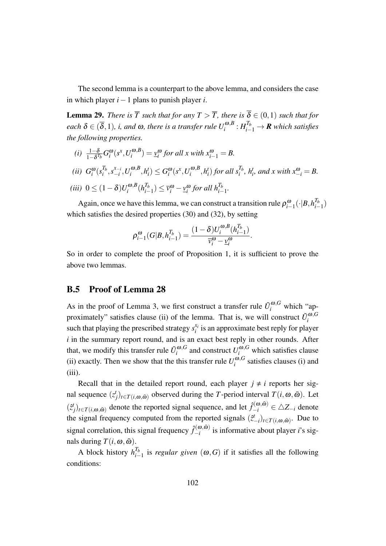The second lemma is a counterpart to the above lemma, and considers the case in which player *i−*1 plans to punish player *i*.

**Lemma 29.** *There is*  $\overline{T}$  *such that for any*  $T > \overline{T}$ *, there is*  $\overline{\delta} \in (0,1)$  *such that for*  $e$ ach  $\delta \in (\overline{\delta},1)$ , *i, and*  $\omega$ *, there is a transfer rule*  $U^{ \omega, B}_{i}$  $\pi^{(\bm{o}, \bm{B}}_i: H_{i-1}^{T_b} \rightarrow \bm{R}$  which satisfies *the following properties.*

(i) 
$$
\frac{1-\delta}{1-\delta^{T_b}} G_i^{\omega}(s^x, U_i^{\omega, B}) = \underline{v}_i^{\omega} \text{ for all } x \text{ with } x_{i-1}^{\omega} = B.
$$
  
\n(ii)  $G_i^{\omega}(s_i^{T_b}, s_{-i}^{x_{-i}}, U_i^{\omega, B}, h_i^t) \leq G_i^{\omega}(s^x, U_i^{\omega, B}, h_i^t) \text{ for all } s_i^{T_b}, h_i^t, \text{ and } x \text{ with } x_{-i}^{\omega} = B.$   
\n(iii)  $0 \leq (1-\delta)U_i^{\omega, B}(h_{i-1}^{T_b}) \leq \overline{v}_i^{\omega} - \underline{v}_i^{\omega} \text{ for all } h_{i-1}^{T_b}.$ 

Again, once we have this lemma, we can construct a transition rule  $\rho_{i-1}^{\omega}(\cdot|B, h_{i-1}^{T_b})$  $\binom{I_b}{i-1}$ which satisfies the desired properties (30) and (32), by setting

$$
\rho_{i-1}^{\omega}(G|B,h_{i-1}^{T_b})=\frac{(1-\delta)U_i^{\omega,B}(h_{i-1}^{T_b})}{\overline{v}_i^{\omega}-\underline{v}_i^{\omega}}.
$$

So in order to complete the proof of Proposition 1, it is sufficient to prove the above two lemmas.

# B.5 Proof of Lemma 28

As in the proof of Lemma 3, we first construct a transfer rule  $\tilde{U}^{\omega, G}_i$  which "approximately" satisfies clause (ii) of the lemma. That is, we will construct  $\tilde{U}^{\omega, G}_i$ *i* such that playing the prescribed strategy  $s_i^x$  $i$ <sup> $x$ <sub>i</sub></sup> is an approximate best reply for player *i* in the summary report round, and is an exact best reply in other rounds. After that, we modify this transfer rule  $\tilde{U}_i^{\omega, G}$  $\sum_{i}^{a}$  and construct  $U_i^{a}$ , which satisfies clause (ii) exactly. Then we show that the this transfer rule  $U_i^{\omega, G}$  $\int_{i}^{\omega,\sigma}$  satisfies clauses (i) and (iii).

Recall that in the detailed report round, each player  $j \neq i$  reports her signal sequence  $(z_j^t)_{t \in T(i, \omega, \tilde{\omega})}$  observed during the *T*-period interval  $T(i, \omega, \tilde{\omega})$ . Let  $(\hat{z}_j^t)_{t \in T(i, \omega, \tilde{\omega})}$  denote the reported signal sequence, and let  $\hat{f}_{-i}^{(\omega, \tilde{\omega})} \in \Delta Z_{-i}$  denote the signal frequency computed from the reported signals  $(\hat{z}^t_{-i})_{t \in T(i,\omega,\tilde{\omega})}$ . Due to signal correlation, this signal frequency  $\hat{f}^{(\omega,\tilde{\omega})}_{-i}$ <sup> $i(ω, ω)$ </sup> is informative about player *i*'s signals during  $T(i, \omega, \tilde{\omega})$ .

A block history  $h_{i-}^{T_b}$  $i_{i-1}$ <sup>*I<sub>b</sub>*</sup> is *regular given* (ω, *G*) if it satisfies all the following conditions: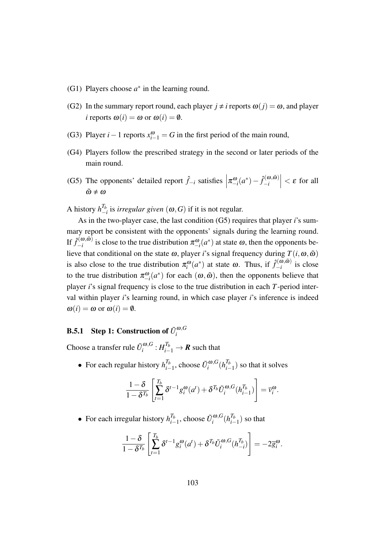- (G1) Players choose  $a^*$  in the learning round.
- (G2) In the summary report round, each player  $j \neq i$  reports  $\omega(j) = \omega$ , and player *i* reports  $\omega(i) = \omega$  or  $\omega(i) = \emptyset$ .
- (G3) Player *i* − 1 reports  $x_{i-1}^{\omega}$  = *G* in the first period of the main round,
- (G4) Players follow the prescribed strategy in the second or later periods of the main round.
- (G5) The opponents' detailed report  $\hat{f}_{-i}$  satisfies  $\left| \pi_{-i}^{\omega}(a^*) \hat{f}_{-i}^{(\omega,\tilde{\omega})} \right|$  $\left|\frac{\partial \hat{\mathbf{c}}(\boldsymbol{\omega}, \tilde{\boldsymbol{\omega}})}{-i}\right| < \varepsilon$  for all  $\tilde{\omega} \neq \omega$

A history  $h_{-1}^{T_b}$ *−i* is *irregular given* (ω*,G*) if it is not regular.

As in the two-player case, the last condition (G5) requires that player *i*'s summary report be consistent with the opponents' signals during the learning round. If  $\hat{f}_{-i}^{(\boldsymbol{\omega},\tilde{\boldsymbol{\omega}})}$  $\pi_{-i}^{(ω, ω)}$  is close to the true distribution  $\pi_{-i}^{ω}(a^*)$  at state  $ω$ , then the opponents believe that conditional on the state  $\omega$ , player *i*'s signal frequency during  $T(i, \omega, \tilde{\omega})$ is also close to the true distribution  $\pi_i^{\omega}(a^*)$  at state  $\omega$ . Thus, if  $\hat{f}^{(\omega,\tilde{\omega})}_{-i}$  $\int_{-i}^{\infty}$  is close to the true distribution  $\pi_{-i}^{\omega}(a^*)$  for each  $(\omega, \tilde{\omega})$ , then the opponents believe that player *i*'s signal frequency is close to the true distribution in each *T*-period interval within player *i*'s learning round, in which case player *i*'s inference is indeed  $\omega(i) = \omega$  or  $\omega(i) = \emptyset$ .

### **B.5.1** Step 1: Construction of  $\tilde{U}^{\omega, G}_i$ *i*

Choose a transfer rule  $\tilde{U}^{\omega, G}_i$  $\iota^{(\boldsymbol{a},G)}_i \colon H_{i-1}^{T_b} \to \boldsymbol{R}$  such that

• For each regular history  $h_{i-}^{T_b}$  $T_b$ <sub>*i*−1</sub>, choose  $\tilde{U}_i^{\omega, G}$  $\int_i^{\omega,G} (h^{T_b}_{i-1})$  $\binom{I_b}{i-1}$  so that it solves

$$
\frac{1-\delta}{1-\delta^{T_b}}\left[\sum_{t=1}^{T_b} \delta^{t-1} g_i^{\omega}(a^t) + \delta^{T_b} \tilde{U}_i^{\omega,G}(h_{i-1}^{T_b})\right] = \overline{v}_i^{\omega}.
$$

• For each irregular history  $h_{i-}^{T_b}$  $\frac{T_b}{T_{i-1}}$ , choose  $\tilde{U}_i^{\omega, G}$  $\int_i^{\omega,G} (h^{T_b}_{i-1})$  $\binom{I_b}{i-1}$  so that

$$
\frac{1-\delta}{1-\delta^{T_b}}\left[\sum_{t=1}^{T_b}\delta^{t-1}g_i^{\omega}(a^t)+\delta^{T_b}\tilde{U}_i^{\omega,G}(h_{-i}^{T_b})\right]=-2\overline{g}_i^{\omega}.
$$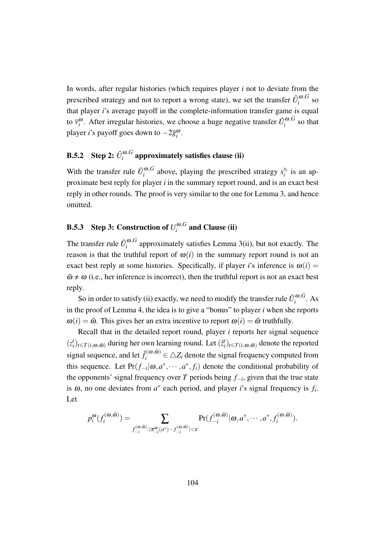In words, after regular histories (which requires player *i* not to deviate from the prescribed strategy and not to report a wrong state), we set the transfer  $\tilde{U}^{\omega, G}_i$  $\int_{i}^{\omega,\sigma}$  so that player *i*'s average payoff in the complete-information transfer game is equal to  $\bar{v}^{\omega}_{i}$ . After irregular histories, we choose a huge negative transfer  $\tilde{U}^{\omega, G}_{i}$  $\int_{i}^{\omega,\sigma}$  so that player *i*'s payoff goes down to *−*2*g* ω *i* .

### **B.5.2** Step 2:  $\tilde{U}^{\omega,G}_i$  $i^{(\omega,\sigma)}$  approximately satisfies clause (ii)

With the transfer rule  $\tilde{U}_i^{\omega, G}$  $\sum_{i}^{a}$  above, playing the prescribed strategy  $s_i^{x_i}$  $i$ <sup> $x_i$ </sup> is an approximate best reply for player *i* in the summary report round, and is an exact best reply in other rounds. The proof is very similar to the one for Lemma 3, and hence omitted.

### **B.5.3** Step 3: Construction of  $U_i^{\omega,G}$  $\int_i^{w,G}$  and Clause (ii)

The transfer rule  $\tilde{U}^{\omega, G}_i$  $i^{100}$ , approximately satisfies Lemma 3(ii), but not exactly. The reason is that the truthful report of  $\omega(i)$  in the summary report round is not an exact best reply at some histories. Specifically, if player *i*'s inference is  $\omega(i)$  =  $\tilde{\omega} \neq \omega$  (i.e., her inference is incorrect), then the truthful report is not an exact best reply.

So in order to satisfy (ii) exactly, we need to modify the transfer rule  $\tilde{U}^{\omega, G}_i$  $\int_i^{w,\sigma}$ . As in the proof of Lemma 4, the idea is to give a "bonus" to player *i* when she reports  $\omega(i) = \tilde{\omega}$ . This gives her an extra incentive to report  $\omega(i) = \tilde{\omega}$  truthfully.

Recall that in the detailed report round, player *i* reports her signal sequence  $(z_i^t)_{t \in T(i, \omega, \tilde{\omega})}$  during her own learning round. Let  $(\tilde{z}_i^t)_{t \in T(i, \omega, \tilde{\omega})}$  denote the reported signal sequence, and let  $\hat{f}_i^{(\omega,\tilde{\omega})} \in \triangle Z_i$  denote the signal frequency computed from this sequence. Let  $Pr(f_{-i} | \omega, a^*, \dots, a^*, f_i)$  denote the conditional probability of the opponents' signal frequency over *T* periods being *f−<sup>i</sup>* , given that the true state is  $\omega$ , no one deviates from  $a^*$  each period, and player *i*'s signal frequency is  $f_i$ . Let

$$
p_i^{\omega}(f_i^{(\omega,\tilde{\omega})}) = \sum_{f_{-i}^{(\omega,\tilde{\omega})}:|\pi_{-i}^{\omega}(a^*)-f_{-i}^{(\omega,\tilde{\omega})}|<\varepsilon} \Pr(f_{-i}^{(\omega,\tilde{\omega})}|\omega,a^*,\cdots,a^*,f_i^{(\omega,\tilde{\omega})}).
$$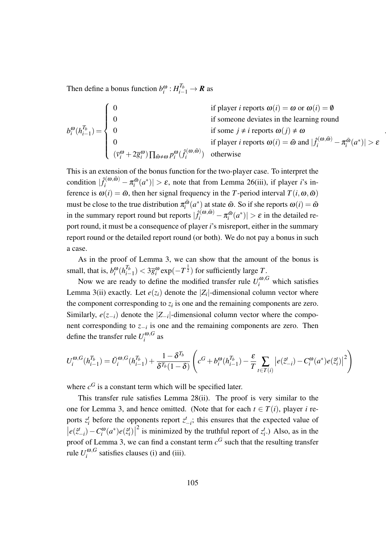Then define a bonus function  $b_i^{\omega}: H_{i-1}^{T_b} \to \mathbf{R}$  as

$$
b_i^{\omega}(h_{i-1}^{T_b}) = \begin{cases} 0 & \text{if player } i \text{ reports } \omega(i) = \omega \text{ or } \omega(i) = \emptyset \\ 0 & \text{if someone deviates in the learning round} \\ 0 & \text{if some } j \neq i \text{ reports } \omega(j) \neq \omega \\ 0 & \text{if player } i \text{ reports } \omega(i) = \tilde{\omega} \text{ and } |\hat{f}_i^{(\omega,\tilde{\omega})} - \pi_i^{\tilde{\omega}}(a^*)| > \varepsilon \\ (\overline{v}_i^{\omega} + 2\overline{g}_i^{\omega}) \prod_{\tilde{\omega} \neq \omega} p_i^{\omega}(\hat{f}_i^{(\omega,\tilde{\omega})}) & \text{otherwise} \end{cases}
$$

*.*

This is an extension of the bonus function for the two-player case. To interpret the condition  $|\hat{f}_i^{(\omega,\tilde{\omega})} - \pi_i^{\tilde{\omega}}$  $\left| \int_{i}^{\tilde{\omega}} (a^*) \right| > \varepsilon$ , note that from Lemma 26(iii), if player *i*'s inference is  $\omega(i) = \tilde{\omega}$ , then her signal frequency in the *T*-period interval  $T(i, \omega, \tilde{\omega})$ must be close to the true distribution  $\pi_i^{\tilde{\omega}}$  $\tilde{u}^{\tilde{\omega}}_i(a^*)$  at state  $\tilde{\omega}$ . So if she reports  $\omega(i) = \tilde{\omega}$ in the summary report round but reports  $|\hat{f}_i^{(\omega,\tilde{\omega})} - \pi_i^{\tilde{\omega}}|$  $\left| \frac{a}{i}(a^*) \right| > \varepsilon$  in the detailed report round, it must be a consequence of player *i*'s misreport, either in the summary report round or the detailed report round (or both). We do not pay a bonus in such a case.

As in the proof of Lemma 3, we can show that the amount of the bonus is small, that is,  $b_i^{\omega} (h_{i-}^{T_b})$  $\frac{T_b}{T_{i-1}}$ ) < 3 $\overline{g}_i^{\omega}$  exp(*−T*<sup> $\frac{1}{2}$ </sup>) for sufficiently large *T*.

Now we are ready to define the modified transfer rule  $U_i^{\omega, G}$  which satisfies Lemma 3(ii) exactly. Let  $e(z_i)$  denote the  $|Z_i|$ -dimensional column vector where the component corresponding to  $z_i$  is one and the remaining components are zero. Similarly,  $e(z_{-i})$  denote the  $|Z_{-i}|$ -dimensional column vector where the component corresponding to *z−<sup>i</sup>* is one and the remaining components are zero. Then define the transfer rule  $U_i^{\omega, G}$  $\int_{i}^{\omega,\sigma}$  as

$$
U_i^{\omega,G}(h_{i-1}^{T_b}) = \tilde{U}_i^{\omega,G}(h_{i-1}^{T_b}) + \frac{1 - \delta^{T_b}}{\delta^{T_b}(1 - \delta)} \left( c^G + b_i^{\omega}(h_{i-1}^{T_b}) - \frac{\varepsilon}{T} \sum_{t \in T(i)} \left| e(\hat{z}_{-i}^t) - C_i^{\omega}(a^*) e(\hat{z}_i^t) \right|^2 \right)
$$

where  $c^G$  is a constant term which will be specified later.

This transfer rule satisfies Lemma 28(ii). The proof is very similar to the one for Lemma 3, and hence omitted. (Note that for each  $t \in T(i)$ , player *i* reports  $z_i^t$  before the opponents report  $z_{-i}^t$ ; this ensures that the expected value of  $\left| e(\hat{z}_{-i}^t) - C_i^{\omega}(a^*)e(\hat{z}_i^t) \right|$ <sup>2</sup> is minimized by the truthful report of  $z_i^t$ . Also, as in the proof of Lemma 3, we can find a constant term  $c^G$  such that the resulting transfer rule  $U_i^{\omega, G}$  $\int_{i}^{\omega, \sigma}$  satisfies clauses (i) and (iii).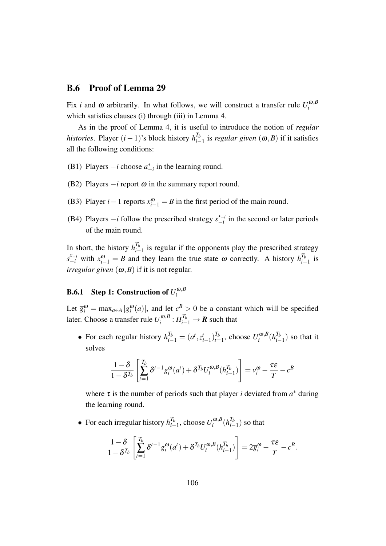## B.6 Proof of Lemma 29

Fix *i* and  $\omega$  arbitrarily. In what follows, we will construct a transfer rule  $U_i^{\omega, B}$ *i* which satisfies clauses (i) through (iii) in Lemma 4.

As in the proof of Lemma 4, it is useful to introduce the notion of *regular histories*. Player  $(i-1)$ 's block history  $h_{i-1}^{T_b}$ *i−*1 is *regular given* (ω*,B*) if it satisfies all the following conditions:

- (B1) Players  $-i$  choose  $a_{-i}^*$  in the learning round.
- (B2) Players *−i* report <sup>ω</sup> in the summary report round.
- (B3) Player *i* − 1 reports  $x_{i-1}^{\omega} = B$  in the first period of the main round.
- (B4) Players  $-i$  follow the prescribed strategy  $s_{-i}^{x_{-i}}$  $\int_{-i}^{x_{-i}}$  in the second or later periods of the main round.

In short, the history  $h^{T_b}_{i-}$  $\frac{I_b}{I_b}$  is regular if the opponents play the prescribed strategy  $s_{-i}^{x_{-i}}$  with  $x_{i-1}^{\omega} = B$  and they learn the true state  $\omega$  correctly. A history  $h_{i-1}^{T_b}$  $\frac{I_b}{i-1}$  is *irregular given*  $(\omega, B)$  if it is not regular.

### **B.6.1** Step 1: Construction of  $U_i^{\omega,B}$ *i*

Let  $\bar{g}_i^{\omega} = \max_{a \in A} |g_i^{\omega}(a)|$ , and let  $c^B > 0$  be a constant which will be specified later. Choose a transfer rule  $U_i^{\omega, B}$  $\pi_i^{\omega,B} : H_{i-1}^{T_b} \to \mathbf{R}$  such that

• For each regular history  $h_{i-1}^{T_b} = (a^t, z_i^t)$  $\binom{t}{i-1}$  $\binom{T_b}{t}$  $T_b$ <sub>*t*=1</sub>, choose  $U_i^{\omega, B}$  $\int_i^{\omega,B} (h^{T_b}_{i-1})$  $\binom{I_b}{i-1}$  so that it solves

$$
\frac{1-\delta}{1-\delta^{T_b}}\left[\sum_{t=1}^{T_b} \delta^{t-1} g_i^{\omega}(a^t) + \delta^{T_b} U_i^{\omega, B}(h_{i-1}^{T_b})\right] = \underline{v}_i^{\omega} - \frac{\tau \varepsilon}{T} - c^B
$$

where  $\tau$  is the number of periods such that player *i* deviated from  $a^*$  during the learning round.

• For each irregular history  $h_{i-}^{T_b}$  $T_b$ <sub>*i*−1</sub>, choose  $U_i^{ω, B}$  $\int_i^{\omega,B} (h^{T_b}_{i-1})$  $\binom{I_b}{i-1}$  so that

$$
\frac{1-\delta}{1-\delta^{T_b}}\left[\sum_{t=1}^{T_b} \delta^{t-1} g_i^{\omega}(a^t) + \delta^{T_b} U_i^{\omega, B}(h_{i-1}^{T_b})\right] = 2\overline{g}_i^{\omega} - \frac{\tau \varepsilon}{T} - c^B.
$$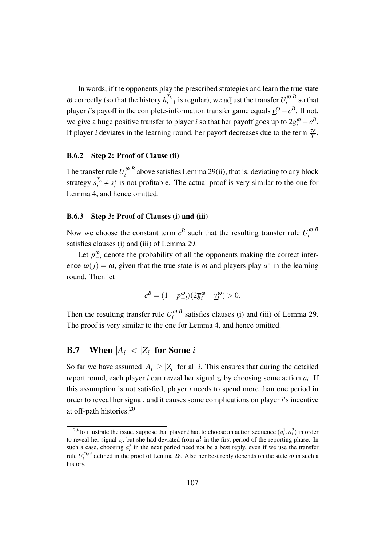In words, if the opponents play the prescribed strategies and learn the true state  $\omega$  correctly (so that the history  $h^{T_b}_{i-}$ *I*<sup>*b*</sup><sub>*i*</sub> − 1</sub> is regular), we adjust the transfer  $U_i^{\omega, B}$  $\int_{i}^{\omega,D}$  so that player *i*'s payoff in the complete-information transfer game equals  $v_i^{\omega} - c^B$ . If not, we give a huge positive transfer to player *i* so that her payoff goes up to  $2\bar{g}_i^{\omega} - c^B$ . If player *i* deviates in the learning round, her payoff decreases due to the term  $\frac{\tau \varepsilon}{T}$ .

### B.6.2 Step 2: Proof of Clause (ii)

The transfer rule  $U_i^{\omega, B}$  $i<sup>0.6</sup>$  above satisfies Lemma 29(ii), that is, deviating to any block strategy  $s_i^{T_b} \neq s_i^x$  is not profitable. The actual proof is very similar to the one for Lemma 4, and hence omitted.

## B.6.3 Step 3: Proof of Clauses (i) and (iii)

Now we choose the constant term  $c^B$  such that the resulting transfer rule  $U_i^{\omega, B}$ *i* satisfies clauses (i) and (iii) of Lemma 29.

Let  $p_{-i}^{\omega}$  denote the probability of all the opponents making the correct inference  $\omega(j) = \omega$ , given that the true state is  $\omega$  and players play  $a^*$  in the learning round. Then let

$$
c^B = (1 - p_{-i}^{\omega})(2\overline{g}_i^{\omega} - \underline{v}_i^{\omega}) > 0.
$$

Then the resulting transfer rule  $U_i^{\omega, B}$  $\int_{i}^{\omega, b}$  satisfies clauses (i) and (iii) of Lemma 29. The proof is very similar to the one for Lemma 4, and hence omitted.

# **B.7** When  $|A_i| < |Z_i|$  for Some *i*

So far we have assumed  $|A_i| \geq |Z_i|$  for all *i*. This ensures that during the detailed report round, each player *i* can reveal her signal *z<sup>i</sup>* by choosing some action *a<sup>i</sup>* . If this assumption is not satisfied, player *i* needs to spend more than one period in order to reveal her signal, and it causes some complications on player *i*'s incentive at off-path histories.<sup>20</sup>

<sup>&</sup>lt;sup>20</sup>To illustrate the issue, suppose that player *i* had to choose an action sequence  $(a_i^1, a_i^2)$  in order to reveal her signal  $z_i$ , but she had deviated from  $a_i^1$  in the first period of the reporting phase. In such a case, choosing  $a_i^2$  in the next period need not be a best reply, even if we use the transfer rule  $U_i^{\omega, G}$  defined in the proof of Lemma 28. Also her best reply depends on the state  $\omega$  in such a history.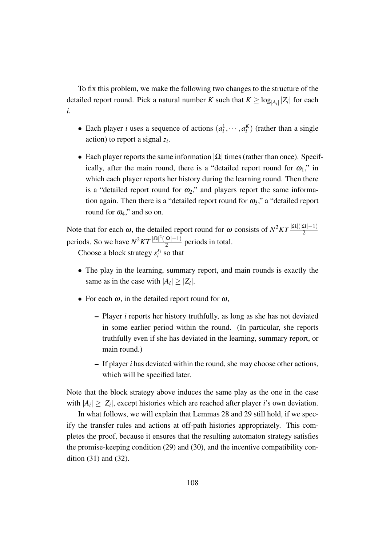To fix this problem, we make the following two changes to the structure of the detailed report round. Pick a natural number *K* such that  $K \geq \log_{|A_i|} |Z_i|$  for each *i*.

- Each player *i* uses a sequence of actions  $(a_i^1, \dots, a_i^K)$  (rather than a single action) to report a signal *z<sup>i</sup>* .
- *•* Each player reports the same information *|*Ω*|* times (rather than once). Specifically, after the main round, there is a "detailed report round for  $\omega_1$ ," in which each player reports her history during the learning round. Then there is a "detailed report round for  $\omega_2$ ," and players report the same information again. Then there is a "detailed report round for  $\omega_3$ ," a "detailed report round for  $\omega_4$ ," and so on.

Note that for each  $\omega$ , the detailed report round for  $\omega$  consists of  $N^2KT\frac{|\Omega|(|\Omega|-1)}{2}$ periods. So we have  $N^2KT\frac{|\Omega|^2(|\Omega|-1)}{2}$  $\frac{2}{2}$  periods in total.

Choose a block strategy  $s_i^{x_i}$  $i$ <sup> $x_i$ </sup> so that

- *•* The play in the learning, summary report, and main rounds is exactly the same as in the case with  $|A_i| \geq |Z_i|$ .
- *•* For each <sup>ω</sup>, in the detailed report round for <sup>ω</sup>,
	- Player *i* reports her history truthfully, as long as she has not deviated in some earlier period within the round. (In particular, she reports truthfully even if she has deviated in the learning, summary report, or main round.)
	- If player *i* has deviated within the round, she may choose other actions, which will be specified later.

Note that the block strategy above induces the same play as the one in the case with  $|A_i| \geq |Z_i|$ , except histories which are reached after player *i*'s own deviation.

In what follows, we will explain that Lemmas 28 and 29 still hold, if we specify the transfer rules and actions at off-path histories appropriately. This completes the proof, because it ensures that the resulting automaton strategy satisfies the promise-keeping condition (29) and (30), and the incentive compatibility condition (31) and (32).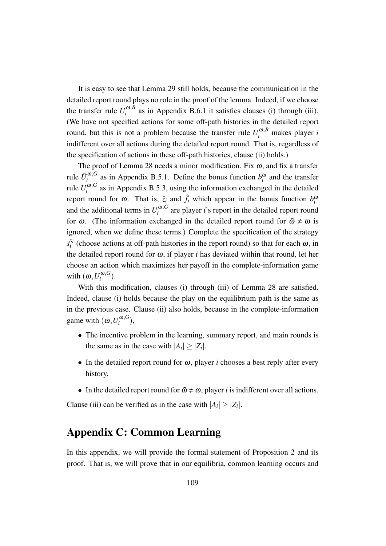It is easy to see that Lemma 29 still holds, because the communication in the detailed report round plays no role in the proof of the lemma. Indeed, if we choose the transfer rule  $U_i^{\omega, B}$  $i_i^{\omega, b}$  as in Appendix B.6.1 it satisfies clauses (i) through (iii). (We have not specified actions for some off-path histories in the detailed report round, but this is not a problem because the transfer rule  $U_i^{\omega, B}$  makes player *i* indifferent over all actions during the detailed report round. That is, regardless of the specification of actions in these off-path histories, clause (ii) holds.)

The proof of Lemma 28 needs a minor modification. Fix  $\omega$ , and fix a transfer rule  $\tilde{U}^{\omega, G}_i$  $\int_{i}^{\omega,\sigma}$  as in Appendix B.5.1. Define the bonus function  $b_i^{\omega}$  and the transfer rule  $U_i^{\omega, G}$  $i_i^{(0)}$ , as in Appendix B.5.3, using the information exchanged in the detailed report round for  $\omega$ . That is,  $\hat{z}_i$  and  $\hat{f}_i$  which appear in the bonus function  $b_i^{\omega}$ and the additional terms in  $U_i^{\omega, G}$  $i$ <sup> $\omega$ </sup>, $\sigma$  are player *i*'s report in the detailed report round for  $\omega$ . (The information exchanged in the detailed report round for  $\tilde{\omega} \neq \omega$  is ignored, when we define these terms.) Complete the specification of the strategy  $s_i^{x_i}$  $\alpha_i^{x_i}$  (choose actions at off-path histories in the report round) so that for each  $\omega$ , in the detailed report round for  $\omega$ , if player *i* has deviated within that round, let her choose an action which maximizes her payoff in the complete-information game with  $(\omega, U_i^{\omega, G})$  $\binom{w, \mathbf{U}}{i}$ .

With this modification, clauses (i) through (iii) of Lemma 28 are satisfied. Indeed, clause (i) holds because the play on the equilibrium path is the same as in the previous case. Clause (ii) also holds, because in the complete-information game with  $(\omega, U_i^{\omega, G})$  $\binom{w,\mathbf{G}}{i}$ 

- The incentive problem in the learning, summary report, and main rounds is the same as in the case with  $|A_i| \geq |Z_i|$ .
- *•* In the detailed report round for <sup>ω</sup>, player *i* chooses a best reply after every history.
- In the detailed report round for  $\tilde{\omega} \neq \omega$ , player *i* is indifferent over all actions.

Clause (iii) can be verified as in the case with  $|A_i| \geq |Z_i|$ .

# Appendix C: Common Learning

In this appendix, we will provide the formal statement of Proposition 2 and its proof. That is, we will prove that in our equilibria, common learning occurs and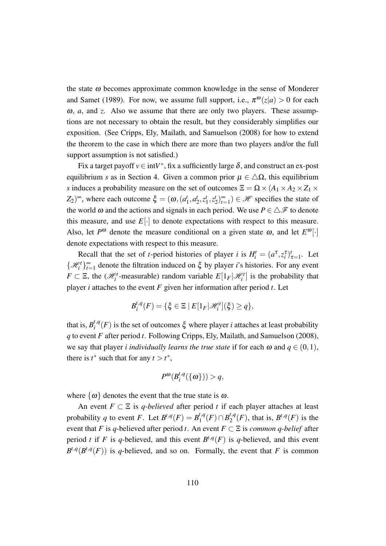the state  $\omega$  becomes approximate common knowledge in the sense of Monderer and Samet (1989). For now, we assume full support, i.e.,  $\pi^{\omega}(z|a) > 0$  for each <sup>ω</sup>, *a*, and *z*. Also we assume that there are only two players. These assumptions are not necessary to obtain the result, but they considerably simplifies our exposition. (See Cripps, Ely, Mailath, and Samuelson (2008) for how to extend the theorem to the case in which there are more than two players and/or the full support assumption is not satisfied.)

Fix a target payoff  $v \in \text{int}V^*$ , fix a sufficiently large  $\delta$ , and construct an ex-post equilibrium *s* as in Section 4. Given a common prior  $\mu \in \Delta\Omega$ , this equilibrium *s* induces a probability measure on the set of outcomes  $\Xi = \Omega \times (A_1 \times A_2 \times Z_1 \times R_2)$  $(Z_2)^\infty$ , where each outcome  $\xi = (\omega, (a^i))$  $a_1^t$ ,  $a_2^t$  $i<sub>2</sub>$ ,  $z<sup>t</sup>$ <sub>1</sub>  $i_1^t, z_2^t$  $\binom{t}{2}$ <sub>t=</sub>  $\binom{8}{t=1} \in \mathcal{H}$  specifies the state of the world  $\omega$  and the actions and signals in each period. We use  $P \in \Delta \mathcal{F}$  to denote this measure, and use  $E[\cdot]$  to denote expectations with respect to this measure. Also, let  $P^{\omega}$  denote the measure conditional on a given state  $\omega$ , and let  $E^{\omega}[\cdot]$ denote expectations with respect to this measure.

Recall that the set of *t*-period histories of player *i* is  $H_i^t = (a^{\tau}, z_i^{\tau})_{\tau=1}^t$ . Let  $\{\mathcal{H}_i^t\}_{t=0}^{\infty}$ *t*=1 denote the filtration induced on ξ by player *i*'s histories. For any event *F*  $\subset \Xi$ , the  $(\mathcal{H}_i^t$ -measurable) random variable  $E[1_F|\mathcal{H}_i^t]$  is the probability that player *i* attaches to the event *F* given her information after period *t*. Let

$$
B_i^{t,q}(F) = \{ \xi \in \Xi \mid E[1_F|\mathcal{H}_i^t](\xi) \geq q \},\
$$

that is,  $B_i^{t,q}$  $i^{I,q}(F)$  is the set of outcomes  $\xi$  where player *i* attaches at least probability *q* to event *F* after period *t*. Following Cripps, Ely, Mailath, and Samuelson (2008), we say that player *i individually learns the true state* if for each  $\omega$  and  $q \in (0,1)$ , there is  $t^*$  such that for any  $t > t^*$ ,

$$
P^{\omega}(B_i^{t,q}(\{\omega\})) > q,
$$

where  $\{\omega\}$  denotes the event that the true state is  $\omega$ .

An event  $F \subset \Xi$  is *q-believed* after period *t* if each player attaches at least probability *q* to event *F*. Let  $B^{t,q}(F) = B_1^{t,q}$  $B_1^{t,q}(F) \cap B_2^{t,q}$  $2^{t,q}(F)$ , that is,  $B^{t,q}(F)$  is the event that *F* is *q*-believed after period *t*. An event  $F \subset \Xi$  is *common q-belief* after period *t* if *F* is *q*-believed, and this event  $B^{t,q}(F)$  is *q*-believed, and this event  $B^{t,q}(B^{t,q}(F))$  is q-believed, and so on. Formally, the event that *F* is common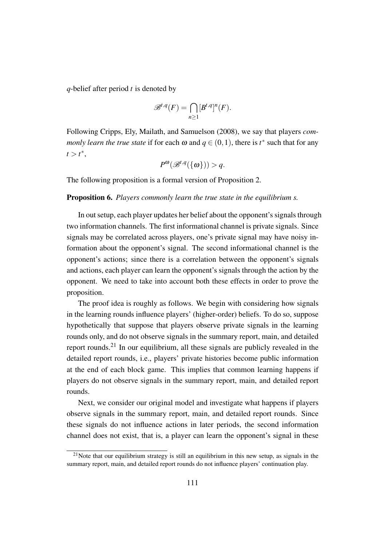*q*-belief after period *t* is denoted by

$$
\mathcal{B}^{t,q}(F) = \bigcap_{n\geq 1} [B^{t,q}]^n(F).
$$

Following Cripps, Ely, Mailath, and Samuelson (2008), we say that players *commonly learn the true state* if for each  $\omega$  and  $q \in (0,1)$ , there is  $t^*$  such that for any  $t > t^*$ ,

$$
P^{\omega}(\mathcal{B}^{t,q}(\{\omega\}))>q.
$$

The following proposition is a formal version of Proposition 2.

#### Proposition 6. *Players commonly learn the true state in the equilibrium s.*

In out setup, each player updates her belief about the opponent's signals through two information channels. The first informational channel is private signals. Since signals may be correlated across players, one's private signal may have noisy information about the opponent's signal. The second informational channel is the opponent's actions; since there is a correlation between the opponent's signals and actions, each player can learn the opponent's signals through the action by the opponent. We need to take into account both these effects in order to prove the proposition.

The proof idea is roughly as follows. We begin with considering how signals in the learning rounds influence players' (higher-order) beliefs. To do so, suppose hypothetically that suppose that players observe private signals in the learning rounds only, and do not observe signals in the summary report, main, and detailed report rounds.<sup>21</sup> In our equilibrium, all these signals are publicly revealed in the detailed report rounds, i.e., players' private histories become public information at the end of each block game. This implies that common learning happens if players do not observe signals in the summary report, main, and detailed report rounds.

Next, we consider our original model and investigate what happens if players observe signals in the summary report, main, and detailed report rounds. Since these signals do not influence actions in later periods, the second information channel does not exist, that is, a player can learn the opponent's signal in these

<sup>&</sup>lt;sup>21</sup>Note that our equilibrium strategy is still an equilibrium in this new setup, as signals in the summary report, main, and detailed report rounds do not influence players' continuation play.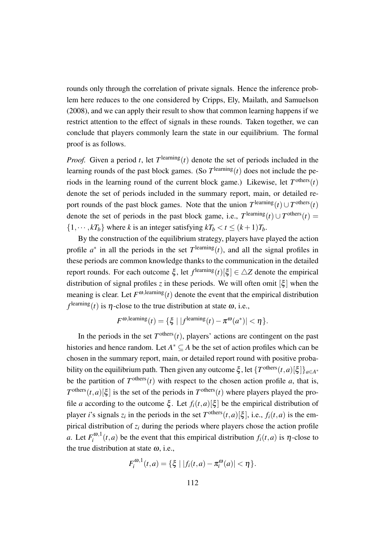rounds only through the correlation of private signals. Hence the inference problem here reduces to the one considered by Cripps, Ely, Mailath, and Samuelson (2008), and we can apply their result to show that common learning happens if we restrict attention to the effect of signals in these rounds. Taken together, we can conclude that players commonly learn the state in our equilibrium. The formal proof is as follows.

*Proof.* Given a period *t*, let  $T^{\text{learning}}(t)$  denote the set of periods included in the learning rounds of the past block games. (So  $T^{\text{learning}}(t)$  does not include the periods in the learning round of the current block game.) Likewise, let  $T^{\text{others}}(t)$ denote the set of periods included in the summary report, main, or detailed report rounds of the past block games. Note that the union  $T^{\text{learning}}(t) \cup T^{\text{others}}(t)$ denote the set of periods in the past block game, i.e.,  $T^{\text{learning}}(t) \cup T^{\text{others}}(t)$  $\{1, \dots, kT_b\}$  where *k* is an integer satisfying  $kT_b < t \leq (k+1)T_b$ .

By the construction of the equilibrium strategy, players have played the action profile  $a^*$  in all the periods in the set  $T^{\text{learning}}(t)$ , and all the signal profiles in these periods are common knowledge thanks to the communication in the detailed report rounds. For each outcome  $\xi$ , let  $f^{\text{learning}}(t)[\xi] \in \Delta Z$  denote the empirical distribution of signal profiles *z* in these periods. We will often omit  $\left[\xi\right]$  when the meaning is clear. Let  $F^{\omega$ , learning(*t*) denote the event that the empirical distribution  $f^{\text{learning}}(t)$  is  $\eta$ -close to the true distribution at state  $\omega$ , i.e.,

$$
F^{\omega,\text{learning}}(t) = \{\xi \mid |f^{\text{learning}}(t) - \pi^{\omega}(a^*)| < \eta\}.
$$

In the periods in the set  $T^{\text{others}}(t)$ , players' actions are contingent on the past histories and hence random. Let  $A^* \subseteq A$  be the set of action profiles which can be chosen in the summary report, main, or detailed report round with positive probability on the equilibrium path. Then given any outcome  $\xi$ , let  $\{T^{\text{others}}(t, a)[\xi]\}_{a \in A^*}$ be the partition of  $T^{\text{others}}(t)$  with respect to the chosen action profile *a*, that is,  $T^{\text{others}}(t, a)[\xi]$  is the set of the periods in  $T^{\text{others}}(t)$  where players played the profile *a* according to the outcome  $\xi$ . Let  $f_i(t, a)$ [ $\xi$ ] be the empirical distribution of player *i*'s signals  $z_i$  in the periods in the set  $T^{\text{others}}(t, a)[\xi]$ , i.e.,  $f_i(t, a)$  is the empirical distribution of *z<sup>i</sup>* during the periods where players chose the action profile *a*. Let  $F_i^{\omega,1}$  $\int_{i}^{\infty} (t, a)$  be the event that this empirical distribution  $f_i(t, a)$  is  $\eta$ -close to the true distribution at state  $\omega$ , i.e.,

$$
F_i^{\omega,1}(t,a) = \{ \xi \mid |f_i(t,a) - \pi_i^{\omega}(a)| < \eta \}.
$$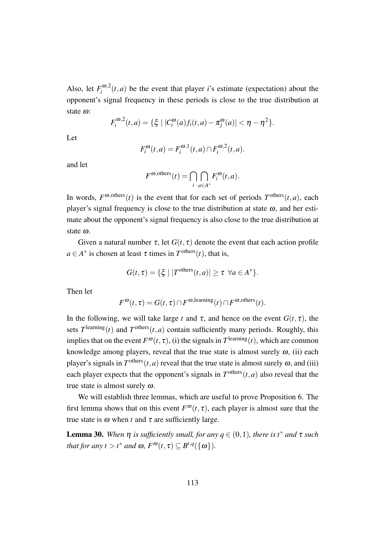Also, let  $F_i^{\omega,2}$  $\int_{i}^{\infty} (t, a)$  be the event that player *i*'s estimate (expectation) about the opponent's signal frequency in these periods is close to the true distribution at state <sup>ω</sup>:

$$
F_i^{\omega,2}(t,a) = \{ \xi \mid |C_i^{\omega}(a)f_i(t,a) - \pi_j^{\omega}(a)| < \eta - \eta^2 \}.
$$

Let

$$
F_i^{\omega}(t,a) = F_i^{\omega,1}(t,a) \cap F_i^{\omega,2}(t,a).
$$

and let

$$
F^{\omega, \text{others}}(t) = \bigcap_{i} \bigcap_{a \in A^*} F_i^{\omega}(t, a).
$$

In words,  $F^{\omega, \text{others}}(t)$  is the event that for each set of periods  $T^{\text{others}}(t, a)$ , each player's signal frequency is close to the true distribution at state  $\omega$ , and her estimate about the opponent's signal frequency is also close to the true distribution at state <sup>ω</sup>.

Given a natural number  $\tau$ , let  $G(t, \tau)$  denote the event that each action profile  $a \in A^*$  is chosen at least  $\tau$  times in  $T^{\text{others}}(t)$ , that is,

$$
G(t,\tau) = \{ \xi \mid |T^{\text{others}}(t,a)| \geq \tau \ \forall a \in A^* \}.
$$

Then let

$$
F^{\boldsymbol{\omega}}(t,\tau) = G(t,\tau) \cap F^{\boldsymbol{\omega},\text{learning}}(t) \cap F^{\boldsymbol{\omega},\text{others}}(t).
$$

In the following, we will take large *t* and  $\tau$ , and hence on the event  $G(t, \tau)$ , the sets  $T^{\text{learning}}(t)$  and  $T^{\text{others}}(t, a)$  contain sufficiently many periods. Roughly, this implies that on the event  $F^{\omega}(t, \tau)$ , (i) the signals in  $T^{\text{learning}}(t)$ , which are common knowledge among players, reveal that the true state is almost surely  $\omega$ , (ii) each player's signals in  $T^{\text{others}}(t, a)$  reveal that the true state is almost surely  $\omega$ , and (iii) each player expects that the opponent's signals in  $T^{\text{others}}(t, a)$  also reveal that the true state is almost surely  $\omega$ .

We will establish three lemmas, which are useful to prove Proposition 6. The first lemma shows that on this event  $F^{\omega}(t, \tau)$ , each player is almost sure that the true state is  $ω$  when *t* and  $τ$  are sufficiently large.

**Lemma 30.** When  $\eta$  is sufficiently small, for any  $q \in (0,1)$ , there is  $t^*$  and  $\tau$  such *that for any*  $t > t^*$  *and*  $\omega$ *,*  $F^{\omega}(t, \tau) \subseteq B^{t,q}(\{\omega\})$ *.*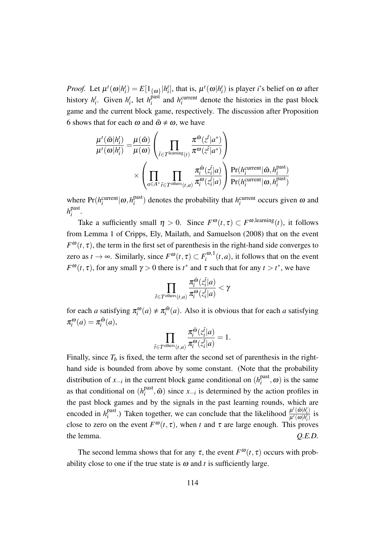*Proof.* Let  $\mu^t(\omega|h_i^t) = E[1_{\{\omega\}}|h_i^t]$ , that is,  $\mu^t(\omega|h_i^t)$  is player *i*'s belief on  $\omega$  after history  $h_i^t$ . Given  $h_i^t$ , let  $h_i^{\text{past}}$  $\hat{h}^{\text{part}}_i$  and  $h^{\text{current}}_i$  denote the histories in the past block game and the current block game, respectively. The discussion after Proposition 6 shows that for each  $\omega$  and  $\tilde{\omega} \neq \omega$ , we have

$$
\frac{\mu^{t}(\tilde{\omega}|h_{i}^{t})}{\mu^{t}(\omega|h_{i}^{t})} = \frac{\mu(\tilde{\omega})}{\mu(\omega)} \left( \prod_{\tilde{t} \in T^{\text{learning}}(t)} \frac{\pi^{\tilde{\omega}}(z^{\tilde{t}}|a^{*})}{\pi^{\omega}(z^{\tilde{t}}|a^{*})} \right) \times \left( \prod_{a \in A^{*}} \prod_{\tilde{t} \in T^{\text{others}}(t,a)} \frac{\pi_{i}^{\tilde{\omega}}(z_{i}^{\tilde{t}}|a)}{\pi_{i}^{\omega}(z_{i}^{\tilde{t}}|a)} \right) \frac{\Pr(h_{i}^{\text{current}}|\tilde{\omega}, h_{i}^{\text{past}})}{\Pr(h_{i}^{\text{current}}|\omega, h_{i}^{\text{past}})}
$$

where  $Pr(h_i^{\text{current}} | \omega, h_i^{\text{past}})$  $\binom{past}{i}$  denotes the probability that *h*<sup>current</sup> occurs given  $\omega$  and *h* past *i* .

Take a sufficiently small  $\eta > 0$ . Since  $F^{\omega}(t, \tau) \subset F^{\omega, \text{learning}}(t)$ , it follows from Lemma 1 of Cripps, Ely, Mailath, and Samuelson (2008) that on the event  $F^{\omega}(t, \tau)$ , the term in the first set of parenthesis in the right-hand side converges to zero as  $t \to \infty$ . Similarly, since  $F^{\omega}(t, \tau) \subset F_i^{\omega, 1}$  $\int_{i}^{\infty} (t, a)$ , it follows that on the event *F*<sup> $\omega$ </sup>(*t*,  $\tau$ ), for any small  $\gamma > 0$  there is *t*<sup>\*</sup> and  $\tau$  such that for any  $t > t^*$ , we have

$$
\prod_{\tilde{t}\in T^{\rm others}(t,a)}\frac{\pi_i^{\tilde{\omega}}(z_i^{\tilde{t}}|a)}{\pi_i^{\omega}(z_i^{\tilde{t}}|a)}<\gamma
$$

for each *a* satisfying  $\pi_i^{\omega}(a) \neq \pi_i^{\tilde{\omega}}$  $\int_{i}^{a}$  (*a*). Also it is obvious that for each *a* satisfying  $\pi_i^{\omega}(a) = \pi_i^{\tilde{\omega}}$  $\frac{\omega}{i}(a)$ ,

$$
\prod_{\tilde{t}\in T^{\text{others}}(t,a)}\frac{\pi_i^{\tilde{\boldsymbol{m}}}(z_i^{\tilde{t}}|a)}{\pi_i^{\boldsymbol{\omega}}(z_i^{\tilde{t}}|a)}=1.
$$

Finally, since  $T_b$  is fixed, the term after the second set of parenthesis in the righthand side is bounded from above by some constant. (Note that the probability distribution of  $x_{-i}$  in the current block game conditional on  $(h_i^{\text{past}})$  $\binom{\text{past}}{i}$ ,  $\omega$ ) is the same as that conditional on  $(h_i^{\text{past}})$  $\tilde{p}^{\text{past}}_{i}$ ,  $\tilde{\omega}$ ) since *x*<sub>−*i*</sub> is determined by the action profiles in the past block games and by the signals in the past learning rounds, which are encoded in  $h_i^{\text{past}}$ <sup>past</sup>.) Taken together, we can conclude that the likelihood  $\frac{\mu^t(\tilde{\omega}|h_i^t)}{\mu^t(\omega|h_i^t)}$  $\frac{\mu(\omega|h_i^t)}{\mu^t(\omega|h_i^t)}$  is close to zero on the event  $F^{\omega}(t, \tau)$ , when *t* and  $\tau$  are large enough. This proves the lemma. *Q.E.D.*

The second lemma shows that for any  $\tau$ , the event  $F^{\omega}(t, \tau)$  occurs with probability close to one if the true state is  $\omega$  and *t* is sufficiently large.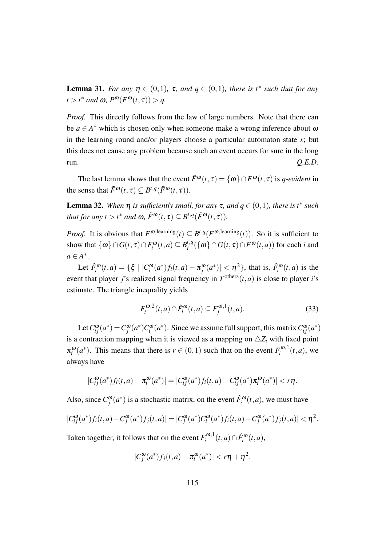**Lemma 31.** For any  $\eta \in (0,1)$ ,  $\tau$ , and  $q \in (0,1)$ , there is  $t^*$  such that for any  $t > t^*$  *and*  $\omega$ ,  $P^{\omega}(F^{\omega}(t, \tau)) > q$ .

*Proof.* This directly follows from the law of large numbers. Note that there can be  $a \in A^*$  which is chosen only when someone make a wrong inference about  $\omega$ in the learning round and/or players choose a particular automaton state  $x$ ; but this does not cause any problem because such an event occurs for sure in the long  $Q.E.D.$ 

The last lemma shows that the event  $\tilde{F}^{\omega}(t,\tau) = {\omega} \cap F^{\omega}(t,\tau)$  is *q-evident* in the sense that  $\tilde{F}^{\omega}(t, \tau) \subseteq B^{t,q}(\tilde{F}^{\omega}(t, \tau)).$ 

**Lemma 32.** When  $η$  is sufficiently small, for any τ, and  $q ∈ (0,1)$ , there is  $t^*$  such *that for any*  $t > t^*$  *and*  $\omega$ ,  $\tilde{F}^{\omega}(t, \tau) \subseteq B^{t,q}(\tilde{F}^{\omega}(t, \tau))$ .

*Proof.* It is obvious that  $F^{\omega$ , learning  $(t) \subseteq B^{t,q}(F^{\omega}$ , learning  $(t)$ ). So it is sufficient to show that  $\{\omega\} \cap G(t, \tau) \cap F_i^{\omega}(t, a) \subseteq B_i^{t, q}$  $\int_{i}^{t,q} (\{\omega\} \cap G(t,\tau) \cap F^{\omega}(t,a))$  for each *i* and  $a \in A^*$ .

Let  $\hat{F}_i^{\omega}(t,a) = \{ \xi \mid |C_i^{\omega}(a^*) f_i(t,a) - \pi_j^{\omega}(a^*)| < \eta^2 \}$ , that is,  $\hat{F}_i^{\omega}(t,a)$  is the event that player *j*'s realized signal frequency in  $T^{\text{others}}(t, a)$  is close to player *i*'s estimate. The triangle inequality yields

$$
F_i^{\omega,2}(t,a) \cap \hat{F}_i^{\omega}(t,a) \subseteq F_j^{\omega,1}(t,a). \tag{33}
$$

Let  $C_{ij}^{\omega}(a^*) = C_j^{\omega}(a^*) C_i^{\omega}(a^*)$ . Since we assume full support, this matrix  $C_{ij}^{\omega}(a^*)$ is a contraction mapping when it is viewed as a mapping on  $\triangle Z_i$  with fixed point  $\pi_i^{\omega}(a^*)$ . This means that there is  $r \in (0,1)$  such that on the event  $F_i^{\omega,1}$  $\int_i^{\omega,1}(t,a)$ , we always have

$$
|C_{ij}^{\omega}(a^*)f_i(t,a) - \pi_i^{\omega}(a^*)| = |C_{ij}^{\omega}(a^*)f_i(t,a) - C_{ij}^{\omega}(a^*)\pi_i^{\omega}(a^*)| < r\eta.
$$

Also, since  $C_j^{\omega}(a^*)$  is a stochastic matrix, on the event  $\hat{F}_i^{\omega}(t, a)$ , we must have

$$
|C_{ij}^{\omega}(a^*)f_i(t,a) - C_j^{\omega}(a^*)f_j(t,a)| = |C_j^{\omega}(a^*)C_i^{\omega}(a^*)f_i(t,a) - C_j^{\omega}(a^*)f_j(t,a)| < \eta^2.
$$

Taken together, it follows that on the event  $F_i^{\omega,1}$  $\hat{F}_i^{\omega,1}(t,a) \cap \hat{F}_i^{\omega}(t,a)$ 

$$
|C_j^{\omega}(a^*)f_j(t,a) - \pi_i^{\omega}(a^*)| < r\eta + \eta^2.
$$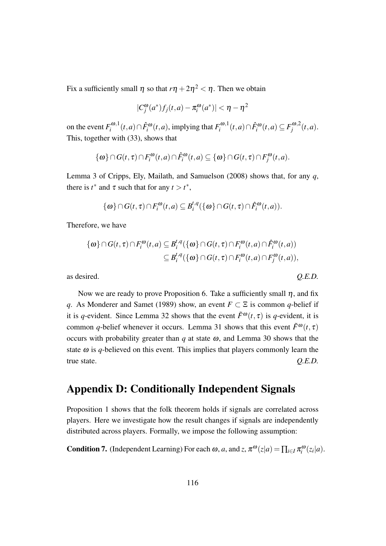Fix a sufficiently small  $\eta$  so that  $r\eta + 2\eta^2 < \eta$ . Then we obtain

$$
|C_j^{\omega}(a^*)f_j(t,a) - \pi_i^{\omega}(a^*)| < \eta - \eta^2
$$

on the event  $F_i^{\omega,1}$  $\int_i^{a,0,1}(t,a) ∩ \hat{F}_i^{a}(t,a)$ , implying that  $F_i^{a,1}$  $F_i^{\omega,1}(t, a) ∩ \hat{F}_i^{\omega}(t, a) \subseteq F_j^{\omega,2}$  $\int_j^{\omega,z}(t,a)$ . This, together with (33), shows that

$$
\{\omega\} \cap G(t,\tau) \cap F_i^{\omega}(t,a) \cap \hat{F}_i^{\omega}(t,a) \subseteq \{\omega\} \cap G(t,\tau) \cap F_j^{\omega}(t,a).
$$

Lemma 3 of Cripps, Ely, Mailath, and Samuelson (2008) shows that, for any *q*, there is  $t^*$  and  $\tau$  such that for any  $t > t^*$ ,

$$
\{\omega\} \cap G(t,\tau) \cap F_i^{\omega}(t,a) \subseteq B_i^{t,q}(\{\omega\} \cap G(t,\tau) \cap \hat{F}_i^{\omega}(t,a)).
$$

Therefore, we have

$$
\{\omega\} \cap G(t,\tau) \cap F_i^{\omega}(t,a) \subseteq B_i^{t,q}(\{\omega\} \cap G(t,\tau) \cap F_i^{\omega}(t,a) \cap \hat{F}_i^{\omega}(t,a))
$$
  

$$
\subseteq B_i^{t,q}(\{\omega\} \cap G(t,\tau) \cap F_i^{\omega}(t,a) \cap F_j^{\omega}(t,a)),
$$

as desired. *Q.E.D.*

Now we are ready to prove Proposition 6. Take a sufficiently small  $\eta$ , and fix *q*. As Monderer and Samet (1989) show, an event  $F \subset \Xi$  is common *q*-belief if it is *q*-evident. Since Lemma 32 shows that the event  $\tilde{F}^{ω}(t, \tau)$  is *q*-evident, it is common *q*-belief whenever it occurs. Lemma 31 shows that this event  $\tilde{F}^{\omega}(t, \tau)$ occurs with probability greater than  $q$  at state  $\omega$ , and Lemma 30 shows that the state  $\omega$  is *q*-believed on this event. This implies that players commonly learn the true state. *Q.E.D.*

## Appendix D: Conditionally Independent Signals

Proposition 1 shows that the folk theorem holds if signals are correlated across players. Here we investigate how the result changes if signals are independently distributed across players. Formally, we impose the following assumption:

**Condition 7.** (Independent Learning) For each  $\omega$ , *a*, and *z*,  $\pi^{\omega}(z|a) = \prod_{i \in I} \pi_i^{\omega}(z_i|a)$ .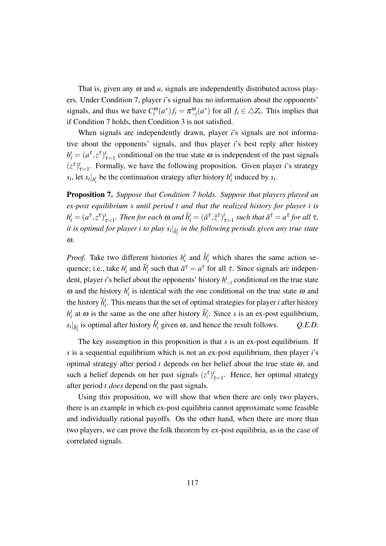That is, given any  $\omega$  and  $\alpha$ , signals are independently distributed across players. Under Condition 7, player *i*'s signal has no information about the opponents' signals, and thus we have  $C_i^{\omega}(a^*)f_i = \pi_{-i}^{\omega}(a^*)$  for all  $f_i \in \triangle Z_i$ . This implies that if Condition 7 holds, then Condition 3 is not satisfied.

When signals are independently drawn, player *i*'s signals are not informative about the opponents' signals, and thus player *i*'s best reply after history  $h_i^t = (a^{\tau}, z^{\tau})_{\tau=1}^t$  conditional on the true state  $\omega$  is independent of the past signals  $(z^{\tau})_{\tau=1}^{t}$ . Formally, we have the following proposition. Given player *i*'s strategy *s*<sub>*i*</sub>, let *s*<sub>*i*</sub> $|_{h_i^t}$  be the continuation strategy after history  $h_i^t$  induced by *s*<sup>*i*</sup>.

Proposition 7. *Suppose that Condition 7 holds. Suppose that players played an ex-post equilibrium s until period t and that the realized history for player i is*  $h_i^t = (a^\tau, z^\tau)_{\tau=1}^t$ . Then for each  $\omega$  and  $\tilde{h}_i^t = (\tilde{a}^\tau, \tilde{z}^\tau)_{\tau=1}^t$  such that  $\tilde{a}^\tau = a^\tau$  for all  $\tau$ , *it is optimal for player*  $i$  *to play*  $s_i|_{\tilde{h}_i^t}$  *in the following periods given any true state* ω*.*

*Proof.* Take two different histories  $h_i^t$  and  $\tilde{h}_i^t$  which shares the same action sequence; i.e., take  $h_i^t$  and  $\tilde{h}_i^t$  such that  $\tilde{a}^\tau = a^\tau$  for all  $\tau$ . Since signals are independent, player *i*'s belief about the opponents' history *h t −i* conditional on the true state  $\omega$  and the history  $h_i^t$  is identical with the one conditional on the true state  $\omega$  and the history  $\tilde{h}_{i}^{t}$ . This means that the set of optimal strategies for player  $i$  after history  $h_i^t$  at  $\omega$  is the same as the one after history  $\tilde{h}_i^t$ . Since *s* is an ex-post equilibrium,  $s_i|_{\tilde{h}^t_i}$  is optimal after history  $\tilde{h}^t_i$  given  $\omega$ , and hence the result follows.  $Q.E.D.$ 

The key assumption in this proposition is that *s* is an ex-post equilibrium. If *s* is a sequential equilibrium which is not an ex-post equilibrium, then player *i*'s optimal strategy after period  $t$  depends on her belief about the true state  $\omega$ , and such a belief depends on her past signals  $(z^{\tau})_{\tau=1}^{t}$ . Hence, her optimal strategy after period *t does* depend on the past signals.

Using this proposition, we will show that when there are only two players, there is an example in which ex-post equilibria cannot approximate some feasible and individually rational payoffs. On the other hand, when there are more than two players, we can prove the folk theorem by ex-post equilibria, as in the case of correlated signals.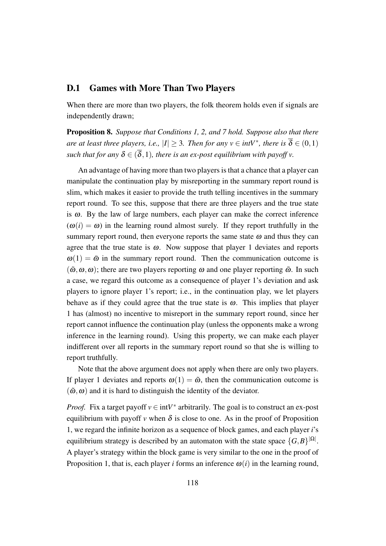### D.1 Games with More Than Two Players

When there are more than two players, the folk theorem holds even if signals are independently drawn;

Proposition 8. *Suppose that Conditions 1, 2, and 7 hold. Suppose also that there are at least three players, i.e.,*  $|I| \geq 3$ *. Then for any*  $v \in intV^*$ *, there is*  $\overline{\delta} \in (0,1)$ *such that for any*  $\delta \in (\overline{\delta}, 1)$ *, there is an ex-post equilibrium with payoff v.* 

An advantage of having more than two players is that a chance that a player can manipulate the continuation play by misreporting in the summary report round is slim, which makes it easier to provide the truth telling incentives in the summary report round. To see this, suppose that there are three players and the true state is  $\omega$ . By the law of large numbers, each player can make the correct inference  $(\omega(i) = \omega)$  in the learning round almost surely. If they report truthfully in the summary report round, then everyone reports the same state  $\omega$  and thus they can agree that the true state is  $\omega$ . Now suppose that player 1 deviates and reports  $\omega(1) = \tilde{\omega}$  in the summary report round. Then the communication outcome is  $(\tilde{\omega}, \omega, \omega)$ ; there are two players reporting  $\omega$  and one player reporting  $\tilde{\omega}$ . In such a case, we regard this outcome as a consequence of player 1's deviation and ask players to ignore player 1's report; i.e., in the continuation play, we let players behave as if they could agree that the true state is  $\omega$ . This implies that player 1 has (almost) no incentive to misreport in the summary report round, since her report cannot influence the continuation play (unless the opponents make a wrong inference in the learning round). Using this property, we can make each player indifferent over all reports in the summary report round so that she is willing to report truthfully.

Note that the above argument does not apply when there are only two players. If player 1 deviates and reports  $\omega(1) = \tilde{\omega}$ , then the communication outcome is  $(\tilde{\omega}, \omega)$  and it is hard to distinguish the identity of the deviator.

*Proof.* Fix a target payoff  $v \in \text{int}V^*$  arbitrarily. The goal is to construct an ex-post equilibrium with payoff *v* when  $\delta$  is close to one. As in the proof of Proposition 1, we regard the infinite horizon as a sequence of block games, and each player *i*'s equilibrium strategy is described by an automaton with the state space  $\{G, B\}^{|\Omega|}$ . A player's strategy within the block game is very similar to the one in the proof of Proposition 1, that is, each player *i* forms an inference  $\omega(i)$  in the learning round,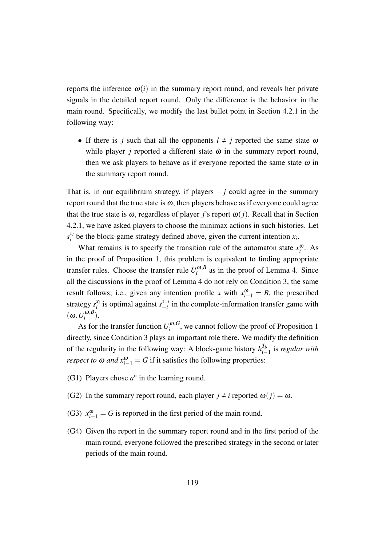reports the inference  $\omega(i)$  in the summary report round, and reveals her private signals in the detailed report round. Only the difference is the behavior in the main round. Specifically, we modify the last bullet point in Section 4.2.1 in the following way:

• If there is *j* such that all the opponents  $l \neq j$  reported the same state  $\omega$ while player *j* reported a different state  $\tilde{\omega}$  in the summary report round, then we ask players to behave as if everyone reported the same state  $\omega$  in the summary report round.

That is, in our equilibrium strategy, if players *−j* could agree in the summary report round that the true state is  $\omega$ , then players behave as if everyone could agree that the true state is  $\omega$ , regardless of player *j*'s report  $\omega(j)$ . Recall that in Section 4.2.1, we have asked players to choose the minimax actions in such histories. Let  $s_i^{x_i}$  $x_i$  be the block-game strategy defined above, given the current intention  $x_i$ .

What remains is to specify the transition rule of the automaton state  $x_i^{\omega}$ . As in the proof of Proposition 1, this problem is equivalent to finding appropriate transfer rules. Choose the transfer rule  $U_i^{\omega, B}$  $\int_{i}^{\omega,D}$  as in the proof of Lemma 4. Since all the discussions in the proof of Lemma 4 do not rely on Condition 3, the same result follows; i.e., given any intention profile *x* with  $x_{i-1}^{\omega} = B$ , the prescribed strategy  $s_i^{x_i}$  $\sum_{i}^{x_i}$  is optimal against  $s_{-i}^{x_{-i}}$  $\frac{x-i}{i}$  in the complete-information transfer game with  $(\omega, U_i^{\omega, B})$  $\binom{w, B}{i}$ .

As for the transfer function  $U_i^{\omega, G}$  $\int_{i}^{\omega,\sigma}$ , we cannot follow the proof of Proposition 1 directly, since Condition 3 plays an important role there. We modify the definition of the regularity in the following way: A block-game history  $h_{i-}^{T_b}$ *i−*1 is *regular with respect to*  $\omega$  *and*  $x_{i-1}^{\omega} = G$  if it satisfies the following properties:

- (G1) Players chose  $a^*$  in the learning round.
- (G2) In the summary report round, each player  $j \neq i$  reported  $\omega(j) = \omega$ .
- (G3)  $x_{i-1}^{\omega} = G$  is reported in the first period of the main round.
- (G4) Given the report in the summary report round and in the first period of the main round, everyone followed the prescribed strategy in the second or later periods of the main round.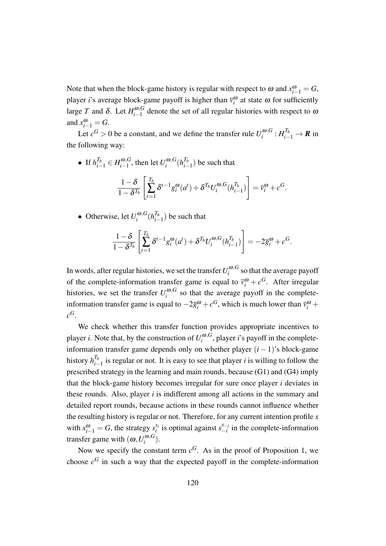Note that when the block-game history is regular with respect to  $\omega$  and  $x_{i-1}^{\omega} = G$ , player *i*'s average block-game payoff is higher than  $\overline{v}_i^{\omega}$  at state  $\omega$  for sufficiently large *T* and *δ*. Let  $H_{i-1}^{\omega, G}$  $\int_{i-1}^{\omega,\sigma}$  denote the set of all regular histories with respect to  $\omega$ and  $x_{i-1}^{\omega} = G$ .

Let  $c^G > 0$  be a constant, and we define the transfer rule  $U_i^{\omega, G}$  $\iota^{(\boldsymbol{0},G}_i : H_{i-1}^{T_b} \to \boldsymbol{R}$  in the following way:

- If  $h_{i-1}^{T_b} \in H_{i-1}^{\omega, G}$ *i−*1 , then let *U* <sup>ω</sup>*,G*  $\int_i^{\omega,G} (h^{T_b}_{i-1})$  $\binom{I_b}{i-1}$  be such that 1*−*δ 1*−*δ *Tb*  $\sqrt{\frac{T_b}{T_b}}$ ∑ *t*=1  $\delta^{t-1} g_i^{\omega}(a^t) + \delta^{T_b} U_i^{\omega, G}$  $\int_i^{\boldsymbol{\omega},G} (h^{T_b}_{i-1})$  $\binom{I_b}{i-1}$ ]  $= \overline{v}_i^{\omega} + c^G.$
- Otherwise, let  $U_i^{\omega, G}$  $\int_i^{\omega,G} (h^{T_b}_{i-1})$  $\binom{I_b}{i-1}$  be such that

$$
\frac{1-\delta}{1-\delta^{T_b}}\left[\sum_{t=1}^{T_b} \delta^{t-1} g_i^{\omega}(a^t) + \delta^{T_b} U_i^{\omega,G}(h_{i-1}^{T_b})\right] = -2\overline{g}_i^{\omega} + c^G.
$$

In words, after regular histories, we set the transfer  $U_i^{\omega, G}$  $\int_i^{w,\sigma}$  so that the average payoff of the complete-information transfer game is equal to  $\bar{v}_i^{\omega} + c^G$ . After irregular histories, we set the transfer  $U_i^{\omega, G}$  $i$ <sup>( $\omega$ , $G$ </sup> so that the average payoff in the completeinformation transfer game is equal to  $-2\overline{g}_i^{\omega} + c^G$ , which is much lower than  $\overline{v}_i^{\omega}$  +  $c^G$ .

We check whether this transfer function provides appropriate incentives to player *i*. Note that, by the construction of  $U_i^{\omega, G}$  $i^{100}$ , player *i*'s payoff in the completeinformation transfer game depends only on whether player  $(i - 1)$ 's block-game history  $h_{i-}^{T_b}$ *i−*1 is regular or not. It is easy to see that player *i* is willing to follow the prescribed strategy in the learning and main rounds, because (G1) and (G4) imply that the block-game history becomes irregular for sure once player *i* deviates in these rounds. Also, player *i* is indifferent among all actions in the summary and detailed report rounds, because actions in these rounds cannot influence whether the resulting history is regular or not. Therefore, for any current intention profile *x* with  $x_{i-1}^{\omega} = G$ , the strategy  $s_i^{x_i}$  $\sum_{i}^{x_i}$  is optimal against  $s_{-i}^{x_{-i}}$  $\int_{-i}^{x_{-i}}$  in the complete-information transfer game with  $(\omega, U_i^{\omega, G})$  $\binom{w, \mathbf{U}}{i}$ .

Now we specify the constant term  $c^G$ . As in the proof of Proposition 1, we choose  $c^G$  in such a way that the expected payoff in the complete-information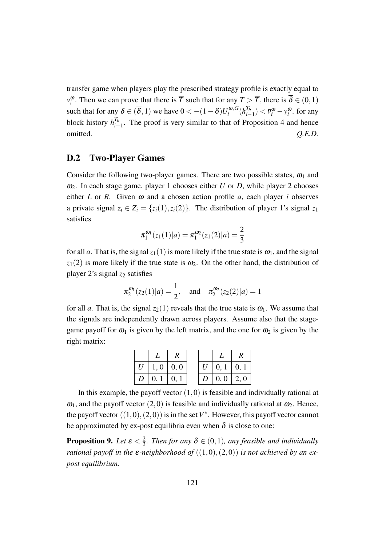transfer game when players play the prescribed strategy profile is exactly equal to  $\overline{v}_i^{\omega}$ . Then we can prove that there is *T* such that for any  $T > T$ , there is  $\delta \in (0,1)$ such that for any  $\delta \in (\overline{\delta}, 1)$  we have  $0 < -(1 - \delta)U_i^{\omega, G}$  $\int_i^{\boldsymbol{\omega},G} (h^{T_b}_{i-1})$  $\left(\frac{u_b}{v_i-1}\right) < \overline{v}_i^{\omega} - \underline{v}_i^{\omega}$ . for any block history  $h_{i-}^{T_b}$  $\frac{I_b}{I_b}$ . The proof is very similar to that of Proposition 4 and hence omitted. *Q.E.D.*

### D.2 Two-Player Games

Consider the following two-player games. There are two possible states,  $\omega_1$  and  $\omega_2$ . In each stage game, player 1 chooses either *U* or *D*, while player 2 chooses either *L* or *R*. Given  $\omega$  and a chosen action profile *a*, each player *i* observes a private signal  $z_i \in Z_i = \{z_i(1), z_i(2)\}\$ . The distribution of player 1's signal  $z_1$ satisfies

$$
\pi_1^{\omega_1}(z_1(1)|a) = \pi_1^{\omega_2}(z_1(2)|a) = \frac{2}{3}
$$

for all *a*. That is, the signal  $z_1(1)$  is more likely if the true state is  $\omega_1$ , and the signal  $z_1(2)$  is more likely if the true state is  $\omega_2$ . On the other hand, the distribution of player 2's signal *z*<sup>2</sup> satisfies

$$
\pi_2^{\omega_1}(z_2(1)|a) = \frac{1}{2}
$$
, and  $\pi_2^{\omega_2}(z_2(2)|a) = 1$ 

for all *a*. That is, the signal  $z_2(1)$  reveals that the true state is  $\omega_1$ . We assume that the signals are independently drawn across players. Assume also that the stagegame payoff for  $\omega_1$  is given by the left matrix, and the one for  $\omega_2$  is given by the right matrix:

| $U \mid 1, 0 \mid 0, 0$       |  | $U \mid 0, 1 \mid 0, 1$       |  |
|-------------------------------|--|-------------------------------|--|
| $D \,   \, 0, 1 \,   \, 0, 1$ |  | $D \,   \, 0, 0 \,   \, 2, 0$ |  |

In this example, the payoff vector (1*,*0) is feasible and individually rational at  $\omega_1$ , and the payoff vector (2,0) is feasible and individually rational at  $\omega_2$ . Hence, the payoff vector  $((1,0),(2,0))$  is in the set  $V^*$ . However, this payoff vector cannot be approximated by ex-post equilibria even when  $\delta$  is close to one:

Proposition 9. *Let* <sup>ε</sup> *<* 2  $\frac{2}{3}$ . Then for any  $\delta \in (0,1)$ , any feasible and individually *rational payoff in the*  $\varepsilon$ *-neighborhood of*  $((1,0),(2,0))$  *is not achieved by an expost equilibrium.*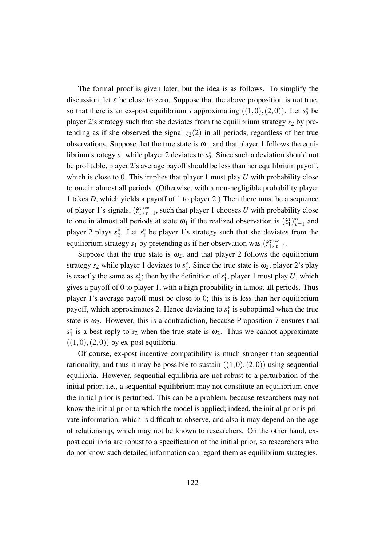The formal proof is given later, but the idea is as follows. To simplify the discussion, let  $\varepsilon$  be close to zero. Suppose that the above proposition is not true, so that there is an ex-post equilibrium *s* approximating  $((1,0),(2,0))$ . Let  $s_2^*$  be player  $2$ 's strategy such that she deviates from the equilibrium strategy  $s_2$  by pretending as if she observed the signal  $z_2(2)$  in all periods, regardless of her true observations. Suppose that the true state is  $\omega_1$ , and that player 1 follows the equilibrium strategy  $s_1$  while player 2 deviates to  $s_2^*$ . Since such a deviation should not be profitable, player 2's average payoff should be less than her equilibrium payoff, which is close to 0. This implies that player 1 must play *U* with probability close to one in almost all periods. (Otherwise, with a non-negligible probability player 1 takes *D*, which yields a payoff of 1 to player 2.) Then there must be a sequence of player 1's signals,  $(\hat{z}_1^{\tau})_{\tau}^{\infty}$  $\sum_{\tau=1}^{\infty}$ , such that player 1 chooses *U* with probability close to one in almost all periods at state  $\omega_1$  if the realized observation is  $(\hat{z}_1^{\tau})_{\tau}^{\infty}$  $\sum_{\tau=1}^{\infty}$  and player 2 plays  $s_2^*$ . Let  $s_1^*$  be player 1's strategy such that she deviates from the equilibrium strategy  $s_1$  by pretending as if her observation was  $(\hat{z}_1^{\tau})_{\tau}^{\infty}$  $\overline{\tau=1}$ .

Suppose that the true state is  $\omega_2$ , and that player 2 follows the equilibrium strategy  $s_2$  while player 1 deviates to  $s_1^*$ . Since the true state is  $\omega_2$ , player 2's play is exactly the same as  $s_2^*$ ; then by the definition of  $s_1^*$ , player 1 must play *U*, which gives a payoff of 0 to player 1, with a high probability in almost all periods. Thus player 1's average payoff must be close to 0; this is is less than her equilibrium payoff, which approximates 2. Hence deviating to  $s_1^*$  is suboptimal when the true state is  $\omega_2$ . However, this is a contradiction, because Proposition 7 ensures that  $s_1^*$  is a best reply to  $s_2$  when the true state is  $\omega_2$ . Thus we cannot approximate  $((1,0),(2,0))$  by ex-post equilibria.

Of course, ex-post incentive compatibility is much stronger than sequential rationality, and thus it may be possible to sustain  $((1,0),(2,0))$  using sequential equilibria. However, sequential equilibria are not robust to a perturbation of the initial prior; i.e., a sequential equilibrium may not constitute an equilibrium once the initial prior is perturbed. This can be a problem, because researchers may not know the initial prior to which the model is applied; indeed, the initial prior is private information, which is difficult to observe, and also it may depend on the age of relationship, which may not be known to researchers. On the other hand, expost equilibria are robust to a specification of the initial prior, so researchers who do not know such detailed information can regard them as equilibrium strategies.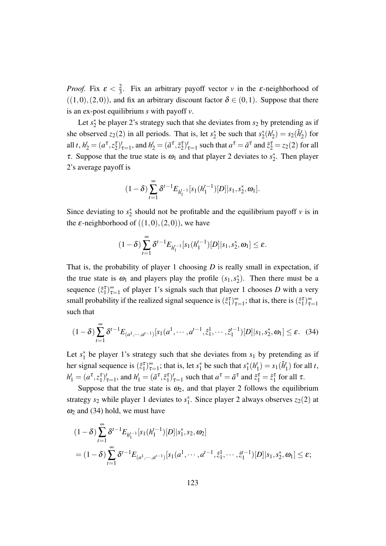*Proof.* Fix  $\varepsilon < \frac{2}{3}$  $\frac{2}{3}$ . Fix an arbitrary payoff vector *v* in the *ε*-neighborhood of  $((1,0),(2,0))$ , and fix an arbitrary discount factor  $\delta \in (0,1)$ . Suppose that there is an ex-post equilibrium *s* with payoff *v*.

Let  $s_2^*$  be player 2's strategy such that she deviates from  $s_2$  by pretending as if she observed  $z_2(2)$  in all periods. That is, let  $s_2^*$  be such that  $s_2^*(h_2^*$  $s_2(\tilde{h}_2^t)$  for all  $t$ ,  $h_2^t = (a^{\tau}, z_2^{\tau})_{\tau=1}^t$ , and  $h_2^t = (\tilde{a}^{\tau}, \tilde{z}_2^{\tau})_{\tau=1}^t$  such that  $a^{\tau} = \tilde{a}^{\tau}$  and  $\tilde{z}_2^{\tau} = z_2(2)$  for all τ. Suppose that the true state is  $ω_1$  and that player 2 deviates to  $s_2^*$ . Then player 2's average payoff is

$$
(1-\delta)\sum_{t=1}^{\infty}\delta^{t-1}E_{h_1^{t-1}}[s_1(h_1^{t-1})[D]|s_1,s_2^*,\omega_1].
$$

Since deviating to  $s_2^*$  should not be profitable and the equilibrium payoff *v* is in the  $\varepsilon$ -neighborhood of  $((1,0),(2,0))$ , we have

$$
(1-\delta)\sum_{t=1}^{\infty}\delta^{t-1}E_{h_1^{t-1}}[s_1(h_1^{t-1})[D]|s_1,s_2^*,\omega_1]\leq \varepsilon.
$$

That is, the probability of player 1 choosing *D* is really small in expectation, if the true state is  $\omega_1$  and players play the profile  $(s_1, s_2^*)$ . Then there must be a sequence  $(\hat{z}_1^{\tau})_{\tau}^{\infty}$  $\sum_{\tau=1}^{\infty}$  of player 1's signals such that player 1 chooses *D* with a very small probability if the realized signal sequence is  $(\hat{z}_1^{\tau})_{\tau}^{\infty}$  $\sum_{\tau=1}^{\infty}$ ; that is, there is  $(\hat{z}_1^{\tau})_{\tau}^{\infty}$  $\tau=1$ such that

$$
(1-\delta)\sum_{t=1}^{\infty}\delta^{t-1}E_{(a^1,\cdots,a^{t-1})}[s_1(a^1,\cdots,a^{t-1},\hat{z}_1^1,\cdots,\hat{z}_1^{t-1})[D]|s_1,s_2^*,\omega_1] \leq \varepsilon. \quad (34)
$$

Let  $s_1^*$  be player 1's strategy such that she deviates from  $s_1$  by pretending as if her signal sequence is  $(\hat{z}_1^{\tau})_{\tau}^{\infty}$  $\sum_{\tau=1}^{\infty}$ ; that is, let *s*<sup>\*</sup><sub>1</sub> be such that *s*<sup>\*</sup><sub>1</sub> (*h*<sup>*i*</sup>)  $s_1^t$ ) =  $s_1(\tilde{h}_1^t)$  for all *t*,  $h'_1 = (a^{\tau}, z_1^{\tau})'_{\tau=1}$ , and  $h'_1 = (\tilde{a}^{\tau}, \tilde{z}_1^{\tau})'_{\tau=1}$  such that  $a^{\tau} = \tilde{a}^{\tau}$  and  $\tilde{z}_1^{\tau} = \hat{z}_1^{\tau}$  for all  $\tau$ .

Suppose that the true state is  $\omega_2$ , and that player 2 follows the equilibrium strategy  $s_2$  while player 1 deviates to  $s_1^*$ . Since player 2 always observes  $z_2(2)$  at  $\omega_2$  and (34) hold, we must have

$$
(1-\delta)\sum_{t=1}^{\infty} \delta^{t-1} E_{h_1^{t-1}}[s_1(h_1^{t-1})[D]|s_1^*, s_2, \omega_2]
$$
  
=  $(1-\delta)\sum_{t=1}^{\infty} \delta^{t-1} E_{(a^1, \cdots, a^{t-1})}[s_1(a^1, \cdots, a^{t-1}, \hat{z}_1^1, \cdots, \hat{z}_1^{t-1})[D]|s_1, s_2^*, \omega_1] \le \varepsilon;$